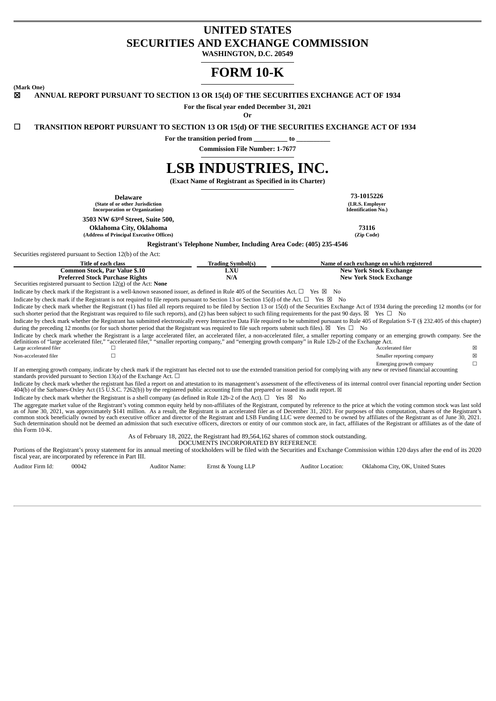# **UNITED STATES SECURITIES AND EXCHANGE COMMISSION**

**WASHINGTON, D.C. 20549**

# **FORM 10-K**

**(Mark One)**

☒ **ANNUAL REPORT PURSUANT TO SECTION 13 OR 15(d) OF THE SECURITIES EXCHANGE ACT OF 1934**

**For the fiscal year ended December 31, 2021**

**Or**

#### ☐ **TRANSITION REPORT PURSUANT TO SECTION 13 OR 15(d) OF THE SECURITIES EXCHANGE ACT OF 1934**

**For the transition period from \_\_\_\_\_\_\_\_\_\_ to \_\_\_\_\_\_\_\_\_\_**

**Commission File Number: 1-7677**

# **LSB INDUSTRIES, INC.**

**(Exact Name of Registrant as Specified in its Charter)**

| Delaware<br>(State of or other Jurisdiction<br><b>Incorporation or Organization</b> ) | 73-1015226<br>(I.R.S. Employer<br><b>Identification No.)</b> |
|---------------------------------------------------------------------------------------|--------------------------------------------------------------|
| 3503 NW 63rd Street. Suite 500.                                                       |                                                              |
| Oklahoma City, Oklahoma                                                               | 73116                                                        |
| (Address of Principal Executive Offices)                                              | (Zip Code)                                                   |
| Registrant's Telephone Number, Including Area Code: (405) 235-4546                    |                                                              |

Securities registered pursuant to Section 12(b) of the Act:

| Title of each class                                              | Trading Svmbol(s) | Name of each exchange on which registered |
|------------------------------------------------------------------|-------------------|-------------------------------------------|
| Common Stock, Par Value \$.10                                    | LXU               | <b>New York Stock Exchange</b>            |
| <b>Preferred Stock Purchase Rights</b>                           | N/A               | <b>New York Stock Exchange</b>            |
| Securities registered pursuant to Section 12(g) of the Act: None |                   |                                           |

Indicate by check mark if the Registrant is a well-known seasoned issuer, as defined in Rule 405 of the Securities Act. □ Yes ⊠ No

Indicate by check mark if the Registrant is not required to file reports pursuant to Section 13 or Section 15(d) of the Act.  $\square$  Yes  $\boxtimes$  No

Indicate by check mark whether the Registrant (1) has filed all reports required to be filed by Section 13 or 15(d) of the Securities Exchange Act of 1934 during the preceding 12 months (or for such shorter period that the Registrant was required to file such reports), and (2) has been subject to such filing requirements for the past 90 days.  $\boxtimes$  Yes  $\Box$  No

Indicate by check mark whether the Registrant has submitted electronically every Interactive Data File required to be submitted pursuant to Rule 405 of Regulation S-T (§ 232.405 of this chapter) during the preceding 12 months (or for such shorter period that the Registrant was required to file such reports submit such files). ⊠ Yes □ No

Indicate by check mark whether the Registrant is a large accelerated filer, an accelerated filer, a non-accelerated filer, a smaller reporting company or an emerging growth company. See the<br>definitions of "large accelerate Large accelerated filer ☐ Accelerated filer ☒

Non-accelerated filer ☐ Smaller reporting company ☒

□<br>If an emerging growth company, indicate by check mark if the registrant has elected not to use the extended transition period for complying with any new or revised financial accounting standards provided pursuant to Section 13(a) of the Exchange Act.  $□$ 

Indicate by check mark whether the registrant has filed a report on and attestation to its management's assessment of the effectiveness of its internal control over financial reporting under Section 404(b) of the Sarbanes-Oxley Act (15 U.S.C. 7262(b)) by the registered public accounting firm that prepared or issued its audit report.  $\boxtimes$ 

Indicate by check mark whether the Registrant is a shell company (as defined in Rule 12b-2 of the Act).  $\Box$  Yes  $\boxtimes$  No

The aggregate market value of the Registrant's voting common equity held by non-affiliates of the Registrant, computed by reference to the price at which the voting common stock was last sold<br>as of June 30, 2021, was appro common stock beneficially owned by each executive officer and director of the Registrant and LSB Funding LLC were deemed to be owned by affiliates of the Registrant as of June 30, 2021. Such determination should not be deemed an admission that such executive officers, directors or entity of our common stock are, in fact, affiliates of the Registrant or affiliates as of the date of this Form 10-K.

#### As of February 18, 2022, the Registrant had 89,564,162 shares of common stock outstanding. DOCUMENTS INCORPORATED BY REFERENCE

Portions of the Registrant's proxy statement for its annual meeting of stockholders will be filed with the Securities and Exchange Commission within 120 days after the end of its 2020 fiscal year, are incorporated by reference in Part III.

Auditor Firm Id: 00042 Auditor Name: Ernst & Young LLP Auditor Location: Oklahoma City, OK, United States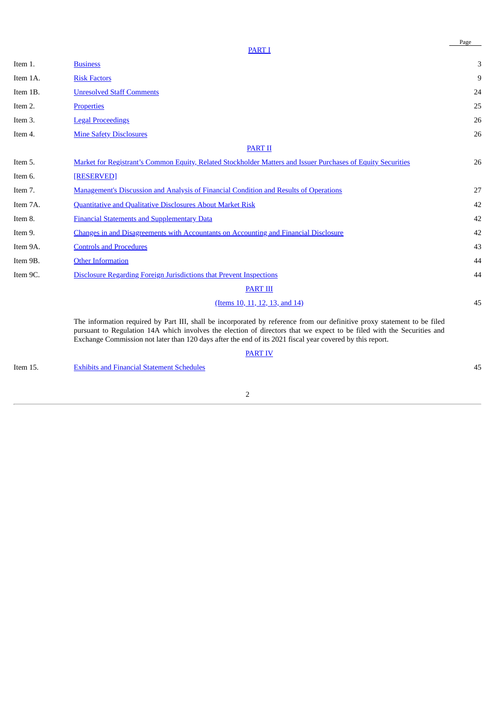[PART](#page-2-0) I **Item 1.** [Business](#page-2-1) 3 Item 1A. Risk [Factors](#page-8-0) 9 **Item 1B.** [Unresolved](#page-23-0) Staff Comments 24 Item 2. **[Properties](#page-24-0)** 25 Item 3. *Legal [Proceedings](#page-25-0)* 26 Item 4. Mine Safety Disclosures 26 [PART](#page-25-1) II Item 5. Market for Registrant's Common Equity, Related [Stockholder](#page-25-2) Matters and Issuer Purchases of Equity Securities 26 Item 6. [\[RESERVED\]](#page-25-3) Item 7. [Management's](#page-26-0) Discussion and Analysis of Financial Condition and Results of Operations 27 Item 7A. **[Quantitative](#page-41-0) and Qualitative Disclosures About Market Risk** 42 Item 8. Financial Statements and [Supplementary](#page-41-1) Data **1988** 6 and 30 and 42 Item 9. Changes in and [Disagreements](#page-41-2) with Accountants on Accounting and Financial Disclosure 42 Item 9A. Controls and [Procedures](#page-42-0) **6. 2008 1999 12.3 <b>13.43 13.43 13.43 Item 9B.** Other [Information](#page-43-0) **6.6 Automation 6.6 Automation 6.6 Automation 6.6 Automation 6.6 Automation 6.6 Automation 6.6 Automation 6.6 Automation 6.6 Automation 6.6 Automation 6.6 Automation 6.6 A** Item 9C. Disclosure Regarding Foreign [Jurisdictions](#page-43-0) that Prevent Inspections **Example 2018** 244 [PART](#page-44-0) III [\(Items](#page-44-1) 10, 11, 12, 13, and 14) 45

Page

The information required by Part III, shall be incorporated by reference from our definitive proxy statement to be filed pursuant to Regulation 14A which involves the election of directors that we expect to be filed with the Securities and Exchange Commission not later than 120 days after the end of its 2021 fiscal year covered by this report.

[PART](#page-44-2) IV

Item 15. **Exhibits and Financial Statement [Schedules](#page-44-3)** 45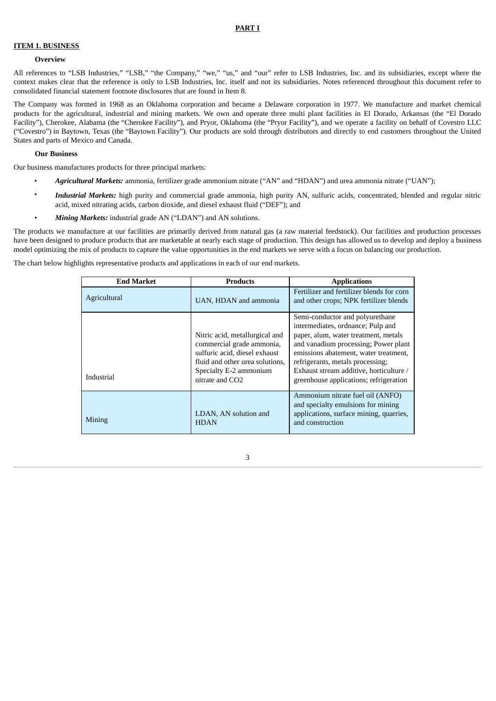#### <span id="page-2-1"></span><span id="page-2-0"></span>**ITEM 1. BUSINESS**

#### **Overview**

All references to "LSB Industries," "LSB," "the Company," "we," "us," and "our" refer to LSB Industries, Inc. and its subsidiaries, except where the context makes clear that the reference is only to LSB Industries, Inc. itself and not its subsidiaries. Notes referenced throughout this document refer to consolidated financial statement footnote disclosures that are found in Item 8.

The Company was formed in 1968 as an Oklahoma corporation and became a Delaware corporation in 1977. We manufacture and market chemical products for the agricultural, industrial and mining markets. We own and operate three multi plant facilities in El Dorado, Arkansas (the "El Dorado Facility"), Cherokee, Alabama (the "Cherokee Facility"), and Pryor, Oklahoma (the "Pryor Facility"), and we operate a facility on behalf of Covestro LLC ("Covestro") in Baytown, Texas (the "Baytown Facility"). Our products are sold through distributors and directly to end customers throughout the United States and parts of Mexico and Canada.

#### **Our Business**

Our business manufactures products for three principal markets:

- *Agricultural Markets:* ammonia, fertilizer grade ammonium nitrate ("AN" and "HDAN") and urea ammonia nitrate ("UAN");
- *Industrial Markets:* high purity and commercial grade ammonia, high purity AN, sulfuric acids, concentrated, blended and regular nitric acid, mixed nitrating acids, carbon dioxide, and diesel exhaust fluid ("DEF"); and
- *Mining Markets:* industrial grade AN ("LDAN") and AN solutions.

The products we manufacture at our facilities are primarily derived from natural gas (a raw material feedstock). Our facilities and production processes have been designed to produce products that are marketable at nearly each stage of production. This design has allowed us to develop and deploy a business model optimizing the mix of products to capture the value opportunities in the end markets we serve with a focus on balancing our production.

The chart below highlights representative products and applications in each of our end markets.

| <b>End Market</b> | <b>Products</b>                                                                                                                                                                          | <b>Applications</b>                                                                                                                                                                                                                                                                                                    |
|-------------------|------------------------------------------------------------------------------------------------------------------------------------------------------------------------------------------|------------------------------------------------------------------------------------------------------------------------------------------------------------------------------------------------------------------------------------------------------------------------------------------------------------------------|
| Agricultural      | UAN, HDAN and ammonia                                                                                                                                                                    | Fertilizer and fertilizer blends for corn<br>and other crops; NPK fertilizer blends                                                                                                                                                                                                                                    |
| Industrial        | Nitric acid, metallurgical and<br>commercial grade ammonia,<br>sulfuric acid, diesel exhaust<br>fluid and other urea solutions,<br>Specialty E-2 ammonium<br>nitrate and CO <sub>2</sub> | Semi-conductor and polyurethane<br>intermediates, ordnance; Pulp and<br>paper, alum, water treatment, metals<br>and vanadium processing; Power plant<br>emissions abatement, water treatment,<br>refrigerants, metals processing;<br>Exhaust stream additive, horticulture /<br>greenhouse applications; refrigeration |
| Mining            | LDAN, AN solution and<br><b>HDAN</b>                                                                                                                                                     | Ammonium nitrate fuel oil (ANFO)<br>and specialty emulsions for mining<br>applications, surface mining, quarries,<br>and construction                                                                                                                                                                                  |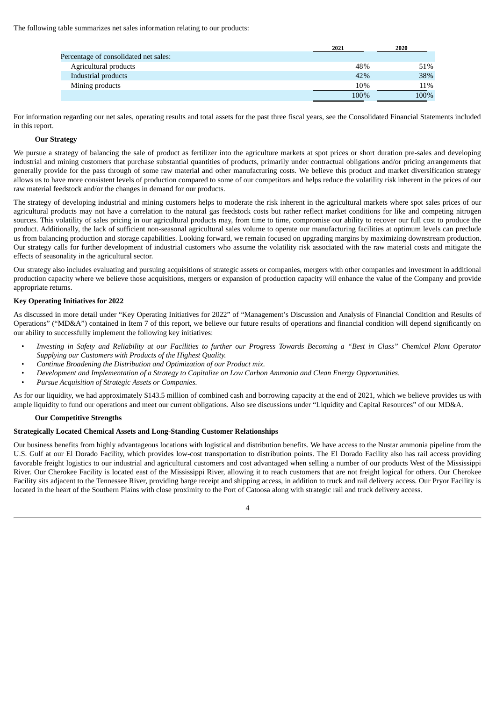The following table summarizes net sales information relating to our products:

|                                       | 2021 | 2020 |
|---------------------------------------|------|------|
| Percentage of consolidated net sales: |      |      |
| Agricultural products                 | 48%  | 51%  |
| Industrial products                   | 42%  | 38%  |
| Mining products                       | 10%  | 11%  |
|                                       | 100% | 100% |

For information regarding our net sales, operating results and total assets for the past three fiscal years, see the Consolidated Financial Statements included in this report.

# **Our Strategy**

We pursue a strategy of balancing the sale of product as fertilizer into the agriculture markets at spot prices or short duration pre-sales and developing industrial and mining customers that purchase substantial quantities of products, primarily under contractual obligations and/or pricing arrangements that generally provide for the pass through of some raw material and other manufacturing costs. We believe this product and market diversification strategy allows us to have more consistent levels of production compared to some of our competitors and helps reduce the volatility risk inherent in the prices of our raw material feedstock and/or the changes in demand for our products.

The strategy of developing industrial and mining customers helps to moderate the risk inherent in the agricultural markets where spot sales prices of our agricultural products may not have a correlation to the natural gas feedstock costs but rather reflect market conditions for like and competing nitrogen sources. This volatility of sales pricing in our agricultural products may, from time to time, compromise our ability to recover our full cost to produce the product. Additionally, the lack of sufficient non-seasonal agricultural sales volume to operate our manufacturing facilities at optimum levels can preclude us from balancing production and storage capabilities. Looking forward, we remain focused on upgrading margins by maximizing downstream production. Our strategy calls for further development of industrial customers who assume the volatility risk associated with the raw material costs and mitigate the effects of seasonality in the agricultural sector.

Our strategy also includes evaluating and pursuing acquisitions of strategic assets or companies, mergers with other companies and investment in additional production capacity where we believe those acquisitions, mergers or expansion of production capacity will enhance the value of the Company and provide appropriate returns.

# **Key Operating Initiatives for 2022**

As discussed in more detail under "Key Operating Initiatives for 2022" of "Management's Discussion and Analysis of Financial Condition and Results of Operations" ("MD&A") contained in Item 7 of this report, we believe our future results of operations and financial condition will depend significantly on our ability to successfully implement the following key initiatives:

- Investing in Safety and Reliability at our Facilities to further our Progress Towards Becoming a "Best in Class" Chemical Plant Operator *Supplying our Customers with Products of the Highest Quality.*
- *Continue Broadening the Distribution and Optimization of our Product mix.*
- Development and Implementation of a Strategy to Capitalize on Low Carbon Ammonia and Clean Energy Opportunities.
- *Pursue Acquisition of Strategic Assets or Companies.*

As for our liquidity, we had approximately \$143.5 million of combined cash and borrowing capacity at the end of 2021, which we believe provides us with ample liquidity to fund our operations and meet our current obligations. Also see discussions under "Liquidity and Capital Resources" of our MD&A.

# **Our Competitive Strengths**

# **Strategically Located Chemical Assets and Long-Standing Customer Relationships**

Our business benefits from highly advantageous locations with logistical and distribution benefits. We have access to the Nustar ammonia pipeline from the U.S. Gulf at our El Dorado Facility, which provides low-cost transportation to distribution points. The El Dorado Facility also has rail access providing favorable freight logistics to our industrial and agricultural customers and cost advantaged when selling a number of our products West of the Mississippi River. Our Cherokee Facility is located east of the Mississippi River, allowing it to reach customers that are not freight logical for others. Our Cherokee Facility sits adjacent to the Tennessee River, providing barge receipt and shipping access, in addition to truck and rail delivery access. Our Pryor Facility is located in the heart of the Southern Plains with close proximity to the Port of Catoosa along with strategic rail and truck delivery access.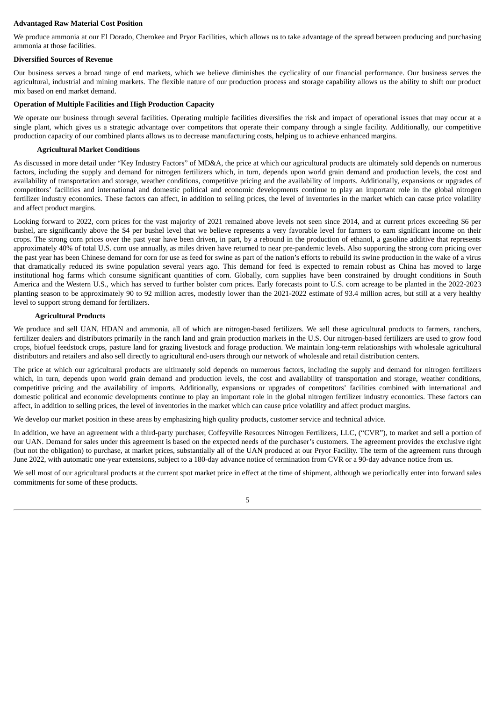## **Advantaged Raw Material Cost Position**

We produce ammonia at our El Dorado, Cherokee and Pryor Facilities, which allows us to take advantage of the spread between producing and purchasing ammonia at those facilities.

#### **Diversified Sources of Revenue**

Our business serves a broad range of end markets, which we believe diminishes the cyclicality of our financial performance. Our business serves the agricultural, industrial and mining markets. The flexible nature of our production process and storage capability allows us the ability to shift our product mix based on end market demand.

#### **Operation of Multiple Facilities and High Production Capacity**

We operate our business through several facilities. Operating multiple facilities diversifies the risk and impact of operational issues that may occur at a single plant, which gives us a strategic advantage over competitors that operate their company through a single facility. Additionally, our competitive production capacity of our combined plants allows us to decrease manufacturing costs, helping us to achieve enhanced margins.

#### **Agricultural Market Conditions**

As discussed in more detail under "Key Industry Factors" of MD&A, the price at which our agricultural products are ultimately sold depends on numerous factors, including the supply and demand for nitrogen fertilizers which, in turn, depends upon world grain demand and production levels, the cost and availability of transportation and storage, weather conditions, competitive pricing and the availability of imports. Additionally, expansions or upgrades of competitors' facilities and international and domestic political and economic developments continue to play an important role in the global nitrogen fertilizer industry economics. These factors can affect, in addition to selling prices, the level of inventories in the market which can cause price volatility and affect product margins.

Looking forward to 2022, corn prices for the vast majority of 2021 remained above levels not seen since 2014, and at current prices exceeding \$6 per bushel, are significantly above the \$4 per bushel level that we believe represents a very favorable level for farmers to earn significant income on their crops. The strong corn prices over the past year have been driven, in part, by a rebound in the production of ethanol, a gasoline additive that represents approximately 40% of total U.S. corn use annually, as miles driven have returned to near pre-pandemic levels. Also supporting the strong corn pricing over the past year has been Chinese demand for corn for use as feed for swine as part of the nation's efforts to rebuild its swine production in the wake of a virus that dramatically reduced its swine population several years ago. This demand for feed is expected to remain robust as China has moved to large institutional hog farms which consume significant quantities of corn. Globally, corn supplies have been constrained by drought conditions in South America and the Western U.S., which has served to further bolster corn prices. Early forecasts point to U.S. corn acreage to be planted in the 2022-2023 planting season to be approximately 90 to 92 million acres, modestly lower than the 2021-2022 estimate of 93.4 million acres, but still at a very healthy level to support strong demand for fertilizers.

## **Agricultural Products**

We produce and sell UAN, HDAN and ammonia, all of which are nitrogen-based fertilizers. We sell these agricultural products to farmers, ranchers, fertilizer dealers and distributors primarily in the ranch land and grain production markets in the U.S. Our nitrogen-based fertilizers are used to grow food crops, biofuel feedstock crops, pasture land for grazing livestock and forage production. We maintain long-term relationships with wholesale agricultural distributors and retailers and also sell directly to agricultural end-users through our network of wholesale and retail distribution centers.

The price at which our agricultural products are ultimately sold depends on numerous factors, including the supply and demand for nitrogen fertilizers which, in turn, depends upon world grain demand and production levels, the cost and availability of transportation and storage, weather conditions, competitive pricing and the availability of imports. Additionally, expansions or upgrades of competitors' facilities combined with international and domestic political and economic developments continue to play an important role in the global nitrogen fertilizer industry economics. These factors can affect, in addition to selling prices, the level of inventories in the market which can cause price volatility and affect product margins.

We develop our market position in these areas by emphasizing high quality products, customer service and technical advice.

In addition, we have an agreement with a third-party purchaser, Coffeyville Resources Nitrogen Fertilizers, LLC, ("CVR"), to market and sell a portion of our UAN. Demand for sales under this agreement is based on the expected needs of the purchaser's customers. The agreement provides the exclusive right (but not the obligation) to purchase, at market prices, substantially all of the UAN produced at our Pryor Facility. The term of the agreement runs through June 2022, with automatic one-year extensions, subject to a 180-day advance notice of termination from CVR or a 90-day advance notice from us.

We sell most of our agricultural products at the current spot market price in effect at the time of shipment, although we periodically enter into forward sales commitments for some of these products.

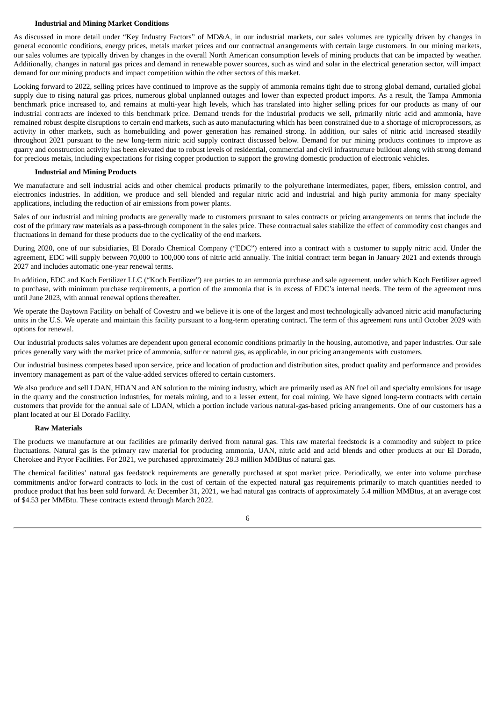#### **Industrial and Mining Market Conditions**

As discussed in more detail under "Key Industry Factors" of MD&A, in our industrial markets, our sales volumes are typically driven by changes in general economic conditions, energy prices, metals market prices and our contractual arrangements with certain large customers. In our mining markets, our sales volumes are typically driven by changes in the overall North American consumption levels of mining products that can be impacted by weather. Additionally, changes in natural gas prices and demand in renewable power sources, such as wind and solar in the electrical generation sector, will impact demand for our mining products and impact competition within the other sectors of this market.

Looking forward to 2022, selling prices have continued to improve as the supply of ammonia remains tight due to strong global demand, curtailed global supply due to rising natural gas prices, numerous global unplanned outages and lower than expected product imports. As a result, the Tampa Ammonia benchmark price increased to, and remains at multi-year high levels, which has translated into higher selling prices for our products as many of our industrial contracts are indexed to this benchmark price. Demand trends for the industrial products we sell, primarily nitric acid and ammonia, have remained robust despite disruptions to certain end markets, such as auto manufacturing which has been constrained due to a shortage of microprocessors, as activity in other markets, such as homebuilding and power generation has remained strong. In addition, our sales of nitric acid increased steadily throughout 2021 pursuant to the new long-term nitric acid supply contract discussed below. Demand for our mining products continues to improve as quarry and construction activity has been elevated due to robust levels of residential, commercial and civil infrastructure buildout along with strong demand for precious metals, including expectations for rising copper production to support the growing domestic production of electronic vehicles.

#### **Industrial and Mining Products**

We manufacture and sell industrial acids and other chemical products primarily to the polyurethane intermediates, paper, fibers, emission control, and electronics industries. In addition, we produce and sell blended and regular nitric acid and industrial and high purity ammonia for many specialty applications, including the reduction of air emissions from power plants.

Sales of our industrial and mining products are generally made to customers pursuant to sales contracts or pricing arrangements on terms that include the cost of the primary raw materials as a pass-through component in the sales price. These contractual sales stabilize the effect of commodity cost changes and fluctuations in demand for these products due to the cyclicality of the end markets.

During 2020, one of our subsidiaries, El Dorado Chemical Company ("EDC") entered into a contract with a customer to supply nitric acid. Under the agreement, EDC will supply between 70,000 to 100,000 tons of nitric acid annually. The initial contract term began in January 2021 and extends through 2027 and includes automatic one-year renewal terms.

In addition, EDC and Koch Fertilizer LLC ("Koch Fertilizer") are parties to an ammonia purchase and sale agreement, under which Koch Fertilizer agreed to purchase, with minimum purchase requirements, a portion of the ammonia that is in excess of EDC's internal needs. The term of the agreement runs until June 2023, with annual renewal options thereafter.

We operate the Baytown Facility on behalf of Covestro and we believe it is one of the largest and most technologically advanced nitric acid manufacturing units in the U.S. We operate and maintain this facility pursuant to a long-term operating contract. The term of this agreement runs until October 2029 with options for renewal.

Our industrial products sales volumes are dependent upon general economic conditions primarily in the housing, automotive, and paper industries. Our sale prices generally vary with the market price of ammonia, sulfur or natural gas, as applicable, in our pricing arrangements with customers.

Our industrial business competes based upon service, price and location of production and distribution sites, product quality and performance and provides inventory management as part of the value-added services offered to certain customers.

We also produce and sell LDAN, HDAN and AN solution to the mining industry, which are primarily used as AN fuel oil and specialty emulsions for usage in the quarry and the construction industries, for metals mining, and to a lesser extent, for coal mining. We have signed long-term contracts with certain customers that provide for the annual sale of LDAN, which a portion include various natural-gas-based pricing arrangements. One of our customers has a plant located at our El Dorado Facility.

#### **Raw Materials**

The products we manufacture at our facilities are primarily derived from natural gas. This raw material feedstock is a commodity and subject to price fluctuations. Natural gas is the primary raw material for producing ammonia, UAN, nitric acid and acid blends and other products at our El Dorado, Cherokee and Pryor Facilities. For 2021, we purchased approximately 28.3 million MMBtus of natural gas.

The chemical facilities' natural gas feedstock requirements are generally purchased at spot market price. Periodically, we enter into volume purchase commitments and/or forward contracts to lock in the cost of certain of the expected natural gas requirements primarily to match quantities needed to produce product that has been sold forward. At December 31, 2021, we had natural gas contracts of approximately 5.4 million MMBtus, at an average cost of \$4.53 per MMBtu. These contracts extend through March 2022.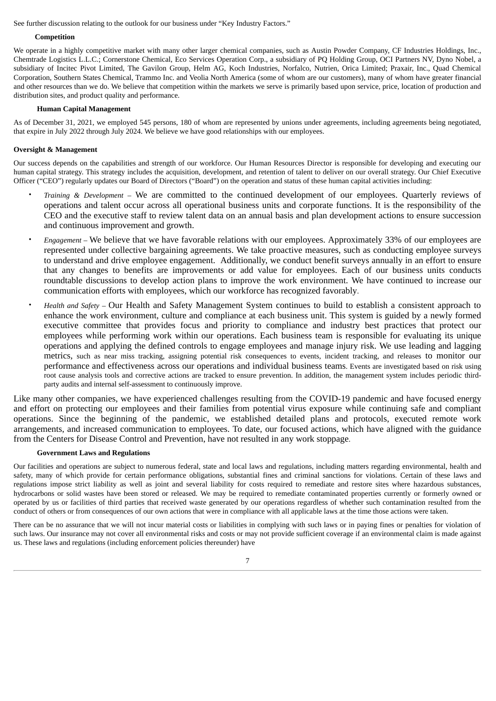See further discussion relating to the outlook for our business under "Key Industry Factors."

### **Competition**

We operate in a highly competitive market with many other larger chemical companies, such as Austin Powder Company, CF Industries Holdings, Inc., Chemtrade Logistics L.L.C.; Cornerstone Chemical, Eco Services Operation Corp., a subsidiary of PQ Holding Group, OCI Partners NV, Dyno Nobel, a subsidiary of Incitec Pivot Limited, The Gavilon Group, Helm AG, Koch Industries, Norfalco, Nutrien, Orica Limited; Praxair, Inc., Quad Chemical Corporation, Southern States Chemical, Trammo Inc. and Veolia North America (some of whom are our customers), many of whom have greater financial and other resources than we do. We believe that competition within the markets we serve is primarily based upon service, price, location of production and distribution sites, and product quality and performance.

## **Human Capital Management**

As of December 31, 2021, we employed 545 persons, 180 of whom are represented by unions under agreements, including agreements being negotiated, that expire in July 2022 through July 2024. We believe we have good relationships with our employees.

# **Oversight & Management**

Our success depends on the capabilities and strength of our workforce. Our Human Resources Director is responsible for developing and executing our human capital strategy. This strategy includes the acquisition, development, and retention of talent to deliver on our overall strategy. Our Chief Executive Officer ("CEO") regularly updates our Board of Directors ("Board") on the operation and status of these human capital activities including:

- *Training & Development* We are committed to the continued development of our employees. Quarterly reviews of operations and talent occur across all operational business units and corporate functions. It is the responsibility of the CEO and the executive staff to review talent data on an annual basis and plan development actions to ensure succession and continuous improvement and growth.
- *Engagement* We believe that we have favorable relations with our employees. Approximately 33% of our employees are represented under collective bargaining agreements. We take proactive measures, such as conducting employee surveys to understand and drive employee engagement. Additionally, we conduct benefit surveys annually in an effort to ensure that any changes to benefits are improvements or add value for employees. Each of our business units conducts roundtable discussions to develop action plans to improve the work environment. We have continued to increase our communication efforts with employees, which our workforce has recognized favorably.
- *Health and Safety* Our Health and Safety Management System continues to build to establish a consistent approach to enhance the work environment, culture and compliance at each business unit. This system is guided by a newly formed executive committee that provides focus and priority to compliance and industry best practices that protect our employees while performing work within our operations. Each business team is responsible for evaluating its unique operations and applying the defined controls to engage employees and manage injury risk. We use leading and lagging metrics, such as near miss tracking, assigning potential risk consequences to events, incident tracking, and releases to monitor our performance and effectiveness across our operations and individual business teams. Events are investigated based on risk using root cause analysis tools and corrective actions are tracked to ensure prevention. In addition, the management system includes periodic thirdparty audits and internal self-assessment to continuously improve.

Like many other companies, we have experienced challenges resulting from the COVID-19 pandemic and have focused energy and effort on protecting our employees and their families from potential virus exposure while continuing safe and compliant operations. Since the beginning of the pandemic, we established detailed plans and protocols, executed remote work arrangements, and increased communication to employees. To date, our focused actions, which have aligned with the guidance from the Centers for Disease Control and Prevention, have not resulted in any work stoppage.

## **Government Laws and Regulations**

Our facilities and operations are subject to numerous federal, state and local laws and regulations, including matters regarding environmental, health and safety, many of which provide for certain performance obligations, substantial fines and criminal sanctions for violations. Certain of these laws and regulations impose strict liability as well as joint and several liability for costs required to remediate and restore sites where hazardous substances, hydrocarbons or solid wastes have been stored or released. We may be required to remediate contaminated properties currently or formerly owned or operated by us or facilities of third parties that received waste generated by our operations regardless of whether such contamination resulted from the conduct of others or from consequences of our own actions that were in compliance with all applicable laws at the time those actions were taken.

There can be no assurance that we will not incur material costs or liabilities in complying with such laws or in paying fines or penalties for violation of such laws. Our insurance may not cover all environmental risks and costs or may not provide sufficient coverage if an environmental claim is made against us. These laws and regulations (including enforcement policies thereunder) have

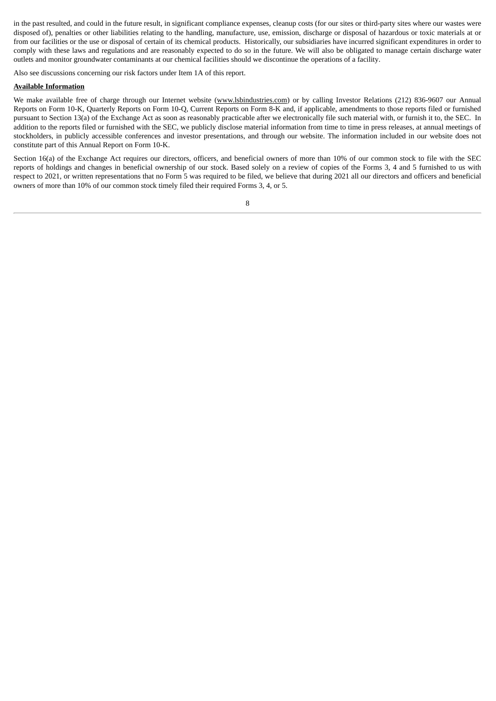in the past resulted, and could in the future result, in significant compliance expenses, cleanup costs (for our sites or third-party sites where our wastes were disposed of), penalties or other liabilities relating to the handling, manufacture, use, emission, discharge or disposal of hazardous or toxic materials at or from our facilities or the use or disposal of certain of its chemical products. Historically, our subsidiaries have incurred significant expenditures in order to comply with these laws and regulations and are reasonably expected to do so in the future. We will also be obligated to manage certain discharge water outlets and monitor groundwater contaminants at our chemical facilities should we discontinue the operations of a facility.

Also see discussions concerning our risk factors under Item 1A of this report.

#### **Available Information**

We make available free of charge through our Internet website (www.lsbindustries.com) or by calling Investor Relations (212) 836-9607 our Annual Reports on Form 10-K, Quarterly Reports on Form 10-Q, Current Reports on Form 8-K and, if applicable, amendments to those reports filed or furnished pursuant to Section 13(a) of the Exchange Act as soon as reasonably practicable after we electronically file such material with, or furnish it to, the SEC. In addition to the reports filed or furnished with the SEC, we publicly disclose material information from time to time in press releases, at annual meetings of stockholders, in publicly accessible conferences and investor presentations, and through our website. The information included in our website does not constitute part of this Annual Report on Form 10-K.

Section 16(a) of the Exchange Act requires our directors, officers, and beneficial owners of more than 10% of our common stock to file with the SEC reports of holdings and changes in beneficial ownership of our stock. Based solely on a review of copies of the Forms 3, 4 and 5 furnished to us with respect to 2021, or written representations that no Form 5 was required to be filed, we believe that during 2021 all our directors and officers and beneficial owners of more than 10% of our common stock timely filed their required Forms 3, 4, or 5.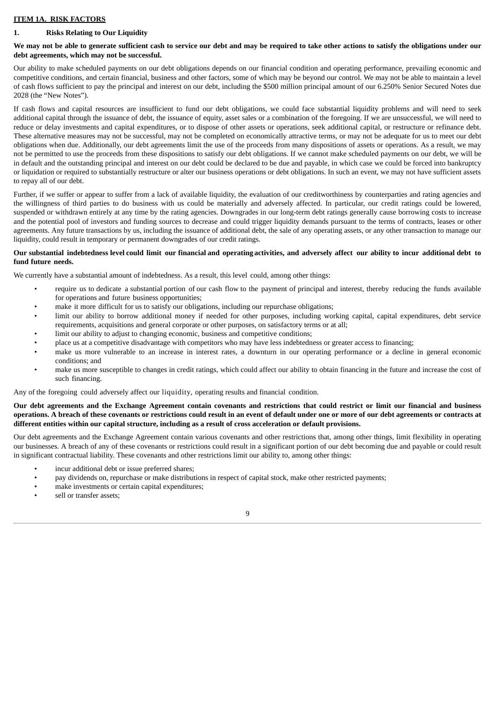# <span id="page-8-0"></span>**ITEM 1A. RISK FACTORS**

# **1. Risks Relating to Our Liquidity**

# We may not be able to generate sufficient cash to service our debt and may be required to take other actions to satisfy the obligations under our **debt agreements, which may not be successful.**

Our ability to make scheduled payments on our debt obligations depends on our financial condition and operating performance, prevailing economic and competitive conditions, and certain financial, business and other factors, some of which may be beyond our control. We may not be able to maintain a level of cash flows sufficient to pay the principal and interest on our debt, including the \$500 million principal amount of our 6.250% Senior Secured Notes due 2028 (the "New Notes").

If cash flows and capital resources are insufficient to fund our debt obligations, we could face substantial liquidity problems and will need to seek additional capital through the issuance of debt, the issuance of equity, asset sales or a combination of the foregoing. If we are unsuccessful, we will need to reduce or delay investments and capital expenditures, or to dispose of other assets or operations, seek additional capital, or restructure or refinance debt. These alternative measures may not be successful, may not be completed on economically attractive terms, or may not be adequate for us to meet our debt obligations when due. Additionally, our debt agreements limit the use of the proceeds from many dispositions of assets or operations. As a result, we may not be permitted to use the proceeds from these dispositions to satisfy our debt obligations. If we cannot make scheduled payments on our debt, we will be in default and the outstanding principal and interest on our debt could be declared to be due and payable, in which case we could be forced into bankruptcy or liquidation or required to substantially restructure or alter our business operations or debt obligations. In such an event, we may not have sufficient assets to repay all of our debt.

Further, if we suffer or appear to suffer from a lack of available liquidity, the evaluation of our creditworthiness by counterparties and rating agencies and the willingness of third parties to do business with us could be materially and adversely affected. In particular, our credit ratings could be lowered, suspended or withdrawn entirely at any time by the rating agencies. Downgrades in our long-term debt ratings generally cause borrowing costs to increase and the potential pool of investors and funding sources to decrease and could trigger liquidity demands pursuant to the terms of contracts, leases or other agreements. Any future transactions by us, including the issuance of additional debt, the sale of any operating assets, or any other transaction to manage our liquidity, could result in temporary or permanent downgrades of our credit ratings.

#### Our substantial indebtedness level could limit our financial and operating activities, and adversely affect our ability to incur additional debt to **fund future needs.**

We currently have a substantial amount of indebtedness. As a result, this level could, among other things:

- require us to dedicate a substantial portion of our cash flow to the payment of principal and interest, thereby reducing the funds available for operations and future business opportunities;
- make it more difficult for us to satisfy our obligations, including our repurchase obligations;
- limit our ability to borrow additional money if needed for other purposes, including working capital, capital expenditures, debt service requirements, acquisitions and general corporate or other purposes, on satisfactory terms or at all;
- limit our ability to adjust to changing economic, business and competitive conditions;
- place us at a competitive disadvantage with competitors who may have less indebtedness or greater access to financing;
- make us more vulnerable to an increase in interest rates, a downturn in our operating performance or a decline in general economic conditions; and
- make us more susceptible to changes in credit ratings, which could affect our ability to obtain financing in the future and increase the cost of such financing.

Any of the foregoing could adversely affect our liquidity, operating results and financial condition.

Our debt agreements and the Exchange Agreement contain covenants and restrictions that could restrict or limit our financial and business operations. A breach of these covenants or restrictions could result in an event of default under one or more of our debt agreements or contracts at different entities within our capital structure, including as a result of cross acceleration or default provisions.

Our debt agreements and the Exchange Agreement contain various covenants and other restrictions that, among other things, limit flexibility in operating our businesses. A breach of any of these covenants or restrictions could result in a significant portion of our debt becoming due and payable or could result in significant contractual liability. These covenants and other restrictions limit our ability to, among other things:

- incur additional debt or issue preferred shares;
- pay dividends on, repurchase or make distributions in respect of capital stock, make other restricted payments;
- make investments or certain capital expenditures;
- sell or transfer assets;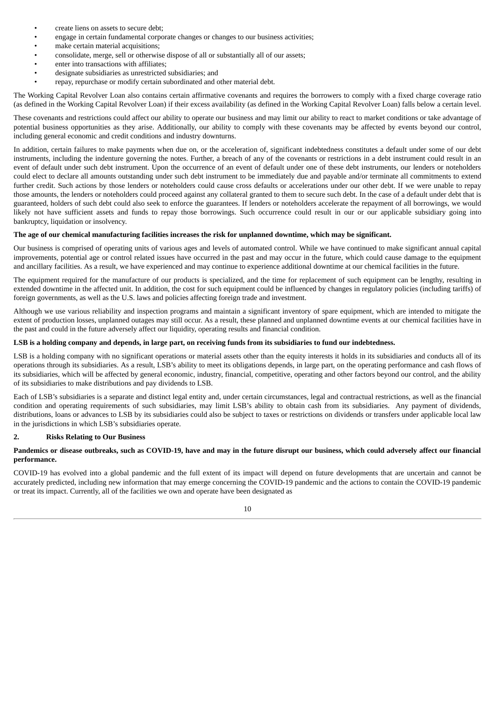- create liens on assets to secure debt;
- engage in certain fundamental corporate changes or changes to our business activities;
- make certain material acquisitions;
- consolidate, merge, sell or otherwise dispose of all or substantially all of our assets;
- enter into transactions with affiliates;
- designate subsidiaries as unrestricted subsidiaries; and
- repay, repurchase or modify certain subordinated and other material debt.

The Working Capital Revolver Loan also contains certain affirmative covenants and requires the borrowers to comply with a fixed charge coverage ratio (as defined in the Working Capital Revolver Loan) if their excess availability (as defined in the Working Capital Revolver Loan) falls below a certain level.

These covenants and restrictions could affect our ability to operate our business and may limit our ability to react to market conditions or take advantage of potential business opportunities as they arise. Additionally, our ability to comply with these covenants may be affected by events beyond our control, including general economic and credit conditions and industry downturns.

In addition, certain failures to make payments when due on, or the acceleration of, significant indebtedness constitutes a default under some of our debt instruments, including the indenture governing the notes. Further, a breach of any of the covenants or restrictions in a debt instrument could result in an event of default under such debt instrument. Upon the occurrence of an event of default under one of these debt instruments, our lenders or noteholders could elect to declare all amounts outstanding under such debt instrument to be immediately due and payable and/or terminate all commitments to extend further credit. Such actions by those lenders or noteholders could cause cross defaults or accelerations under our other debt. If we were unable to repay those amounts, the lenders or noteholders could proceed against any collateral granted to them to secure such debt. In the case of a default under debt that is guaranteed, holders of such debt could also seek to enforce the guarantees. If lenders or noteholders accelerate the repayment of all borrowings, we would likely not have sufficient assets and funds to repay those borrowings. Such occurrence could result in our or our applicable subsidiary going into bankruptcy, liquidation or insolvency.

#### The age of our chemical manufacturing facilities increases the risk for unplanned downtime, which may be significant.

Our business is comprised of operating units of various ages and levels of automated control. While we have continued to make significant annual capital improvements, potential age or control related issues have occurred in the past and may occur in the future, which could cause damage to the equipment and ancillary facilities. As a result, we have experienced and may continue to experience additional downtime at our chemical facilities in the future.

The equipment required for the manufacture of our products is specialized, and the time for replacement of such equipment can be lengthy, resulting in extended downtime in the affected unit. In addition, the cost for such equipment could be influenced by changes in regulatory policies (including tariffs) of foreign governments, as well as the U.S. laws and policies affecting foreign trade and investment.

Although we use various reliability and inspection programs and maintain a significant inventory of spare equipment, which are intended to mitigate the extent of production losses, unplanned outages may still occur. As a result, these planned and unplanned downtime events at our chemical facilities have in the past and could in the future adversely affect our liquidity, operating results and financial condition.

#### LSB is a holding company and depends, in large part, on receiving funds from its subsidiaries to fund our indebtedness.

LSB is a holding company with no significant operations or material assets other than the equity interests it holds in its subsidiaries and conducts all of its operations through its subsidiaries. As a result, LSB's ability to meet its obligations depends, in large part, on the operating performance and cash flows of its subsidiaries, which will be affected by general economic, industry, financial, competitive, operating and other factors beyond our control, and the ability of its subsidiaries to make distributions and pay dividends to LSB.

Each of LSB's subsidiaries is a separate and distinct legal entity and, under certain circumstances, legal and contractual restrictions, as well as the financial condition and operating requirements of such subsidiaries, may limit LSB's ability to obtain cash from its subsidiaries. Any payment of dividends, distributions, loans or advances to LSB by its subsidiaries could also be subject to taxes or restrictions on dividends or transfers under applicable local law in the jurisdictions in which LSB's subsidiaries operate.

#### **2. Risks Relating to Our Business**

## Pandemics or disease outbreaks, such as COVID-19, have and may in the future disrupt our business, which could adversely affect our financial **performance.**

COVID-19 has evolved into a global pandemic and the full extent of its impact will depend on future developments that are uncertain and cannot be accurately predicted, including new information that may emerge concerning the COVID-19 pandemic and the actions to contain the COVID-19 pandemic or treat its impact. Currently, all of the facilities we own and operate have been designated as

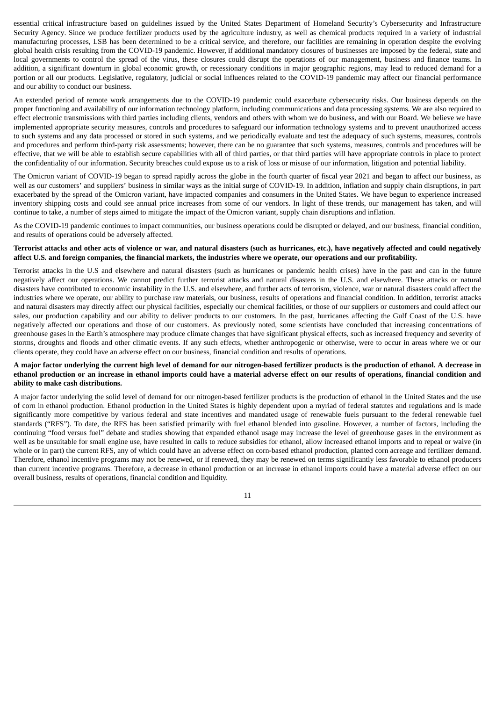essential critical infrastructure based on guidelines issued by the United States Department of Homeland Security's Cybersecurity and Infrastructure Security Agency. Since we produce fertilizer products used by the agriculture industry, as well as chemical products required in a variety of industrial manufacturing processes, LSB has been determined to be a critical service, and therefore, our facilities are remaining in operation despite the evolving global health crisis resulting from the COVID-19 pandemic. However, if additional mandatory closures of businesses are imposed by the federal, state and local governments to control the spread of the virus, these closures could disrupt the operations of our management, business and finance teams. In addition, a significant downturn in global economic growth, or recessionary conditions in major geographic regions, may lead to reduced demand for a portion or all our products. Legislative, regulatory, judicial or social influences related to the COVID-19 pandemic may affect our financial performance and our ability to conduct our business.

An extended period of remote work arrangements due to the COVID-19 pandemic could exacerbate cybersecurity risks. Our business depends on the proper functioning and availability of our information technology platform, including communications and data processing systems. We are also required to effect electronic transmissions with third parties including clients, vendors and others with whom we do business, and with our Board. We believe we have implemented appropriate security measures, controls and procedures to safeguard our information technology systems and to prevent unauthorized access to such systems and any data processed or stored in such systems, and we periodically evaluate and test the adequacy of such systems, measures, controls and procedures and perform third-party risk assessments; however, there can be no guarantee that such systems, measures, controls and procedures will be effective, that we will be able to establish secure capabilities with all of third parties, or that third parties will have appropriate controls in place to protect the confidentiality of our information. Security breaches could expose us to a risk of loss or misuse of our information, litigation and potential liability.

The Omicron variant of COVID-19 began to spread rapidly across the globe in the fourth quarter of fiscal year 2021 and began to affect our business, as well as our customers' and suppliers' business in similar ways as the initial surge of COVID-19. In addition, inflation and supply chain disruptions, in part exacerbated by the spread of the Omicron variant, have impacted companies and consumers in the United States. We have begun to experience increased inventory shipping costs and could see annual price increases from some of our vendors. In light of these trends, our management has taken, and will continue to take, a number of steps aimed to mitigate the impact of the Omicron variant, supply chain disruptions and inflation.

As the COVID-19 pandemic continues to impact communities, our business operations could be disrupted or delayed, and our business, financial condition, and results of operations could be adversely affected.

#### Terrorist attacks and other acts of violence or war, and natural disasters (such as hurricanes, etc.), have negatively affected and could negatively affect U.S. and foreign companies, the financial markets, the industries where we operate, our operations and our profitability.

Terrorist attacks in the U.S and elsewhere and natural disasters (such as hurricanes or pandemic health crises) have in the past and can in the future negatively affect our operations. We cannot predict further terrorist attacks and natural disasters in the U.S. and elsewhere. These attacks or natural disasters have contributed to economic instability in the U.S. and elsewhere, and further acts of terrorism, violence, war or natural disasters could affect the industries where we operate, our ability to purchase raw materials, our business, results of operations and financial condition. In addition, terrorist attacks and natural disasters may directly affect our physical facilities, especially our chemical facilities, or those of our suppliers or customers and could affect our sales, our production capability and our ability to deliver products to our customers. In the past, hurricanes affecting the Gulf Coast of the U.S. have negatively affected our operations and those of our customers. As previously noted, some scientists have concluded that increasing concentrations of greenhouse gases in the Earth's atmosphere may produce climate changes that have significant physical effects, such as increased frequency and severity of storms, droughts and floods and other climatic events. If any such effects, whether anthropogenic or otherwise, were to occur in areas where we or our clients operate, they could have an adverse effect on our business, financial condition and results of operations.

## A major factor underlying the current high level of demand for our nitrogen-based fertilizer products is the production of ethanol. A decrease in ethanol production or an increase in ethanol imports could have a material adverse effect on our results of operations, financial condition and **ability to make cash distributions.**

A major factor underlying the solid level of demand for our nitrogen-based fertilizer products is the production of ethanol in the United States and the use of corn in ethanol production. Ethanol production in the United States is highly dependent upon a myriad of federal statutes and regulations and is made significantly more competitive by various federal and state incentives and mandated usage of renewable fuels pursuant to the federal renewable fuel standards ("RFS"). To date, the RFS has been satisfied primarily with fuel ethanol blended into gasoline. However, a number of factors, including the continuing "food versus fuel" debate and studies showing that expanded ethanol usage may increase the level of greenhouse gases in the environment as well as be unsuitable for small engine use, have resulted in calls to reduce subsidies for ethanol, allow increased ethanol imports and to repeal or waive (in whole or in part) the current RFS, any of which could have an adverse effect on corn-based ethanol production, planted corn acreage and fertilizer demand. Therefore, ethanol incentive programs may not be renewed, or if renewed, they may be renewed on terms significantly less favorable to ethanol producers than current incentive programs. Therefore, a decrease in ethanol production or an increase in ethanol imports could have a material adverse effect on our overall business, results of operations, financial condition and liquidity.

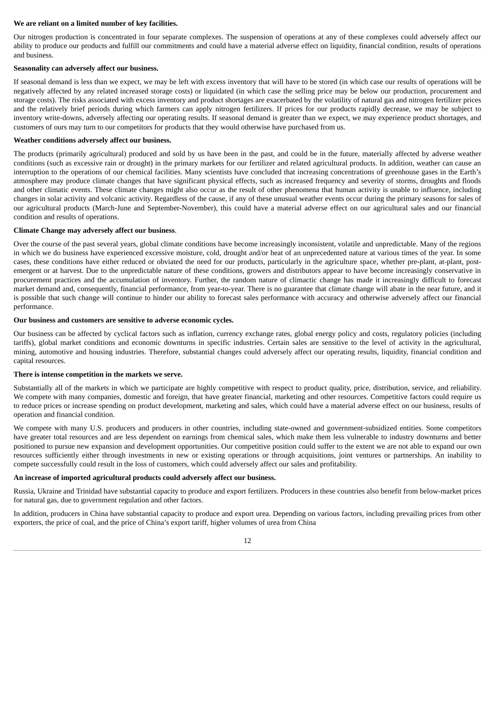#### **We are reliant on a limited number of key facilities.**

Our nitrogen production is concentrated in four separate complexes. The suspension of operations at any of these complexes could adversely affect our ability to produce our products and fulfill our commitments and could have a material adverse effect on liquidity, financial condition, results of operations and business.

## **Seasonality can adversely affect our business.**

If seasonal demand is less than we expect, we may be left with excess inventory that will have to be stored (in which case our results of operations will be negatively affected by any related increased storage costs) or liquidated (in which case the selling price may be below our production, procurement and storage costs). The risks associated with excess inventory and product shortages are exacerbated by the volatility of natural gas and nitrogen fertilizer prices and the relatively brief periods during which farmers can apply nitrogen fertilizers. If prices for our products rapidly decrease, we may be subject to inventory write-downs, adversely affecting our operating results. If seasonal demand is greater than we expect, we may experience product shortages, and customers of ours may turn to our competitors for products that they would otherwise have purchased from us.

#### **Weather conditions adversely affect our business.**

The products (primarily agricultural) produced and sold by us have been in the past, and could be in the future, materially affected by adverse weather conditions (such as excessive rain or drought) in the primary markets for our fertilizer and related agricultural products. In addition, weather can cause an interruption to the operations of our chemical facilities. Many scientists have concluded that increasing concentrations of greenhouse gases in the Earth's atmosphere may produce climate changes that have significant physical effects, such as increased frequency and severity of storms, droughts and floods and other climatic events. These climate changes might also occur as the result of other phenomena that human activity is unable to influence, including changes in solar activity and volcanic activity. Regardless of the cause, if any of these unusual weather events occur during the primary seasons for sales of our agricultural products (March-June and September-November), this could have a material adverse effect on our agricultural sales and our financial condition and results of operations.

#### **Climate Change may adversely affect our business**.

Over the course of the past several years, global climate conditions have become increasingly inconsistent, volatile and unpredictable. Many of the regions in which we do business have experienced excessive moisture, cold, drought and/or heat of an unprecedented nature at various times of the year. In some cases, these conditions have either reduced or obviated the need for our products, particularly in the agriculture space, whether pre-plant, at-plant, postemergent or at harvest. Due to the unpredictable nature of these conditions, growers and distributors appear to have become increasingly conservative in procurement practices and the accumulation of inventory. Further, the random nature of climactic change has made it increasingly difficult to forecast market demand and, consequently, financial performance, from year-to-year. There is no guarantee that climate change will abate in the near future, and it is possible that such change will continue to hinder our ability to forecast sales performance with accuracy and otherwise adversely affect our financial performance.

#### **Our business and customers are sensitive to adverse economic cycles.**

Our business can be affected by cyclical factors such as inflation, currency exchange rates, global energy policy and costs, regulatory policies (including tariffs), global market conditions and economic downturns in specific industries. Certain sales are sensitive to the level of activity in the agricultural, mining, automotive and housing industries. Therefore, substantial changes could adversely affect our operating results, liquidity, financial condition and capital resources.

#### **There is intense competition in the markets we serve.**

Substantially all of the markets in which we participate are highly competitive with respect to product quality, price, distribution, service, and reliability. We compete with many companies, domestic and foreign, that have greater financial, marketing and other resources. Competitive factors could require us to reduce prices or increase spending on product development, marketing and sales, which could have a material adverse effect on our business, results of operation and financial condition.

We compete with many U.S. producers and producers in other countries, including state-owned and government-subsidized entities. Some competitors have greater total resources and are less dependent on earnings from chemical sales, which make them less vulnerable to industry downturns and better positioned to pursue new expansion and development opportunities. Our competitive position could suffer to the extent we are not able to expand our own resources sufficiently either through investments in new or existing operations or through acquisitions, joint ventures or partnerships. An inability to compete successfully could result in the loss of customers, which could adversely affect our sales and profitability.

# **An increase of imported agricultural products could adversely affect our business.**

Russia, Ukraine and Trinidad have substantial capacity to produce and export fertilizers. Producers in these countries also benefit from below-market prices for natural gas, due to government regulation and other factors.

In addition, producers in China have substantial capacity to produce and export urea. Depending on various factors, including prevailing prices from other exporters, the price of coal, and the price of China's export tariff, higher volumes of urea from China

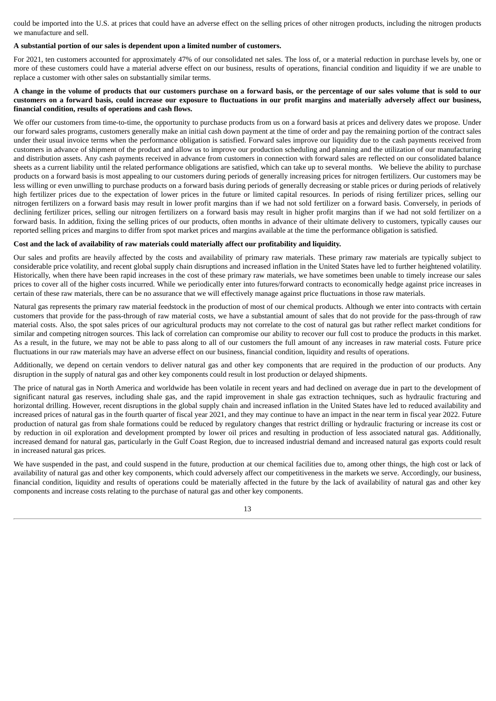could be imported into the U.S. at prices that could have an adverse effect on the selling prices of other nitrogen products, including the nitrogen products we manufacture and sell.

#### **A substantial portion of our sales is dependent upon a limited number of customers.**

For 2021, ten customers accounted for approximately 47% of our consolidated net sales. The loss of, or a material reduction in purchase levels by, one or more of these customers could have a material adverse effect on our business, results of operations, financial condition and liquidity if we are unable to replace a customer with other sales on substantially similar terms.

#### A change in the volume of products that our customers purchase on a forward basis, or the percentage of our sales volume that is sold to our customers on a forward basis, could increase our exposure to fluctuations in our profit margins and materially adversely affect our business, **financial condition, results of operations and cash flows.**

We offer our customers from time-to-time, the opportunity to purchase products from us on a forward basis at prices and delivery dates we propose. Under our forward sales programs, customers generally make an initial cash down payment at the time of order and pay the remaining portion of the contract sales under their usual invoice terms when the performance obligation is satisfied. Forward sales improve our liquidity due to the cash payments received from customers in advance of shipment of the product and allow us to improve our production scheduling and planning and the utilization of our manufacturing and distribution assets. Any cash payments received in advance from customers in connection with forward sales are reflected on our consolidated balance sheets as a current liability until the related performance obligations are satisfied, which can take up to several months. We believe the ability to purchase products on a forward basis is most appealing to our customers during periods of generally increasing prices for nitrogen fertilizers. Our customers may be less willing or even unwilling to purchase products on a forward basis during periods of generally decreasing or stable prices or during periods of relatively high fertilizer prices due to the expectation of lower prices in the future or limited capital resources. In periods of rising fertilizer prices, selling our nitrogen fertilizers on a forward basis may result in lower profit margins than if we had not sold fertilizer on a forward basis. Conversely, in periods of declining fertilizer prices, selling our nitrogen fertilizers on a forward basis may result in higher profit margins than if we had not sold fertilizer on a forward basis. In addition, fixing the selling prices of our products, often months in advance of their ultimate delivery to customers, typically causes our reported selling prices and margins to differ from spot market prices and margins available at the time the performance obligation is satisfied.

#### **Cost and the lack of availability of raw materials could materially affect our profitability and liquidity.**

Our sales and profits are heavily affected by the costs and availability of primary raw materials. These primary raw materials are typically subject to considerable price volatility, and recent global supply chain disruptions and increased inflation in the United States have led to further heightened volatility. Historically, when there have been rapid increases in the cost of these primary raw materials, we have sometimes been unable to timely increase our sales prices to cover all of the higher costs incurred. While we periodically enter into futures/forward contracts to economically hedge against price increases in certain of these raw materials, there can be no assurance that we will effectively manage against price fluctuations in those raw materials.

Natural gas represents the primary raw material feedstock in the production of most of our chemical products. Although we enter into contracts with certain customers that provide for the pass-through of raw material costs, we have a substantial amount of sales that do not provide for the pass-through of raw material costs. Also, the spot sales prices of our agricultural products may not correlate to the cost of natural gas but rather reflect market conditions for similar and competing nitrogen sources. This lack of correlation can compromise our ability to recover our full cost to produce the products in this market. As a result, in the future, we may not be able to pass along to all of our customers the full amount of any increases in raw material costs. Future price fluctuations in our raw materials may have an adverse effect on our business, financial condition, liquidity and results of operations.

Additionally, we depend on certain vendors to deliver natural gas and other key components that are required in the production of our products. Any disruption in the supply of natural gas and other key components could result in lost production or delayed shipments.

The price of natural gas in North America and worldwide has been volatile in recent years and had declined on average due in part to the development of significant natural gas reserves, including shale gas, and the rapid improvement in shale gas extraction techniques, such as hydraulic fracturing and horizontal drilling. However, recent disruptions in the global supply chain and increased inflation in the United States have led to reduced availability and increased prices of natural gas in the fourth quarter of fiscal year 2021, and they may continue to have an impact in the near term in fiscal year 2022. Future production of natural gas from shale formations could be reduced by regulatory changes that restrict drilling or hydraulic fracturing or increase its cost or by reduction in oil exploration and development prompted by lower oil prices and resulting in production of less associated natural gas. Additionally, increased demand for natural gas, particularly in the Gulf Coast Region, due to increased industrial demand and increased natural gas exports could result in increased natural gas prices.

We have suspended in the past, and could suspend in the future, production at our chemical facilities due to, among other things, the high cost or lack of availability of natural gas and other key components, which could adversely affect our competitiveness in the markets we serve. Accordingly, our business, financial condition, liquidity and results of operations could be materially affected in the future by the lack of availability of natural gas and other key components and increase costs relating to the purchase of natural gas and other key components.

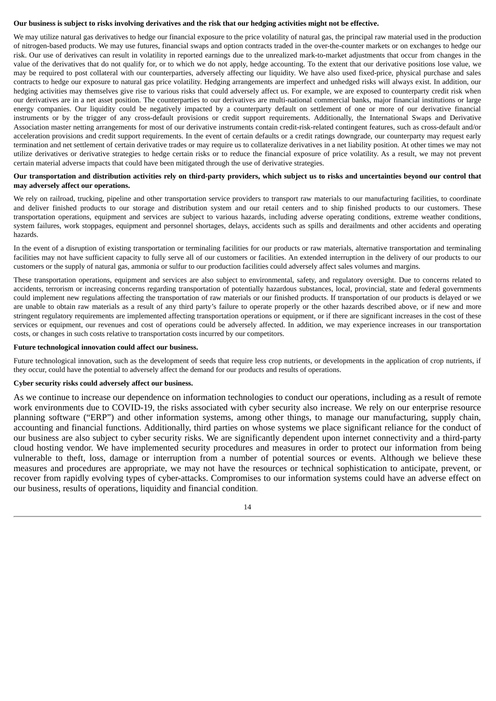#### Our business is subject to risks involving derivatives and the risk that our hedging activities might not be effective.

We may utilize natural gas derivatives to hedge our financial exposure to the price volatility of natural gas, the principal raw material used in the production of nitrogen-based products. We may use futures, financial swaps and option contracts traded in the over-the-counter markets or on exchanges to hedge our risk. Our use of derivatives can result in volatility in reported earnings due to the unrealized mark-to-market adjustments that occur from changes in the value of the derivatives that do not qualify for, or to which we do not apply, hedge accounting. To the extent that our derivative positions lose value, we may be required to post collateral with our counterparties, adversely affecting our liquidity. We have also used fixed-price, physical purchase and sales contracts to hedge our exposure to natural gas price volatility. Hedging arrangements are imperfect and unhedged risks will always exist. In addition, our hedging activities may themselves give rise to various risks that could adversely affect us. For example, we are exposed to counterparty credit risk when our derivatives are in a net asset position. The counterparties to our derivatives are multi-national commercial banks, major financial institutions or large energy companies. Our liquidity could be negatively impacted by a counterparty default on settlement of one or more of our derivative financial instruments or by the trigger of any cross-default provisions or credit support requirements. Additionally, the International Swaps and Derivative Association master netting arrangements for most of our derivative instruments contain credit-risk-related contingent features, such as cross-default and/or acceleration provisions and credit support requirements. In the event of certain defaults or a credit ratings downgrade, our counterparty may request early termination and net settlement of certain derivative trades or may require us to collateralize derivatives in a net liability position. At other times we may not utilize derivatives or derivative strategies to hedge certain risks or to reduce the financial exposure of price volatility. As a result, we may not prevent certain material adverse impacts that could have been mitigated through the use of derivative strategies.

#### Our transportation and distribution activities rely on third-party providers, which subject us to risks and uncertainties beyond our control that **may adversely affect our operations.**

We rely on railroad, trucking, pipeline and other transportation service providers to transport raw materials to our manufacturing facilities, to coordinate and deliver finished products to our storage and distribution system and our retail centers and to ship finished products to our customers. These transportation operations, equipment and services are subject to various hazards, including adverse operating conditions, extreme weather conditions, system failures, work stoppages, equipment and personnel shortages, delays, accidents such as spills and derailments and other accidents and operating hazards.

In the event of a disruption of existing transportation or terminaling facilities for our products or raw materials, alternative transportation and terminaling facilities may not have sufficient capacity to fully serve all of our customers or facilities. An extended interruption in the delivery of our products to our customers or the supply of natural gas, ammonia or sulfur to our production facilities could adversely affect sales volumes and margins.

These transportation operations, equipment and services are also subject to environmental, safety, and regulatory oversight. Due to concerns related to accidents, terrorism or increasing concerns regarding transportation of potentially hazardous substances, local, provincial, state and federal governments could implement new regulations affecting the transportation of raw materials or our finished products. If transportation of our products is delayed or we are unable to obtain raw materials as a result of any third party's failure to operate properly or the other hazards described above, or if new and more stringent regulatory requirements are implemented affecting transportation operations or equipment, or if there are significant increases in the cost of these services or equipment, our revenues and cost of operations could be adversely affected. In addition, we may experience increases in our transportation costs, or changes in such costs relative to transportation costs incurred by our competitors.

#### **Future technological innovation could affect our business.**

Future technological innovation, such as the development of seeds that require less crop nutrients, or developments in the application of crop nutrients, if they occur, could have the potential to adversely affect the demand for our products and results of operations.

#### **Cyber security risks could adversely affect our business.**

As we continue to increase our dependence on information technologies to conduct our operations, including as a result of remote work environments due to COVID-19, the risks associated with cyber security also increase. We rely on our enterprise resource planning software ("ERP") and other information systems, among other things, to manage our manufacturing, supply chain, accounting and financial functions. Additionally, third parties on whose systems we place significant reliance for the conduct of our business are also subject to cyber security risks. We are significantly dependent upon internet connectivity and a third-party cloud hosting vendor. We have implemented security procedures and measures in order to protect our information from being vulnerable to theft, loss, damage or interruption from a number of potential sources or events. Although we believe these measures and procedures are appropriate, we may not have the resources or technical sophistication to anticipate, prevent, or recover from rapidly evolving types of cyber-attacks. Compromises to our information systems could have an adverse effect on our business, results of operations, liquidity and financial condition.

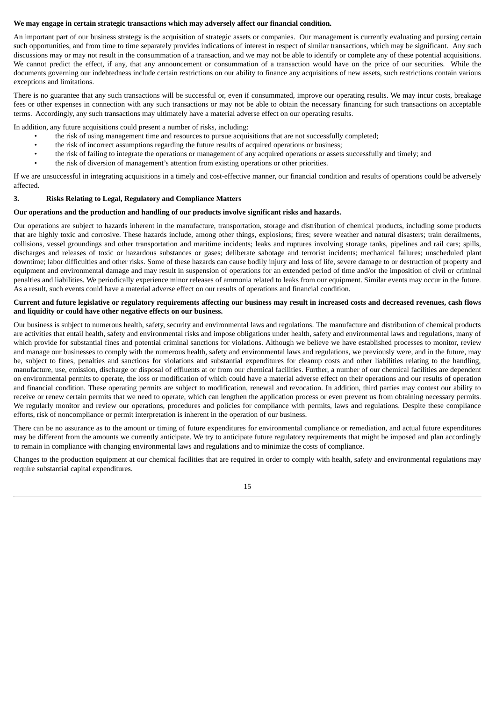#### **We may engage in certain strategic transactions which may adversely affect our financial condition.**

An important part of our business strategy is the acquisition of strategic assets or companies. Our management is currently evaluating and pursing certain such opportunities, and from time to time separately provides indications of interest in respect of similar transactions, which may be significant. Any such discussions may or may not result in the consummation of a transaction, and we may not be able to identify or complete any of these potential acquisitions. We cannot predict the effect, if any, that any announcement or consummation of a transaction would have on the price of our securities. While the documents governing our indebtedness include certain restrictions on our ability to finance any acquisitions of new assets, such restrictions contain various exceptions and limitations.

There is no guarantee that any such transactions will be successful or, even if consummated, improve our operating results. We may incur costs, breakage fees or other expenses in connection with any such transactions or may not be able to obtain the necessary financing for such transactions on acceptable terms. Accordingly, any such transactions may ultimately have a material adverse effect on our operating results.

In addition, any future acquisitions could present a number of risks, including:

- the risk of using management time and resources to pursue acquisitions that are not successfully completed;
- the risk of incorrect assumptions regarding the future results of acquired operations or business;
- the risk of failing to integrate the operations or management of any acquired operations or assets successfully and timely; and
- the risk of diversion of management's attention from existing operations or other priorities.

If we are unsuccessful in integrating acquisitions in a timely and cost-effective manner, our financial condition and results of operations could be adversely affected.

#### **3. Risks Relating to Legal, Regulatory and Compliance Matters**

#### **Our operations and the production and handling of our products involve significant risks and hazards.**

Our operations are subject to hazards inherent in the manufacture, transportation, storage and distribution of chemical products, including some products that are highly toxic and corrosive. These hazards include, among other things, explosions; fires; severe weather and natural disasters; train derailments, collisions, vessel groundings and other transportation and maritime incidents; leaks and ruptures involving storage tanks, pipelines and rail cars; spills, discharges and releases of toxic or hazardous substances or gases; deliberate sabotage and terrorist incidents; mechanical failures; unscheduled plant downtime; labor difficulties and other risks. Some of these hazards can cause bodily injury and loss of life, severe damage to or destruction of property and equipment and environmental damage and may result in suspension of operations for an extended period of time and/or the imposition of civil or criminal penalties and liabilities. We periodically experience minor releases of ammonia related to leaks from our equipment. Similar events may occur in the future. As a result, such events could have a material adverse effect on our results of operations and financial condition.

#### Current and future legislative or regulatory requirements affecting our business may result in increased costs and decreased revenues, cash flows **and liquidity or could have other negative effects on our business.**

Our business is subject to numerous health, safety, security and environmental laws and regulations. The manufacture and distribution of chemical products are activities that entail health, safety and environmental risks and impose obligations under health, safety and environmental laws and regulations, many of which provide for substantial fines and potential criminal sanctions for violations. Although we believe we have established processes to monitor, review and manage our businesses to comply with the numerous health, safety and environmental laws and regulations, we previously were, and in the future, may be, subject to fines, penalties and sanctions for violations and substantial expenditures for cleanup costs and other liabilities relating to the handling, manufacture, use, emission, discharge or disposal of effluents at or from our chemical facilities. Further, a number of our chemical facilities are dependent on environmental permits to operate, the loss or modification of which could have a material adverse effect on their operations and our results of operation and financial condition. These operating permits are subject to modification, renewal and revocation. In addition, third parties may contest our ability to receive or renew certain permits that we need to operate, which can lengthen the application process or even prevent us from obtaining necessary permits. We regularly monitor and review our operations, procedures and policies for compliance with permits, laws and regulations. Despite these compliance efforts, risk of noncompliance or permit interpretation is inherent in the operation of our business.

There can be no assurance as to the amount or timing of future expenditures for environmental compliance or remediation, and actual future expenditures may be different from the amounts we currently anticipate. We try to anticipate future regulatory requirements that might be imposed and plan accordingly to remain in compliance with changing environmental laws and regulations and to minimize the costs of compliance.

Changes to the production equipment at our chemical facilities that are required in order to comply with health, safety and environmental regulations may require substantial capital expenditures.

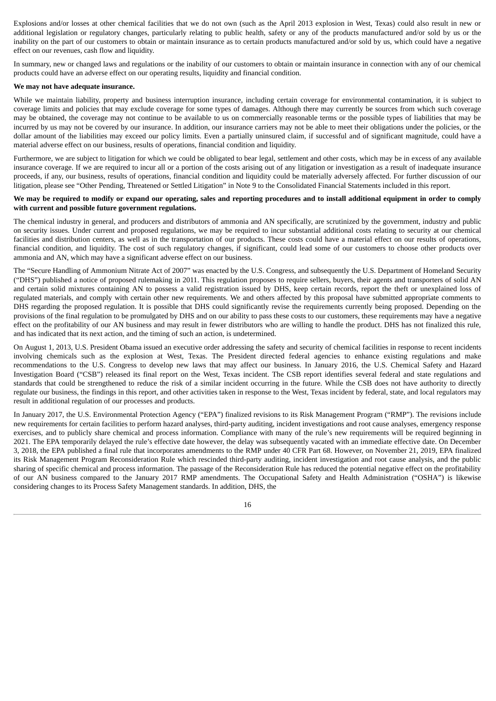Explosions and/or losses at other chemical facilities that we do not own (such as the April 2013 explosion in West, Texas) could also result in new or additional legislation or regulatory changes, particularly relating to public health, safety or any of the products manufactured and/or sold by us or the inability on the part of our customers to obtain or maintain insurance as to certain products manufactured and/or sold by us, which could have a negative effect on our revenues, cash flow and liquidity.

In summary, new or changed laws and regulations or the inability of our customers to obtain or maintain insurance in connection with any of our chemical products could have an adverse effect on our operating results, liquidity and financial condition.

#### **We may not have adequate insurance.**

While we maintain liability, property and business interruption insurance, including certain coverage for environmental contamination, it is subject to coverage limits and policies that may exclude coverage for some types of damages. Although there may currently be sources from which such coverage may be obtained, the coverage may not continue to be available to us on commercially reasonable terms or the possible types of liabilities that may be incurred by us may not be covered by our insurance. In addition, our insurance carriers may not be able to meet their obligations under the policies, or the dollar amount of the liabilities may exceed our policy limits. Even a partially uninsured claim, if successful and of significant magnitude, could have a material adverse effect on our business, results of operations, financial condition and liquidity.

Furthermore, we are subject to litigation for which we could be obligated to bear legal, settlement and other costs, which may be in excess of any available insurance coverage. If we are required to incur all or a portion of the costs arising out of any litigation or investigation as a result of inadequate insurance proceeds, if any, our business, results of operations, financial condition and liquidity could be materially adversely affected. For further discussion of our litigation, please see "Other Pending, Threatened or Settled Litigation" in Note 9 to the Consolidated Financial Statements included in this report.

#### We may be required to modify or expand our operating, sales and reporting procedures and to install additional equipment in order to comply **with current and possible future government regulations.**

The chemical industry in general, and producers and distributors of ammonia and AN specifically, are scrutinized by the government, industry and public on security issues. Under current and proposed regulations, we may be required to incur substantial additional costs relating to security at our chemical facilities and distribution centers, as well as in the transportation of our products. These costs could have a material effect on our results of operations, financial condition, and liquidity. The cost of such regulatory changes, if significant, could lead some of our customers to choose other products over ammonia and AN, which may have a significant adverse effect on our business.

The "Secure Handling of Ammonium Nitrate Act of 2007" was enacted by the U.S. Congress, and subsequently the U.S. Department of Homeland Security ("DHS") published a notice of proposed rulemaking in 2011. This regulation proposes to require sellers, buyers, their agents and transporters of solid AN and certain solid mixtures containing AN to possess a valid registration issued by DHS, keep certain records, report the theft or unexplained loss of regulated materials, and comply with certain other new requirements. We and others affected by this proposal have submitted appropriate comments to DHS regarding the proposed regulation. It is possible that DHS could significantly revise the requirements currently being proposed. Depending on the provisions of the final regulation to be promulgated by DHS and on our ability to pass these costs to our customers, these requirements may have a negative effect on the profitability of our AN business and may result in fewer distributors who are willing to handle the product. DHS has not finalized this rule, and has indicated that its next action, and the timing of such an action, is undetermined.

On August 1, 2013, U.S. President Obama issued an executive order addressing the safety and security of chemical facilities in response to recent incidents involving chemicals such as the explosion at West, Texas. The President directed federal agencies to enhance existing regulations and make recommendations to the U.S. Congress to develop new laws that may affect our business. In January 2016, the U.S. Chemical Safety and Hazard Investigation Board ("CSB") released its final report on the West, Texas incident. The CSB report identifies several federal and state regulations and standards that could be strengthened to reduce the risk of a similar incident occurring in the future. While the CSB does not have authority to directly regulate our business, the findings in this report, and other activities taken in response to the West, Texas incident by federal, state, and local regulators may result in additional regulation of our processes and products.

In January 2017, the U.S. Environmental Protection Agency ("EPA") finalized revisions to its Risk Management Program ("RMP"). The revisions include new requirements for certain facilities to perform hazard analyses, third-party auditing, incident investigations and root cause analyses, emergency response exercises, and to publicly share chemical and process information. Compliance with many of the rule's new requirements will be required beginning in 2021. The EPA temporarily delayed the rule's effective date however, the delay was subsequently vacated with an immediate effective date. On December 3, 2018, the EPA published a final rule that incorporates amendments to the RMP under 40 CFR Part 68. However, on November 21, 2019, EPA finalized its Risk Management Program Reconsideration Rule which rescinded third-party auditing, incident investigation and root cause analysis, and the public sharing of specific chemical and process information. The passage of the Reconsideration Rule has reduced the potential negative effect on the profitability of our AN business compared to the January 2017 RMP amendments. The Occupational Safety and Health Administration ("OSHA") is likewise considering changes to its Process Safety Management standards. In addition, DHS, the

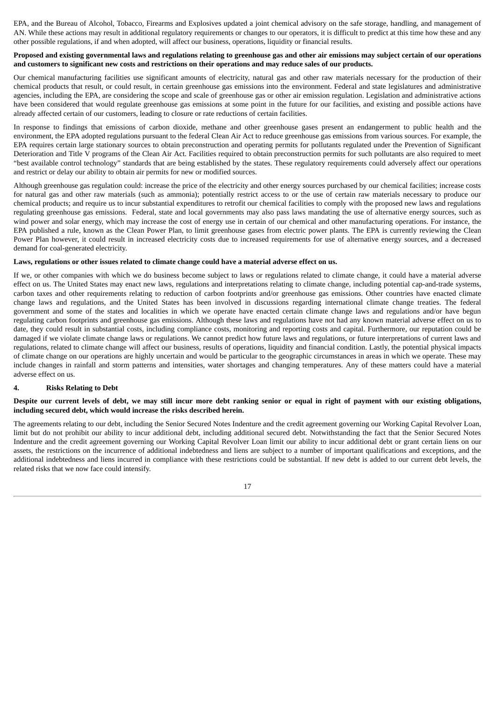EPA, and the Bureau of Alcohol, Tobacco, Firearms and Explosives updated a joint chemical advisory on the safe storage, handling, and management of AN. While these actions may result in additional regulatory requirements or changes to our operators, it is difficult to predict at this time how these and any other possible regulations, if and when adopted, will affect our business, operations, liquidity or financial results.

# Proposed and existing governmental laws and regulations relating to greenhouse gas and other air emissions may subject certain of our operations and customers to significant new costs and restrictions on their operations and may reduce sales of our products.

Our chemical manufacturing facilities use significant amounts of electricity, natural gas and other raw materials necessary for the production of their chemical products that result, or could result, in certain greenhouse gas emissions into the environment. Federal and state legislatures and administrative agencies, including the EPA, are considering the scope and scale of greenhouse gas or other air emission regulation. Legislation and administrative actions have been considered that would regulate greenhouse gas emissions at some point in the future for our facilities, and existing and possible actions have already affected certain of our customers, leading to closure or rate reductions of certain facilities.

In response to findings that emissions of carbon dioxide, methane and other greenhouse gases present an endangerment to public health and the environment, the EPA adopted regulations pursuant to the federal Clean Air Act to reduce greenhouse gas emissions from various sources. For example, the EPA requires certain large stationary sources to obtain preconstruction and operating permits for pollutants regulated under the Prevention of Significant Deterioration and Title V programs of the Clean Air Act. Facilities required to obtain preconstruction permits for such pollutants are also required to meet "best available control technology" standards that are being established by the states. These regulatory requirements could adversely affect our operations and restrict or delay our ability to obtain air permits for new or modified sources.

Although greenhouse gas regulation could: increase the price of the electricity and other energy sources purchased by our chemical facilities; increase costs for natural gas and other raw materials (such as ammonia); potentially restrict access to or the use of certain raw materials necessary to produce our chemical products; and require us to incur substantial expenditures to retrofit our chemical facilities to comply with the proposed new laws and regulations regulating greenhouse gas emissions. Federal, state and local governments may also pass laws mandating the use of alternative energy sources, such as wind power and solar energy, which may increase the cost of energy use in certain of our chemical and other manufacturing operations. For instance, the EPA published a rule, known as the Clean Power Plan, to limit greenhouse gases from electric power plants. The EPA is currently reviewing the Clean Power Plan however, it could result in increased electricity costs due to increased requirements for use of alternative energy sources, and a decreased demand for coal-generated electricity.

## **Laws, regulations or other issues related to climate change could have a material adverse effect on us.**

If we, or other companies with which we do business become subject to laws or regulations related to climate change, it could have a material adverse effect on us. The United States may enact new laws, regulations and interpretations relating to climate change, including potential cap-and-trade systems, carbon taxes and other requirements relating to reduction of carbon footprints and/or greenhouse gas emissions. Other countries have enacted climate change laws and regulations, and the United States has been involved in discussions regarding international climate change treaties. The federal government and some of the states and localities in which we operate have enacted certain climate change laws and regulations and/or have begun regulating carbon footprints and greenhouse gas emissions. Although these laws and regulations have not had any known material adverse effect on us to date, they could result in substantial costs, including compliance costs, monitoring and reporting costs and capital. Furthermore, our reputation could be damaged if we violate climate change laws or regulations. We cannot predict how future laws and regulations, or future interpretations of current laws and regulations, related to climate change will affect our business, results of operations, liquidity and financial condition. Lastly, the potential physical impacts of climate change on our operations are highly uncertain and would be particular to the geographic circumstances in areas in which we operate. These may include changes in rainfall and storm patterns and intensities, water shortages and changing temperatures. Any of these matters could have a material adverse effect on us.

## **4. Risks Relating to Debt**

#### Despite our current levels of debt, we may still incur more debt ranking senior or equal in right of payment with our existing obligations, **including secured debt, which would increase the risks described herein.**

The agreements relating to our debt, including the Senior Secured Notes Indenture and the credit agreement governing our Working Capital Revolver Loan, limit but do not prohibit our ability to incur additional debt, including additional secured debt. Notwithstanding the fact that the Senior Secured Notes Indenture and the credit agreement governing our Working Capital Revolver Loan limit our ability to incur additional debt or grant certain liens on our assets, the restrictions on the incurrence of additional indebtedness and liens are subject to a number of important qualifications and exceptions, and the additional indebtedness and liens incurred in compliance with these restrictions could be substantial. If new debt is added to our current debt levels, the related risks that we now face could intensify.

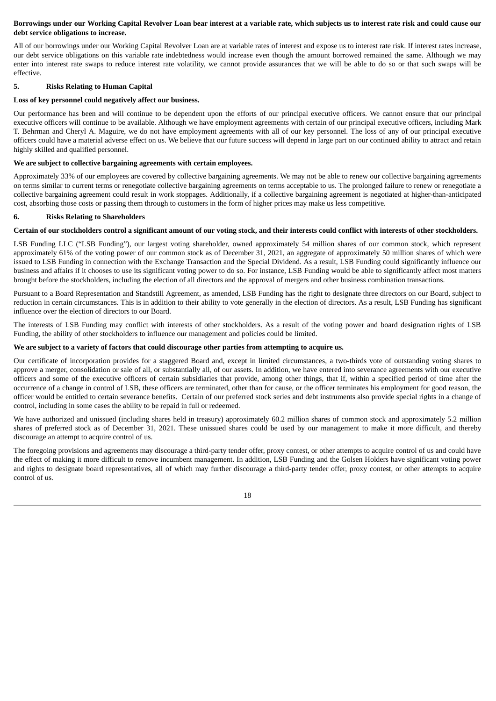## Borrowings under our Working Capital Revolver Loan bear interest at a variable rate, which subjects us to interest rate risk and could cause our **debt service obligations to increase.**

All of our borrowings under our Working Capital Revolver Loan are at variable rates of interest and expose us to interest rate risk. If interest rates increase, our debt service obligations on this variable rate indebtedness would increase even though the amount borrowed remained the same. Although we may enter into interest rate swaps to reduce interest rate volatility, we cannot provide assurances that we will be able to do so or that such swaps will be effective.

# **5. Risks Relating to Human Capital**

# **Loss of key personnel could negatively affect our business.**

Our performance has been and will continue to be dependent upon the efforts of our principal executive officers. We cannot ensure that our principal executive officers will continue to be available. Although we have employment agreements with certain of our principal executive officers, including Mark T. Behrman and Cheryl A. Maguire, we do not have employment agreements with all of our key personnel. The loss of any of our principal executive officers could have a material adverse effect on us. We believe that our future success will depend in large part on our continued ability to attract and retain highly skilled and qualified personnel.

#### **We are subject to collective bargaining agreements with certain employees.**

Approximately 33% of our employees are covered by collective bargaining agreements. We may not be able to renew our collective bargaining agreements on terms similar to current terms or renegotiate collective bargaining agreements on terms acceptable to us. The prolonged failure to renew or renegotiate a collective bargaining agreement could result in work stoppages. Additionally, if a collective bargaining agreement is negotiated at higher-than-anticipated cost, absorbing those costs or passing them through to customers in the form of higher prices may make us less competitive.

#### **6. Risks Relating to Shareholders**

## Certain of our stockholders control a significant amount of our voting stock, and their interests could conflict with interests of other stockholders.

LSB Funding LLC ("LSB Funding"), our largest voting shareholder, owned approximately 54 million shares of our common stock, which represent approximately 61% of the voting power of our common stock as of December 31, 2021, an aggregate of approximately 50 million shares of which were issued to LSB Funding in connection with the Exchange Transaction and the Special Dividend. As a result, LSB Funding could significantly influence our business and affairs if it chooses to use its significant voting power to do so. For instance, LSB Funding would be able to significantly affect most matters brought before the stockholders, including the election of all directors and the approval of mergers and other business combination transactions.

Pursuant to a Board Representation and Standstill Agreement, as amended, LSB Funding has the right to designate three directors on our Board, subject to reduction in certain circumstances. This is in addition to their ability to vote generally in the election of directors. As a result, LSB Funding has significant influence over the election of directors to our Board.

The interests of LSB Funding may conflict with interests of other stockholders. As a result of the voting power and board designation rights of LSB Funding, the ability of other stockholders to influence our management and policies could be limited.

#### We are subject to a variety of factors that could discourage other parties from attempting to acquire us.

Our certificate of incorporation provides for a staggered Board and, except in limited circumstances, a two-thirds vote of outstanding voting shares to approve a merger, consolidation or sale of all, or substantially all, of our assets. In addition, we have entered into severance agreements with our executive officers and some of the executive officers of certain subsidiaries that provide, among other things, that if, within a specified period of time after the occurrence of a change in control of LSB, these officers are terminated, other than for cause, or the officer terminates his employment for good reason, the officer would be entitled to certain severance benefits. Certain of our preferred stock series and debt instruments also provide special rights in a change of control, including in some cases the ability to be repaid in full or redeemed.

We have authorized and unissued (including shares held in treasury) approximately 60.2 million shares of common stock and approximately 5.2 million shares of preferred stock as of December 31, 2021. These unissued shares could be used by our management to make it more difficult, and thereby discourage an attempt to acquire control of us.

The foregoing provisions and agreements may discourage a third-party tender offer, proxy contest, or other attempts to acquire control of us and could have the effect of making it more difficult to remove incumbent management. In addition, LSB Funding and the Golsen Holders have significant voting power and rights to designate board representatives, all of which may further discourage a third-party tender offer, proxy contest, or other attempts to acquire control of us.

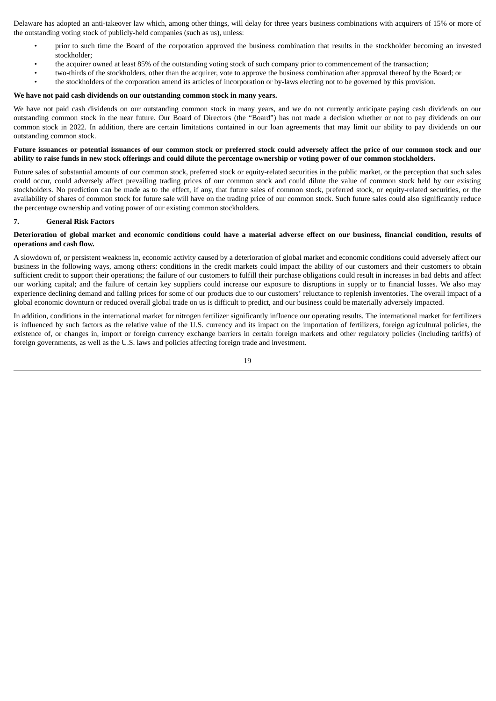Delaware has adopted an anti-takeover law which, among other things, will delay for three years business combinations with acquirers of 15% or more of the outstanding voting stock of publicly-held companies (such as us), unless:

- prior to such time the Board of the corporation approved the business combination that results in the stockholder becoming an invested stockholder;
- the acquirer owned at least 85% of the outstanding voting stock of such company prior to commencement of the transaction;
- two-thirds of the stockholders, other than the acquirer, vote to approve the business combination after approval thereof by the Board; or
- the stockholders of the corporation amend its articles of incorporation or by-laws electing not to be governed by this provision.

#### **We have not paid cash dividends on our outstanding common stock in many years.**

We have not paid cash dividends on our outstanding common stock in many years, and we do not currently anticipate paying cash dividends on our outstanding common stock in the near future. Our Board of Directors (the "Board") has not made a decision whether or not to pay dividends on our common stock in 2022. In addition, there are certain limitations contained in our loan agreements that may limit our ability to pay dividends on our outstanding common stock.

#### Future issuances or potential issuances of our common stock or preferred stock could adversely affect the price of our common stock and our ability to raise funds in new stock offerings and could dilute the percentage ownership or voting power of our common stockholders.

Future sales of substantial amounts of our common stock, preferred stock or equity-related securities in the public market, or the perception that such sales could occur, could adversely affect prevailing trading prices of our common stock and could dilute the value of common stock held by our existing stockholders. No prediction can be made as to the effect, if any, that future sales of common stock, preferred stock, or equity-related securities, or the availability of shares of common stock for future sale will have on the trading price of our common stock. Such future sales could also significantly reduce the percentage ownership and voting power of our existing common stockholders.

#### **7. General Risk Factors**

#### Deterioration of global market and economic conditions could have a material adverse effect on our business, financial condition, results of **operations and cash flow.**

A slowdown of, or persistent weakness in, economic activity caused by a deterioration of global market and economic conditions could adversely affect our business in the following ways, among others: conditions in the credit markets could impact the ability of our customers and their customers to obtain sufficient credit to support their operations; the failure of our customers to fulfill their purchase obligations could result in increases in bad debts and affect our working capital; and the failure of certain key suppliers could increase our exposure to disruptions in supply or to financial losses. We also may experience declining demand and falling prices for some of our products due to our customers' reluctance to replenish inventories. The overall impact of a global economic downturn or reduced overall global trade on us is difficult to predict, and our business could be materially adversely impacted.

In addition, conditions in the international market for nitrogen fertilizer significantly influence our operating results. The international market for fertilizers is influenced by such factors as the relative value of the U.S. currency and its impact on the importation of fertilizers, foreign agricultural policies, the existence of, or changes in, import or foreign currency exchange barriers in certain foreign markets and other regulatory policies (including tariffs) of foreign governments, as well as the U.S. laws and policies affecting foreign trade and investment.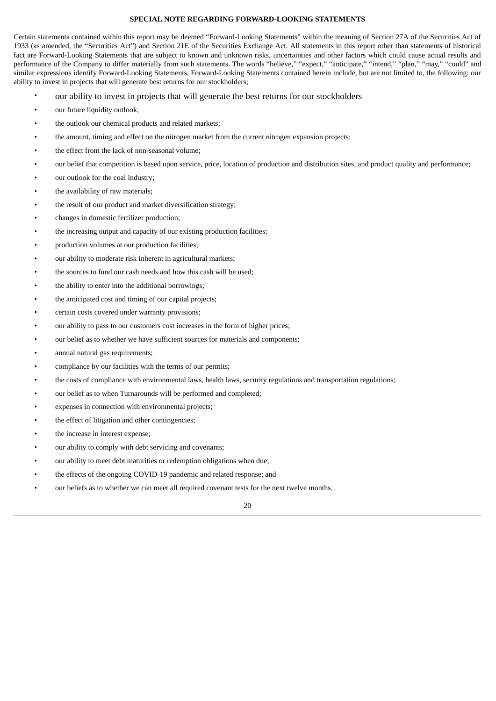#### **SPECIAL NOTE REGARDING FORWARD-LOOKING STATEMENTS**

Certain statements contained within this report may be deemed "Forward-Looking Statements" within the meaning of Section 27A of the Securities Act of 1933 (as amended, the "Securities Act") and Section 21E of the Securities Exchange Act. All statements in this report other than statements of historical fact are Forward-Looking Statements that are subject to known and unknown risks, uncertainties and other factors which could cause actual results and performance of the Company to differ materially from such statements. The words "believe," "expect," "anticipate," "intend," "plan," "may," "could" and similar expressions identify Forward-Looking Statements. Forward-Looking Statements contained herein include, but are not limited to, the following: our ability to invest in projects that will generate best returns for our stockholders;

- our ability to invest in projects that will generate the best returns for our stockholders
- our future liquidity outlook:
- the outlook our chemical products and related markets;
- the amount, timing and effect on the nitrogen market from the current nitrogen expansion projects;
- the effect from the lack of non-seasonal volume;
- our belief that competition is based upon service, price, location of production and distribution sites, and product quality and performance;
- our outlook for the coal industry;
- the availability of raw materials;
- the result of our product and market diversification strategy;
- changes in domestic fertilizer production;
- the increasing output and capacity of our existing production facilities;
- production volumes at our production facilities;
- our ability to moderate risk inherent in agricultural markets;
- the sources to fund our cash needs and how this cash will be used;
- the ability to enter into the additional borrowings;
- the anticipated cost and timing of our capital projects;
- certain costs covered under warranty provisions;
- our ability to pass to our customers cost increases in the form of higher prices;
- our belief as to whether we have sufficient sources for materials and components;
- annual natural gas requirements;
- compliance by our facilities with the terms of our permits;
- the costs of compliance with environmental laws, health laws, security regulations and transportation regulations;
- our belief as to when Turnarounds will be performed and completed;
- expenses in connection with environmental projects;
- the effect of litigation and other contingencies;
- the increase in interest expense;
- our ability to comply with debt servicing and covenants;
- our ability to meet debt maturities or redemption obligations when due;
- the effects of the ongoing COVID-19 pandemic and related response; and
- our beliefs as to whether we can meet all required covenant tests for the next twelve months.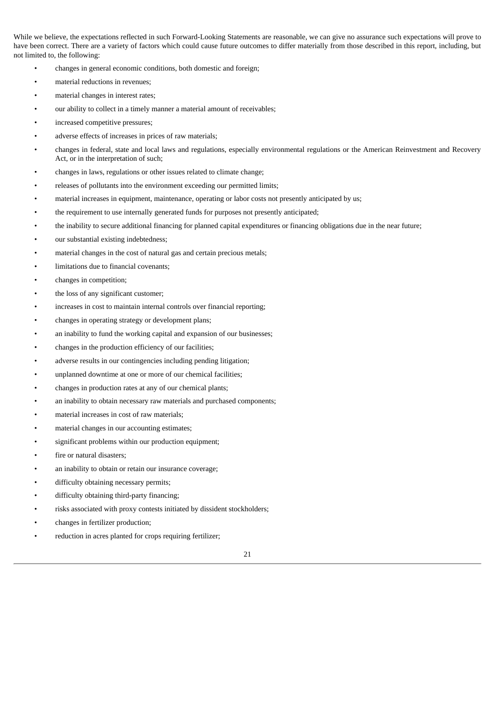While we believe, the expectations reflected in such Forward-Looking Statements are reasonable, we can give no assurance such expectations will prove to have been correct. There are a variety of factors which could cause future outcomes to differ materially from those described in this report, including, but not limited to, the following:

- changes in general economic conditions, both domestic and foreign;
- material reductions in revenues;
- material changes in interest rates;
- our ability to collect in a timely manner a material amount of receivables;
- increased competitive pressures;
- adverse effects of increases in prices of raw materials;
- changes in federal, state and local laws and regulations, especially environmental regulations or the American Reinvestment and Recovery Act, or in the interpretation of such;
- changes in laws, regulations or other issues related to climate change;
- releases of pollutants into the environment exceeding our permitted limits;
- material increases in equipment, maintenance, operating or labor costs not presently anticipated by us;
- the requirement to use internally generated funds for purposes not presently anticipated;
- the inability to secure additional financing for planned capital expenditures or financing obligations due in the near future;
- our substantial existing indebtedness;
- material changes in the cost of natural gas and certain precious metals;
- limitations due to financial covenants;
- changes in competition;
- the loss of any significant customer;
- increases in cost to maintain internal controls over financial reporting;
- changes in operating strategy or development plans;
- an inability to fund the working capital and expansion of our businesses;
- changes in the production efficiency of our facilities;
- adverse results in our contingencies including pending litigation;
- unplanned downtime at one or more of our chemical facilities;
- changes in production rates at any of our chemical plants;
- an inability to obtain necessary raw materials and purchased components;
- material increases in cost of raw materials;
- material changes in our accounting estimates;
- significant problems within our production equipment;
- fire or natural disasters;
- an inability to obtain or retain our insurance coverage;
- difficulty obtaining necessary permits;
- difficulty obtaining third-party financing;
- risks associated with proxy contests initiated by dissident stockholders;
- changes in fertilizer production;
- reduction in acres planted for crops requiring fertilizer;

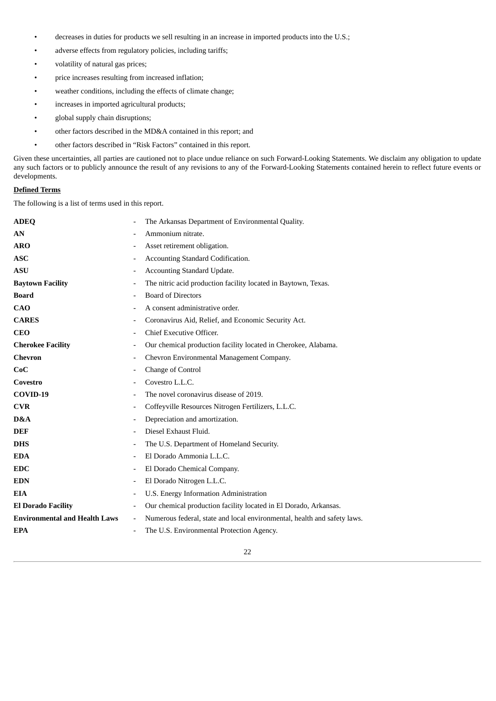- decreases in duties for products we sell resulting in an increase in imported products into the U.S.;
- adverse effects from regulatory policies, including tariffs;
- volatility of natural gas prices;
- price increases resulting from increased inflation;
- weather conditions, including the effects of climate change;
- increases in imported agricultural products;
- global supply chain disruptions;
- other factors described in the MD&A contained in this report; and
- other factors described in "Risk Factors" contained in this report.

Given these uncertainties, all parties are cautioned not to place undue reliance on such Forward-Looking Statements. We disclaim any obligation to update any such factors or to publicly announce the result of any revisions to any of the Forward-Looking Statements contained herein to reflect future events or developments.

# **Defined Terms**

The following is a list of terms used in this report.

| <b>ADEO</b>                          |                          | The Arkansas Department of Environmental Quality.                        |
|--------------------------------------|--------------------------|--------------------------------------------------------------------------|
| AN                                   |                          | Ammonium nitrate.                                                        |
| <b>ARO</b>                           |                          | Asset retirement obligation.                                             |
| ASC                                  |                          | Accounting Standard Codification.                                        |
| ASU                                  |                          | Accounting Standard Update.                                              |
| <b>Baytown Facility</b>              |                          | The nitric acid production facility located in Baytown, Texas.           |
| <b>Board</b>                         |                          | <b>Board of Directors</b>                                                |
| <b>CAO</b>                           |                          | A consent administrative order.                                          |
| <b>CARES</b>                         |                          | Coronavirus Aid, Relief, and Economic Security Act.                      |
| <b>CEO</b>                           |                          | Chief Executive Officer.                                                 |
| <b>Cherokee Facility</b>             | $\overline{\phantom{a}}$ | Our chemical production facility located in Cherokee, Alabama.           |
| <b>Chevron</b>                       |                          | Chevron Environmental Management Company.                                |
| CoC                                  |                          | Change of Control                                                        |
| Covestro                             |                          | Covestro L.L.C.                                                          |
| COVID-19                             |                          | The novel coronavirus disease of 2019.                                   |
| <b>CVR</b>                           |                          | Coffeyville Resources Nitrogen Fertilizers, L.L.C.                       |
| D&A                                  |                          | Depreciation and amortization.                                           |
| <b>DEF</b>                           |                          | Diesel Exhaust Fluid.                                                    |
| <b>DHS</b>                           |                          | The U.S. Department of Homeland Security.                                |
| <b>EDA</b>                           |                          | El Dorado Ammonia L.L.C.                                                 |
| <b>EDC</b>                           |                          | El Dorado Chemical Company.                                              |
| <b>EDN</b>                           |                          | El Dorado Nitrogen L.L.C.                                                |
| <b>EIA</b>                           |                          | U.S. Energy Information Administration                                   |
| <b>El Dorado Facility</b>            | $\overline{\phantom{a}}$ | Our chemical production facility located in El Dorado, Arkansas.         |
| <b>Environmental and Health Laws</b> | $\overline{\phantom{0}}$ | Numerous federal, state and local environmental, health and safety laws. |
| EPA                                  | $\overline{\phantom{0}}$ | The U.S. Environmental Protection Agency.                                |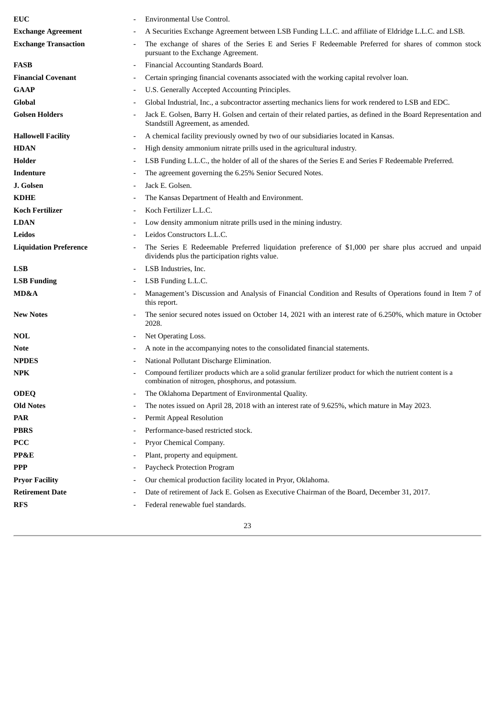| <b>EUC</b>                    | Environmental Use Control.                                                                                                                                            |
|-------------------------------|-----------------------------------------------------------------------------------------------------------------------------------------------------------------------|
| <b>Exchange Agreement</b>     | A Securities Exchange Agreement between LSB Funding L.L.C. and affiliate of Eldridge L.L.C. and LSB.                                                                  |
| <b>Exchange Transaction</b>   | The exchange of shares of the Series E and Series F Redeemable Preferred for shares of common stock<br>pursuant to the Exchange Agreement.                            |
| FASB                          | Financial Accounting Standards Board.                                                                                                                                 |
| <b>Financial Covenant</b>     | Certain springing financial covenants associated with the working capital revolver loan.                                                                              |
| <b>GAAP</b>                   | U.S. Generally Accepted Accounting Principles.                                                                                                                        |
| <b>Global</b>                 | Global Industrial, Inc., a subcontractor asserting mechanics liens for work rendered to LSB and EDC.                                                                  |
| <b>Golsen Holders</b>         | Jack E. Golsen, Barry H. Golsen and certain of their related parties, as defined in the Board Representation and<br>Standstill Agreement, as amended.                 |
| <b>Hallowell Facility</b>     | A chemical facility previously owned by two of our subsidiaries located in Kansas.                                                                                    |
| <b>HDAN</b>                   | High density ammonium nitrate prills used in the agricultural industry.                                                                                               |
| Holder                        | LSB Funding L.L.C., the holder of all of the shares of the Series E and Series F Redeemable Preferred.                                                                |
| Indenture                     | The agreement governing the 6.25% Senior Secured Notes.                                                                                                               |
| J. Golsen                     | Jack E. Golsen.                                                                                                                                                       |
| <b>KDHE</b>                   | The Kansas Department of Health and Environment.                                                                                                                      |
| <b>Koch Fertilizer</b>        | Koch Fertilizer L.L.C.                                                                                                                                                |
| <b>LDAN</b>                   | Low density ammonium nitrate prills used in the mining industry.                                                                                                      |
| Leidos                        | Leidos Constructors L.L.C.                                                                                                                                            |
| <b>Liquidation Preference</b> | The Series E Redeemable Preferred liquidation preference of \$1,000 per share plus accrued and unpaid<br>dividends plus the participation rights value.               |
| <b>LSB</b>                    | LSB Industries, Inc.<br>$\qquad \qquad \blacksquare$                                                                                                                  |
| <b>LSB Funding</b>            | LSB Funding L.L.C.<br>-                                                                                                                                               |
| MD&A                          | Management's Discussion and Analysis of Financial Condition and Results of Operations found in Item 7 of<br>this report.                                              |
| <b>New Notes</b>              | The senior secured notes issued on October 14, 2021 with an interest rate of 6.250%, which mature in October<br>2028.                                                 |
| <b>NOL</b>                    | Net Operating Loss.<br>$\qquad \qquad \blacksquare$                                                                                                                   |
| Note                          | A note in the accompanying notes to the consolidated financial statements.<br>$\overline{\phantom{a}}$                                                                |
| <b>NPDES</b>                  | National Pollutant Discharge Elimination.                                                                                                                             |
| <b>NPK</b>                    | Compound fertilizer products which are a solid granular fertilizer product for which the nutrient content is a<br>combination of nitrogen, phosphorus, and potassium. |
| <b>ODEQ</b>                   | The Oklahoma Department of Environmental Quality.                                                                                                                     |
| <b>Old Notes</b>              | The notes issued on April 28, 2018 with an interest rate of 9.625%, which mature in May 2023.<br>$\qquad \qquad \blacksquare$                                         |
| PAR                           | Permit Appeal Resolution<br>$\overline{\phantom{a}}$                                                                                                                  |
| <b>PBRS</b>                   | Performance-based restricted stock.                                                                                                                                   |
| PCC                           | Pryor Chemical Company.                                                                                                                                               |
| PP&E                          | Plant, property and equipment.                                                                                                                                        |
| <b>PPP</b>                    | <b>Paycheck Protection Program</b>                                                                                                                                    |
| <b>Pryor Facility</b>         | Our chemical production facility located in Pryor, Oklahoma.                                                                                                          |
| <b>Retirement Date</b>        | Date of retirement of Jack E. Golsen as Executive Chairman of the Board, December 31, 2017.                                                                           |
| <b>RFS</b>                    | Federal renewable fuel standards.                                                                                                                                     |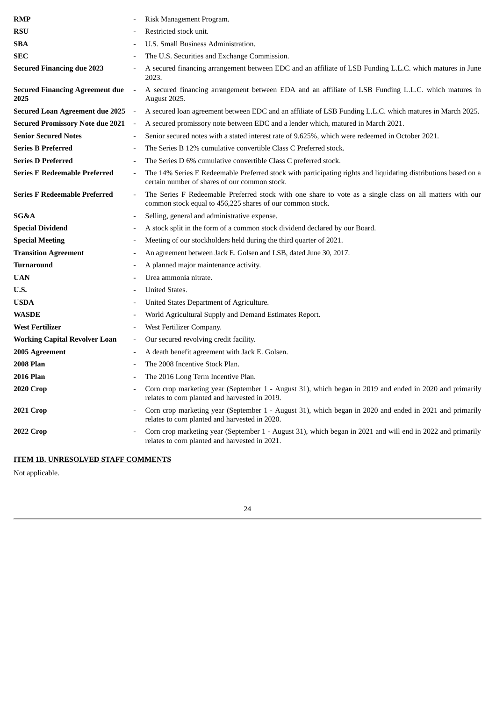| RMP                                            |                              | Risk Management Program.                                                                                                                                              |
|------------------------------------------------|------------------------------|-----------------------------------------------------------------------------------------------------------------------------------------------------------------------|
| <b>RSU</b>                                     |                              | Restricted stock unit.                                                                                                                                                |
| <b>SBA</b>                                     |                              | U.S. Small Business Administration.                                                                                                                                   |
| <b>SEC</b>                                     |                              | The U.S. Securities and Exchange Commission.                                                                                                                          |
| <b>Secured Financing due 2023</b>              |                              | A secured financing arrangement between EDC and an affiliate of LSB Funding L.L.C. which matures in June<br>2023.                                                     |
| <b>Secured Financing Agreement due</b><br>2025 | $\overline{\phantom{a}}$     | A secured financing arrangement between EDA and an affiliate of LSB Funding L.L.C. which matures in<br>August 2025.                                                   |
| <b>Secured Loan Agreement due 2025</b>         | $\overline{\phantom{a}}$     | A secured loan agreement between EDC and an affiliate of LSB Funding L.L.C. which matures in March 2025.                                                              |
| <b>Secured Promissory Note due 2021</b>        | $\overline{\phantom{a}}$     | A secured promissory note between EDC and a lender which, matured in March 2021.                                                                                      |
| <b>Senior Secured Notes</b>                    |                              | Senior secured notes with a stated interest rate of 9.625%, which were redeemed in October 2021.                                                                      |
| <b>Series B Preferred</b>                      |                              | The Series B 12% cumulative convertible Class C Preferred stock.                                                                                                      |
| <b>Series D Preferred</b>                      | $\overline{\phantom{a}}$     | The Series D 6% cumulative convertible Class C preferred stock.                                                                                                       |
| <b>Series E Redeemable Preferred</b>           | $\overline{\phantom{a}}$     | The 14% Series E Redeemable Preferred stock with participating rights and liquidating distributions based on a<br>certain number of shares of our common stock.       |
| <b>Series F Redeemable Preferred</b>           |                              | The Series F Redeemable Preferred stock with one share to vote as a single class on all matters with our<br>common stock equal to 456,225 shares of our common stock. |
| SG&A                                           | $\overline{\phantom{a}}$     | Selling, general and administrative expense.                                                                                                                          |
| <b>Special Dividend</b>                        |                              | A stock split in the form of a common stock dividend declared by our Board.                                                                                           |
| <b>Special Meeting</b>                         | $\qquad \qquad \blacksquare$ | Meeting of our stockholders held during the third quarter of 2021.                                                                                                    |
| <b>Transition Agreement</b>                    | -                            | An agreement between Jack E. Golsen and LSB, dated June 30, 2017.                                                                                                     |
| <b>Turnaround</b>                              | -                            | A planned major maintenance activity.                                                                                                                                 |
| <b>UAN</b>                                     |                              | Urea ammonia nitrate.                                                                                                                                                 |
| U.S.                                           |                              | <b>United States.</b>                                                                                                                                                 |
| <b>USDA</b>                                    |                              | United States Department of Agriculture.                                                                                                                              |
| <b>WASDE</b>                                   |                              | World Agricultural Supply and Demand Estimates Report.                                                                                                                |
| West Fertilizer                                |                              | West Fertilizer Company.                                                                                                                                              |
| <b>Working Capital Revolver Loan</b>           | $\overline{\phantom{a}}$     | Our secured revolving credit facility.                                                                                                                                |
| 2005 Agreement                                 | -                            | A death benefit agreement with Jack E. Golsen.                                                                                                                        |
| <b>2008 Plan</b>                               |                              | The 2008 Incentive Stock Plan.                                                                                                                                        |
| <b>2016 Plan</b>                               |                              | The 2016 Long Term Incentive Plan.                                                                                                                                    |
| <b>2020 Crop</b>                               |                              | Corn crop marketing year (September 1 - August 31), which began in 2019 and ended in 2020 and primarily<br>relates to corn planted and harvested in 2019.             |
| <b>2021 Crop</b>                               |                              | Corn crop marketing year (September 1 - August 31), which began in 2020 and ended in 2021 and primarily<br>relates to corn planted and harvested in 2020.             |
| <b>2022 Crop</b>                               |                              | Corn crop marketing year (September 1 - August 31), which began in 2021 and will end in 2022 and primarily<br>relates to corn planted and harvested in 2021.          |
|                                                |                              |                                                                                                                                                                       |

# <span id="page-23-0"></span>**ITEM 1B. UNRESOLVED STAFF COMMENTS**

Not applicable.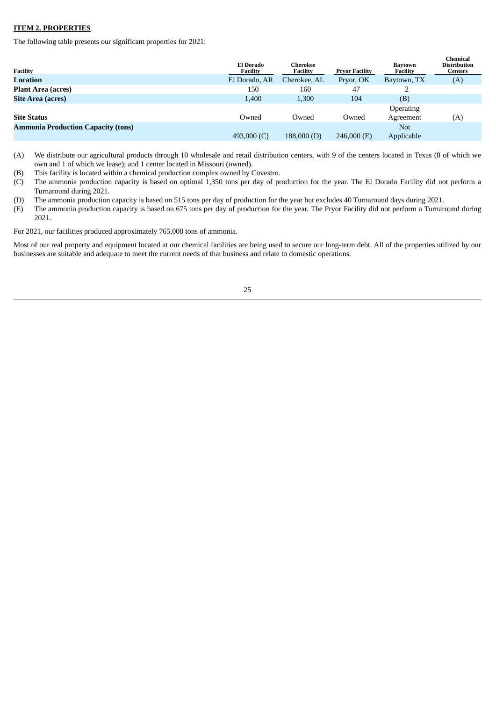## <span id="page-24-0"></span>**ITEM 2. PROPERTIES**

The following table presents our significant properties for 2021:

| Facility                                  | El Dorado<br>Facility | Cherokee<br><b>Facility</b> | <b>Pryor Facility</b> | <b>Bavtown</b><br><b>Facility</b> | Chemical<br><b>Distribution</b><br><b>Centers</b> |
|-------------------------------------------|-----------------------|-----------------------------|-----------------------|-----------------------------------|---------------------------------------------------|
| Location                                  | El Dorado, AR         | Cherokee, AL                | Pryor, OK             | Baytown, TX                       | (A)                                               |
| <b>Plant Area (acres)</b>                 | 150                   | 160                         | 47                    |                                   |                                                   |
| <b>Site Area (acres)</b>                  | 1,400                 | 1,300                       | 104                   | (B)                               |                                                   |
| <b>Site Status</b>                        | Owned                 | Owned                       | Owned                 | <b>Operating</b><br>Agreement     | (A)                                               |
| <b>Ammonia Production Capacity (tons)</b> | 493,000 $(C)$         | $188,000$ (D)               | $246,000$ (E)         | <b>Not</b><br>Applicable          |                                                   |

(A) We distribute our agricultural products through 10 wholesale and retail distribution centers, with 9 of the centers located in Texas (8 of which we own and 1 of which we lease); and 1 center located in Missouri (owned).

- (B) This facility is located within a chemical production complex owned by Covestro.
- (C) The ammonia production capacity is based on optimal 1,350 tons per day of production for the year. The El Dorado Facility did not perform a Turnaround during 2021.
- (D) The ammonia production capacity is based on 515 tons per day of production for the year but excludes 40 Turnaround days during 2021.
- (E) The ammonia production capacity is based on 675 tons per day of production for the year. The Pryor Facility did not perform a Turnaround during 2021.

For 2021, our facilities produced approximately 765,000 tons of ammonia.

Most of our real property and equipment located at our chemical facilities are being used to secure our long-term debt. All of the properties utilized by our businesses are suitable and adequate to meet the current needs of that business and relate to domestic operations.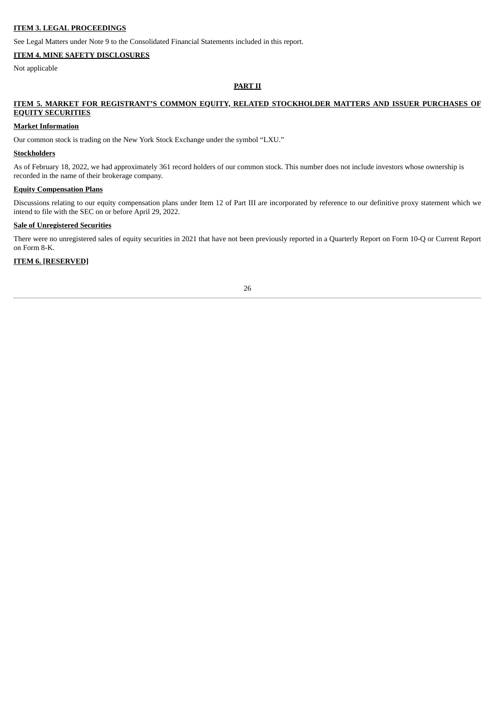## <span id="page-25-0"></span>**ITEM 3. LEGAL PROCEEDINGS**

See Legal Matters under Note 9 to the Consolidated Financial Statements included in this report.

#### **ITEM 4. MINE SAFETY DISCLOSURES**

<span id="page-25-1"></span>Not applicable

# **PART II**

# <span id="page-25-2"></span>**ITEM 5. MARKET FOR REGISTRANT'S COMMON EQUITY, RELATED STOCKHOLDER MATTERS AND ISSUER PURCHASES OF EQUITY SECURITIES**

#### **Market Information**

Our common stock is trading on the New York Stock Exchange under the symbol "LXU."

#### **Stockholders**

As of February 18, 2022, we had approximately 361 record holders of our common stock. This number does not include investors whose ownership is recorded in the name of their brokerage company.

## **Equity Compensation Plans**

Discussions relating to our equity compensation plans under Item 12 of Part III are incorporated by reference to our definitive proxy statement which we intend to file with the SEC on or before April 29, 2022.

#### **Sale of Unregistered Securities**

There were no unregistered sales of equity securities in 2021 that have not been previously reported in a Quarterly Report on Form 10-Q or Current Report on Form 8-K.

## <span id="page-25-3"></span>**ITEM 6. [RESERVED]**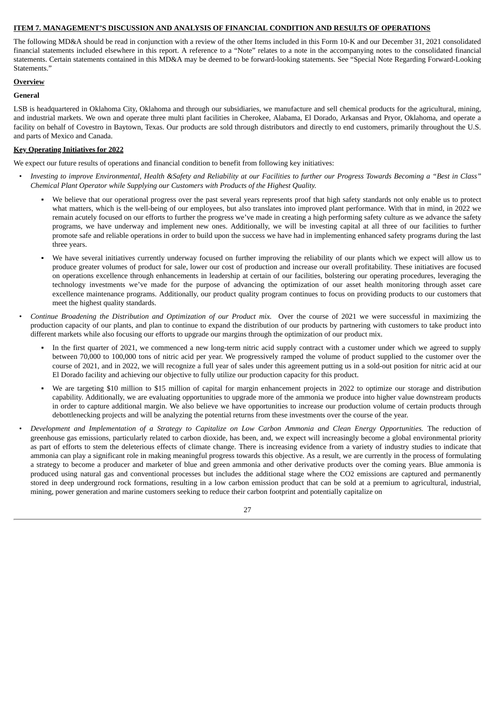#### <span id="page-26-0"></span>**ITEM 7. MANAGEMENT'S DISCUSSION AND ANALYSIS OF FINANCIAL CONDITION AND RESULTS OF OPERATIONS**

The following MD&A should be read in conjunction with a review of the other Items included in this Form 10-K and our December 31, 2021 consolidated financial statements included elsewhere in this report. A reference to a "Note" relates to a note in the accompanying notes to the consolidated financial statements. Certain statements contained in this MD&A may be deemed to be forward-looking statements. See "Special Note Regarding Forward-Looking Statements."

## **Overview**

# **General**

LSB is headquartered in Oklahoma City, Oklahoma and through our subsidiaries, we manufacture and sell chemical products for the agricultural, mining, and industrial markets. We own and operate three multi plant facilities in Cherokee, Alabama, El Dorado, Arkansas and Pryor, Oklahoma, and operate a facility on behalf of Covestro in Baytown, Texas. Our products are sold through distributors and directly to end customers, primarily throughout the U.S. and parts of Mexico and Canada.

#### **Key Operating Initiatives for 2022**

We expect our future results of operations and financial condition to benefit from following key initiatives:

- Investing to improve Environmental, Health &Safety and Reliability at our Facilities to further our Progress Towards Becoming a "Best in Class" *Chemical Plant Operator while Supplying our Customers with Products of the Highest Quality.*
	- We believe that our operational progress over the past several years represents proof that high safety standards not only enable us to protect what matters, which is the well-being of our employees, but also translates into improved plant performance. With that in mind, in 2022 we remain acutely focused on our efforts to further the progress we've made in creating a high performing safety culture as we advance the safety programs, we have underway and implement new ones. Additionally, we will be investing capital at all three of our facilities to further promote safe and reliable operations in order to build upon the success we have had in implementing enhanced safety programs during the last three years.
	- We have several initiatives currently underway focused on further improving the reliability of our plants which we expect will allow us to produce greater volumes of product for sale, lower our cost of production and increase our overall profitability. These initiatives are focused on operations excellence through enhancements in leadership at certain of our facilities, bolstering our operating procedures, leveraging the technology investments we've made for the purpose of advancing the optimization of our asset health monitoring through asset care excellence maintenance programs. Additionally, our product quality program continues to focus on providing products to our customers that meet the highest quality standards.
- *Continue Broadening the Distribution and Optimization of our Product mix.* Over the course of 2021 we were successful in maximizing the production capacity of our plants, and plan to continue to expand the distribution of our products by partnering with customers to take product into different markets while also focusing our efforts to upgrade our margins through the optimization of our product mix.
	- In the first quarter of 2021, we commenced a new long-term nitric acid supply contract with a customer under which we agreed to supply between 70,000 to 100,000 tons of nitric acid per year. We progressively ramped the volume of product supplied to the customer over the course of 2021, and in 2022, we will recognize a full year of sales under this agreement putting us in a sold-out position for nitric acid at our El Dorado facility and achieving our objective to fully utilize our production capacity for this product.
	- We are targeting \$10 million to \$15 million of capital for margin enhancement projects in 2022 to optimize our storage and distribution capability. Additionally, we are evaluating opportunities to upgrade more of the ammonia we produce into higher value downstream products in order to capture additional margin. We also believe we have opportunities to increase our production volume of certain products through debottlenecking projects and will be analyzing the potential returns from these investments over the course of the year.
- Development and Implementation of a Strategy to Capitalize on Low Carbon Ammonia and Clean Energy Opportunities. The reduction of greenhouse gas emissions, particularly related to carbon dioxide, has been, and, we expect will increasingly become a global environmental priority as part of efforts to stem the deleterious effects of climate change. There is increasing evidence from a variety of industry studies to indicate that ammonia can play a significant role in making meaningful progress towards this objective. As a result, we are currently in the process of formulating a strategy to become a producer and marketer of blue and green ammonia and other derivative products over the coming years. Blue ammonia is produced using natural gas and conventional processes but includes the additional stage where the CO2 emissions are captured and permanently stored in deep underground rock formations, resulting in a low carbon emission product that can be sold at a premium to agricultural, industrial, mining, power generation and marine customers seeking to reduce their carbon footprint and potentially capitalize on

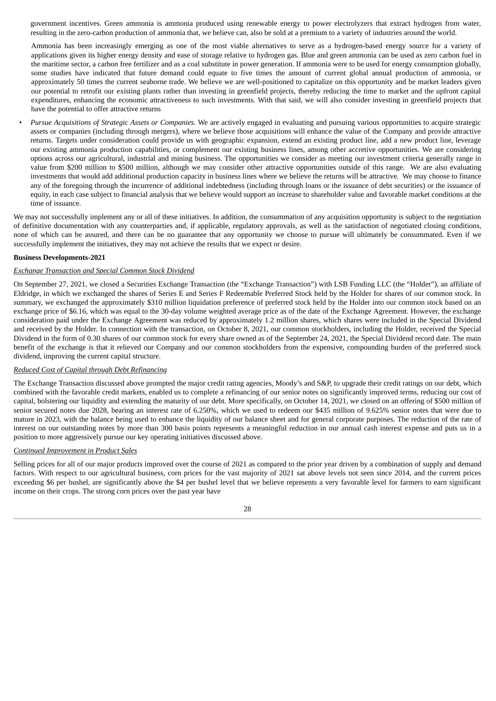government incentives. Green ammonia is ammonia produced using renewable energy to power electrolyzers that extract hydrogen from water, resulting in the zero-carbon production of ammonia that, we believe can, also be sold at a premium to a variety of industries around the world.

Ammonia has been increasingly emerging as one of the most viable alternatives to serve as a hydrogen-based energy source for a variety of applications given its higher energy density and ease of storage relative to hydrogen gas. Blue and green ammonia can be used as zero carbon fuel in the maritime sector, a carbon free fertilizer and as a coal substitute in power generation. If ammonia were to be used for energy consumption globally, some studies have indicated that future demand could equate to five times the amount of current global annual production of ammonia, or approximately 50 times the current seaborne trade. We believe we are well-positioned to capitalize on this opportunity and be market leaders given our potential to retrofit our existing plants rather than investing in greenfield projects, thereby reducing the time to market and the upfront capital expenditures, enhancing the economic attractiveness to such investments. With that said, we will also consider investing in greenfield projects that have the potential to offer attractive returns

• *Pursue Acquisitions of Strategic Assets or Companies.* We are actively engaged in evaluating and pursuing various opportunities to acquire strategic assets or companies (including through mergers), where we believe those acquisitions will enhance the value of the Company and provide attractive returns. Targets under consideration could provide us with geographic expansion, extend an existing product line, add a new product line, leverage our existing ammonia production capabilities, or complement our existing business lines, among other accretive opportunities. We are considering options across our agricultural, industrial and mining business. The opportunities we consider as meeting our investment criteria generally range in value from \$200 million to \$500 million, although we may consider other attractive opportunities outside of this range. We are also evaluating investments that would add additional production capacity in business lines where we believe the returns will be attractive. We may choose to finance any of the foregoing through the incurrence of additional indebtedness (including through loans or the issuance of debt securities) or the issuance of equity, in each case subject to financial analysis that we believe would support an increase to shareholder value and favorable market conditions at the time of issuance.

We may not successfully implement any or all of these initiatives. In addition, the consummation of any acquisition opportunity is subject to the negotiation of definitive documentation with any counterparties and, if applicable, regulatory approvals, as well as the satisfaction of negotiated closing conditions, none of which can be assured, and there can be no guarantee that any opportunity we choose to pursue will ultimately be consummated. Even if we successfully implement the initiatives, they may not achieve the results that we expect or desire.

## **Business Developments-2021**

## *Exchange Transaction and Special Common Stock Dividend*

On September 27, 2021, we closed a Securities Exchange Transaction (the "Exchange Transaction") with LSB Funding LLC (the "Holder"), an affiliate of Eldridge, in which we exchanged the shares of Series E and Series F Redeemable Preferred Stock held by the Holder for shares of our common stock. In summary, we exchanged the approximately \$310 million liquidation preference of preferred stock held by the Holder into our common stock based on an exchange price of \$6.16, which was equal to the 30-day volume weighted average price as of the date of the Exchange Agreement. However, the exchange consideration paid under the Exchange Agreement was reduced by approximately 1.2 million shares, which shares were included in the Special Dividend and received by the Holder. In connection with the transaction, on October 8, 2021, our common stockholders, including the Holder, received the Special Dividend in the form of 0.30 shares of our common stock for every share owned as of the September 24, 2021, the Special Dividend record date. The main benefit of the exchange is that it relieved our Company and our common stockholders from the expensive, compounding burden of the preferred stock dividend, improving the current capital structure.

## *Reduced Cost of Capital through Debt Refinancing*

The Exchange Transaction discussed above prompted the major credit rating agencies, Moody's and S&P, to upgrade their credit ratings on our debt, which combined with the favorable credit markets, enabled us to complete a refinancing of our senior notes on significantly improved terms, reducing our cost of capital, bolstering our liquidity and extending the maturity of our debt. More specifically, on October 14, 2021, we closed on an offering of \$500 million of senior secured notes due 2028, bearing an interest rate of 6.250%, which we used to redeem our \$435 million of 9.625% senior notes that were due to mature in 2023, with the balance being used to enhance the liquidity of our balance sheet and for general corporate purposes. The reduction of the rate of interest on our outstanding notes by more than 300 basis points represents a meaningful reduction in our annual cash interest expense and puts us in a position to more aggressively pursue our key operating initiatives discussed above.

## *Continued Improvement in Product Sales*

Selling prices for all of our major products improved over the course of 2021 as compared to the prior year driven by a combination of supply and demand factors. With respect to our agricultural business, corn prices for the vast majority of 2021 sat above levels not seen since 2014, and the current prices exceeding \$6 per bushel, are significantly above the \$4 per bushel level that we believe represents a very favorable level for farmers to earn significant income on their crops. The strong corn prices over the past year have

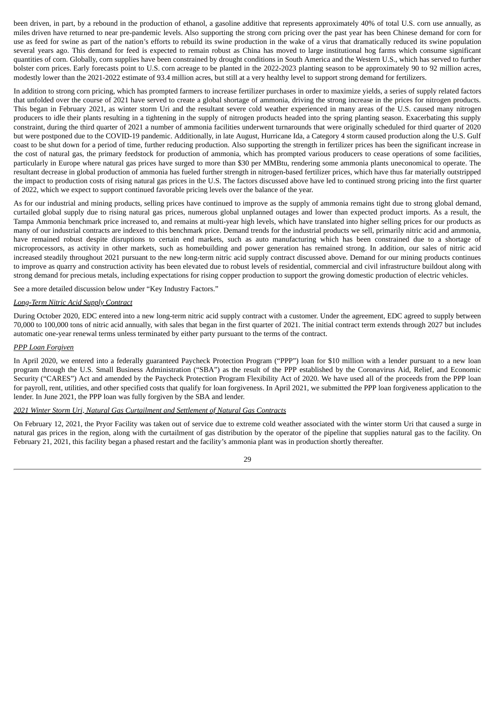been driven, in part, by a rebound in the production of ethanol, a gasoline additive that represents approximately 40% of total U.S. corn use annually, as miles driven have returned to near pre-pandemic levels. Also supporting the strong corn pricing over the past year has been Chinese demand for corn for use as feed for swine as part of the nation's efforts to rebuild its swine production in the wake of a virus that dramatically reduced its swine population several years ago. This demand for feed is expected to remain robust as China has moved to large institutional hog farms which consume significant quantities of corn. Globally, corn supplies have been constrained by drought conditions in South America and the Western U.S., which has served to further bolster corn prices. Early forecasts point to U.S. corn acreage to be planted in the 2022-2023 planting season to be approximately 90 to 92 million acres, modestly lower than the 2021-2022 estimate of 93.4 million acres, but still at a very healthy level to support strong demand for fertilizers.

In addition to strong corn pricing, which has prompted farmers to increase fertilizer purchases in order to maximize yields, a series of supply related factors that unfolded over the course of 2021 have served to create a global shortage of ammonia, driving the strong increase in the prices for nitrogen products. This began in February 2021, as winter storm Uri and the resultant severe cold weather experienced in many areas of the U.S. caused many nitrogen producers to idle their plants resulting in a tightening in the supply of nitrogen products headed into the spring planting season. Exacerbating this supply constraint, during the third quarter of 2021 a number of ammonia facilities underwent turnarounds that were originally scheduled for third quarter of 2020 but were postponed due to the COVID-19 pandemic. Additionally, in late August, Hurricane Ida, a Category 4 storm caused production along the U.S. Gulf coast to be shut down for a period of time, further reducing production. Also supporting the strength in fertilizer prices has been the significant increase in the cost of natural gas, the primary feedstock for production of ammonia, which has prompted various producers to cease operations of some facilities, particularly in Europe where natural gas prices have surged to more than \$30 per MMBtu, rendering some ammonia plants uneconomical to operate. The resultant decrease in global production of ammonia has fueled further strength in nitrogen-based fertilizer prices, which have thus far materially outstripped the impact to production costs of rising natural gas prices in the U.S. The factors discussed above have led to continued strong pricing into the first quarter of 2022, which we expect to support continued favorable pricing levels over the balance of the year.

As for our industrial and mining products, selling prices have continued to improve as the supply of ammonia remains tight due to strong global demand, curtailed global supply due to rising natural gas prices, numerous global unplanned outages and lower than expected product imports. As a result, the Tampa Ammonia benchmark price increased to, and remains at multi-year high levels, which have translated into higher selling prices for our products as many of our industrial contracts are indexed to this benchmark price. Demand trends for the industrial products we sell, primarily nitric acid and ammonia, have remained robust despite disruptions to certain end markets, such as auto manufacturing which has been constrained due to a shortage of microprocessors, as activity in other markets, such as homebuilding and power generation has remained strong. In addition, our sales of nitric acid increased steadily throughout 2021 pursuant to the new long-term nitric acid supply contract discussed above. Demand for our mining products continues to improve as quarry and construction activity has been elevated due to robust levels of residential, commercial and civil infrastructure buildout along with strong demand for precious metals, including expectations for rising copper production to support the growing domestic production of electric vehicles.

See a more detailed discussion below under "Key Industry Factors."

#### *Long-Term Nitric Acid Supply Contract*

During October 2020, EDC entered into a new long-term nitric acid supply contract with a customer. Under the agreement, EDC agreed to supply between 70,000 to 100,000 tons of nitric acid annually, with sales that began in the first quarter of 2021. The initial contract term extends through 2027 but includes automatic one-year renewal terms unless terminated by either party pursuant to the terms of the contract.

#### *PPP Loan Forgiven*

In April 2020, we entered into a federally guaranteed Paycheck Protection Program ("PPP") loan for \$10 million with a lender pursuant to a new loan program through the U.S. Small Business Administration ("SBA") as the result of the PPP established by the Coronavirus Aid, Relief, and Economic Security ("CARES") Act and amended by the Paycheck Protection Program Flexibility Act of 2020. We have used all of the proceeds from the PPP loan for payroll, rent, utilities, and other specified costs that qualify for loan forgiveness. In April 2021, we submitted the PPP loan forgiveness application to the lender. In June 2021, the PPP loan was fully forgiven by the SBA and lender.

#### *2021 Winter Storm Uri, Natural Gas Curtailment and Settlement of Natural Gas Contracts*

On February 12, 2021, the Pryor Facility was taken out of service due to extreme cold weather associated with the winter storm Uri that caused a surge in natural gas prices in the region, along with the curtailment of gas distribution by the operator of the pipeline that supplies natural gas to the facility. On February 21, 2021, this facility began a phased restart and the facility's ammonia plant was in production shortly thereafter.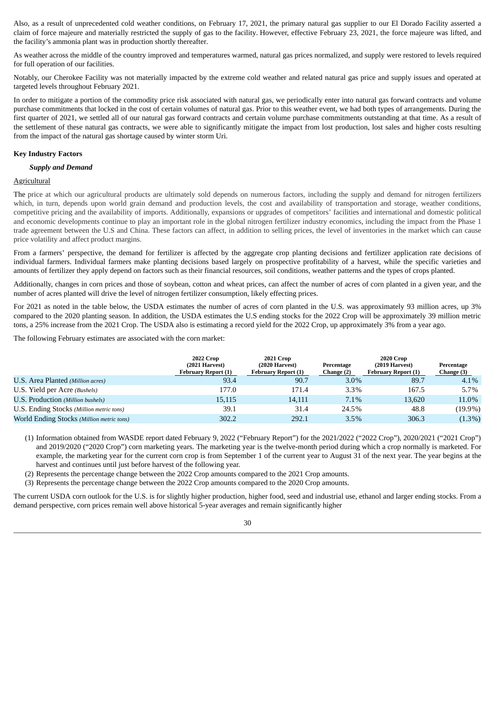Also, as a result of unprecedented cold weather conditions, on February 17, 2021, the primary natural gas supplier to our El Dorado Facility asserted a claim of force majeure and materially restricted the supply of gas to the facility. However, effective February 23, 2021, the force majeure was lifted, and the facility's ammonia plant was in production shortly thereafter.

As weather across the middle of the country improved and temperatures warmed, natural gas prices normalized, and supply were restored to levels required for full operation of our facilities.

Notably, our Cherokee Facility was not materially impacted by the extreme cold weather and related natural gas price and supply issues and operated at targeted levels throughout February 2021.

In order to mitigate a portion of the commodity price risk associated with natural gas, we periodically enter into natural gas forward contracts and volume purchase commitments that locked in the cost of certain volumes of natural gas. Prior to this weather event, we had both types of arrangements. During the first quarter of 2021, we settled all of our natural gas forward contracts and certain volume purchase commitments outstanding at that time. As a result of the settlement of these natural gas contracts, we were able to significantly mitigate the impact from lost production, lost sales and higher costs resulting from the impact of the natural gas shortage caused by winter storm Uri.

# **Key Industry Factors**

#### *Supply and Demand*

## **Agricultural**

The price at which our agricultural products are ultimately sold depends on numerous factors, including the supply and demand for nitrogen fertilizers which, in turn, depends upon world grain demand and production levels, the cost and availability of transportation and storage, weather conditions, competitive pricing and the availability of imports. Additionally, expansions or upgrades of competitors' facilities and international and domestic political and economic developments continue to play an important role in the global nitrogen fertilizer industry economics, including the impact from the Phase 1 trade agreement between the U.S and China. These factors can affect, in addition to selling prices, the level of inventories in the market which can cause price volatility and affect product margins.

From a farmers' perspective, the demand for fertilizer is affected by the aggregate crop planting decisions and fertilizer application rate decisions of individual farmers. Individual farmers make planting decisions based largely on prospective profitability of a harvest, while the specific varieties and amounts of fertilizer they apply depend on factors such as their financial resources, soil conditions, weather patterns and the types of crops planted.

Additionally, changes in corn prices and those of soybean, cotton and wheat prices, can affect the number of acres of corn planted in a given year, and the number of acres planted will drive the level of nitrogen fertilizer consumption, likely effecting prices.

For 2021 as noted in the table below, the USDA estimates the number of acres of corn planted in the U.S. was approximately 93 million acres, up 3% compared to the 2020 planting season. In addition, the USDA estimates the U.S ending stocks for the 2022 Crop will be approximately 39 million metric tons, a 25% increase from the 2021 Crop. The USDA also is estimating a record yield for the 2022 Crop, up approximately 3% from a year ago.

The following February estimates are associated with the corn market:

|                                           | 2022 Crop<br>$(2021$ Harvest)<br><b>February Report (1)</b> | 2021 Crop<br>$(2020$ Harvest)<br><b>February Report (1)</b> | Percentage<br>Change (2) | 2020 Crop<br>$(2019 \text{ Harvest})$<br><b>February Report (1)</b> | Percentage<br>Change (3) |
|-------------------------------------------|-------------------------------------------------------------|-------------------------------------------------------------|--------------------------|---------------------------------------------------------------------|--------------------------|
| U.S. Area Planted (Million acres)         | 93.4                                                        | 90.7                                                        | $3.0\%$                  | 89.7                                                                | $4.1\%$                  |
| U.S. Yield per Acre (Bushels)             | 177.0                                                       | 171.4                                                       | 3.3%                     | 167.5                                                               | 5.7%                     |
| U.S. Production (Million bushels)         | 15,115                                                      | 14,111                                                      | 7.1%                     | 13,620                                                              | 11.0%                    |
| U.S. Ending Stocks (Million metric tons)  | 39.1                                                        | 31.4                                                        | 24.5%                    | 48.8                                                                | $(19.9\%)$               |
| World Ending Stocks (Million metric tons) | 302.2                                                       | 292.1                                                       | 3.5%                     | 306.3                                                               | $(1.3\%)$                |

(1) Information obtained from WASDE report dated February 9, 2022 ("February Report") for the 2021/2022 ("2022 Crop"), 2020/2021 ("2021 Crop") and 2019/2020 ("2020 Crop") corn marketing years. The marketing year is the twelve-month period during which a crop normally is marketed. For example, the marketing year for the current corn crop is from September 1 of the current year to August 31 of the next year. The year begins at the harvest and continues until just before harvest of the following year.

(2) Represents the percentage change between the 2022 Crop amounts compared to the 2021 Crop amounts.

(3) Represents the percentage change between the 2022 Crop amounts compared to the 2020 Crop amounts.

The current USDA corn outlook for the U.S. is for slightly higher production, higher food, seed and industrial use, ethanol and larger ending stocks. From a demand perspective, corn prices remain well above historical 5-year averages and remain significantly higher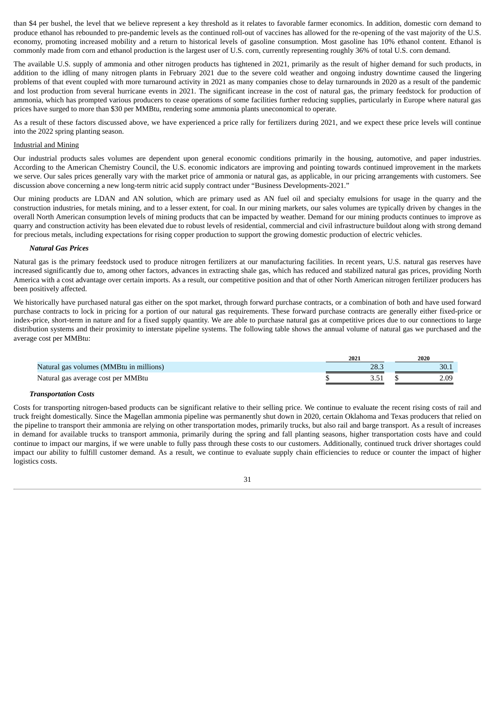than \$4 per bushel, the level that we believe represent a key threshold as it relates to favorable farmer economics. In addition, domestic corn demand to produce ethanol has rebounded to pre-pandemic levels as the continued roll-out of vaccines has allowed for the re-opening of the vast majority of the U.S. economy, promoting increased mobility and a return to historical levels of gasoline consumption. Most gasoline has 10% ethanol content. Ethanol is commonly made from corn and ethanol production is the largest user of U.S. corn, currently representing roughly 36% of total U.S. corn demand.

The available U.S. supply of ammonia and other nitrogen products has tightened in 2021, primarily as the result of higher demand for such products, in addition to the idling of many nitrogen plants in February 2021 due to the severe cold weather and ongoing industry downtime caused the lingering problems of that event coupled with more turnaround activity in 2021 as many companies chose to delay turnarounds in 2020 as a result of the pandemic and lost production from several hurricane events in 2021. The significant increase in the cost of natural gas, the primary feedstock for production of ammonia, which has prompted various producers to cease operations of some facilities further reducing supplies, particularly in Europe where natural gas prices have surged to more than \$30 per MMBtu, rendering some ammonia plants uneconomical to operate.

As a result of these factors discussed above, we have experienced a price rally for fertilizers during 2021, and we expect these price levels will continue into the 2022 spring planting season.

#### Industrial and Mining

Our industrial products sales volumes are dependent upon general economic conditions primarily in the housing, automotive, and paper industries. According to the American Chemistry Council, the U.S. economic indicators are improving and pointing towards continued improvement in the markets we serve. Our sales prices generally vary with the market price of ammonia or natural gas, as applicable, in our pricing arrangements with customers. See discussion above concerning a new long-term nitric acid supply contract under "Business Developments-2021."

Our mining products are LDAN and AN solution, which are primary used as AN fuel oil and specialty emulsions for usage in the quarry and the construction industries, for metals mining, and to a lesser extent, for coal. In our mining markets, our sales volumes are typically driven by changes in the overall North American consumption levels of mining products that can be impacted by weather. Demand for our mining products continues to improve as quarry and construction activity has been elevated due to robust levels of residential, commercial and civil infrastructure buildout along with strong demand for precious metals, including expectations for rising copper production to support the growing domestic production of electric vehicles.

#### *Natural Gas Prices*

Natural gas is the primary feedstock used to produce nitrogen fertilizers at our manufacturing facilities. In recent years, U.S. natural gas reserves have increased significantly due to, among other factors, advances in extracting shale gas, which has reduced and stabilized natural gas prices, providing North America with a cost advantage over certain imports. As a result, our competitive position and that of other North American nitrogen fertilizer producers has been positively affected.

We historically have purchased natural gas either on the spot market, through forward purchase contracts, or a combination of both and have used forward purchase contracts to lock in pricing for a portion of our natural gas requirements. These forward purchase contracts are generally either fixed-price or index-price, short-term in nature and for a fixed supply quantity. We are able to purchase natural gas at competitive prices due to our connections to large distribution systems and their proximity to interstate pipeline systems. The following table shows the annual volume of natural gas we purchased and the average cost per MMBtu:

|                                         | 2021 |      | 2020 |
|-----------------------------------------|------|------|------|
| Natural gas volumes (MMBtu in millions) |      | 28.3 | 30.1 |
| Natural gas average cost per MMBtu      |      |      | 2.09 |

#### *Transportation Costs*

Costs for transporting nitrogen-based products can be significant relative to their selling price. We continue to evaluate the recent rising costs of rail and truck freight domestically. Since the Magellan ammonia pipeline was permanently shut down in 2020, certain Oklahoma and Texas producers that relied on the pipeline to transport their ammonia are relying on other transportation modes, primarily trucks, but also rail and barge transport. As a result of increases in demand for available trucks to transport ammonia, primarily during the spring and fall planting seasons, higher transportation costs have and could continue to impact our margins, if we were unable to fully pass through these costs to our customers. Additionally, continued truck driver shortages could impact our ability to fulfill customer demand. As a result, we continue to evaluate supply chain efficiencies to reduce or counter the impact of higher logistics costs.

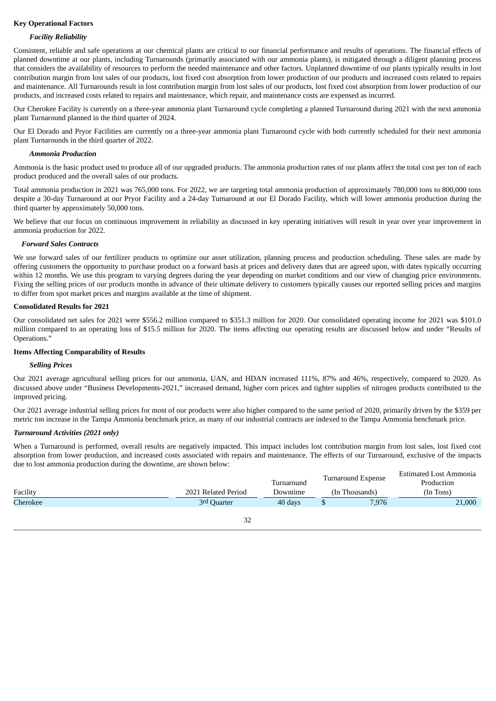# **Key Operational Factors**

# *Facility Reliability*

Consistent, reliable and safe operations at our chemical plants are critical to our financial performance and results of operations. The financial effects of planned downtime at our plants, including Turnarounds (primarily associated with our ammonia plants), is mitigated through a diligent planning process that considers the availability of resources to perform the needed maintenance and other factors. Unplanned downtime of our plants typically results in lost contribution margin from lost sales of our products, lost fixed cost absorption from lower production of our products and increased costs related to repairs and maintenance. All Turnarounds result in lost contribution margin from lost sales of our products, lost fixed cost absorption from lower production of our products, and increased costs related to repairs and maintenance, which repair, and maintenance costs are expensed as incurred.

Our Cherokee Facility is currently on a three-year ammonia plant Turnaround cycle completing a planned Turnaround during 2021 with the next ammonia plant Turnaround planned in the third quarter of 2024.

Our El Dorado and Pryor Facilities are currently on a three-year ammonia plant Turnaround cycle with both currently scheduled for their next ammonia plant Turnarounds in the third quarter of 2022.

#### *Ammonia Production*

Ammonia is the basic product used to produce all of our upgraded products. The ammonia production rates of our plants affect the total cost per ton of each product produced and the overall sales of our products.

Total ammonia production in 2021 was 765,000 tons. For 2022, we are targeting total ammonia production of approximately 780,000 tons to 800,000 tons despite a 30-day Turnaround at our Pryor Facility and a 24-day Turnaround at our El Dorado Facility, which will lower ammonia production during the third quarter by approximately 50,000 tons.

We believe that our focus on continuous improvement in reliability as discussed in key operating initiatives will result in year over year improvement in ammonia production for 2022.

#### *Forward Sales Contracts*

We use forward sales of our fertilizer products to optimize our asset utilization, planning process and production scheduling. These sales are made by offering customers the opportunity to purchase product on a forward basis at prices and delivery dates that are agreed upon, with dates typically occurring within 12 months. We use this program to varying degrees during the year depending on market conditions and our view of changing price environments. Fixing the selling prices of our products months in advance of their ultimate delivery to customers typically causes our reported selling prices and margins to differ from spot market prices and margins available at the time of shipment.

## **Consolidated Results for 2021**

Our consolidated net sales for 2021 were \$556.2 million compared to \$351.3 million for 2020. Our consolidated operating income for 2021 was \$101.0 million compared to an operating loss of \$15.5 million for 2020. The items affecting our operating results are discussed below and under "Results of Operations."

## **Items Affecting Comparability of Results**

## *Selling Prices*

Our 2021 average agricultural selling prices for our ammonia, UAN, and HDAN increased 111%, 87% and 46%, respectively, compared to 2020. As discussed above under "Business Developments-2021," increased demand, higher corn prices and tighter supplies of nitrogen products contributed to the improved pricing.

Our 2021 average industrial selling prices for most of our products were also higher compared to the same period of 2020, primarily driven by the \$359 per metric ton increase in the Tampa Ammonia benchmark price, as many of our industrial contracts are indexed to the Tampa Ammonia benchmark price.

## *Turnaround Activities (2021 only)*

When a Turnaround is performed, overall results are negatively impacted. This impact includes lost contribution margin from lost sales, lost fixed cost absorption from lower production, and increased costs associated with repairs and maintenance. The effects of our Turnaround, exclusive of the impacts due to lost ammonia production during the downtime, are shown below: Estimated Lost Ammonia

|          |                     | Turnaround |                | Turnaround Expense | ESUINALEU LUSI ANNIIUMI<br>Production |
|----------|---------------------|------------|----------------|--------------------|---------------------------------------|
| Facility | 2021 Related Period | Downtime   | (In Thousands) |                    | (In Tons)                             |
| Cherokee | 3rd Quarter         | 40 days    |                | 7,976              | 21,000                                |
|          |                     |            |                |                    |                                       |
|          | רפ<br>◡             |            |                |                    |                                       |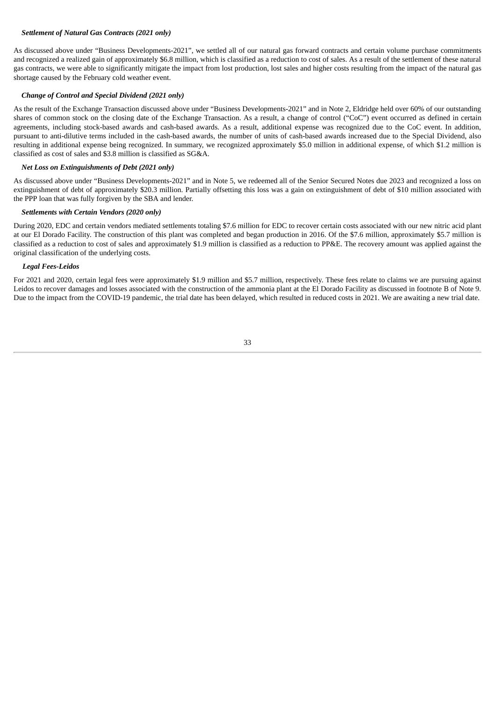#### *Settlement of Natural Gas Contracts (2021 only)*

As discussed above under "Business Developments-2021", we settled all of our natural gas forward contracts and certain volume purchase commitments and recognized a realized gain of approximately \$6.8 million, which is classified as a reduction to cost of sales. As a result of the settlement of these natural gas contracts, we were able to significantly mitigate the impact from lost production, lost sales and higher costs resulting from the impact of the natural gas shortage caused by the February cold weather event.

#### *Change of Control and Special Dividend (2021 only)*

As the result of the Exchange Transaction discussed above under "Business Developments-2021" and in Note 2, Eldridge held over 60% of our outstanding shares of common stock on the closing date of the Exchange Transaction. As a result, a change of control ("CoC") event occurred as defined in certain agreements, including stock-based awards and cash-based awards. As a result, additional expense was recognized due to the CoC event. In addition, pursuant to anti-dilutive terms included in the cash-based awards, the number of units of cash-based awards increased due to the Special Dividend, also resulting in additional expense being recognized. In summary, we recognized approximately \$5.0 million in additional expense, of which \$1.2 million is classified as cost of sales and \$3.8 million is classified as SG&A.

#### *Net Loss on Extinguishments of Debt (2021 only)*

As discussed above under "Business Developments-2021" and in Note 5, we redeemed all of the Senior Secured Notes due 2023 and recognized a loss on extinguishment of debt of approximately \$20.3 million. Partially offsetting this loss was a gain on extinguishment of debt of \$10 million associated with the PPP loan that was fully forgiven by the SBA and lender.

#### *Settlements with Certain Vendors (2020 only)*

During 2020, EDC and certain vendors mediated settlements totaling \$7.6 million for EDC to recover certain costs associated with our new nitric acid plant at our El Dorado Facility. The construction of this plant was completed and began production in 2016. Of the \$7.6 million, approximately \$5.7 million is classified as a reduction to cost of sales and approximately \$1.9 million is classified as a reduction to PP&E. The recovery amount was applied against the original classification of the underlying costs.

#### *Legal Fees-Leidos*

For 2021 and 2020, certain legal fees were approximately \$1.9 million and \$5.7 million, respectively. These fees relate to claims we are pursuing against Leidos to recover damages and losses associated with the construction of the ammonia plant at the El Dorado Facility as discussed in footnote B of Note 9. Due to the impact from the COVID-19 pandemic, the trial date has been delayed, which resulted in reduced costs in 2021. We are awaiting a new trial date.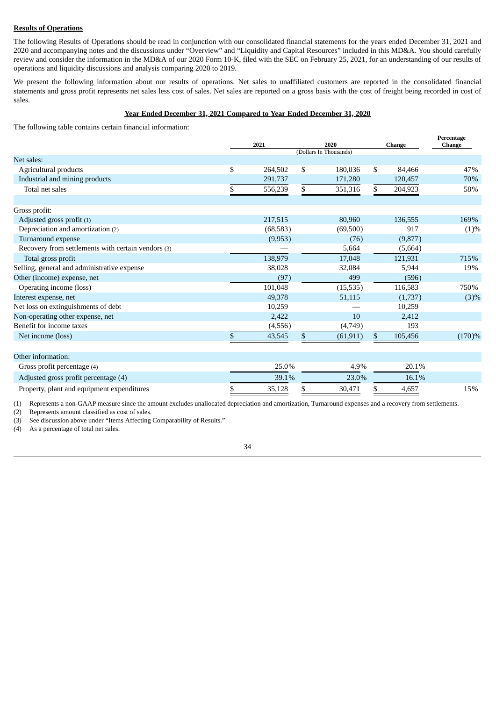# **Results of Operations**

The following Results of Operations should be read in conjunction with our consolidated financial statements for the years ended December 31, 2021 and 2020 and accompanying notes and the discussions under "Overview" and "Liquidity and Capital Resources" included in this MD&A. You should carefully review and consider the information in the MD&A of our 2020 Form 10-K, filed with the SEC on February 25, 2021, for an understanding of our results of operations and liquidity discussions and analysis comparing 2020 to 2019.

We present the following information about our results of operations. Net sales to unaffiliated customers are reported in the consolidated financial statements and gross profit represents net sales less cost of sales. Net sales are reported on a gross basis with the cost of freight being recorded in cost of sales.

### **Year Ended December 31, 2021 Compared to Year Ended December 31, 2020**

The following table contains certain financial information:

|                                                    |     | 2021      | 2020                   |     | <b>Change</b> | Percentage<br>Change |
|----------------------------------------------------|-----|-----------|------------------------|-----|---------------|----------------------|
|                                                    |     |           | (Dollars In Thousands) |     |               |                      |
| Net sales:                                         |     |           |                        |     |               |                      |
| Agricultural products                              | \$  | 264,502   | \$<br>180,036          | \$  | 84,466        | 47%                  |
| Industrial and mining products                     |     | 291,737   | 171,280                |     | 120,457       | 70%                  |
| Total net sales                                    |     | 556,239   | \$<br>351,316          | \$  | 204,923       | 58%                  |
|                                                    |     |           |                        |     |               |                      |
| Gross profit:                                      |     |           |                        |     |               |                      |
| Adjusted gross profit (1)                          |     | 217,515   | 80,960                 |     | 136,555       | 169%                 |
| Depreciation and amortization (2)                  |     | (68, 583) | (69,500)               |     | 917           | (1)%                 |
| Turnaround expense                                 |     | (9,953)   | (76)                   |     | (9,877)       |                      |
| Recovery from settlements with certain vendors (3) |     |           | 5,664                  |     | (5,664)       |                      |
| Total gross profit                                 |     | 138,979   | 17,048                 |     | 121,931       | 715%                 |
| Selling, general and administrative expense        |     | 38,028    | 32,084                 |     | 5,944         | 19%                  |
| Other (income) expense, net                        |     | (97)      | 499                    |     | (596)         |                      |
| Operating income (loss)                            |     | 101,048   | (15, 535)              |     | 116,583       | 750%                 |
| Interest expense, net                              |     | 49,378    | 51,115                 |     | (1,737)       | $(3)\%$              |
| Net loss on extinguishments of debt                |     | 10,259    |                        |     | 10,259        |                      |
| Non-operating other expense, net                   |     | 2,422     | 10                     |     | 2,412         |                      |
| Benefit for income taxes                           |     | (4, 556)  | (4,749)                |     | 193           |                      |
| Net income (loss)                                  | \$. | 43,545    | \$<br>(61, 911)        | \$. | 105,456       | (170)%               |
| Other information:                                 |     |           |                        |     |               |                      |
| Gross profit percentage (4)                        |     | 25.0%     | 4.9%                   |     | 20.1%         |                      |

| Adjusted gross profit percentage (4)       | 39.1<br>1%    | 23.0%          | 16.1% |     |
|--------------------------------------------|---------------|----------------|-------|-----|
| Property, plant and equipment expenditures | חרו<br>33.IZO | $\overline{A}$ | 4,05  | 15% |

(1) Represents a non-GAAP measure since the amount excludes unallocated depreciation and amortization, Turnaround expenses and a recovery from settlements.

(2) Represents amount classified as cost of sales.

(3) See discussion above under "Items Affecting Comparability of Results."

(4) As a percentage of total net sales.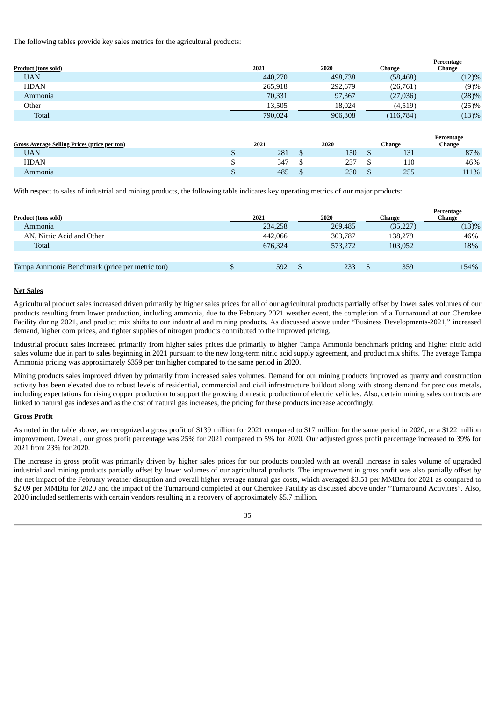The following tables provide key sales metrics for the agricultural products:

| <b>Product (tons sold)</b>                   | 2021    | 2020    |  | Change     | Percentage<br>Change        |
|----------------------------------------------|---------|---------|--|------------|-----------------------------|
| <b>UAN</b>                                   | 440,270 | 498,738 |  | (58, 468)  | (12)%                       |
| <b>HDAN</b>                                  | 265,918 | 292,679 |  | (26,761)   | (9)%                        |
| Ammonia                                      | 70,331  | 97,367  |  | (27,036)   | (28)%                       |
| Other                                        | 13,505  | 18,024  |  | (4,519)    | $(25)\%$                    |
| Total                                        | 790,024 | 906,808 |  | (116, 784) | (13)%                       |
|                                              |         |         |  |            |                             |
| Gross Average Selling Prices (price per ton) | 2021    | 2020    |  | Change     | Percentage<br><b>Change</b> |
| <b>UAN</b>                                   | 281     | 150     |  | 131        | 87%                         |

HDAN \$ 347 \$ 237 \$ 110 46% Ammonia \$ 485 \$ 230 \$ 255 111%

With respect to sales of industrial and mining products, the following table indicates key operating metrics of our major products:

| <b>Product (tons sold)</b>                     | 2021    | 2020    | Change    | Percentage<br>Change |
|------------------------------------------------|---------|---------|-----------|----------------------|
| Ammonia                                        | 234,258 | 269,485 | (35, 227) | (13)%                |
| AN, Nitric Acid and Other                      | 442,066 | 303,787 | 138,279   | 46%                  |
| <b>Total</b>                                   | 676.324 | 573.272 | 103.052   | 18%                  |
|                                                |         |         |           |                      |
| Tampa Ammonia Benchmark (price per metric ton) | 592     | 233     | 359       | 154%                 |

# **Net Sales**

Agricultural product sales increased driven primarily by higher sales prices for all of our agricultural products partially offset by lower sales volumes of our products resulting from lower production, including ammonia, due to the February 2021 weather event, the completion of a Turnaround at our Cherokee Facility during 2021, and product mix shifts to our industrial and mining products. As discussed above under "Business Developments-2021," increased demand, higher corn prices, and tighter supplies of nitrogen products contributed to the improved pricing.

Industrial product sales increased primarily from higher sales prices due primarily to higher Tampa Ammonia benchmark pricing and higher nitric acid sales volume due in part to sales beginning in 2021 pursuant to the new long-term nitric acid supply agreement, and product mix shifts. The average Tampa Ammonia pricing was approximately \$359 per ton higher compared to the same period in 2020.

Mining products sales improved driven by primarily from increased sales volumes. Demand for our mining products improved as quarry and construction activity has been elevated due to robust levels of residential, commercial and civil infrastructure buildout along with strong demand for precious metals, including expectations for rising copper production to support the growing domestic production of electric vehicles. Also, certain mining sales contracts are linked to natural gas indexes and as the cost of natural gas increases, the pricing for these products increase accordingly.

## **Gross Profit**

As noted in the table above, we recognized a gross profit of \$139 million for 2021 compared to \$17 million for the same period in 2020, or a \$122 million improvement. Overall, our gross profit percentage was 25% for 2021 compared to 5% for 2020. Our adjusted gross profit percentage increased to 39% for 2021 from 23% for 2020.

The increase in gross profit was primarily driven by higher sales prices for our products coupled with an overall increase in sales volume of upgraded industrial and mining products partially offset by lower volumes of our agricultural products. The improvement in gross profit was also partially offset by the net impact of the February weather disruption and overall higher average natural gas costs, which averaged \$3.51 per MMBtu for 2021 as compared to \$2.09 per MMBtu for 2020 and the impact of the Turnaround completed at our Cherokee Facility as discussed above under "Turnaround Activities". Also, 2020 included settlements with certain vendors resulting in a recovery of approximately \$5.7 million.

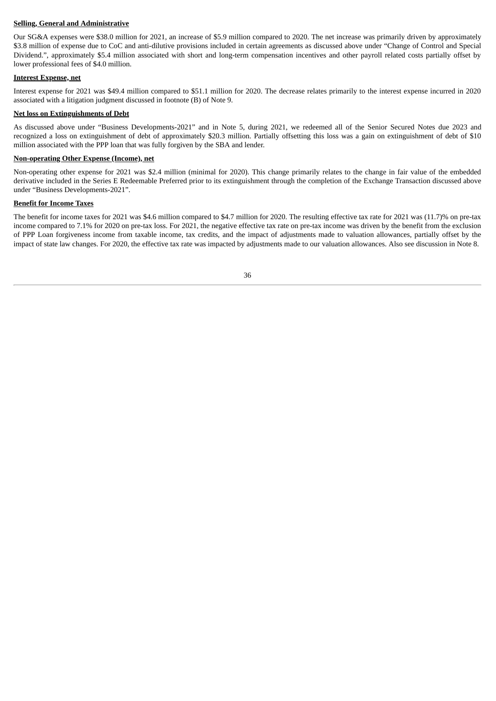# **Selling, General and Administrative**

Our SG&A expenses were \$38.0 million for 2021, an increase of \$5.9 million compared to 2020. The net increase was primarily driven by approximately \$3.8 million of expense due to CoC and anti-dilutive provisions included in certain agreements as discussed above under "Change of Control and Special Dividend.", approximately \$5.4 million associated with short and long-term compensation incentives and other payroll related costs partially offset by lower professional fees of \$4.0 million.

## **Interest Expense, net**

Interest expense for 2021 was \$49.4 million compared to \$51.1 million for 2020. The decrease relates primarily to the interest expense incurred in 2020 associated with a litigation judgment discussed in footnote (B) of Note 9.

## **Net loss on Extinguishments of Debt**

As discussed above under "Business Developments-2021" and in Note 5, during 2021, we redeemed all of the Senior Secured Notes due 2023 and recognized a loss on extinguishment of debt of approximately \$20.3 million. Partially offsetting this loss was a gain on extinguishment of debt of \$10 million associated with the PPP loan that was fully forgiven by the SBA and lender.

#### **Non-operating Other Expense (Income), net**

Non-operating other expense for 2021 was \$2.4 million (minimal for 2020). This change primarily relates to the change in fair value of the embedded derivative included in the Series E Redeemable Preferred prior to its extinguishment through the completion of the Exchange Transaction discussed above under "Business Developments-2021".

# **Benefit for Income Taxes**

The benefit for income taxes for 2021 was \$4.6 million compared to \$4.7 million for 2020. The resulting effective tax rate for 2021 was (11.7)% on pre-tax income compared to 7.1% for 2020 on pre-tax loss. For 2021, the negative effective tax rate on pre-tax income was driven by the benefit from the exclusion of PPP Loan forgiveness income from taxable income, tax credits, and the impact of adjustments made to valuation allowances, partially offset by the impact of state law changes. For 2020, the effective tax rate was impacted by adjustments made to our valuation allowances. Also see discussion in Note 8.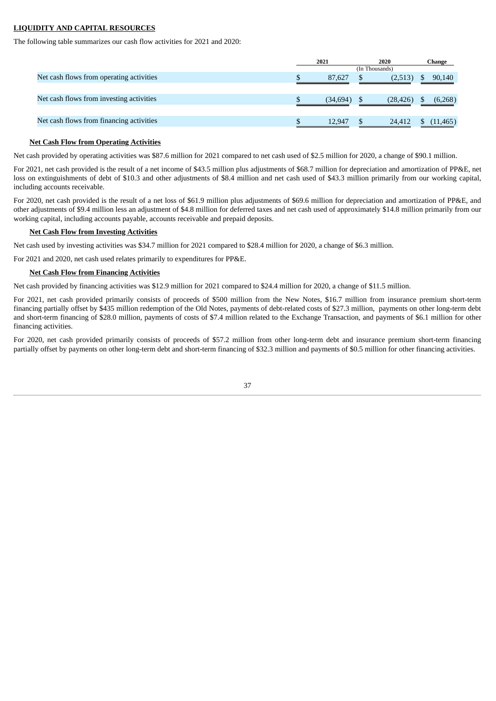## **LIQUIDITY AND CAPITAL RESOURCES**

The following table summarizes our cash flow activities for 2021 and 2020:

|                                          | 2021      |                | 2020      | Change    |
|------------------------------------------|-----------|----------------|-----------|-----------|
|                                          |           | (In Thousands) |           |           |
| Net cash flows from operating activities | 87,627    |                | (2,513)   | 90,140    |
|                                          |           |                |           |           |
| Net cash flows from investing activities | (34, 694) |                | (28, 426) | (6,268)   |
|                                          |           |                |           |           |
| Net cash flows from financing activities | 12.947    |                | 24,412    | (11, 465) |

## **Net Cash Flow from Operating Activities**

Net cash provided by operating activities was \$87.6 million for 2021 compared to net cash used of \$2.5 million for 2020, a change of \$90.1 million.

For 2021, net cash provided is the result of a net income of \$43.5 million plus adjustments of \$68.7 million for depreciation and amortization of PP&E, net loss on extinguishments of debt of \$10.3 and other adjustments of \$8.4 million and net cash used of \$43.3 million primarily from our working capital, including accounts receivable.

For 2020, net cash provided is the result of a net loss of \$61.9 million plus adjustments of \$69.6 million for depreciation and amortization of PP&E, and other adjustments of \$9.4 million less an adjustment of \$4.8 million for deferred taxes and net cash used of approximately \$14.8 million primarily from our working capital, including accounts payable, accounts receivable and prepaid deposits.

## **Net Cash Flow from Investing Activities**

Net cash used by investing activities was \$34.7 million for 2021 compared to \$28.4 million for 2020, a change of \$6.3 million.

For 2021 and 2020, net cash used relates primarily to expenditures for PP&E.

## **Net Cash Flow from Financing Activities**

Net cash provided by financing activities was \$12.9 million for 2021 compared to \$24.4 million for 2020, a change of \$11.5 million.

For 2021, net cash provided primarily consists of proceeds of \$500 million from the New Notes, \$16.7 million from insurance premium short-term financing partially offset by \$435 million redemption of the Old Notes, payments of debt-related costs of \$27.3 million, payments on other long-term debt and short-term financing of \$28.0 million, payments of costs of \$7.4 million related to the Exchange Transaction, and payments of \$6.1 million for other financing activities.

For 2020, net cash provided primarily consists of proceeds of \$57.2 million from other long-term debt and insurance premium short-term financing partially offset by payments on other long-term debt and short-term financing of \$32.3 million and payments of \$0.5 million for other financing activities.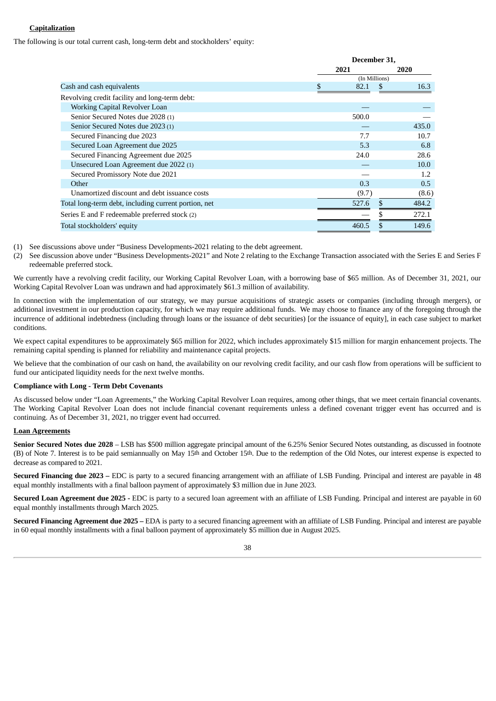## **Capitalization**

The following is our total current cash, long-term debt and stockholders' equity:

|                                                      |             | December 31,  |
|------------------------------------------------------|-------------|---------------|
|                                                      | 2021        | 2020          |
|                                                      |             | (In Millions) |
| Cash and cash equivalents                            | \$.<br>82.1 | 16.3<br>S     |
| Revolving credit facility and long-term debt:        |             |               |
| Working Capital Revolver Loan                        |             |               |
| Senior Secured Notes due 2028 (1)                    | 500.0       |               |
| Senior Secured Notes due 2023 (1)                    |             | 435.0         |
| Secured Financing due 2023                           | 7.7         | 10.7          |
| Secured Loan Agreement due 2025                      | 5.3         | 6.8           |
| Secured Financing Agreement due 2025                 | 24.0        | 28.6          |
| Unsecured Loan Agreement due 2022 (1)                |             | 10.0          |
| Secured Promissory Note due 2021                     |             | 1.2           |
| Other                                                | 0.3         | 0.5           |
| Unamortized discount and debt issuance costs         | (9.7)       | (8.6)         |
| Total long-term debt, including current portion, net | 527.6       | \$<br>484.2   |
| Series E and F redeemable preferred stock (2)        |             | 272.1         |
| Total stockholders' equity                           | 460.5       | 149.6         |

- (1) See discussions above under "Business Developments-2021 relating to the debt agreement.
- (2) See discussion above under "Business Developments-2021" and Note 2 relating to the Exchange Transaction associated with the Series E and Series F redeemable preferred stock.

We currently have a revolving credit facility, our Working Capital Revolver Loan, with a borrowing base of \$65 million. As of December 31, 2021, our Working Capital Revolver Loan was undrawn and had approximately \$61.3 million of availability.

In connection with the implementation of our strategy, we may pursue acquisitions of strategic assets or companies (including through mergers), or additional investment in our production capacity, for which we may require additional funds. We may choose to finance any of the foregoing through the incurrence of additional indebtedness (including through loans or the issuance of debt securities) [or the issuance of equity], in each case subject to market conditions.

We expect capital expenditures to be approximately \$65 million for 2022, which includes approximately \$15 million for margin enhancement projects. The remaining capital spending is planned for reliability and maintenance capital projects.

We believe that the combination of our cash on hand, the availability on our revolving credit facility, and our cash flow from operations will be sufficient to fund our anticipated liquidity needs for the next twelve months.

## **Compliance with Long - Term Debt Covenants**

As discussed below under "Loan Agreements," the Working Capital Revolver Loan requires, among other things, that we meet certain financial covenants. The Working Capital Revolver Loan does not include financial covenant requirements unless a defined covenant trigger event has occurred and is continuing. As of December 31, 2021, no trigger event had occurred.

## **Loan Agreements**

**Senior Secured Notes due 2028** – LSB has \$500 million aggregate principal amount of the 6.25% Senior Secured Notes outstanding, as discussed in footnote (B) of Note 7. Interest is to be paid semiannually on May 15th and October 15th. Due to the redemption of the Old Notes, our interest expense is expected to decrease as compared to 2021.

**Secured Financing due 2023 –** EDC is party to a secured financing arrangement with an affiliate of LSB Funding. Principal and interest are payable in 48 equal monthly installments with a final balloon payment of approximately \$3 million due in June 2023.

**Secured Loan Agreement due 2025 -** EDC is party to a secured loan agreement with an affiliate of LSB Funding. Principal and interest are payable in 60 equal monthly installments through March 2025.

**Secured Financing Agreement due 2025 –** EDA is party to a secured financing agreement with an affiliate of LSB Funding. Principal and interest are payable in 60 equal monthly installments with a final balloon payment of approximately \$5 million due in August 2025.

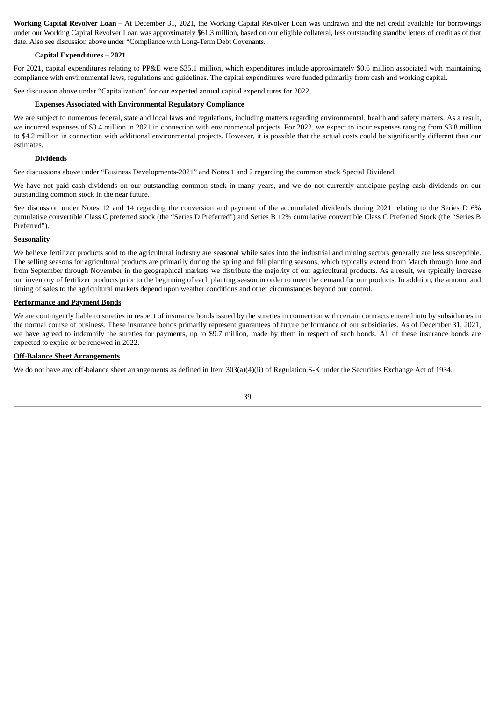**Working Capital Revolver Loan –** At December 31, 2021, the Working Capital Revolver Loan was undrawn and the net credit available for borrowings under our Working Capital Revolver Loan was approximately \$61.3 million, based on our eligible collateral, less outstanding standby letters of credit as of that date. Also see discussion above under "Compliance with Long-Term Debt Covenants.

## **Capital Expenditures – 2021**

For 2021, capital expenditures relating to PP&E were \$35.1 million, which expenditures include approximately \$0.6 million associated with maintaining compliance with environmental laws, regulations and guidelines. The capital expenditures were funded primarily from cash and working capital.

See discussion above under "Capitalization" for our expected annual capital expenditures for 2022.

#### **Expenses Associated with Environmental Regulatory Compliance**

We are subject to numerous federal, state and local laws and regulations, including matters regarding environmental, health and safety matters. As a result, we incurred expenses of \$3.4 million in 2021 in connection with environmental projects. For 2022, we expect to incur expenses ranging from \$3.8 million to \$4.2 million in connection with additional environmental projects. However, it is possible that the actual costs could be significantly different than our estimates.

## **Dividends**

See discussions above under "Business Developments-2021" and Notes 1 and 2 regarding the common stock Special Dividend.

We have not paid cash dividends on our outstanding common stock in many years, and we do not currently anticipate paying cash dividends on our outstanding common stock in the near future.

See discussion under Notes 12 and 14 regarding the conversion and payment of the accumulated dividends during 2021 relating to the Series D 6% cumulative convertible Class C preferred stock (the "Series D Preferred") and Series B 12% cumulative convertible Class C Preferred Stock (the "Series B Preferred").

#### **Seasonality**

We believe fertilizer products sold to the agricultural industry are seasonal while sales into the industrial and mining sectors generally are less susceptible. The selling seasons for agricultural products are primarily during the spring and fall planting seasons, which typically extend from March through June and from September through November in the geographical markets we distribute the majority of our agricultural products. As a result, we typically increase our inventory of fertilizer products prior to the beginning of each planting season in order to meet the demand for our products. In addition, the amount and timing of sales to the agricultural markets depend upon weather conditions and other circumstances beyond our control.

## **Performance and Payment Bonds**

We are contingently liable to sureties in respect of insurance bonds issued by the sureties in connection with certain contracts entered into by subsidiaries in the normal course of business. These insurance bonds primarily represent guarantees of future performance of our subsidiaries. As of December 31, 2021, we have agreed to indemnify the sureties for payments, up to \$9.7 million, made by them in respect of such bonds. All of these insurance bonds are expected to expire or be renewed in 2022.

#### **Off-Balance Sheet Arrangements**

We do not have any off-balance sheet arrangements as defined in Item 303(a)(4)(ii) of Regulation S-K under the Securities Exchange Act of 1934.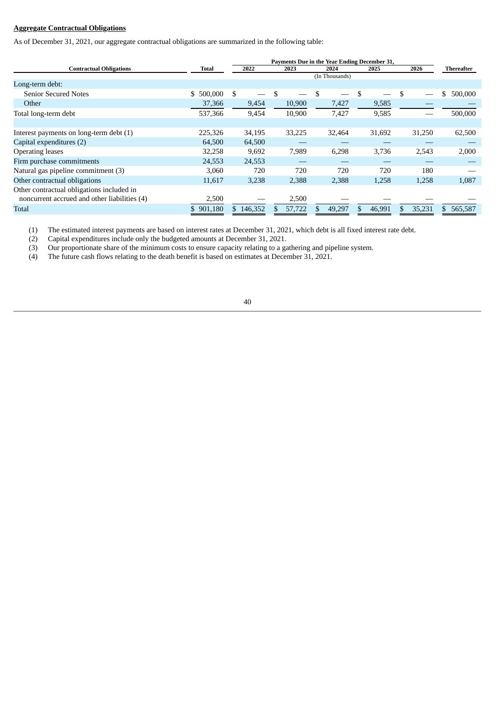# **Aggregate Contractual Obligations**

As of December 31, 2021, our aggregate contractual obligations are summarized in the following table:

| <b>Contractual Obligations</b>               | <b>Total</b> |     | 2022    |     | 2023   |     | Payments Due in the Year Ending December 31,<br>2024 | 2025   |     | 2026   | Thereafter    |
|----------------------------------------------|--------------|-----|---------|-----|--------|-----|------------------------------------------------------|--------|-----|--------|---------------|
|                                              |              |     |         |     |        |     | (In Thousands)                                       |        |     |        |               |
| Long-term debt:                              |              |     |         |     |        |     |                                                      |        |     |        |               |
| <b>Senior Secured Notes</b>                  | \$500,000    | \$  |         | \$. |        | -\$ |                                                      | \$     | \$. |        | \$<br>500,000 |
| Other                                        | 37,366       |     | 9,454   |     | 10,900 |     | 7,427                                                | 9,585  |     |        |               |
| Total long-term debt                         | 537,366      |     | 9,454   |     | 10,900 |     | 7,427                                                | 9,585  |     |        | 500,000       |
|                                              |              |     |         |     |        |     |                                                      |        |     |        |               |
| Interest payments on long-term debt (1)      | 225,326      |     | 34,195  |     | 33,225 |     | 32,464                                               | 31,692 |     | 31,250 | 62,500        |
| Capital expenditures (2)                     | 64,500       |     | 64,500  |     |        |     |                                                      |        |     |        |               |
| <b>Operating leases</b>                      | 32,258       |     | 9,692   |     | 7,989  |     | 6,298                                                | 3,736  |     | 2,543  | 2,000         |
| Firm purchase commitments                    | 24,553       |     | 24,553  |     |        |     |                                                      |        |     |        |               |
| Natural gas pipeline commitment (3)          | 3,060        |     | 720     |     | 720    |     | 720                                                  | 720    |     | 180    |               |
| Other contractual obligations                | 11,617       |     | 3,238   |     | 2,388  |     | 2,388                                                | 1,258  |     | 1,258  | 1,087         |
| Other contractual obligations included in    |              |     |         |     |        |     |                                                      |        |     |        |               |
| noncurrent accrued and other liabilities (4) | 2,500        |     |         |     | 2,500  |     |                                                      |        |     |        |               |
| Total                                        | \$901,180    | \$. | 146,352 |     | 57,722 |     | 49,297                                               | 46,991 | \$  | 35,231 | 565,587       |

(1) The estimated interest payments are based on interest rates at December 31, 2021, which debt is all fixed interest rate debt.

(2) Capital expenditures include only the budgeted amounts at December 31, 2021.

(3) Our proportionate share of the minimum costs to ensure capacity relating to a gathering and pipeline system.

(4) The future cash flows relating to the death benefit is based on estimates at December 31, 2021.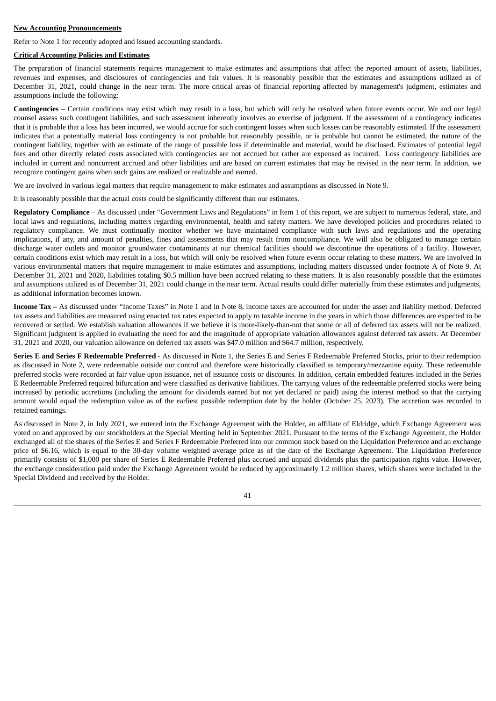#### **New Accounting Pronouncements**

Refer to Note 1 for recently adopted and issued accounting standards.

#### **Critical Accounting Policies and Estimates**

The preparation of financial statements requires management to make estimates and assumptions that affect the reported amount of assets, liabilities, revenues and expenses, and disclosures of contingencies and fair values. It is reasonably possible that the estimates and assumptions utilized as of December 31, 2021, could change in the near term. The more critical areas of financial reporting affected by management's judgment, estimates and assumptions include the following:

**Contingencies** – Certain conditions may exist which may result in a loss, but which will only be resolved when future events occur. We and our legal counsel assess such contingent liabilities, and such assessment inherently involves an exercise of judgment. If the assessment of a contingency indicates that it is probable that a loss has been incurred, we would accrue for such contingent losses when such losses can be reasonably estimated. If the assessment indicates that a potentially material loss contingency is not probable but reasonably possible, or is probable but cannot be estimated, the nature of the contingent liability, together with an estimate of the range of possible loss if determinable and material, would be disclosed. Estimates of potential legal fees and other directly related costs associated with contingencies are not accrued but rather are expensed as incurred. Loss contingency liabilities are included in current and noncurrent accrued and other liabilities and are based on current estimates that may be revised in the near term. In addition, we recognize contingent gains when such gains are realized or realizable and earned.

We are involved in various legal matters that require management to make estimates and assumptions as discussed in Note 9.

It is reasonably possible that the actual costs could be significantly different than our estimates.

**Regulatory Compliance** – As discussed under "Government Laws and Regulations" in Item 1 of this report, we are subject to numerous federal, state, and local laws and regulations, including matters regarding environmental, health and safety matters. We have developed policies and procedures related to regulatory compliance. We must continually monitor whether we have maintained compliance with such laws and regulations and the operating implications, if any, and amount of penalties, fines and assessments that may result from noncompliance. We will also be obligated to manage certain discharge water outlets and monitor groundwater contaminants at our chemical facilities should we discontinue the operations of a facility. However, certain conditions exist which may result in a loss, but which will only be resolved when future events occur relating to these matters. We are involved in various environmental matters that require management to make estimates and assumptions, including matters discussed under footnote A of Note 9. At December 31, 2021 and 2020, liabilities totaling \$0.5 million have been accrued relating to these matters. It is also reasonably possible that the estimates and assumptions utilized as of December 31, 2021 could change in the near term. Actual results could differ materially from these estimates and judgments, as additional information becomes known.

**Income Tax –** As discussed under "Income Taxes" in Note 1 and in Note 8, income taxes are accounted for under the asset and liability method. Deferred tax assets and liabilities are measured using enacted tax rates expected to apply to taxable income in the years in which those differences are expected to be recovered or settled. We establish valuation allowances if we believe it is more-likely-than-not that some or all of deferred tax assets will not be realized. Significant judgment is applied in evaluating the need for and the magnitude of appropriate valuation allowances against deferred tax assets. At December 31, 2021 and 2020, our valuation allowance on deferred tax assets was \$47.0 million and \$64.7 million, respectively.

**Series E and Series F Redeemable Preferred** - As discussed in Note 1, the Series E and Series F Redeemable Preferred Stocks, prior to their redemption as discussed in Note 2, were redeemable outside our control and therefore were historically classified as temporary/mezzanine equity. These redeemable preferred stocks were recorded at fair value upon issuance, net of issuance costs or discounts. In addition, certain embedded features included in the Series E Redeemable Preferred required bifurcation and were classified as derivative liabilities. The carrying values of the redeemable preferred stocks were being increased by periodic accretions (including the amount for dividends earned but not yet declared or paid) using the interest method so that the carrying amount would equal the redemption value as of the earliest possible redemption date by the holder (October 25, 2023). The accretion was recorded to retained earnings.

As discussed in Note 2, in July 2021, we entered into the Exchange Agreement with the Holder, an affiliate of Eldridge, which Exchange Agreement was voted on and approved by our stockholders at the Special Meeting held in September 2021. Pursuant to the terms of the Exchange Agreement, the Holder exchanged all of the shares of the Series E and Series F Redeemable Preferred into our common stock based on the Liquidation Preference and an exchange price of \$6.16, which is equal to the 30-day volume weighted average price as of the date of the Exchange Agreement. The Liquidation Preference primarily consists of \$1,000 per share of Series E Redeemable Preferred plus accrued and unpaid dividends plus the participation rights value. However, the exchange consideration paid under the Exchange Agreement would be reduced by approximately 1.2 million shares, which shares were included in the Special Dividend and received by the Holder.

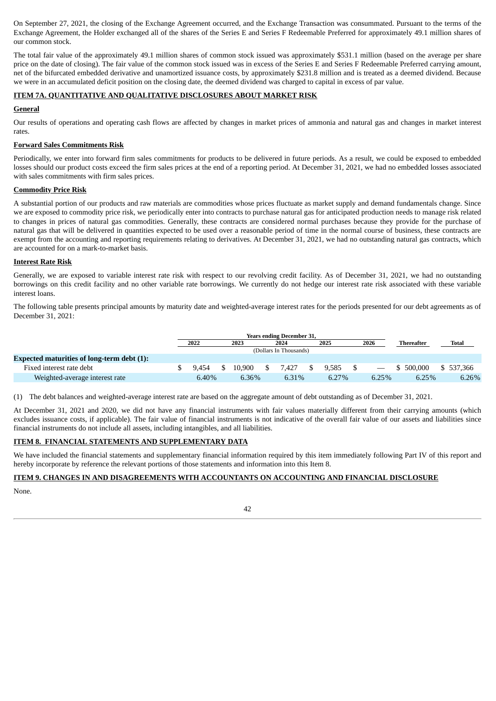On September 27, 2021, the closing of the Exchange Agreement occurred, and the Exchange Transaction was consummated. Pursuant to the terms of the Exchange Agreement, the Holder exchanged all of the shares of the Series E and Series F Redeemable Preferred for approximately 49.1 million shares of our common stock.

The total fair value of the approximately 49.1 million shares of common stock issued was approximately \$531.1 million (based on the average per share price on the date of closing). The fair value of the common stock issued was in excess of the Series E and Series F Redeemable Preferred carrying amount, net of the bifurcated embedded derivative and unamortized issuance costs, by approximately \$231.8 million and is treated as a deemed dividend. Because we were in an accumulated deficit position on the closing date, the deemed dividend was charged to capital in excess of par value.

## **ITEM 7A. QUANTITATIVE AND QUALITATIVE DISCLOSURES ABOUT MARKET RISK**

## **General**

Our results of operations and operating cash flows are affected by changes in market prices of ammonia and natural gas and changes in market interest rates.

## **Forward Sales Commitments Risk**

Periodically, we enter into forward firm sales commitments for products to be delivered in future periods. As a result, we could be exposed to embedded losses should our product costs exceed the firm sales prices at the end of a reporting period. At December 31, 2021, we had no embedded losses associated with sales commitments with firm sales prices.

## **Commodity Price Risk**

A substantial portion of our products and raw materials are commodities whose prices fluctuate as market supply and demand fundamentals change. Since we are exposed to commodity price risk, we periodically enter into contracts to purchase natural gas for anticipated production needs to manage risk related to changes in prices of natural gas commodities. Generally, these contracts are considered normal purchases because they provide for the purchase of natural gas that will be delivered in quantities expected to be used over a reasonable period of time in the normal course of business, these contracts are exempt from the accounting and reporting requirements relating to derivatives. At December 31, 2021, we had no outstanding natural gas contracts, which are accounted for on a mark-to-market basis.

## **Interest Rate Risk**

Generally, we are exposed to variable interest rate risk with respect to our revolving credit facility. As of December 31, 2021, we had no outstanding borrowings on this credit facility and no other variable rate borrowings. We currently do not hedge our interest rate risk associated with these variable interest loans.

The following table presents principal amounts by maturity date and weighted-average interest rates for the periods presented for our debt agreements as of December 31, 2021:

|                                                   |                        | Years ending December 31. |  |        |  |       |  |       |                   |            |  |           |
|---------------------------------------------------|------------------------|---------------------------|--|--------|--|-------|--|-------|-------------------|------------|--|-----------|
|                                                   |                        | 2022                      |  | 2023   |  | 2024  |  | 2025  | 2026              | Thereafter |  | Total     |
|                                                   | (Dollars In Thousands) |                           |  |        |  |       |  |       |                   |            |  |           |
| <b>Expected maturities of long-term debt (1):</b> |                        |                           |  |        |  |       |  |       |                   |            |  |           |
| Fixed interest rate debt                          |                        | 9.454                     |  | 10,900 |  | 7.427 |  | 9.585 | $\hspace{0.05cm}$ | \$ 500,000 |  | \$537,366 |
| Weighted-average interest rate                    |                        | 6.40%                     |  | 6.36%  |  | 6.31% |  | 6.27% | 6.25%             | 6.25%      |  | 6.26%     |

(1) The debt balances and weighted-average interest rate are based on the aggregate amount of debt outstanding as of December 31, 2021.

At December 31, 2021 and 2020, we did not have any financial instruments with fair values materially different from their carrying amounts (which excludes issuance costs, if applicable). The fair value of financial instruments is not indicative of the overall fair value of our assets and liabilities since financial instruments do not include all assets, including intangibles, and all liabilities.

## **ITEM 8. FINANCIAL STATEMENTS AND SUPPLEMENTARY DATA**

We have included the financial statements and supplementary financial information required by this item immediately following Part IV of this report and hereby incorporate by reference the relevant portions of those statements and information into this Item 8.

# **ITEM 9. CHANGES IN AND DISAGREEMENTS WITH ACCOUNTANTS ON ACCOUNTING AND FINANCIAL DISCLOSURE**

None.

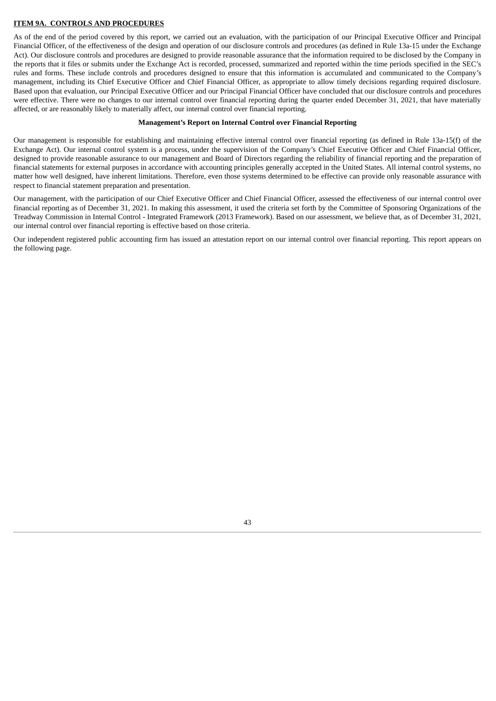## **ITEM 9A. CONTROLS AND PROCEDURES**

As of the end of the period covered by this report, we carried out an evaluation, with the participation of our Principal Executive Officer and Principal Financial Officer, of the effectiveness of the design and operation of our disclosure controls and procedures (as defined in Rule 13a-15 under the Exchange Act). Our disclosure controls and procedures are designed to provide reasonable assurance that the information required to be disclosed by the Company in the reports that it files or submits under the Exchange Act is recorded, processed, summarized and reported within the time periods specified in the SEC's rules and forms. These include controls and procedures designed to ensure that this information is accumulated and communicated to the Company's management, including its Chief Executive Officer and Chief Financial Officer, as appropriate to allow timely decisions regarding required disclosure. Based upon that evaluation, our Principal Executive Officer and our Principal Financial Officer have concluded that our disclosure controls and procedures were effective. There were no changes to our internal control over financial reporting during the quarter ended December 31, 2021, that have materially affected, or are reasonably likely to materially affect, our internal control over financial reporting.

## **Management's Report on Internal Control over Financial Reporting**

Our management is responsible for establishing and maintaining effective internal control over financial reporting (as defined in Rule 13a-15(f) of the Exchange Act). Our internal control system is a process, under the supervision of the Company's Chief Executive Officer and Chief Financial Officer, designed to provide reasonable assurance to our management and Board of Directors regarding the reliability of financial reporting and the preparation of financial statements for external purposes in accordance with accounting principles generally accepted in the United States. All internal control systems, no matter how well designed, have inherent limitations. Therefore, even those systems determined to be effective can provide only reasonable assurance with respect to financial statement preparation and presentation.

Our management, with the participation of our Chief Executive Officer and Chief Financial Officer, assessed the effectiveness of our internal control over financial reporting as of December 31, 2021. In making this assessment, it used the criteria set forth by the Committee of Sponsoring Organizations of the Treadway Commission in Internal Control - Integrated Framework (2013 Framework). Based on our assessment, we believe that, as of December 31, 2021, our internal control over financial reporting is effective based on those criteria.

Our independent registered public accounting firm has issued an attestation report on our internal control over financial reporting. This report appears on the following page.

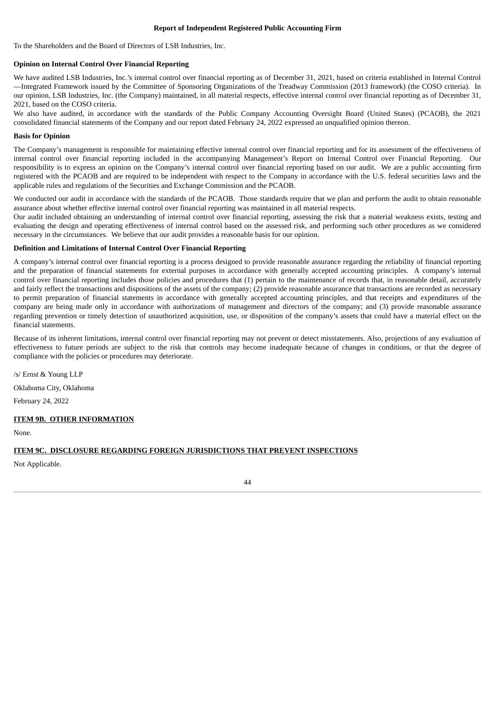## **Report of Independent Registered Public Accounting Firm**

To the Shareholders and the Board of Directors of LSB Industries, Inc.

#### **Opinion on Internal Control Over Financial Reporting**

We have audited LSB Industries, Inc.'s internal control over financial reporting as of December 31, 2021, based on criteria established in Internal Control —Integrated Framework issued by the Committee of Sponsoring Organizations of the Treadway Commission (2013 framework) (the COSO criteria). In our opinion, LSB Industries, Inc. (the Company) maintained, in all material respects, effective internal control over financial reporting as of December 31, 2021, based on the COSO criteria.

We also have audited, in accordance with the standards of the Public Company Accounting Oversight Board (United States) (PCAOB), the 2021 consolidated financial statements of the Company and our report dated February 24, 2022 expressed an unqualified opinion thereon.

## **Basis for Opinion**

The Company's management is responsible for maintaining effective internal control over financial reporting and for its assessment of the effectiveness of internal control over financial reporting included in the accompanying Management's Report on Internal Control over Financial Reporting. Our responsibility is to express an opinion on the Company's internal control over financial reporting based on our audit. We are a public accounting firm registered with the PCAOB and are required to be independent with respect to the Company in accordance with the U.S. federal securities laws and the applicable rules and regulations of the Securities and Exchange Commission and the PCAOB.

We conducted our audit in accordance with the standards of the PCAOB. Those standards require that we plan and perform the audit to obtain reasonable assurance about whether effective internal control over financial reporting was maintained in all material respects.

Our audit included obtaining an understanding of internal control over financial reporting, assessing the risk that a material weakness exists, testing and evaluating the design and operating effectiveness of internal control based on the assessed risk, and performing such other procedures as we considered necessary in the circumstances. We believe that our audit provides a reasonable basis for our opinion.

## **Definition and Limitations of Internal Control Over Financial Reporting**

A company's internal control over financial reporting is a process designed to provide reasonable assurance regarding the reliability of financial reporting and the preparation of financial statements for external purposes in accordance with generally accepted accounting principles. A company's internal control over financial reporting includes those policies and procedures that (1) pertain to the maintenance of records that, in reasonable detail, accurately and fairly reflect the transactions and dispositions of the assets of the company; (2) provide reasonable assurance that transactions are recorded as necessary to permit preparation of financial statements in accordance with generally accepted accounting principles, and that receipts and expenditures of the company are being made only in accordance with authorizations of management and directors of the company; and (3) provide reasonable assurance regarding prevention or timely detection of unauthorized acquisition, use, or disposition of the company's assets that could have a material effect on the financial statements.

Because of its inherent limitations, internal control over financial reporting may not prevent or detect misstatements. Also, projections of any evaluation of effectiveness to future periods are subject to the risk that controls may become inadequate because of changes in conditions, or that the degree of compliance with the policies or procedures may deteriorate.

/s/ Ernst & Young LLP

Oklahoma City, Oklahoma

February 24, 2022

## **ITEM 9B. OTHER INFORMATION**

None.

## **ITEM 9C. DISCLOSURE REGARDING FOREIGN JURISDICTIONS THAT PREVENT INSPECTIONS**

Not Applicable.

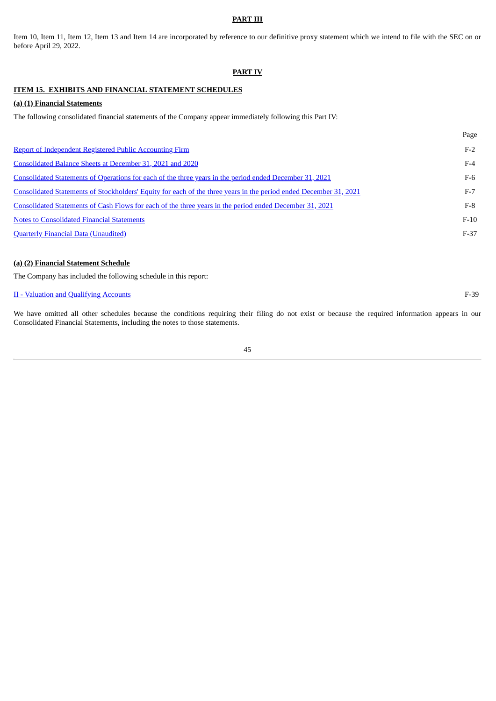## **PART III**

Item 10, Item 11, Item 12, Item 13 and Item 14 are incorporated by reference to our definitive proxy statement which we intend to file with the SEC on or before April 29, 2022.

## **PART IV**

## **ITEM 15. EXHIBITS AND FINANCIAL STATEMENT SCHEDULES**

## **(a) (1) Financial Statements**

The following consolidated financial statements of the Company appear immediately following this Part IV:

|                                                                                                                   | Page   |
|-------------------------------------------------------------------------------------------------------------------|--------|
| Report of Independent Registered Public Accounting Firm                                                           | $F-2$  |
| Consolidated Balance Sheets at December 31, 2021 and 2020                                                         | $F-4$  |
| Consolidated Statements of Operations for each of the three years in the period ended December 31, 2021           | F-6    |
| Consolidated Statements of Stockholders' Equity for each of the three years in the period ended December 31, 2021 | $F-7$  |
| Consolidated Statements of Cash Flows for each of the three years in the period ended December 31, 2021           | $F-8$  |
| <b>Notes to Consolidated Financial Statements</b>                                                                 | $F-10$ |
| <b>Quarterly Financial Data (Unaudited)</b>                                                                       | $F-37$ |

# **(a) (2) Financial Statement Schedule**

The Company has included the following schedule in this report:

## II - Valuation and [Qualifying](#page-91-0) Accounts F-39

We have omitted all other schedules because the conditions requiring their filing do not exist or because the required information appears in our Consolidated Financial Statements, including the notes to those statements.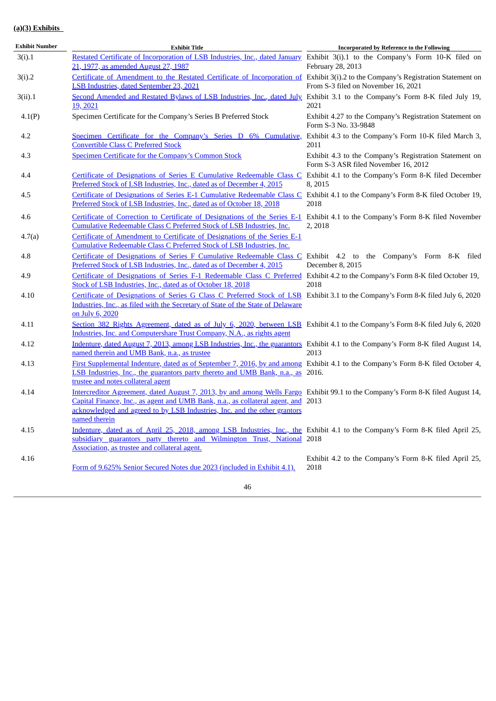# **(a)(3) Exhibits**

| <b>Exhibit Number</b> | <b>Exhibit Title</b>                                                                                                                                                                                                                                                                                               | <b>Incorporated by Reference to the Following</b>                                              |
|-----------------------|--------------------------------------------------------------------------------------------------------------------------------------------------------------------------------------------------------------------------------------------------------------------------------------------------------------------|------------------------------------------------------------------------------------------------|
| 3(i).1                | Restated Certificate of Incorporation of LSB Industries, Inc., dated January Exhibit 3(i).1 to the Company's Form 10-K filed on<br>21, 1977, as amended August 27, 1987                                                                                                                                            | February 28, 2013                                                                              |
| 3(i).2                | Certificate of Amendment to the Restated Certificate of Incorporation of Exhibit 3(i).2 to the Company's Registration Statement on<br>LSB Industries, dated September 23, 2021                                                                                                                                     | From S-3 filed on November 16, 2021                                                            |
| 3(ii).1               | Second Amended and Restated Bylaws of LSB Industries, Inc., dated July<br>19, 2021                                                                                                                                                                                                                                 | Exhibit 3.1 to the Company's Form 8-K filed July 19,<br>2021                                   |
| 4.1(P)                | Specimen Certificate for the Company's Series B Preferred Stock                                                                                                                                                                                                                                                    | Exhibit 4.27 to the Company's Registration Statement on<br>Form S-3 No. 33-9848                |
| 4.2                   | Specimen Certificate for the Company's Series D 6% Cumulative,<br><b>Convertible Class C Preferred Stock</b>                                                                                                                                                                                                       | Exhibit 4.3 to the Company's Form 10-K filed March 3,<br>2011                                  |
| 4.3                   | <b>Specimen Certificate for the Company's Common Stock</b>                                                                                                                                                                                                                                                         | Exhibit 4.3 to the Company's Registration Statement on<br>Form S-3 ASR filed November 16, 2012 |
| 4.4                   | Certificate of Designations of Series E Cumulative Redeemable Class C<br>Preferred Stock of LSB Industries, Inc., dated as of December 4, 2015                                                                                                                                                                     | Exhibit 4.1 to the Company's Form 8-K filed December<br>8,2015                                 |
| 4.5                   | Certificate of Designations of Series E-1 Cumulative Redeemable Class C<br>Preferred Stock of LSB Industries, Inc., dated as of October 18, 2018                                                                                                                                                                   | Exhibit 4.1 to the Company's Form 8-K filed October 19,<br>2018                                |
| 4.6                   | Certificate of Correction to Certificate of Designations of the Series E-1<br>Cumulative Redeemable Class C Preferred Stock of LSB Industries, Inc.                                                                                                                                                                | Exhibit 4.1 to the Company's Form 8-K filed November<br>2, 2018                                |
| 4.7(a)                | Certificate of Amendment to Certificate of Designations of the Series E-1<br>Cumulative Redeemable Class C Preferred Stock of LSB Industries, Inc.                                                                                                                                                                 |                                                                                                |
| 4.8                   | Certificate of Designations of Series F Cumulative Redeemable Class C Exhibit 4.2 to the Company's Form 8-K filed<br>Preferred Stock of LSB Industries, Inc., dated as of December 4, 2015                                                                                                                         | December 8, 2015                                                                               |
| 4.9                   | Certificate of Designations of Series F-1 Redeemable Class C Preferred<br>Stock of LSB Industries, Inc., dated as of October 18, 2018                                                                                                                                                                              | Exhibit 4.2 to the Company's Form 8-K filed October 19,<br>2018                                |
| 4.10                  | Certificate of Designations of Series G Class C Preferred Stock of LSB Exhibit 3.1 to the Company's Form 8-K filed July 6, 2020<br>Industries, Inc., as filed with the Secretary of State of the State of Delaware<br>on July 6, 2020                                                                              |                                                                                                |
| 4.11                  | Section 382 Rights Agreement, dated as of July 6, 2020, between LSB Exhibit 4.1 to the Company's Form 8-K filed July 6, 2020<br>Industries, Inc. and Computershare Trust Company, N.A., as rights agent                                                                                                            |                                                                                                |
| 4.12                  | Indenture, dated August 7, 2013, among LSB Industries, Inc., the guarantors Exhibit 4.1 to the Company's Form 8-K filed August 14,<br>named therein and UMB Bank, n.a., as trustee                                                                                                                                 | 2013                                                                                           |
| 4.13                  | First Supplemental Indenture, dated as of September 7, 2016, by and among<br>LSB Industries, Inc., the guarantors party thereto and UMB Bank, n.a., as<br>trustee and notes collateral agent                                                                                                                       | Exhibit 4.1 to the Company's Form 8-K filed October 4,<br>2016.                                |
| 4.14                  | Intercreditor Agreement, dated August 7, 2013, by and among Wells Fargo Exhibit 99.1 to the Company's Form 8-K filed August 14,<br>Capital Finance, Inc., as agent and UMB Bank, n.a., as collateral agent, and 2013<br>acknowledged and agreed to by LSB Industries, Inc. and the other grantors<br>named therein |                                                                                                |
| 4.15                  | Indenture, dated as of April 25, 2018, among LSB Industries, Inc., the Exhibit 4.1 to the Company's Form 8-K filed April 25,<br>subsidiary guarantors party thereto and Wilmington Trust, National 2018<br>Association, as trustee and collateral agent.                                                           |                                                                                                |
| 4.16                  | Form of 9.625% Senior Secured Notes due 2023 (included in Exhibit 4.1).                                                                                                                                                                                                                                            | Exhibit 4.2 to the Company's Form 8-K filed April 25,<br>2018                                  |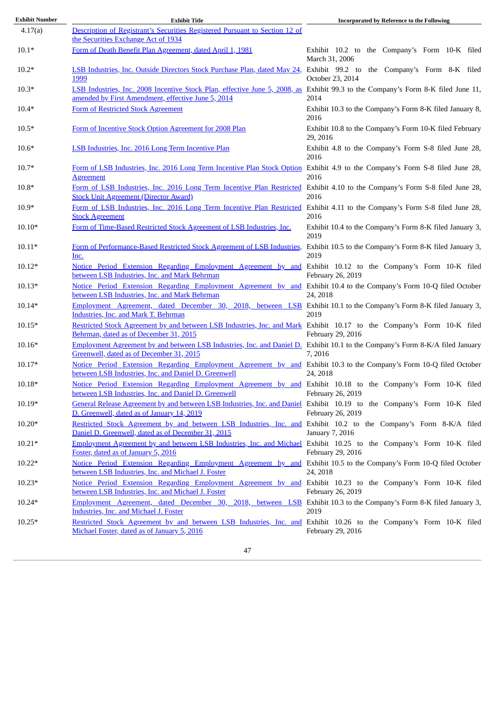| <b>Exhibit Number</b> | <b>Exhibit Title</b>                                                                                                                                                                   | <b>Incorporated by Reference to the Following</b>                   |
|-----------------------|----------------------------------------------------------------------------------------------------------------------------------------------------------------------------------------|---------------------------------------------------------------------|
| 4.17(a)               | Description of Registrant's Securities Registered Pursuant to Section 12 of<br>the Securities Exchange Act of 1934                                                                     |                                                                     |
| $10.1*$               | Form of Death Benefit Plan Agreement, dated April 1, 1981                                                                                                                              | Exhibit 10.2 to the Company's Form 10-K filed<br>March 31, 2006     |
| $10.2*$               | LSB Industries, Inc. Outside Directors Stock Purchase Plan, dated May 24, Exhibit 99.2 to the Company's Form 8-K filed<br>1999                                                         | October 23, 2014                                                    |
| $10.3*$               | LSB Industries, Inc. 2008 Incentive Stock Plan, effective June 5, 2008, as Exhibit 99.3 to the Company's Form 8-K filed June 11,<br>amended by First Amendment, effective June 5, 2014 | 2014                                                                |
| $10.4*$               | <b>Form of Restricted Stock Agreement</b>                                                                                                                                              | Exhibit 10.3 to the Company's Form 8-K filed January 8,<br>2016     |
| $10.5*$               | Form of Incentive Stock Option Agreement for 2008 Plan                                                                                                                                 | Exhibit 10.8 to the Company's Form 10-K filed February<br>29, 2016  |
| $10.6*$               | LSB Industries, Inc. 2016 Long Term Incentive Plan                                                                                                                                     | Exhibit 4.8 to the Company's Form S-8 filed June 28,<br>2016        |
| $10.7*$               | Form of LSB Industries, Inc. 2016 Long Term Incentive Plan Stock Option<br><b>Agreement</b>                                                                                            | Exhibit 4.9 to the Company's Form S-8 filed June 28,<br>2016        |
| $10.8*$               | Form of LSB Industries, Inc. 2016 Long Term Incentive Plan Restricted                                                                                                                  | Exhibit 4.10 to the Company's Form S-8 filed June 28,               |
|                       | <b>Stock Unit Agreement (Director Award)</b>                                                                                                                                           | 2016                                                                |
| $10.9*$               | Form of LSB Industries, Inc. 2016 Long Term Incentive Plan Restricted<br><b>Stock Agreement</b>                                                                                        | Exhibit 4.11 to the Company's Form S-8 filed June 28,<br>2016       |
| $10.10*$              | Form of Time-Based Restricted Stock Agreement of LSB Industries, Inc.                                                                                                                  | Exhibit 10.4 to the Company's Form 8-K filed January 3,<br>2019     |
| $10.11*$              | Form of Performance-Based Restricted Stock Agreement of LSB Industries,<br>Inc.                                                                                                        | Exhibit 10.5 to the Company's Form 8-K filed January 3,<br>2019     |
| $10.12*$              | Notice Period Extension Regarding Employment Agreement by and<br>between LSB Industries, Inc. and Mark Behrman                                                                         | Exhibit 10.12 to the Company's Form 10-K filed<br>February 26, 2019 |
| $10.13*$              | Notice Period Extension Regarding Employment Agreement by and<br>between LSB Industries, Inc. and Mark Behrman                                                                         | Exhibit 10.4 to the Company's Form 10-Q filed October<br>24, 2018   |
| $10.14*$              | Employment Agreement, dated December 30, 2018, between LSB Exhibit 10.1 to the Company's Form 8-K filed January 3,<br>Industries, Inc. and Mark T. Behrman                             | 2019                                                                |
| $10.15*$              | Restricted Stock Agreement by and between LSB Industries, Inc. and Mark Exhibit 10.17 to the Company's Form 10-K filed<br>Behrman, dated as of December 31, 2015                       | February 29, 2016                                                   |
| $10.16*$              | Employment Agreement by and between LSB Industries, Inc. and Daniel D. Exhibit 10.1 to the Company's Form 8-K/A filed January<br>Greenwell, dated as of December 31, 2015              | 7,2016                                                              |
| $10.17*$              | Notice Period Extension Regarding Employment Agreement by and Exhibit 10.3 to the Company's Form 10-Q filed October<br>between LSB Industries, Inc. and Daniel D. Greenwell            | 24, 2018                                                            |
| $10.18*$              | Notice Period Extension Regarding Employment Agreement by and Exhibit 10.18 to the Company's Form 10-K filed<br>between LSB Industries, Inc. and Daniel D. Greenwell                   | February 26, 2019                                                   |
| $10.19*$              | General Release Agreement by and between LSB Industries, Inc. and Daniel Exhibit 10.19 to the Company's Form 10-K filed<br>D. Greenwell, dated as of January 14, 2019                  | February 26, 2019                                                   |
| $10.20*$              | Restricted Stock Agreement by and between LSB Industries, Inc. and Exhibit 10.2 to the Company's Form 8-K/A filed<br>Daniel D. Greenwell, dated as of December 31, 2015                | January 7, 2016                                                     |
| $10.21*$              | Employment Agreement by and between LSB Industries, Inc. and Michael Exhibit 10.25 to the Company's Form 10-K filed<br>Foster, dated as of January 5, 2016                             | February 29, 2016                                                   |
| $10.22*$              | Notice Period Extension Regarding Employment Agreement by and Exhibit 10.5 to the Company's Form 10-Q filed October<br>between LSB Industries, Inc. and Michael J. Foster              | 24, 2018                                                            |
| $10.23*$              | Notice Period Extension Regarding Employment Agreement by and Exhibit 10.23 to the Company's Form 10-K filed<br>between LSB Industries, Inc. and Michael J. Foster                     | February 26, 2019                                                   |
| $10.24*$              | Employment Agreement, dated December 30, 2018, between LSB Exhibit 10.3 to the Company's Form 8-K filed January 3,<br>Industries, Inc. and Michael J. Foster                           | 2019                                                                |
| $10.25*$              | Restricted Stock Agreement by and between LSB Industries, Inc. and Exhibit 10.26 to the Company's Form 10-K filed<br>Michael Foster, dated as of January 5, 2016                       | February 29, 2016                                                   |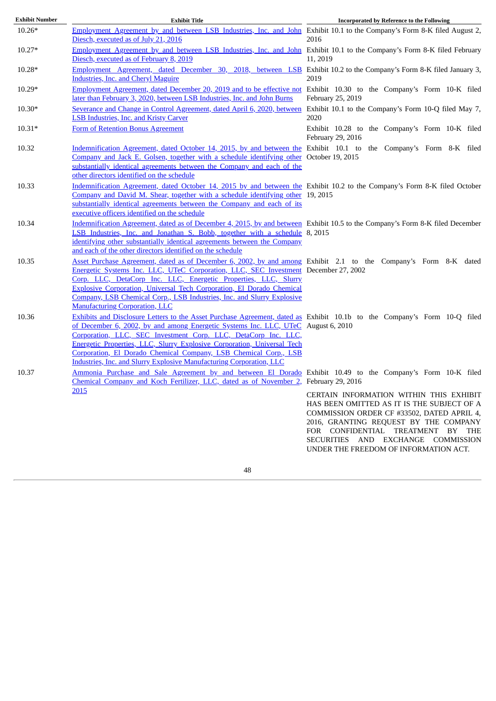| <b>Exhibit Number</b> | <b>Exhibit Title</b>                                                                                                                                                                                                                                                                                                                                                                                                                                                                                          | <b>Incorporated by Reference to the Following</b>                                                                                                                                                                                                                                                |
|-----------------------|---------------------------------------------------------------------------------------------------------------------------------------------------------------------------------------------------------------------------------------------------------------------------------------------------------------------------------------------------------------------------------------------------------------------------------------------------------------------------------------------------------------|--------------------------------------------------------------------------------------------------------------------------------------------------------------------------------------------------------------------------------------------------------------------------------------------------|
| $10.26*$              | Employment Agreement by and between LSB Industries, Inc. and John Exhibit 10.1 to the Company's Form 8-K filed August 2,<br>Diesch, executed as of July 21, 2016                                                                                                                                                                                                                                                                                                                                              | 2016                                                                                                                                                                                                                                                                                             |
| $10.27*$              | Employment Agreement by and between LSB Industries, Inc. and John Exhibit 10.1 to the Company's Form 8-K filed February<br>Diesch, executed as of February 8, 2019                                                                                                                                                                                                                                                                                                                                            | 11, 2019                                                                                                                                                                                                                                                                                         |
| $10.28*$              | Employment Agreement, dated December 30, 2018, between LSB Exhibit 10.2 to the Company's Form 8-K filed January 3,<br><b>Industries, Inc. and Cheryl Maguire</b>                                                                                                                                                                                                                                                                                                                                              | 2019                                                                                                                                                                                                                                                                                             |
| $10.29*$              | Employment Agreement, dated December 20, 2019 and to be effective not Exhibit 10.30 to the Company's Form 10-K filed<br>later than February 3, 2020, between LSB Industries, Inc. and John Burns                                                                                                                                                                                                                                                                                                              | February 25, 2019                                                                                                                                                                                                                                                                                |
| $10.30*$              | Severance and Change in Control Agreement, dated April 6, 2020, between Exhibit 10.1 to the Company's Form 10-Q filed May 7,<br><b>LSB Industries, Inc. and Kristy Carver</b>                                                                                                                                                                                                                                                                                                                                 | 2020                                                                                                                                                                                                                                                                                             |
| $10.31*$              | Form of Retention Bonus Agreement                                                                                                                                                                                                                                                                                                                                                                                                                                                                             | Exhibit 10.28 to the Company's Form 10-K filed<br>February 29, 2016                                                                                                                                                                                                                              |
| 10.32                 | Indemnification Agreement, dated October 14, 2015, by and between the Exhibit 10.1 to the Company's Form 8-K filed<br>Company and Jack E. Golsen, together with a schedule identifying other October 19, 2015<br>substantially identical agreements between the Company and each of the<br>other directors identified on the schedule                                                                                                                                                                         |                                                                                                                                                                                                                                                                                                  |
| 10.33                 | Indemnification Agreement, dated October 14, 2015 by and between the Exhibit 10.2 to the Company's Form 8-K filed October<br>Company and David M. Shear, together with a schedule identifying other 19, 2015<br>substantially identical agreements between the Company and each of its<br>executive officers identified on the schedule                                                                                                                                                                       |                                                                                                                                                                                                                                                                                                  |
| 10.34                 | Indemnification Agreement, dated as of December 4, 2015, by and between Exhibit 10.5 to the Company's Form 8-K filed December<br>LSB Industries, Inc. and Jonathan S. Bobb, together with a schedule 8, 2015<br>identifying other substantially identical agreements between the Company<br>and each of the other directors identified on the schedule                                                                                                                                                        |                                                                                                                                                                                                                                                                                                  |
| 10.35                 | Asset Purchase Agreement, dated as of December 6, 2002, by and among Exhibit 2.1 to the Company's Form 8-K dated<br>Energetic Systems Inc. LLC, UTeC Corporation, LLC, SEC Investment December 27, 2002<br>Corp. LLC, DetaCorp Inc. LLC, Energetic Properties, LLC, Slurry<br><b>Explosive Corporation, Universal Tech Corporation, El Dorado Chemical</b><br>Company, LSB Chemical Corp., LSB Industries, Inc. and Slurry Explosive<br><b>Manufacturing Corporation, LLC</b>                                 |                                                                                                                                                                                                                                                                                                  |
| 10.36                 | Exhibits and Disclosure Letters to the Asset Purchase Agreement, dated as Exhibit 10.1b to the Company's Form 10-Q filed<br>of December 6, 2002, by and among Energetic Systems Inc. LLC, UTeC August 6, 2010<br>Corporation, LLC, SEC Investment Corp. LLC, DetaCorp Inc. LLC,<br>Energetic Properties, LLC, Slurry Explosive Corporation, Universal Tech<br>Corporation, El Dorado Chemical Company, LSB Chemical Corp., LSB<br><b>Industries, Inc. and Slurry Explosive Manufacturing Corporation, LLC</b> |                                                                                                                                                                                                                                                                                                  |
| 10.37                 | Ammonia Purchase and Sale Agreement by and between El Dorado Exhibit 10.49 to the Company's Form 10-K filed<br>Chemical Company and Koch Fertilizer, LLC, dated as of November 2, February 29, 2016                                                                                                                                                                                                                                                                                                           |                                                                                                                                                                                                                                                                                                  |
|                       | <u> 2015</u>                                                                                                                                                                                                                                                                                                                                                                                                                                                                                                  | CERTAIN INFORMATION WITHIN THIS EXHIBIT<br>HAS BEEN OMITTED AS IT IS THE SUBJECT OF A<br>COMMISSION ORDER CF #33502, DATED APRIL 4,<br>2016, GRANTING REQUEST BY THE COMPANY<br>FOR CONFIDENTIAL TREATMENT BY THE<br>SECURITIES AND EXCHANGE COMMISSION<br>UNDER THE FREEDOM OF INFORMATION ACT. |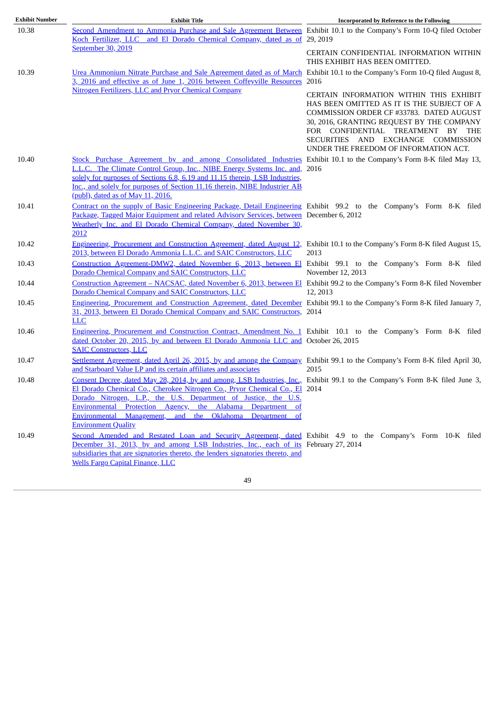| Exhibit Number | <b>Exhibit Title</b>                                                                                                                                                                                                                                                                                                                                                                                                                  | Incorporated by Reference to the Following                                                                                                                                                                                                                                                            |
|----------------|---------------------------------------------------------------------------------------------------------------------------------------------------------------------------------------------------------------------------------------------------------------------------------------------------------------------------------------------------------------------------------------------------------------------------------------|-------------------------------------------------------------------------------------------------------------------------------------------------------------------------------------------------------------------------------------------------------------------------------------------------------|
| 10.38          | Second Amendment to Ammonia Purchase and Sale Agreement Between Exhibit 10.1 to the Company's Form 10-Q filed October<br>Koch Fertilizer, LLC and El Dorado Chemical Company, dated as of 29, 2019                                                                                                                                                                                                                                    |                                                                                                                                                                                                                                                                                                       |
|                | <b>September 30, 2019</b>                                                                                                                                                                                                                                                                                                                                                                                                             | CERTAIN CONFIDENTIAL INFORMATION WITHIN<br>THIS EXHIBIT HAS BEEN OMITTED.                                                                                                                                                                                                                             |
| 10.39          | Urea Ammonium Nitrate Purchase and Sale Agreement dated as of March Exhibit 10.1 to the Company's Form 10-Q filed August 8,<br>3, 2016 and effective as of June 1, 2016 between Coffeyville Resources                                                                                                                                                                                                                                 | 2016                                                                                                                                                                                                                                                                                                  |
|                | Nitrogen Fertilizers, LLC and Pryor Chemical Company                                                                                                                                                                                                                                                                                                                                                                                  | CERTAIN INFORMATION WITHIN THIS EXHIBIT<br>HAS BEEN OMITTED AS IT IS THE SUBJECT OF A<br>COMMISSION ORDER CF #33783. DATED AUGUST<br>30, 2016, GRANTING REQUEST BY THE COMPANY<br>FOR CONFIDENTIAL TREATMENT BY<br>THE<br>SECURITIES AND EXCHANGE COMMISSION<br>UNDER THE FREEDOM OF INFORMATION ACT. |
| 10.40          | Stock Purchase Agreement by and among Consolidated Industries Exhibit 10.1 to the Company's Form 8-K filed May 13,<br>L.L.C. The Climate Control Group, Inc., NIBE Energy Systems Inc. and,<br>solely for purposes of Sections 6.8, 6.19 and 11.15 therein, LSB Industries,<br>Inc., and solely for purposes of Section 11.16 therein, NIBE Industrier AB<br>(publ), dated as of May 11, 2016.                                        | 2016                                                                                                                                                                                                                                                                                                  |
| 10.41          | Contract on the supply of Basic Engineering Package, Detail Engineering Exhibit 99.2 to the Company's Form 8-K filed<br>Package, Tagged Major Equipment and related Advisory Services, between December 6, 2012<br>Weatherly Inc. and El Dorado Chemical Company, dated November 30,<br>2012                                                                                                                                          |                                                                                                                                                                                                                                                                                                       |
| 10.42          | Engineering, Procurement and Construction Agreement, dated August 12,<br>2013, between El Dorado Ammonia L.L.C. and SAIC Constructors, LLC                                                                                                                                                                                                                                                                                            | Exhibit 10.1 to the Company's Form 8-K filed August 15,<br>2013                                                                                                                                                                                                                                       |
| 10.43          | Construction Agreement-DMW2, dated November 6, 2013, between El Exhibit 99.1 to the Company's Form 8-K filed<br>Dorado Chemical Company and SAIC Constructors, LLC                                                                                                                                                                                                                                                                    | November 12, 2013                                                                                                                                                                                                                                                                                     |
| 10.44          | Construction Agreement - NACSAC, dated November 6, 2013, between El Exhibit 99.2 to the Company's Form 8-K filed November<br>Dorado Chemical Company and SAIC Constructors, LLC                                                                                                                                                                                                                                                       | 12, 2013                                                                                                                                                                                                                                                                                              |
| 10.45          | Engineering, Procurement and Construction Agreement, dated December Exhibit 99.1 to the Company's Form 8-K filed January 7,<br>31, 2013, between El Dorado Chemical Company and SAIC Constructors, 2014<br><b>LLC</b>                                                                                                                                                                                                                 |                                                                                                                                                                                                                                                                                                       |
| 10.46          | Engineering, Procurement and Construction Contract, Amendment No. 1 Exhibit 10.1 to the Company's Form 8-K filed<br>dated October 20, 2015, by and between El Dorado Ammonia LLC and October 26, 2015<br><b>SAIC Constructors, LLC</b>                                                                                                                                                                                                |                                                                                                                                                                                                                                                                                                       |
| 10.47          | Settlement Agreement, dated April 26, 2015, by and among the Company Exhibit 99.1 to the Company's Form 8-K filed April 30,<br>and Starboard Value LP and its certain affiliates and associates                                                                                                                                                                                                                                       | 2015                                                                                                                                                                                                                                                                                                  |
| 10.48          | Consent Decree, dated May 28, 2014, by and among, LSB Industries, Inc., Exhibit 99.1 to the Company's Form 8-K filed June 3,<br>El Dorado Chemical Co., Cherokee Nitrogen Co., Pryor Chemical Co., El 2014<br>Dorado Nitrogen, L.P., the U.S. Department of Justice, the U.S.<br>Environmental Protection Agency, the Alabama Department of<br>Environmental Management, and the Oklahoma Department of<br><b>Environment Quality</b> |                                                                                                                                                                                                                                                                                                       |
| 10.49          | Second Amended and Restated Loan and Security Agreement, dated Exhibit 4.9 to the Company's Form 10-K filed<br>December 31, 2013, by and among LSB Industries, Inc., each of its February 27, 2014<br>subsidiaries that are signatories thereto, the lenders signatories thereto, and<br><b>Wells Fargo Capital Finance, LLC</b>                                                                                                      |                                                                                                                                                                                                                                                                                                       |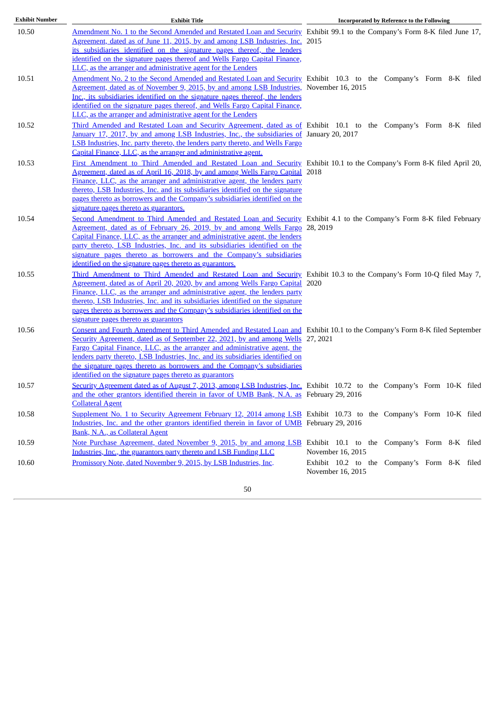| Exhibit Number | <b>Exhibit Title</b>                                                                                                                                                                                                                                                                                                                                                                                                                                                                                               | Incorporated by Reference to the Following                        |
|----------------|--------------------------------------------------------------------------------------------------------------------------------------------------------------------------------------------------------------------------------------------------------------------------------------------------------------------------------------------------------------------------------------------------------------------------------------------------------------------------------------------------------------------|-------------------------------------------------------------------|
| 10.50          | Amendment No. 1 to the Second Amended and Restated Loan and Security Exhibit 99.1 to the Company's Form 8-K filed June 17,<br>Agreement, dated as of June 11, 2015, by and among LSB Industries, Inc. 2015<br>its subsidiaries identified on the signature pages thereof, the lenders<br>identified on the signature pages thereof and Wells Fargo Capital Finance,<br>LLC, as the arranger and administrative agent for the Lenders                                                                               |                                                                   |
| 10.51          | Amendment No. 2 to the Second Amended and Restated Loan and Security Exhibit 10.3 to the Company's Form 8-K filed<br>Agreement, dated as of November 9, 2015, by and among LSB Industries, November 16, 2015<br>Inc., its subsidiaries identified on the signature pages thereof, the lenders<br>identified on the signature pages thereof, and Wells Fargo Capital Finance,<br>LLC, as the arranger and administrative agent for the Lenders                                                                      |                                                                   |
| 10.52          | Third Amended and Restated Loan and Security Agreement, dated as of Exhibit 10.1 to the Company's Form 8-K filed<br>January 17, 2017, by and among LSB Industries, Inc., the subsidiaries of January 20, 2017<br>LSB Industries, Inc. party thereto, the lenders party thereto, and Wells Fargo<br>Capital Finance, LLC, as the arranger and administrative agent.                                                                                                                                                 |                                                                   |
| 10.53          | First Amendment to Third Amended and Restated Loan and Security Exhibit 10.1 to the Company's Form 8-K filed April 20,<br>Agreement, dated as of April 16, 2018, by and among Wells Fargo Capital 2018<br>Finance, LLC, as the arranger and administrative agent, the lenders party<br>thereto, LSB Industries, Inc. and its subsidiaries identified on the signature<br>pages thereto as borrowers and the Company's subsidiaries identified on the<br>signature pages thereto as guarantors.                     |                                                                   |
| 10.54          | Second Amendment to Third Amended and Restated Loan and Security Exhibit 4.1 to the Company's Form 8-K filed February<br>Agreement, dated as of February 26, 2019, by and among Wells Fargo 28, 2019<br>Capital Finance, LLC, as the arranger and administrative agent, the lenders<br>party thereto, LSB Industries, Inc. and its subsidiaries identified on the<br>signature pages thereto as borrowers and the Company's subsidiaries<br>identified on the signature pages thereto as guarantors.               |                                                                   |
| 10.55          | Third Amendment to Third Amended and Restated Loan and Security Exhibit 10.3 to the Company's Form 10-Q filed May 7,<br>Agreement, dated as of April 20, 2020, by and among Wells Fargo Capital 2020<br>Finance, LLC, as the arranger and administrative agent, the lenders party<br>thereto, LSB Industries, Inc. and its subsidiaries identified on the signature<br>pages thereto as borrowers and the Company's subsidiaries identified on the<br>signature pages thereto as guarantors                        |                                                                   |
| 10.56          | Consent and Fourth Amendment to Third Amended and Restated Loan and Exhibit 10.1 to the Company's Form 8-K filed September<br>Security Agreement, dated as of September 22, 2021, by and among Wells 27, 2021<br>Fargo Capital Finance, LLC, as the arranger and administrative agent, the<br>lenders party thereto, LSB Industries, Inc. and its subsidiaries identified on<br>the signature pages thereto as borrowers and the Company's subsidiaries<br>identified on the signature pages thereto as guarantors |                                                                   |
| 10.57          | Security Agreement dated as of August 7, 2013, among LSB Industries, Inc. Exhibit 10.72 to the Company's Form 10-K filed<br>and the other grantors identified therein in favor of UMB Bank, N.A. as February 29, 2016<br><b>Collateral Agent</b>                                                                                                                                                                                                                                                                   |                                                                   |
| 10.58          | Supplement No. 1 to Security Agreement February 12, 2014 among LSB Exhibit 10.73 to the Company's Form 10-K filed<br>Industries, Inc. and the other grantors identified therein in favor of UMB February 29, 2016<br>Bank, N.A., as Collateral Agent                                                                                                                                                                                                                                                               |                                                                   |
| 10.59          | Note Purchase Agreement, dated November 9, 2015, by and among LSB Exhibit 10.1 to the Company's Form 8-K filed<br>Industries, Inc., the guarantors party thereto and LSB Funding LLC                                                                                                                                                                                                                                                                                                                               | November 16, 2015                                                 |
| 10.60          | Promissory Note, dated November 9, 2015, by LSB Industries, Inc.                                                                                                                                                                                                                                                                                                                                                                                                                                                   | Exhibit 10.2 to the Company's Form 8-K filed<br>November 16, 2015 |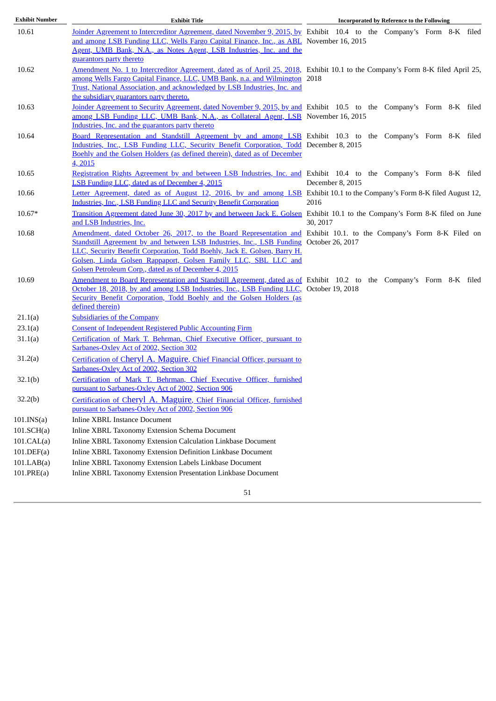| <b>Exhibit Number</b> | <b>Exhibit Title</b>                                                                                                                                                                                                                                                                                                                                                                                                | <b>Incorporated by Reference to the Following</b> |
|-----------------------|---------------------------------------------------------------------------------------------------------------------------------------------------------------------------------------------------------------------------------------------------------------------------------------------------------------------------------------------------------------------------------------------------------------------|---------------------------------------------------|
| 10.61                 | Joinder Agreement to Intercreditor Agreement, dated November 9, 2015, by Exhibit 10.4 to the Company's Form 8-K filed<br>and among LSB Funding LLC, Wells Fargo Capital Finance, Inc., as ABL November 16, 2015<br>Agent, UMB Bank, N.A., as Notes Agent, LSB Industries, Inc. and the<br>guarantors party thereto                                                                                                  |                                                   |
| 10.62                 | Amendment No. 1 to Intercreditor Agreement, dated as of April 25, 2018, Exhibit 10.1 to the Company's Form 8-K filed April 25,<br>among Wells Fargo Capital Finance, LLC, UMB Bank, n.a. and Wilmington 2018<br>Trust, National Association, and acknowledged by LSB Industries, Inc. and<br>the subsidiary guarantors party thereto.                                                                               |                                                   |
| 10.63                 | Joinder Agreement to Security Agreement, dated November 9, 2015, by and Exhibit 10.5 to the Company's Form 8-K filed<br>among LSB Funding LLC, UMB Bank, N.A., as Collateral Agent, LSB November 16, 2015<br>Industries, Inc. and the guarantors party thereto                                                                                                                                                      |                                                   |
| 10.64                 | Board Representation and Standstill Agreement by and among LSB Exhibit 10.3 to the Company's Form 8-K filed<br>Industries, Inc., LSB Funding LLC, Security Benefit Corporation, Todd December 8, 2015<br>Boehly and the Golsen Holders (as defined therein), dated as of December<br>4, 2015                                                                                                                        |                                                   |
| 10.65                 | Registration Rights Agreement by and between LSB Industries, Inc. and Exhibit 10.4 to the Company's Form 8-K filed<br>LSB Funding LLC, dated as of December 4, 2015                                                                                                                                                                                                                                                 | December 8, 2015                                  |
| 10.66                 | Letter Agreement, dated as of August 12, 2016, by and among LSB Exhibit 10.1 to the Company's Form 8-K filed August 12,<br><b>Industries, Inc., LSB Funding LLC and Security Benefit Corporation</b>                                                                                                                                                                                                                | 2016                                              |
| $10.67*$              | Transition Agreement dated June 30, 2017 by and between Jack E. Golsen Exhibit 10.1 to the Company's Form 8-K filed on June<br>and LSB Industries, Inc.                                                                                                                                                                                                                                                             | 30, 2017                                          |
| 10.68                 | Amendment, dated October 26, 2017, to the Board Representation and Exhibit 10.1. to the Company's Form 8-K Filed on<br>Standstill Agreement by and between LSB Industries, Inc., LSB Funding October 26, 2017<br>LLC, Security Benefit Corporation, Todd Boehly, Jack E. Golsen, Barry H.<br>Golsen, Linda Golsen Rappaport, Golsen Family LLC, SBL LLC and<br>Golsen Petroleum Corp., dated as of December 4, 2015 |                                                   |
| 10.69                 | Amendment to Board Representation and Standstill Agreement, dated as of Exhibit 10.2 to the Company's Form 8-K filed<br>October 18, 2018, by and among LSB Industries, Inc., LSB Funding LLC, October 19, 2018<br>Security Benefit Corporation, Todd Boehly and the Golsen Holders (as<br>defined therein)                                                                                                          |                                                   |
| 21.1(a)               | <b>Subsidiaries of the Company</b>                                                                                                                                                                                                                                                                                                                                                                                  |                                                   |
| 23.1(a)               | <b>Consent of Independent Registered Public Accounting Firm</b>                                                                                                                                                                                                                                                                                                                                                     |                                                   |
| 31.1(a)               | Certification of Mark T. Behrman, Chief Executive Officer, pursuant to<br>Sarbanes-Oxley Act of 2002, Section 302                                                                                                                                                                                                                                                                                                   |                                                   |
| 31.2(a)               | Certification of Cheryl A. Maguire, Chief Financial Officer, pursuant to<br>Sarbanes-Oxley Act of 2002, Section 302                                                                                                                                                                                                                                                                                                 |                                                   |
| 32.1(b)               | Certification of Mark T. Behrman, Chief Executive Officer, furnished<br>pursuant to Sarbanes-Oxley Act of 2002, Section 906                                                                                                                                                                                                                                                                                         |                                                   |
| 32.2(b)               | Certification of Cheryl A. Maguire, Chief Financial Officer, furnished<br>pursuant to Sarbanes-Oxley Act of 2002, Section 906                                                                                                                                                                                                                                                                                       |                                                   |
| 101.INS(a)            | <b>Inline XBRL Instance Document</b>                                                                                                                                                                                                                                                                                                                                                                                |                                                   |
| 101.SCH(a)            | Inline XBRL Taxonomy Extension Schema Document                                                                                                                                                                                                                                                                                                                                                                      |                                                   |
| 101.CAL(a)            | Inline XBRL Taxonomy Extension Calculation Linkbase Document                                                                                                                                                                                                                                                                                                                                                        |                                                   |
| 101.DEF(a)            | Inline XBRL Taxonomy Extension Definition Linkbase Document                                                                                                                                                                                                                                                                                                                                                         |                                                   |
| 101.LAB(a)            | Inline XBRL Taxonomy Extension Labels Linkbase Document                                                                                                                                                                                                                                                                                                                                                             |                                                   |
| 101.PRE(a)            | Inline XBRL Taxonomy Extension Presentation Linkbase Document                                                                                                                                                                                                                                                                                                                                                       |                                                   |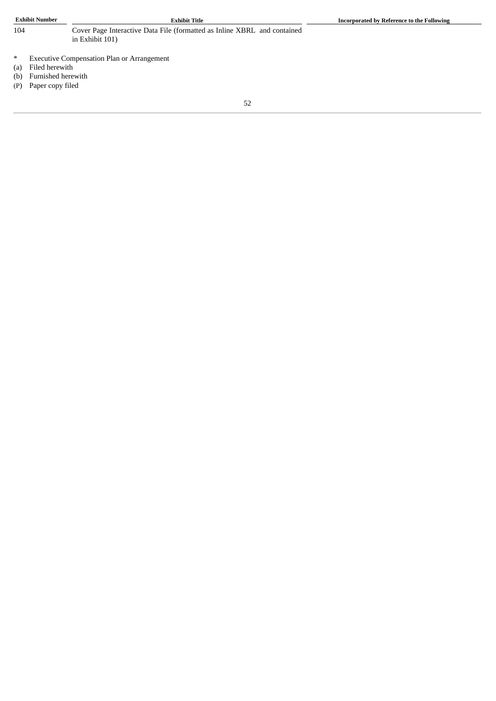**Exhibit Number Exhibit Title Incorporated by Reference to the Following**

- 104 Cover Page Interactive Data File (formatted as Inline XBRL and contained in Exhibit 101)
- \* Executive Compensation Plan or Arrangement
- (a) Filed herewith
- (b) Furnished herewith
- (P) Paper copy filed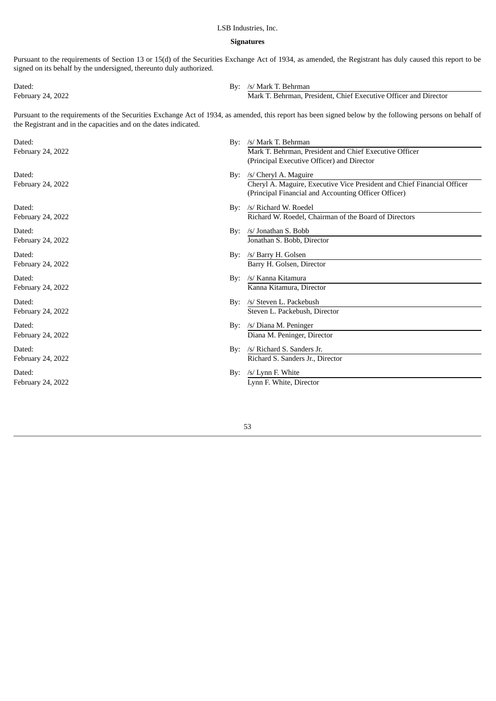#### **Signatures**

Pursuant to the requirements of Section 13 or 15(d) of the Securities Exchange Act of 1934, as amended, the Registrant has duly caused this report to be signed on its behalf by the undersigned, thereunto duly authorized.

Dated: By: /s/ Mark T. Behrman February 24, 2022 Mark T. Behrman, President, Chief Executive Officer and Director

Pursuant to the requirements of the Securities Exchange Act of 1934, as amended, this report has been signed below by the following persons on behalf of the Registrant and in the capacities and on the dates indicated.

| Dated:            |     | By: /s/ Mark T. Behrman                                                 |
|-------------------|-----|-------------------------------------------------------------------------|
| February 24, 2022 |     | Mark T. Behrman, President and Chief Executive Officer                  |
|                   |     | (Principal Executive Officer) and Director                              |
| Dated:            |     | By: /s/ Cheryl A. Maguire                                               |
| February 24, 2022 |     | Cheryl A. Maguire, Executive Vice President and Chief Financial Officer |
|                   |     | (Principal Financial and Accounting Officer Officer)                    |
| Dated:            |     | By: /s/ Richard W. Roedel                                               |
| February 24, 2022 |     | Richard W. Roedel, Chairman of the Board of Directors                   |
| Dated:            | Bv: | /s/ Jonathan S. Bobb                                                    |
| February 24, 2022 |     | Jonathan S. Bobb, Director                                              |
| Dated:            |     | By: /s/ Barry H. Golsen                                                 |
| February 24, 2022 |     | Barry H. Golsen, Director                                               |
| Dated:            | By: | /s/ Kanna Kitamura                                                      |
| February 24, 2022 |     | Kanna Kitamura, Director                                                |
| Dated:            | By: | /s/ Steven L. Packebush                                                 |
| February 24, 2022 |     | Steven L. Packebush, Director                                           |
| Dated:            |     | By: /s/ Diana M. Peninger                                               |
| February 24, 2022 |     | Diana M. Peninger, Director                                             |
| Dated:            | By: | /s/ Richard S. Sanders Jr.                                              |
| February 24, 2022 |     | Richard S. Sanders Jr., Director                                        |
| Dated:            |     | By: /s/ Lynn F. White                                                   |
| February 24, 2022 |     | Lynn F. White, Director                                                 |
|                   |     |                                                                         |

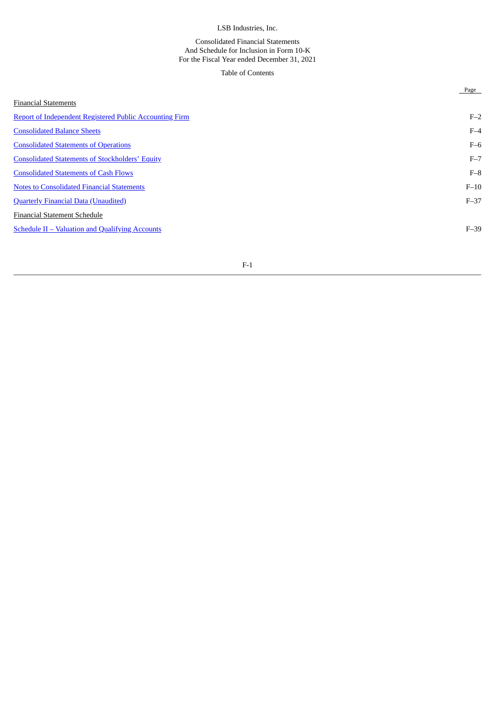## Consolidated Financial Statements And Schedule for Inclusion in Form 10-K For the Fiscal Year ended December 31, 2021

Table of Contents

|                                                                | Page   |
|----------------------------------------------------------------|--------|
| <b>Financial Statements</b>                                    |        |
| <b>Report of Independent Registered Public Accounting Firm</b> | $F-2$  |
| <b>Consolidated Balance Sheets</b>                             | $F-4$  |
| <b>Consolidated Statements of Operations</b>                   | $F-6$  |
| <b>Consolidated Statements of Stockholders' Equity</b>         | $F-7$  |
| <b>Consolidated Statements of Cash Flows</b>                   | $F-8$  |
| <b>Notes to Consolidated Financial Statements</b>              | $F-10$ |
| <b>Quarterly Financial Data (Unaudited)</b>                    | $F-37$ |
| <b>Financial Statement Schedule</b>                            |        |
| <b>Schedule II - Valuation and Qualifying Accounts</b>         | $F-39$ |
|                                                                |        |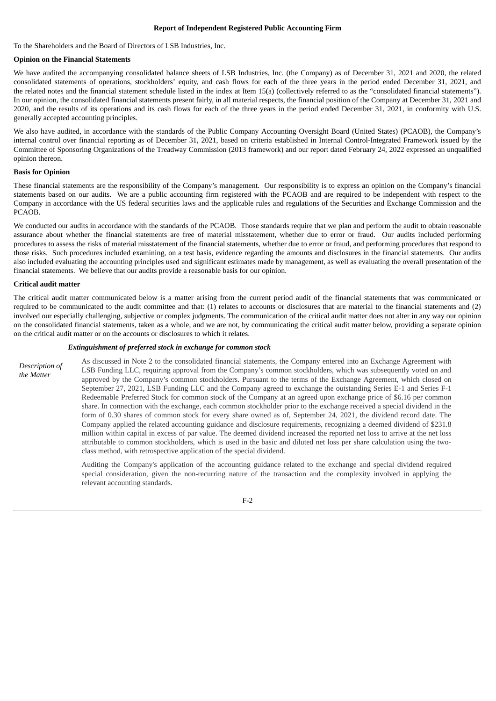#### **Report of Independent Registered Public Accounting Firm**

<span id="page-54-0"></span>To the Shareholders and the Board of Directors of LSB Industries, Inc.

## **Opinion on the Financial Statements**

We have audited the accompanying consolidated balance sheets of LSB Industries, Inc. (the Company) as of December 31, 2021 and 2020, the related consolidated statements of operations, stockholders' equity, and cash flows for each of the three years in the period ended December 31, 2021, and the related notes and the financial statement schedule listed in the index at Item 15(a) (collectively referred to as the "consolidated financial statements"). In our opinion, the consolidated financial statements present fairly, in all material respects, the financial position of the Company at December 31, 2021 and 2020, and the results of its operations and its cash flows for each of the three years in the period ended December 31, 2021, in conformity with U.S. generally accepted accounting principles.

We also have audited, in accordance with the standards of the Public Company Accounting Oversight Board (United States) (PCAOB), the Company's internal control over financial reporting as of December 31, 2021, based on criteria established in Internal Control-Integrated Framework issued by the Committee of Sponsoring Organizations of the Treadway Commission (2013 framework) and our report dated February 24, 2022 expressed an unqualified opinion thereon.

## **Basis for Opinion**

These financial statements are the responsibility of the Company's management. Our responsibility is to express an opinion on the Company's financial statements based on our audits. We are a public accounting firm registered with the PCAOB and are required to be independent with respect to the Company in accordance with the US federal securities laws and the applicable rules and regulations of the Securities and Exchange Commission and the PCAOB.

We conducted our audits in accordance with the standards of the PCAOB. Those standards require that we plan and perform the audit to obtain reasonable assurance about whether the financial statements are free of material misstatement, whether due to error or fraud. Our audits included performing procedures to assess the risks of material misstatement of the financial statements, whether due to error or fraud, and performing procedures that respond to those risks. Such procedures included examining, on a test basis, evidence regarding the amounts and disclosures in the financial statements. Our audits also included evaluating the accounting principles used and significant estimates made by management, as well as evaluating the overall presentation of the financial statements. We believe that our audits provide a reasonable basis for our opinion.

## **Critical audit matter**

The critical audit matter communicated below is a matter arising from the current period audit of the financial statements that was communicated or required to be communicated to the audit committee and that: (1) relates to accounts or disclosures that are material to the financial statements and (2) involved our especially challenging, subjective or complex judgments. The communication of the critical audit matter does not alter in any way our opinion on the consolidated financial statements, taken as a whole, and we are not, by communicating the critical audit matter below, providing a separate opinion on the critical audit matter or on the accounts or disclosures to which it relates.

## *Extinguishment of preferred stock in exchange for common stock*

*Description of the Matter*

As discussed in Note 2 to the consolidated financial statements, the Company entered into an Exchange Agreement with LSB Funding LLC, requiring approval from the Company's common stockholders, which was subsequently voted on and approved by the Company's common stockholders. Pursuant to the terms of the Exchange Agreement, which closed on September 27, 2021, LSB Funding LLC and the Company agreed to exchange the outstanding Series E-1 and Series F-1 Redeemable Preferred Stock for common stock of the Company at an agreed upon exchange price of \$6.16 per common share. In connection with the exchange, each common stockholder prior to the exchange received a special dividend in the form of 0.30 shares of common stock for every share owned as of, September 24, 2021, the dividend record date. The Company applied the related accounting guidance and disclosure requirements, recognizing a deemed dividend of \$231.8 million within capital in excess of par value. The deemed dividend increased the reported net loss to arrive at the net loss attributable to common stockholders, which is used in the basic and diluted net loss per share calculation using the twoclass method, with retrospective application of the special dividend.

Auditing the Company's application of the accounting guidance related to the exchange and special dividend required special consideration, given the non-recurring nature of the transaction and the complexity involved in applying the relevant accounting standards.

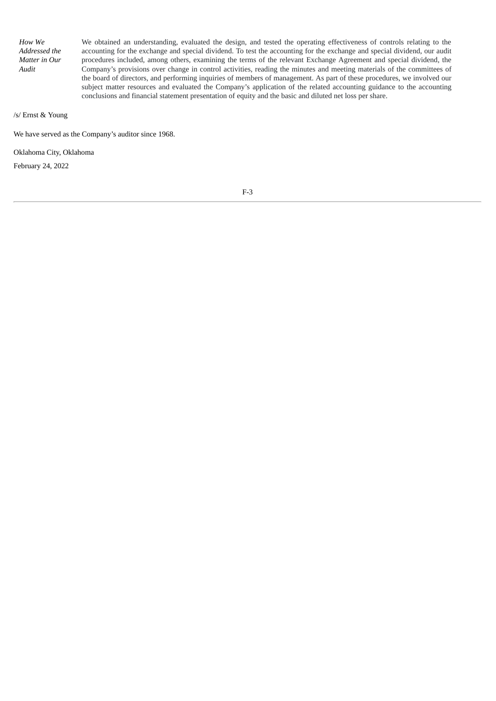*How We Addressed the Matter in Our Audit*

We obtained an understanding, evaluated the design, and tested the operating effectiveness of controls relating to the accounting for the exchange and special dividend. To test the accounting for the exchange and special dividend, our audit procedures included, among others, examining the terms of the relevant Exchange Agreement and special dividend, the Company's provisions over change in control activities, reading the minutes and meeting materials of the committees of the board of directors, and performing inquiries of members of management. As part of these procedures, we involved our subject matter resources and evaluated the Company's application of the related accounting guidance to the accounting conclusions and financial statement presentation of equity and the basic and diluted net loss per share.

/s/ Ernst & Young

We have served as the Company's auditor since 1968.

Oklahoma City, Oklahoma

February 24, 2022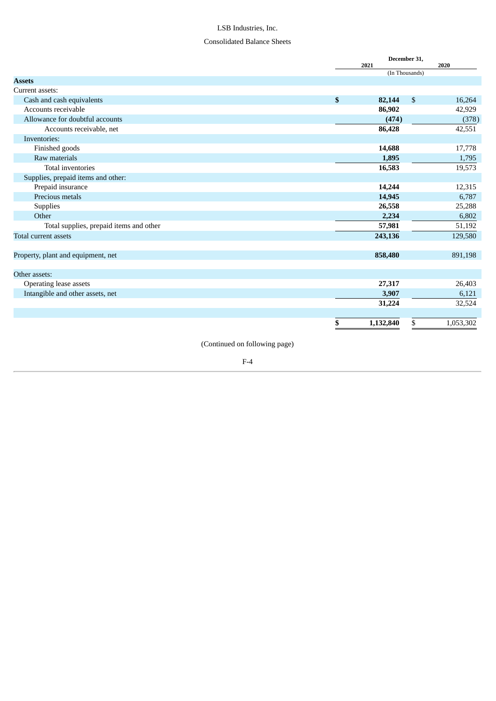# Consolidated Balance Sheets

<span id="page-56-0"></span>

|                                         | December 31, |                        |                           |           |
|-----------------------------------------|--------------|------------------------|---------------------------|-----------|
|                                         |              | 2021<br>(In Thousands) |                           | 2020      |
| <b>Assets</b>                           |              |                        |                           |           |
| Current assets:                         |              |                        |                           |           |
| Cash and cash equivalents               | \$           | 82,144                 | $\boldsymbol{\mathsf{S}}$ | 16,264    |
| Accounts receivable                     |              | 86,902                 |                           | 42,929    |
| Allowance for doubtful accounts         |              | (474)                  |                           | (378)     |
| Accounts receivable, net                |              | 86,428                 |                           | 42,551    |
| Inventories:                            |              |                        |                           |           |
| Finished goods                          |              | 14,688                 |                           | 17,778    |
| Raw materials                           |              | 1,895                  |                           | 1,795     |
| <b>Total inventories</b>                |              | 16,583                 |                           | 19,573    |
| Supplies, prepaid items and other:      |              |                        |                           |           |
| Prepaid insurance                       |              | 14,244                 |                           | 12,315    |
| Precious metals                         |              | 14,945                 |                           | 6,787     |
| Supplies                                |              | 26,558                 |                           | 25,288    |
| Other                                   |              | 2,234                  |                           | 6,802     |
| Total supplies, prepaid items and other |              | 57,981                 |                           | 51,192    |
| <b>Total current assets</b>             |              | 243,136                |                           | 129,580   |
|                                         |              |                        |                           |           |
| Property, plant and equipment, net      |              | 858,480                |                           | 891,198   |
| Other assets:                           |              |                        |                           |           |
| Operating lease assets                  |              | 27,317                 |                           | 26,403    |
| Intangible and other assets, net        |              | 3,907                  |                           | 6,121     |
|                                         |              | 31,224                 |                           | 32,524    |
|                                         |              |                        |                           |           |
|                                         | \$           | 1,132,840              | \$                        | 1,053,302 |

(Continued on following page)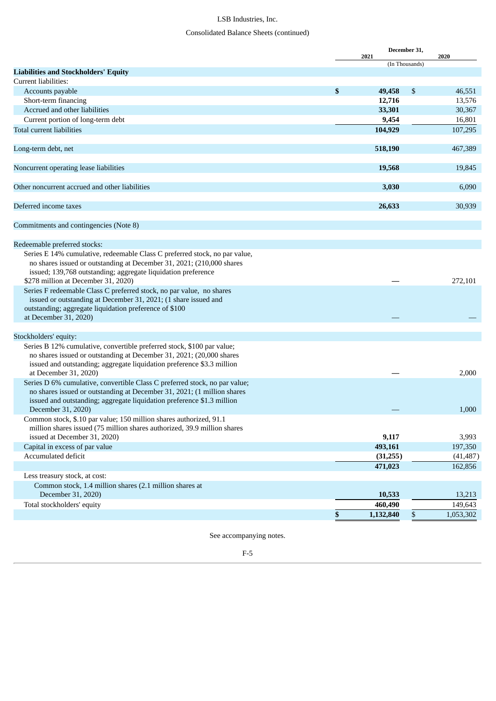# Consolidated Balance Sheets (continued)

|                                                                                                                                                                                                                                                             | December 31,           |                      |  |  |
|-------------------------------------------------------------------------------------------------------------------------------------------------------------------------------------------------------------------------------------------------------------|------------------------|----------------------|--|--|
|                                                                                                                                                                                                                                                             | 2021<br>(In Thousands) | 2020                 |  |  |
| <b>Liabilities and Stockholders' Equity</b>                                                                                                                                                                                                                 |                        |                      |  |  |
| Current liabilities:                                                                                                                                                                                                                                        |                        |                      |  |  |
| Accounts payable                                                                                                                                                                                                                                            | \$<br>49,458           | \$<br>46,551         |  |  |
| Short-term financing                                                                                                                                                                                                                                        | 12,716                 | 13,576               |  |  |
| Accrued and other liabilities                                                                                                                                                                                                                               | 33,301                 | 30,367               |  |  |
| Current portion of long-term debt                                                                                                                                                                                                                           | 9,454                  | 16,801               |  |  |
| <b>Total current liabilities</b>                                                                                                                                                                                                                            | 104,929                | 107,295              |  |  |
| Long-term debt, net                                                                                                                                                                                                                                         | 518,190                | 467,389              |  |  |
| Noncurrent operating lease liabilities                                                                                                                                                                                                                      | 19,568                 | 19,845               |  |  |
| Other noncurrent accrued and other liabilities                                                                                                                                                                                                              | 3,030                  | 6,090                |  |  |
| Deferred income taxes                                                                                                                                                                                                                                       | 26,633                 | 30,939               |  |  |
| Commitments and contingencies (Note 8)                                                                                                                                                                                                                      |                        |                      |  |  |
| Redeemable preferred stocks:                                                                                                                                                                                                                                |                        |                      |  |  |
| Series E 14% cumulative, redeemable Class C preferred stock, no par value,<br>no shares issued or outstanding at December 31, 2021; (210,000 shares<br>issued; 139,768 outstanding; aggregate liquidation preference<br>\$278 million at December 31, 2020) |                        | 272,101              |  |  |
| Series F redeemable Class C preferred stock, no par value, no shares<br>issued or outstanding at December 31, 2021; (1 share issued and<br>outstanding; aggregate liquidation preference of \$100<br>at December 31, 2020)                                  |                        |                      |  |  |
| Stockholders' equity:                                                                                                                                                                                                                                       |                        |                      |  |  |
| Series B 12% cumulative, convertible preferred stock, \$100 par value;<br>no shares issued or outstanding at December 31, 2021; (20,000 shares<br>issued and outstanding; aggregate liquidation preference \$3.3 million                                    |                        |                      |  |  |
| at December 31, 2020)<br>Series D 6% cumulative, convertible Class C preferred stock, no par value;<br>no shares issued or outstanding at December 31, 2021; (1 million shares                                                                              |                        | 2,000                |  |  |
| issued and outstanding; aggregate liquidation preference \$1.3 million                                                                                                                                                                                      |                        |                      |  |  |
| December 31, 2020)                                                                                                                                                                                                                                          |                        | 1,000                |  |  |
| Common stock, \$.10 par value; 150 million shares authorized, 91.1<br>million shares issued (75 million shares authorized, 39.9 million shares                                                                                                              |                        |                      |  |  |
| issued at December 31, 2020)<br>Capital in excess of par value                                                                                                                                                                                              | 9,117<br>493,161       | 3,993<br>197,350     |  |  |
| Accumulated deficit                                                                                                                                                                                                                                         |                        |                      |  |  |
|                                                                                                                                                                                                                                                             | (31,255)<br>471,023    | (41, 487)<br>162,856 |  |  |
| Less treasury stock, at cost:                                                                                                                                                                                                                               |                        |                      |  |  |
| Common stock, 1.4 million shares (2.1 million shares at                                                                                                                                                                                                     |                        |                      |  |  |
| December 31, 2020)                                                                                                                                                                                                                                          | 10,533                 | 13,213               |  |  |
| Total stockholders' equity                                                                                                                                                                                                                                  | 460,490                | 149,643              |  |  |
|                                                                                                                                                                                                                                                             |                        | 1,053,302            |  |  |
|                                                                                                                                                                                                                                                             | \$<br>1,132,840        | \$                   |  |  |

See accompanying notes.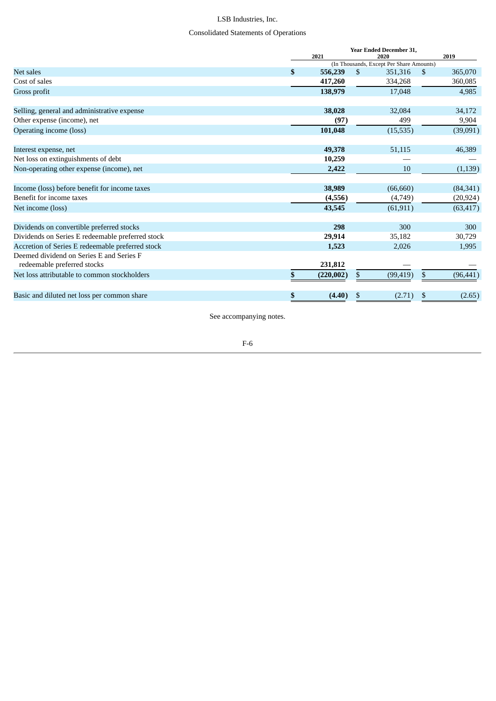# Consolidated Statements of Operations

<span id="page-58-0"></span>

|                                                                         | <b>Year Ended December 31,</b> |                                          |    |           |
|-------------------------------------------------------------------------|--------------------------------|------------------------------------------|----|-----------|
|                                                                         | 2021                           | 2020                                     |    | 2019      |
|                                                                         |                                | (In Thousands, Except Per Share Amounts) |    |           |
| Net sales                                                               | \$<br>556,239                  | \$<br>351,316                            | S  | 365,070   |
| Cost of sales                                                           | 417,260                        | 334,268                                  |    | 360,085   |
| Gross profit                                                            | 138,979                        | 17,048                                   |    | 4,985     |
| Selling, general and administrative expense                             | 38,028                         | 32,084                                   |    | 34,172    |
| Other expense (income), net                                             | (97)                           | 499                                      |    | 9,904     |
| Operating income (loss)                                                 | 101,048                        | (15, 535)                                |    | (39,091)  |
| Interest expense, net                                                   | 49,378                         | 51,115                                   |    | 46,389    |
| Net loss on extinguishments of debt                                     | 10,259                         |                                          |    |           |
| Non-operating other expense (income), net                               | 2,422                          | 10                                       |    | (1, 139)  |
| Income (loss) before benefit for income taxes                           | 38,989                         | (66, 660)                                |    | (84, 341) |
| Benefit for income taxes                                                | (4,556)                        | (4,749)                                  |    | (20,924)  |
| Net income (loss)                                                       | 43,545                         | (61, 911)                                |    | (63, 417) |
| Dividends on convertible preferred stocks                               | 298                            | 300                                      |    | 300       |
| Dividends on Series E redeemable preferred stock                        | 29,914                         | 35,182                                   |    | 30,729    |
| Accretion of Series E redeemable preferred stock                        | 1,523                          | 2,026                                    |    | 1,995     |
| Deemed dividend on Series E and Series F<br>redeemable preferred stocks | 231,812                        |                                          |    |           |
| Net loss attributable to common stockholders                            | \$<br>(220, 002)               | \$<br>(99, 419)                          | \$ | (96, 441) |
| Basic and diluted net loss per common share                             | \$<br>(4.40)                   | (2.71)<br>\$                             | \$ | (2.65)    |
|                                                                         |                                |                                          |    |           |

See accompanying notes.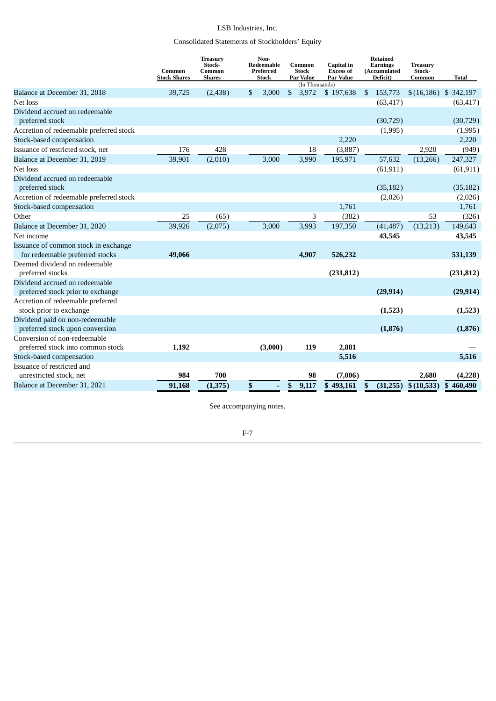# Consolidated Statements of Stockholders' Equity

<span id="page-59-0"></span>

|                                                                         | Common<br><b>Stock Shares</b> | <b>Treasury</b><br>Stock-<br>Common<br><b>Shares</b> | Non-<br>Redeemable<br>Preferred<br>Stock | Common         | <b>Stock</b><br>Par Value | <b>Capital</b> in<br><b>Excess of</b><br>Par Value |               | <b>Retained</b><br><b>Earnings</b><br>(Accumulated<br>Deficit) | <b>Treasury</b><br>Stock-<br>Common | <b>Total</b> |
|-------------------------------------------------------------------------|-------------------------------|------------------------------------------------------|------------------------------------------|----------------|---------------------------|----------------------------------------------------|---------------|----------------------------------------------------------------|-------------------------------------|--------------|
|                                                                         | 39,725                        |                                                      | \$<br>3,000                              | $\mathfrak{S}$ | (In Thousands)<br>3,972   | \$197,638                                          | <sup>\$</sup> | 153,773                                                        |                                     | \$342,197    |
| Balance at December 31, 2018<br>Net loss                                |                               | (2, 438)                                             |                                          |                |                           |                                                    |               | (63, 417)                                                      | \$(16, 186)                         |              |
| Dividend accrued on redeemable                                          |                               |                                                      |                                          |                |                           |                                                    |               |                                                                |                                     | (63, 417)    |
| preferred stock                                                         |                               |                                                      |                                          |                |                           |                                                    |               | (30, 729)                                                      |                                     | (30, 729)    |
| Accretion of redeemable preferred stock                                 |                               |                                                      |                                          |                |                           |                                                    |               | (1,995)                                                        |                                     | (1,995)      |
| Stock-based compensation                                                |                               |                                                      |                                          |                |                           | 2,220                                              |               |                                                                |                                     | 2,220        |
| Issuance of restricted stock, net                                       | 176                           | 428                                                  |                                          |                | 18                        | (3,887)                                            |               |                                                                | 2,920                               | (949)        |
| Balance at December 31, 2019                                            | 39,901                        | (2,010)                                              | 3,000                                    |                | 3,990                     | 195,971                                            |               | 57,632                                                         | (13,266)                            | 247,327      |
| Net loss                                                                |                               |                                                      |                                          |                |                           |                                                    |               | (61, 911)                                                      |                                     | (61, 911)    |
| Dividend accrued on redeemable<br>preferred stock                       |                               |                                                      |                                          |                |                           |                                                    |               | (35, 182)                                                      |                                     | (35, 182)    |
| Accretion of redeemable preferred stock                                 |                               |                                                      |                                          |                |                           |                                                    |               | (2,026)                                                        |                                     | (2,026)      |
| Stock-based compensation                                                |                               |                                                      |                                          |                |                           | 1,761                                              |               |                                                                |                                     | 1,761        |
| Other                                                                   | 25                            | (65)                                                 |                                          |                | 3                         | (382)                                              |               |                                                                | 53                                  | (326)        |
| Balance at December 31, 2020                                            | 39,926                        | (2,075)                                              | 3,000                                    |                | 3,993                     | 197,350                                            |               | (41, 487)                                                      | (13,213)                            | 149,643      |
| Net income                                                              |                               |                                                      |                                          |                |                           |                                                    |               | 43,545                                                         |                                     | 43,545       |
| Issuance of common stock in exchange<br>for redeemable preferred stocks | 49,066                        |                                                      |                                          |                | 4,907                     | 526,232                                            |               |                                                                |                                     | 531,139      |
| Deemed dividend on redeemable                                           |                               |                                                      |                                          |                |                           |                                                    |               |                                                                |                                     |              |
| preferred stocks                                                        |                               |                                                      |                                          |                |                           | (231, 812)                                         |               |                                                                |                                     | (231, 812)   |
| Dividend accrued on redeemable                                          |                               |                                                      |                                          |                |                           |                                                    |               |                                                                |                                     |              |
| preferred stock prior to exchange                                       |                               |                                                      |                                          |                |                           |                                                    |               | (29, 914)                                                      |                                     | (29, 914)    |
| Accretion of redeemable preferred<br>stock prior to exchange            |                               |                                                      |                                          |                |                           |                                                    |               | (1,523)                                                        |                                     | (1,523)      |
| Dividend paid on non-redeemable<br>preferred stock upon conversion      |                               |                                                      |                                          |                |                           |                                                    |               | (1,876)                                                        |                                     | (1,876)      |
| Conversion of non-redeemable                                            |                               |                                                      |                                          |                |                           |                                                    |               |                                                                |                                     |              |
| preferred stock into common stock                                       | 1,192                         |                                                      | (3,000)                                  |                | 119                       | 2,881                                              |               |                                                                |                                     |              |
| Stock-based compensation                                                |                               |                                                      |                                          |                |                           | 5,516                                              |               |                                                                |                                     | 5,516        |
| Issuance of restricted and                                              |                               |                                                      |                                          |                |                           |                                                    |               |                                                                |                                     |              |
| unrestricted stock, net                                                 | 984                           | 700                                                  |                                          |                | 98                        | (7,006)                                            |               |                                                                | 2,680                               | (4,228)      |
| Balance at December 31, 2021                                            | 91,168                        | (1, 375)                                             | \$<br>$\blacksquare$                     | \$             | 9,117                     | \$493,161                                          | \$            | (31,255)                                                       | \$(10,533)                          | \$460,490    |

See accompanying notes.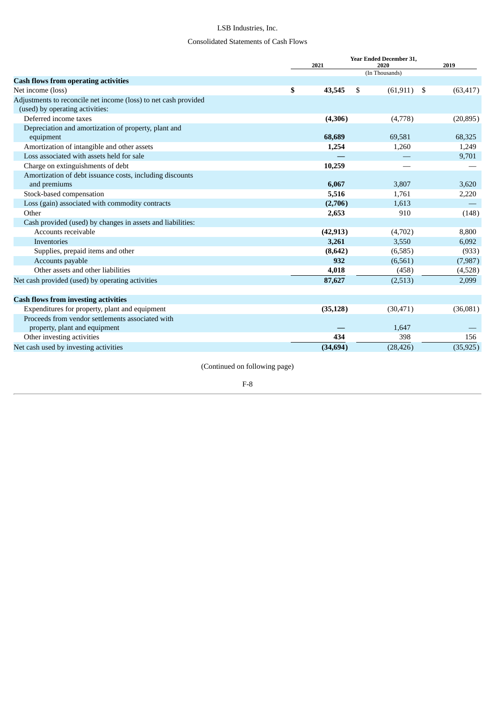# Consolidated Statements of Cash Flows

<span id="page-60-0"></span>

|                                                                 | Year Ended December 31, |    |                        |      |           |  |
|-----------------------------------------------------------------|-------------------------|----|------------------------|------|-----------|--|
|                                                                 | 2021                    |    | 2020<br>(In Thousands) | 2019 |           |  |
| <b>Cash flows from operating activities</b>                     |                         |    |                        |      |           |  |
| Net income (loss)                                               | \$<br>43,545            | \$ | (61, 911)              | -\$  | (63, 417) |  |
| Adjustments to reconcile net income (loss) to net cash provided |                         |    |                        |      |           |  |
| (used) by operating activities:                                 |                         |    |                        |      |           |  |
| Deferred income taxes                                           | (4,306)                 |    | (4,778)                |      | (20, 895) |  |
| Depreciation and amortization of property, plant and            |                         |    |                        |      |           |  |
| equipment                                                       | 68,689                  |    | 69,581                 |      | 68,325    |  |
| Amortization of intangible and other assets                     | 1,254                   |    | 1,260                  |      | 1,249     |  |
| Loss associated with assets held for sale                       |                         |    |                        |      | 9,701     |  |
| Charge on extinguishments of debt                               | 10,259                  |    |                        |      |           |  |
| Amortization of debt issuance costs, including discounts        |                         |    |                        |      |           |  |
| and premiums                                                    | 6,067                   |    | 3,807                  |      | 3,620     |  |
| Stock-based compensation                                        | 5,516                   |    | 1,761                  |      | 2,220     |  |
| Loss (gain) associated with commodity contracts                 | (2,706)                 |    | 1,613                  |      |           |  |
| Other                                                           | 2,653                   |    | 910                    |      | (148)     |  |
| Cash provided (used) by changes in assets and liabilities:      |                         |    |                        |      |           |  |
| Accounts receivable                                             | (42, 913)               |    | (4,702)                |      | 8,800     |  |
| Inventories                                                     | 3,261                   |    | 3,550                  |      | 6,092     |  |
| Supplies, prepaid items and other                               | (8,642)                 |    | (6,585)                |      | (933)     |  |
| Accounts payable                                                | 932                     |    | (6, 561)               |      | (7,987)   |  |
| Other assets and other liabilities                              | 4,018                   |    | (458)                  |      | (4,528)   |  |
| Net cash provided (used) by operating activities                | 87,627                  |    | (2,513)                |      | 2,099     |  |
|                                                                 |                         |    |                        |      |           |  |
| <b>Cash flows from investing activities</b>                     |                         |    |                        |      |           |  |
| Expenditures for property, plant and equipment                  | (35, 128)               |    | (30, 471)              |      | (36,081)  |  |
| Proceeds from vendor settlements associated with                |                         |    |                        |      |           |  |
| property, plant and equipment                                   |                         |    | 1,647                  |      |           |  |
| Other investing activities                                      | 434                     |    | 398                    |      | 156       |  |
| Net cash used by investing activities                           | (34, 694)               |    | (28, 426)              |      | (35, 925) |  |

(Continued on following page)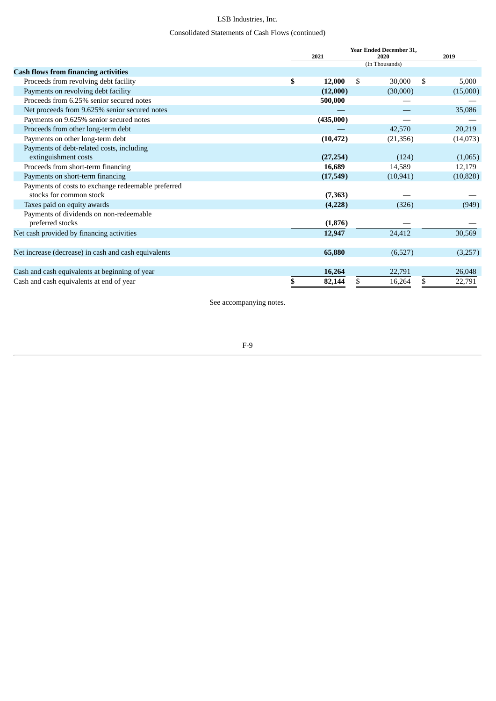# Consolidated Statements of Cash Flows (continued)

| 2021         |                         | 2019                                                                                                                                                                                                                             |
|--------------|-------------------------|----------------------------------------------------------------------------------------------------------------------------------------------------------------------------------------------------------------------------------|
|              |                         |                                                                                                                                                                                                                                  |
|              |                         | 5,000<br>S.                                                                                                                                                                                                                      |
|              |                         | (15,000)                                                                                                                                                                                                                         |
|              |                         |                                                                                                                                                                                                                                  |
|              |                         | 35,086                                                                                                                                                                                                                           |
|              |                         |                                                                                                                                                                                                                                  |
|              |                         | 20,219                                                                                                                                                                                                                           |
|              |                         | (14,073)                                                                                                                                                                                                                         |
|              |                         |                                                                                                                                                                                                                                  |
|              |                         | (1,065)                                                                                                                                                                                                                          |
| 16,689       | 14,589                  | 12,179                                                                                                                                                                                                                           |
|              |                         | (10, 828)                                                                                                                                                                                                                        |
|              |                         |                                                                                                                                                                                                                                  |
|              |                         |                                                                                                                                                                                                                                  |
|              | (326)                   | (949)                                                                                                                                                                                                                            |
|              |                         |                                                                                                                                                                                                                                  |
|              |                         |                                                                                                                                                                                                                                  |
| 12,947       | 24,412                  | 30,569                                                                                                                                                                                                                           |
|              |                         |                                                                                                                                                                                                                                  |
| 65,880       | (6,527)                 | (3,257)                                                                                                                                                                                                                          |
|              |                         |                                                                                                                                                                                                                                  |
| 16,264       | 22,791                  | 26,048                                                                                                                                                                                                                           |
| 82,144<br>\$ | \$<br>16,264            | 22,791<br>\$                                                                                                                                                                                                                     |
|              | \$<br>12,000<br>500,000 | <b>Year Ended December 31,</b><br>2020<br>(In Thousands)<br>S<br>30,000<br>(30,000)<br>(12,000)<br>(435,000)<br>42,570<br>(10, 472)<br>(21, 356)<br>(27, 254)<br>(124)<br>(17,549)<br>(10, 941)<br>(7,363)<br>(4,228)<br>(1,876) |

See accompanying notes.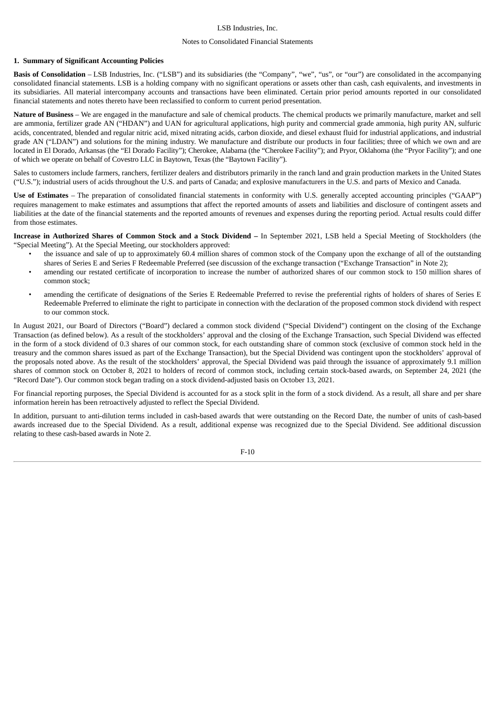## Notes to Consolidated Financial Statements

## <span id="page-62-0"></span>**1. Summary of Significant Accounting Policies**

**Basis of Consolidation** – LSB Industries, Inc. ("LSB") and its subsidiaries (the "Company", "we", "us", or "our") are consolidated in the accompanying consolidated financial statements. LSB is a holding company with no significant operations or assets other than cash, cash equivalents, and investments in its subsidiaries. All material intercompany accounts and transactions have been eliminated. Certain prior period amounts reported in our consolidated financial statements and notes thereto have been reclassified to conform to current period presentation.

**Nature of Business** – We are engaged in the manufacture and sale of chemical products. The chemical products we primarily manufacture, market and sell are ammonia, fertilizer grade AN ("HDAN") and UAN for agricultural applications, high purity and commercial grade ammonia, high purity AN, sulfuric acids, concentrated, blended and regular nitric acid, mixed nitrating acids, carbon dioxide, and diesel exhaust fluid for industrial applications, and industrial grade AN ("LDAN") and solutions for the mining industry. We manufacture and distribute our products in four facilities; three of which we own and are located in El Dorado, Arkansas (the "El Dorado Facility"); Cherokee, Alabama (the "Cherokee Facility"); and Pryor, Oklahoma (the "Pryor Facility"); and one of which we operate on behalf of Covestro LLC in Baytown, Texas (the "Baytown Facility").

Sales to customers include farmers, ranchers, fertilizer dealers and distributors primarily in the ranch land and grain production markets in the United States ("U.S."); industrial users of acids throughout the U.S. and parts of Canada; and explosive manufacturers in the U.S. and parts of Mexico and Canada.

**Use of Estimates** – The preparation of consolidated financial statements in conformity with U.S. generally accepted accounting principles ("GAAP") requires management to make estimates and assumptions that affect the reported amounts of assets and liabilities and disclosure of contingent assets and liabilities at the date of the financial statements and the reported amounts of revenues and expenses during the reporting period. Actual results could differ from those estimates.

**Increase in Authorized Shares of Common Stock and a Stock Dividend –** In September 2021, LSB held a Special Meeting of Stockholders (the "Special Meeting"). At the Special Meeting, our stockholders approved:

- the issuance and sale of up to approximately 60.4 million shares of common stock of the Company upon the exchange of all of the outstanding shares of Series E and Series F Redeemable Preferred (see discussion of the exchange transaction ("Exchange Transaction" in Note 2);
- amending our restated certificate of incorporation to increase the number of authorized shares of our common stock to 150 million shares of common stock;
- amending the certificate of designations of the Series E Redeemable Preferred to revise the preferential rights of holders of shares of Series E Redeemable Preferred to eliminate the right to participate in connection with the declaration of the proposed common stock dividend with respect to our common stock.

In August 2021, our Board of Directors ("Board") declared a common stock dividend ("Special Dividend") contingent on the closing of the Exchange Transaction (as defined below). As a result of the stockholders' approval and the closing of the Exchange Transaction, such Special Dividend was effected in the form of a stock dividend of 0.3 shares of our common stock, for each outstanding share of common stock (exclusive of common stock held in the treasury and the common shares issued as part of the Exchange Transaction), but the Special Dividend was contingent upon the stockholders' approval of the proposals noted above. As the result of the stockholders' approval, the Special Dividend was paid through the issuance of approximately 9.1 million shares of common stock on October 8, 2021 to holders of record of common stock, including certain stock-based awards, on September 24, 2021 (the "Record Date"). Our common stock began trading on a stock dividend-adjusted basis on October 13, 2021.

For financial reporting purposes, the Special Dividend is accounted for as a stock split in the form of a stock dividend. As a result, all share and per share information herein has been retroactively adjusted to reflect the Special Dividend.

In addition, pursuant to anti-dilution terms included in cash-based awards that were outstanding on the Record Date, the number of units of cash-based awards increased due to the Special Dividend. As a result, additional expense was recognized due to the Special Dividend. See additional discussion relating to these cash-based awards in Note 2.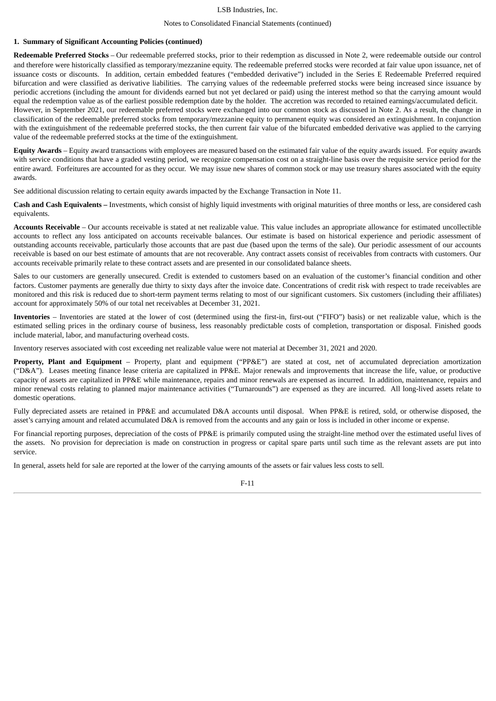## Notes to Consolidated Financial Statements (continued)

## **1. Summary of Significant Accounting Policies (continued)**

**Redeemable Preferred Stocks** – Our redeemable preferred stocks, prior to their redemption as discussed in Note 2, were redeemable outside our control and therefore were historically classified as temporary/mezzanine equity. The redeemable preferred stocks were recorded at fair value upon issuance, net of issuance costs or discounts. In addition, certain embedded features ("embedded derivative") included in the Series E Redeemable Preferred required bifurcation and were classified as derivative liabilities. The carrying values of the redeemable preferred stocks were being increased since issuance by periodic accretions (including the amount for dividends earned but not yet declared or paid) using the interest method so that the carrying amount would equal the redemption value as of the earliest possible redemption date by the holder. The accretion was recorded to retained earnings/accumulated deficit. However, in September 2021, our redeemable preferred stocks were exchanged into our common stock as discussed in Note 2. As a result, the change in classification of the redeemable preferred stocks from temporary/mezzanine equity to permanent equity was considered an extinguishment. In conjunction with the extinguishment of the redeemable preferred stocks, the then current fair value of the bifurcated embedded derivative was applied to the carrying value of the redeemable preferred stocks at the time of the extinguishment.

**Equity Awards** – Equity award transactions with employees are measured based on the estimated fair value of the equity awards issued. For equity awards with service conditions that have a graded vesting period, we recognize compensation cost on a straight-line basis over the requisite service period for the entire award. Forfeitures are accounted for as they occur. We may issue new shares of common stock or may use treasury shares associated with the equity awards.

See additional discussion relating to certain equity awards impacted by the Exchange Transaction in Note 11.

**Cash and Cash Equivalents –** Investments, which consist of highly liquid investments with original maturities of three months or less, are considered cash equivalents.

**Accounts Receivable** – Our accounts receivable is stated at net realizable value. This value includes an appropriate allowance for estimated uncollectible accounts to reflect any loss anticipated on accounts receivable balances. Our estimate is based on historical experience and periodic assessment of outstanding accounts receivable, particularly those accounts that are past due (based upon the terms of the sale). Our periodic assessment of our accounts receivable is based on our best estimate of amounts that are not recoverable. Any contract assets consist of receivables from contracts with customers. Our accounts receivable primarily relate to these contract assets and are presented in our consolidated balance sheets.

Sales to our customers are generally unsecured. Credit is extended to customers based on an evaluation of the customer's financial condition and other factors. Customer payments are generally due thirty to sixty days after the invoice date. Concentrations of credit risk with respect to trade receivables are monitored and this risk is reduced due to short-term payment terms relating to most of our significant customers. Six customers (including their affiliates) account for approximately 50% of our total net receivables at December 31, 2021.

**Inventories** – Inventories are stated at the lower of cost (determined using the first-in, first-out ("FIFO") basis) or net realizable value, which is the estimated selling prices in the ordinary course of business, less reasonably predictable costs of completion, transportation or disposal. Finished goods include material, labor, and manufacturing overhead costs.

Inventory reserves associated with cost exceeding net realizable value were not material at December 31, 2021 and 2020.

**Property, Plant and Equipment** – Property, plant and equipment ("PP&E") are stated at cost, net of accumulated depreciation amortization ("D&A"). Leases meeting finance lease criteria are capitalized in PP&E. Major renewals and improvements that increase the life, value, or productive capacity of assets are capitalized in PP&E while maintenance, repairs and minor renewals are expensed as incurred. In addition, maintenance, repairs and minor renewal costs relating to planned major maintenance activities ("Turnarounds") are expensed as they are incurred. All long-lived assets relate to domestic operations.

Fully depreciated assets are retained in PP&E and accumulated D&A accounts until disposal. When PP&E is retired, sold, or otherwise disposed, the asset's carrying amount and related accumulated D&A is removed from the accounts and any gain or loss is included in other income or expense.

For financial reporting purposes, depreciation of the costs of PP&E is primarily computed using the straight-line method over the estimated useful lives of the assets. No provision for depreciation is made on construction in progress or capital spare parts until such time as the relevant assets are put into service.

In general, assets held for sale are reported at the lower of the carrying amounts of the assets or fair values less costs to sell.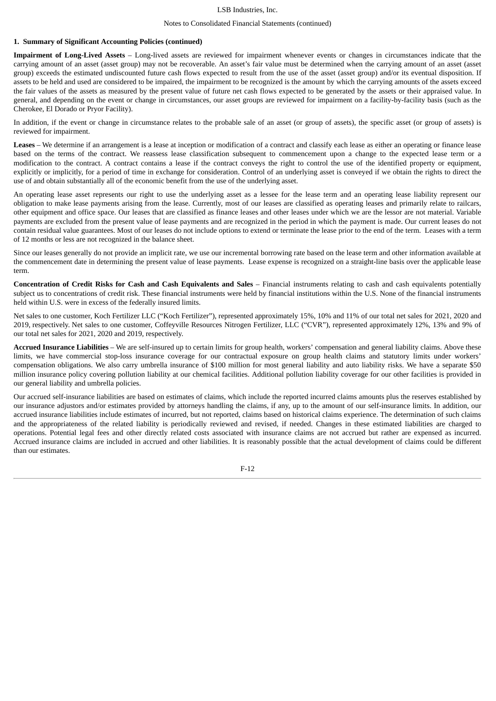## Notes to Consolidated Financial Statements (continued)

## **1. Summary of Significant Accounting Policies (continued)**

**Impairment of Long-Lived Assets** – Long-lived assets are reviewed for impairment whenever events or changes in circumstances indicate that the carrying amount of an asset (asset group) may not be recoverable. An asset's fair value must be determined when the carrying amount of an asset (asset group) exceeds the estimated undiscounted future cash flows expected to result from the use of the asset (asset group) and/or its eventual disposition. If assets to be held and used are considered to be impaired, the impairment to be recognized is the amount by which the carrying amounts of the assets exceed the fair values of the assets as measured by the present value of future net cash flows expected to be generated by the assets or their appraised value. In general, and depending on the event or change in circumstances, our asset groups are reviewed for impairment on a facility-by-facility basis (such as the Cherokee, El Dorado or Pryor Facility).

In addition, if the event or change in circumstance relates to the probable sale of an asset (or group of assets), the specific asset (or group of assets) is reviewed for impairment.

**Leases** – We determine if an arrangement is a lease at inception or modification of a contract and classify each lease as either an operating or finance lease based on the terms of the contract. We reassess lease classification subsequent to commencement upon a change to the expected lease term or a modification to the contract. A contract contains a lease if the contract conveys the right to control the use of the identified property or equipment, explicitly or implicitly, for a period of time in exchange for consideration. Control of an underlying asset is conveyed if we obtain the rights to direct the use of and obtain substantially all of the economic benefit from the use of the underlying asset.

An operating lease asset represents our right to use the underlying asset as a lessee for the lease term and an operating lease liability represent our obligation to make lease payments arising from the lease. Currently, most of our leases are classified as operating leases and primarily relate to railcars, other equipment and office space. Our leases that are classified as finance leases and other leases under which we are the lessor are not material. Variable payments are excluded from the present value of lease payments and are recognized in the period in which the payment is made. Our current leases do not contain residual value guarantees. Most of our leases do not include options to extend or terminate the lease prior to the end of the term. Leases with a term of 12 months or less are not recognized in the balance sheet.

Since our leases generally do not provide an implicit rate, we use our incremental borrowing rate based on the lease term and other information available at the commencement date in determining the present value of lease payments. Lease expense is recognized on a straight-line basis over the applicable lease term.

**Concentration of Credit Risks for Cash and Cash Equivalents and Sales** – Financial instruments relating to cash and cash equivalents potentially subject us to concentrations of credit risk. These financial instruments were held by financial institutions within the U.S. None of the financial instruments held within U.S. were in excess of the federally insured limits.

Net sales to one customer, Koch Fertilizer LLC ("Koch Fertilizer"), represented approximately 15%, 10% and 11% of our total net sales for 2021, 2020 and 2019, respectively. Net sales to one customer, Coffeyville Resources Nitrogen Fertilizer, LLC ("CVR"), represented approximately 12%, 13% and 9% of our total net sales for 2021, 2020 and 2019, respectively.

**Accrued Insurance Liabilities** – We are self-insured up to certain limits for group health, workers' compensation and general liability claims. Above these limits, we have commercial stop-loss insurance coverage for our contractual exposure on group health claims and statutory limits under workers' compensation obligations. We also carry umbrella insurance of \$100 million for most general liability and auto liability risks. We have a separate \$50 million insurance policy covering pollution liability at our chemical facilities. Additional pollution liability coverage for our other facilities is provided in our general liability and umbrella policies.

Our accrued self-insurance liabilities are based on estimates of claims, which include the reported incurred claims amounts plus the reserves established by our insurance adjustors and/or estimates provided by attorneys handling the claims, if any, up to the amount of our self-insurance limits. In addition, our accrued insurance liabilities include estimates of incurred, but not reported, claims based on historical claims experience. The determination of such claims and the appropriateness of the related liability is periodically reviewed and revised, if needed. Changes in these estimated liabilities are charged to operations. Potential legal fees and other directly related costs associated with insurance claims are not accrued but rather are expensed as incurred. Accrued insurance claims are included in accrued and other liabilities. It is reasonably possible that the actual development of claims could be different than our estimates.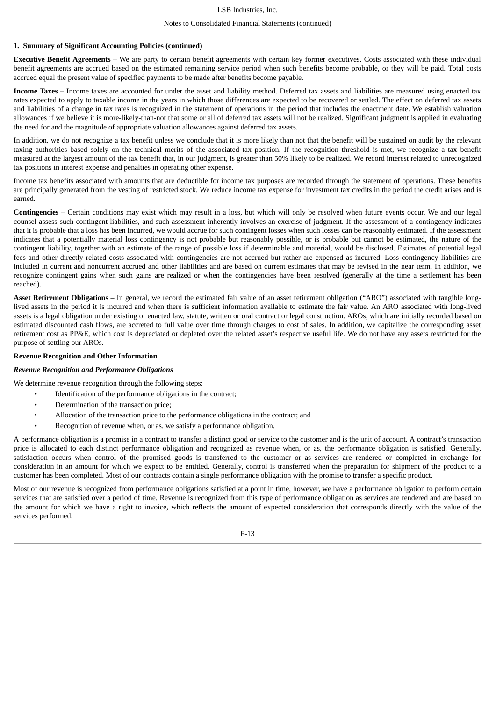## Notes to Consolidated Financial Statements (continued)

#### **1. Summary of Significant Accounting Policies (continued)**

**Executive Benefit Agreements** – We are party to certain benefit agreements with certain key former executives. Costs associated with these individual benefit agreements are accrued based on the estimated remaining service period when such benefits become probable, or they will be paid. Total costs accrued equal the present value of specified payments to be made after benefits become payable.

**Income Taxes –** Income taxes are accounted for under the asset and liability method. Deferred tax assets and liabilities are measured using enacted tax rates expected to apply to taxable income in the years in which those differences are expected to be recovered or settled. The effect on deferred tax assets and liabilities of a change in tax rates is recognized in the statement of operations in the period that includes the enactment date. We establish valuation allowances if we believe it is more-likely-than-not that some or all of deferred tax assets will not be realized. Significant judgment is applied in evaluating the need for and the magnitude of appropriate valuation allowances against deferred tax assets.

In addition, we do not recognize a tax benefit unless we conclude that it is more likely than not that the benefit will be sustained on audit by the relevant taxing authorities based solely on the technical merits of the associated tax position. If the recognition threshold is met, we recognize a tax benefit measured at the largest amount of the tax benefit that, in our judgment, is greater than 50% likely to be realized. We record interest related to unrecognized tax positions in interest expense and penalties in operating other expense.

Income tax benefits associated with amounts that are deductible for income tax purposes are recorded through the statement of operations. These benefits are principally generated from the vesting of restricted stock. We reduce income tax expense for investment tax credits in the period the credit arises and is earned.

**Contingencies** – Certain conditions may exist which may result in a loss, but which will only be resolved when future events occur. We and our legal counsel assess such contingent liabilities, and such assessment inherently involves an exercise of judgment. If the assessment of a contingency indicates that it is probable that a loss has been incurred, we would accrue for such contingent losses when such losses can be reasonably estimated. If the assessment indicates that a potentially material loss contingency is not probable but reasonably possible, or is probable but cannot be estimated, the nature of the contingent liability, together with an estimate of the range of possible loss if determinable and material, would be disclosed. Estimates of potential legal fees and other directly related costs associated with contingencies are not accrued but rather are expensed as incurred. Loss contingency liabilities are included in current and noncurrent accrued and other liabilities and are based on current estimates that may be revised in the near term. In addition, we recognize contingent gains when such gains are realized or when the contingencies have been resolved (generally at the time a settlement has been reached).

**Asset Retirement Obligations** – In general, we record the estimated fair value of an asset retirement obligation ("ARO") associated with tangible longlived assets in the period it is incurred and when there is sufficient information available to estimate the fair value. An ARO associated with long-lived assets is a legal obligation under existing or enacted law, statute, written or oral contract or legal construction. AROs, which are initially recorded based on estimated discounted cash flows, are accreted to full value over time through charges to cost of sales. In addition, we capitalize the corresponding asset retirement cost as PP&E, which cost is depreciated or depleted over the related asset's respective useful life. We do not have any assets restricted for the purpose of settling our AROs.

#### **Revenue Recognition and Other Information**

#### *Revenue Recognition and Performance Obligations*

We determine revenue recognition through the following steps:

- Identification of the performance obligations in the contract;
- Determination of the transaction price;
- Allocation of the transaction price to the performance obligations in the contract; and
- Recognition of revenue when, or as, we satisfy a performance obligation.

A performance obligation is a promise in a contract to transfer a distinct good or service to the customer and is the unit of account. A contract's transaction price is allocated to each distinct performance obligation and recognized as revenue when, or as, the performance obligation is satisfied. Generally, satisfaction occurs when control of the promised goods is transferred to the customer or as services are rendered or completed in exchange for consideration in an amount for which we expect to be entitled. Generally, control is transferred when the preparation for shipment of the product to a customer has been completed. Most of our contracts contain a single performance obligation with the promise to transfer a specific product.

Most of our revenue is recognized from performance obligations satisfied at a point in time, however, we have a performance obligation to perform certain services that are satisfied over a period of time. Revenue is recognized from this type of performance obligation as services are rendered and are based on the amount for which we have a right to invoice, which reflects the amount of expected consideration that corresponds directly with the value of the services performed.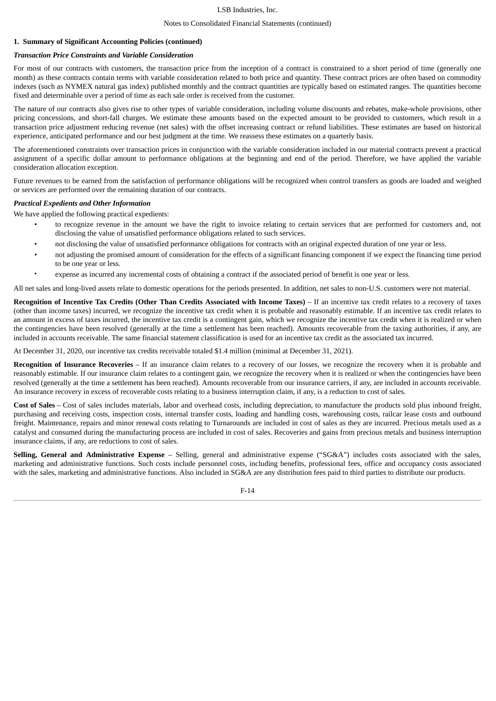## Notes to Consolidated Financial Statements (continued)

#### **1. Summary of Significant Accounting Policies (continued)**

#### *Transaction Price Constraints and Variable Consideration*

For most of our contracts with customers, the transaction price from the inception of a contract is constrained to a short period of time (generally one month) as these contracts contain terms with variable consideration related to both price and quantity. These contract prices are often based on commodity indexes (such as NYMEX natural gas index) published monthly and the contract quantities are typically based on estimated ranges. The quantities become fixed and determinable over a period of time as each sale order is received from the customer.

The nature of our contracts also gives rise to other types of variable consideration, including volume discounts and rebates, make-whole provisions, other pricing concessions, and short-fall charges. We estimate these amounts based on the expected amount to be provided to customers, which result in a transaction price adjustment reducing revenue (net sales) with the offset increasing contract or refund liabilities. These estimates are based on historical experience, anticipated performance and our best judgment at the time. We reassess these estimates on a quarterly basis.

The aforementioned constraints over transaction prices in conjunction with the variable consideration included in our material contracts prevent a practical assignment of a specific dollar amount to performance obligations at the beginning and end of the period. Therefore, we have applied the variable consideration allocation exception.

Future revenues to be earned from the satisfaction of performance obligations will be recognized when control transfers as goods are loaded and weighed or services are performed over the remaining duration of our contracts.

## *Practical Expedients and Other Information*

We have applied the following practical expedients:

- to recognize revenue in the amount we have the right to invoice relating to certain services that are performed for customers and, not disclosing the value of unsatisfied performance obligations related to such services.
- not disclosing the value of unsatisfied performance obligations for contracts with an original expected duration of one year or less.
- not adjusting the promised amount of consideration for the effects of a significant financing component if we expect the financing time period to be one year or less.
- expense as incurred any incremental costs of obtaining a contract if the associated period of benefit is one year or less.

All net sales and long-lived assets relate to domestic operations for the periods presented. In addition, net sales to non-U.S. customers were not material.

Recognition of Incentive Tax Credits (Other Than Credits Associated with Income Taxes) - If an incentive tax credit relates to a recovery of taxes (other than income taxes) incurred, we recognize the incentive tax credit when it is probable and reasonably estimable. If an incentive tax credit relates to an amount in excess of taxes incurred, the incentive tax credit is a contingent gain, which we recognize the incentive tax credit when it is realized or when the contingencies have been resolved (generally at the time a settlement has been reached). Amounts recoverable from the taxing authorities, if any, are included in accounts receivable. The same financial statement classification is used for an incentive tax credit as the associated tax incurred.

At December 31, 2020, our incentive tax credits receivable totaled \$1.4 million (minimal at December 31, 2021).

**Recognition of Insurance Recoveries** – If an insurance claim relates to a recovery of our losses, we recognize the recovery when it is probable and reasonably estimable. If our insurance claim relates to a contingent gain, we recognize the recovery when it is realized or when the contingencies have been resolved (generally at the time a settlement has been reached). Amounts recoverable from our insurance carriers, if any, are included in accounts receivable. An insurance recovery in excess of recoverable costs relating to a business interruption claim, if any, is a reduction to cost of sales.

**Cost of Sales** – Cost of sales includes materials, labor and overhead costs, including depreciation, to manufacture the products sold plus inbound freight, purchasing and receiving costs, inspection costs, internal transfer costs, loading and handling costs, warehousing costs, railcar lease costs and outbound freight. Maintenance, repairs and minor renewal costs relating to Turnarounds are included in cost of sales as they are incurred. Precious metals used as a catalyst and consumed during the manufacturing process are included in cost of sales. Recoveries and gains from precious metals and business interruption insurance claims, if any, are reductions to cost of sales.

**Selling, General and Administrative Expense** – Selling, general and administrative expense ("SG&A") includes costs associated with the sales, marketing and administrative functions. Such costs include personnel costs, including benefits, professional fees, office and occupancy costs associated with the sales, marketing and administrative functions. Also included in SG&A are any distribution fees paid to third parties to distribute our products.

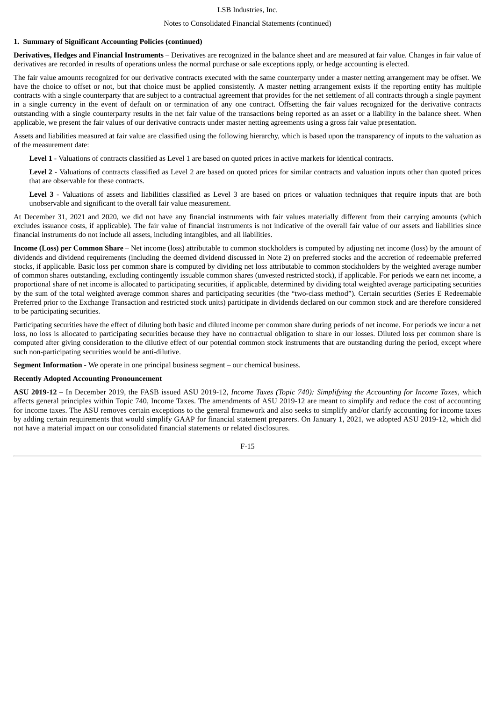## Notes to Consolidated Financial Statements (continued)

## **1. Summary of Significant Accounting Policies (continued)**

**Derivatives, Hedges and Financial Instruments** – Derivatives are recognized in the balance sheet and are measured at fair value. Changes in fair value of derivatives are recorded in results of operations unless the normal purchase or sale exceptions apply, or hedge accounting is elected.

The fair value amounts recognized for our derivative contracts executed with the same counterparty under a master netting arrangement may be offset. We have the choice to offset or not, but that choice must be applied consistently. A master netting arrangement exists if the reporting entity has multiple contracts with a single counterparty that are subject to a contractual agreement that provides for the net settlement of all contracts through a single payment in a single currency in the event of default on or termination of any one contract. Offsetting the fair values recognized for the derivative contracts outstanding with a single counterparty results in the net fair value of the transactions being reported as an asset or a liability in the balance sheet. When applicable, we present the fair values of our derivative contracts under master netting agreements using a gross fair value presentation.

Assets and liabilities measured at fair value are classified using the following hierarchy, which is based upon the transparency of inputs to the valuation as of the measurement date:

**Level 1** - Valuations of contracts classified as Level 1 are based on quoted prices in active markets for identical contracts.

**Level 2** - Valuations of contracts classified as Level 2 are based on quoted prices for similar contracts and valuation inputs other than quoted prices that are observable for these contracts.

**Level 3** - Valuations of assets and liabilities classified as Level 3 are based on prices or valuation techniques that require inputs that are both unobservable and significant to the overall fair value measurement.

At December 31, 2021 and 2020, we did not have any financial instruments with fair values materially different from their carrying amounts (which excludes issuance costs, if applicable). The fair value of financial instruments is not indicative of the overall fair value of our assets and liabilities since financial instruments do not include all assets, including intangibles, and all liabilities.

**Income (Loss) per Common Share** – Net income (loss) attributable to common stockholders is computed by adjusting net income (loss) by the amount of dividends and dividend requirements (including the deemed dividend discussed in Note 2) on preferred stocks and the accretion of redeemable preferred stocks, if applicable. Basic loss per common share is computed by dividing net loss attributable to common stockholders by the weighted average number of common shares outstanding, excluding contingently issuable common shares (unvested restricted stock), if applicable. For periods we earn net income, a proportional share of net income is allocated to participating securities, if applicable, determined by dividing total weighted average participating securities by the sum of the total weighted average common shares and participating securities (the "two-class method"). Certain securities (Series E Redeemable Preferred prior to the Exchange Transaction and restricted stock units) participate in dividends declared on our common stock and are therefore considered to be participating securities.

Participating securities have the effect of diluting both basic and diluted income per common share during periods of net income. For periods we incur a net loss, no loss is allocated to participating securities because they have no contractual obligation to share in our losses. Diluted loss per common share is computed after giving consideration to the dilutive effect of our potential common stock instruments that are outstanding during the period, except where such non-participating securities would be anti-dilutive.

**Segment Information -** We operate in one principal business segment – our chemical business.

## **Recently Adopted Accounting Pronouncement**

ASU 2019-12 - In December 2019, the FASB issued ASU 2019-12, Income Taxes (Topic 740): Simplifying the Accounting for Income Taxes, which affects general principles within Topic 740, Income Taxes. The amendments of ASU 2019-12 are meant to simplify and reduce the cost of accounting for income taxes. The ASU removes certain exceptions to the general framework and also seeks to simplify and/or clarify accounting for income taxes by adding certain requirements that would simplify GAAP for financial statement preparers. On January 1, 2021, we adopted ASU 2019-12, which did not have a material impact on our consolidated financial statements or related disclosures.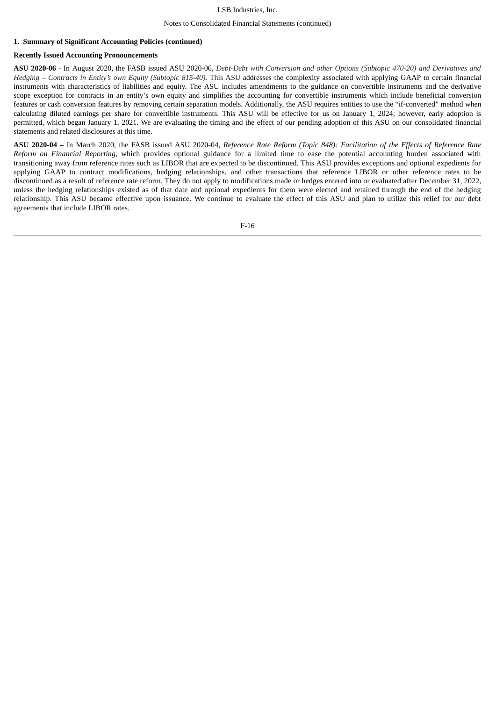## Notes to Consolidated Financial Statements (continued)

## **1. Summary of Significant Accounting Policies (continued)**

## **Recently Issued Accounting Pronouncements**

ASU 2020-06 - In August 2020, the FASB issued ASU 2020-06, Debt-Debt with Conversion and other Options (Subtopic 470-20) and Derivatives and *Hedging – Contracts in Entity's own Equity (Subtopic 815-40)*. This ASU addresses the complexity associated with applying GAAP to certain financial instruments with characteristics of liabilities and equity. The ASU includes amendments to the guidance on convertible instruments and the derivative scope exception for contracts in an entity's own equity and simplifies the accounting for convertible instruments which include beneficial conversion features or cash conversion features by removing certain separation models. Additionally, the ASU requires entities to use the "if-converted" method when calculating diluted earnings per share for convertible instruments. This ASU will be effective for us on January 1, 2024; however, early adoption is permitted, which began January 1, 2021. We are evaluating the timing and the effect of our pending adoption of this ASU on our consolidated financial statements and related disclosures at this time.

ASU 2020-04 - In March 2020, the FASB issued ASU 2020-04, Reference Rate Reform (Topic 848): Facilitation of the Effects of Reference Rate *Reform on Financial Reporting,* which provides optional guidance for a limited time to ease the potential accounting burden associated with transitioning away from reference rates such as LIBOR that are expected to be discontinued. This ASU provides exceptions and optional expedients for applying GAAP to contract modifications, hedging relationships, and other transactions that reference LIBOR or other reference rates to be discontinued as a result of reference rate reform. They do not apply to modifications made or hedges entered into or evaluated after December 31, 2022, unless the hedging relationships existed as of that date and optional expedients for them were elected and retained through the end of the hedging relationship. This ASU became effective upon issuance. We continue to evaluate the effect of this ASU and plan to utilize this relief for our debt agreements that include LIBOR rates.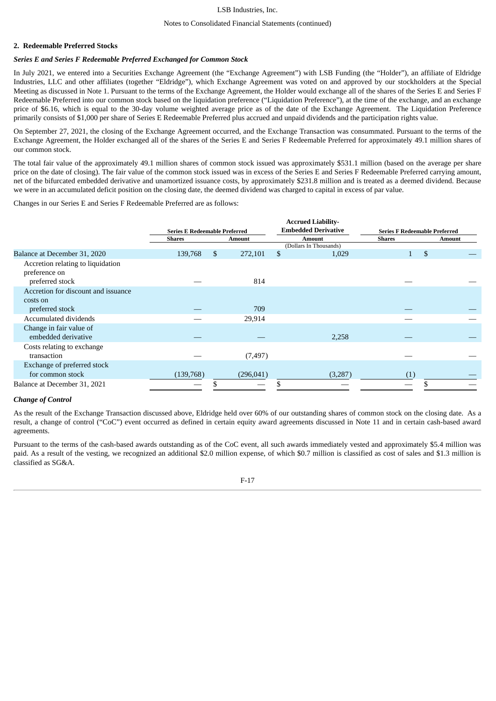## Notes to Consolidated Financial Statements (continued)

#### **2. Redeemable Preferred Stocks**

## *Series E and Series F Redeemable Preferred Exchanged for Common Stock*

In July 2021, we entered into a Securities Exchange Agreement (the "Exchange Agreement") with LSB Funding (the "Holder"), an affiliate of Eldridge Industries, LLC and other affiliates (together "Eldridge"), which Exchange Agreement was voted on and approved by our stockholders at the Special Meeting as discussed in Note 1. Pursuant to the terms of the Exchange Agreement, the Holder would exchange all of the shares of the Series E and Series F Redeemable Preferred into our common stock based on the liquidation preference ("Liquidation Preference"), at the time of the exchange, and an exchange price of \$6.16, which is equal to the 30-day volume weighted average price as of the date of the Exchange Agreement. The Liquidation Preference primarily consists of \$1,000 per share of Series E Redeemable Preferred plus accrued and unpaid dividends and the participation rights value.

On September 27, 2021, the closing of the Exchange Agreement occurred, and the Exchange Transaction was consummated. Pursuant to the terms of the Exchange Agreement, the Holder exchanged all of the shares of the Series E and Series F Redeemable Preferred for approximately 49.1 million shares of our common stock.

The total fair value of the approximately 49.1 million shares of common stock issued was approximately \$531.1 million (based on the average per share price on the date of closing). The fair value of the common stock issued was in excess of the Series E and Series F Redeemable Preferred carrying amount, net of the bifurcated embedded derivative and unamortized issuance costs, by approximately \$231.8 million and is treated as a deemed dividend. Because we were in an accumulated deficit position on the closing date, the deemed dividend was charged to capital in excess of par value.

Changes in our Series E and Series F Redeemable Preferred are as follows:

|                                     |           |                                      | <b>Accrued Liability-</b>  |                                      |        |
|-------------------------------------|-----------|--------------------------------------|----------------------------|--------------------------------------|--------|
|                                     |           | <b>Series E Redeemable Preferred</b> | <b>Embedded Derivative</b> | <b>Series F Redeemable Preferred</b> |        |
|                                     | Shares    | <b>Amount</b>                        | Amount                     | <b>Shares</b>                        | Amount |
|                                     |           |                                      | (Dollars In Thousands)     |                                      |        |
| Balance at December 31, 2020        | 139,768   | 272,101<br>\$                        | \$<br>1,029                | $1\,$                                | \$     |
| Accretion relating to liquidation   |           |                                      |                            |                                      |        |
| preference on                       |           |                                      |                            |                                      |        |
| preferred stock                     |           | 814                                  |                            |                                      |        |
| Accretion for discount and issuance |           |                                      |                            |                                      |        |
| costs on                            |           |                                      |                            |                                      |        |
| preferred stock                     |           | 709                                  |                            |                                      |        |
| Accumulated dividends               |           | 29,914                               |                            |                                      |        |
| Change in fair value of             |           |                                      |                            |                                      |        |
| embedded derivative                 |           |                                      | 2,258                      |                                      |        |
| Costs relating to exchange          |           |                                      |                            |                                      |        |
| transaction                         |           | (7, 497)                             |                            |                                      |        |
| Exchange of preferred stock         |           |                                      |                            |                                      |        |
| for common stock                    | (139,768) | (296, 041)                           | (3,287)                    | (1)                                  |        |
| Balance at December 31, 2021        |           |                                      |                            |                                      |        |

## *Change of Control*

As the result of the Exchange Transaction discussed above, Eldridge held over 60% of our outstanding shares of common stock on the closing date. As a result, a change of control ("CoC") event occurred as defined in certain equity award agreements discussed in Note 11 and in certain cash-based award agreements.

Pursuant to the terms of the cash-based awards outstanding as of the CoC event, all such awards immediately vested and approximately \$5.4 million was paid. As a result of the vesting, we recognized an additional \$2.0 million expense, of which \$0.7 million is classified as cost of sales and \$1.3 million is classified as SG&A.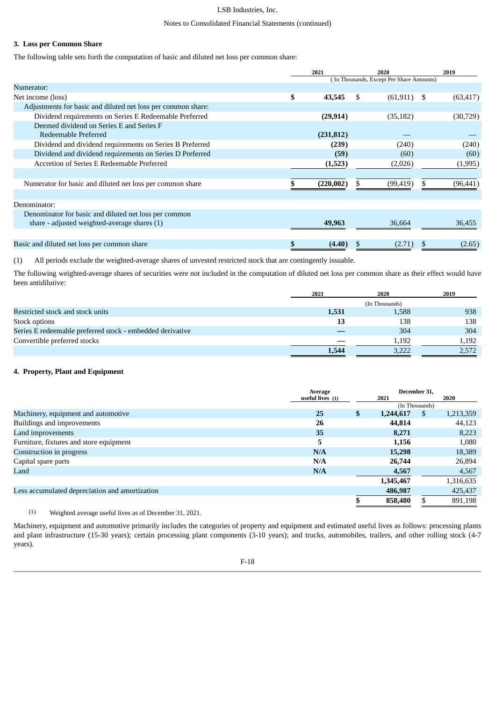## Notes to Consolidated Financial Statements (continued)

## **3. Loss per Common Share**

The following table sets forth the computation of basic and diluted net loss per common share:

|                                                              | 2021                                    |  | 2020      |    | 2019      |
|--------------------------------------------------------------|-----------------------------------------|--|-----------|----|-----------|
|                                                              | In Thousands, Except Per Share Amounts) |  |           |    |           |
| Numerator:                                                   |                                         |  |           |    |           |
| Net income (loss)                                            | \$<br>43,545                            |  | (61, 911) | -S | (63, 417) |
| Adjustments for basic and diluted net loss per common share: |                                         |  |           |    |           |
| Dividend requirements on Series E Redeemable Preferred       | (29, 914)                               |  | (35, 182) |    | (30,729)  |
| Deemed dividend on Series E and Series F                     |                                         |  |           |    |           |
| Redeemable Preferred                                         | (231, 812)                              |  |           |    |           |
| Dividend and dividend requirements on Series B Preferred     | (239)                                   |  | (240)     |    | (240)     |
| Dividend and dividend requirements on Series D Preferred     | (59)                                    |  | (60)      |    | (60)      |
| Accretion of Series E Redeemable Preferred                   | (1,523)                                 |  | (2,026)   |    | (1,995)   |
|                                                              |                                         |  |           |    |           |
| Numerator for basic and diluted net loss per common share    | (220,002)                               |  | (99, 419) |    | (96, 441) |
|                                                              |                                         |  |           |    |           |
| Denominator:                                                 |                                         |  |           |    |           |
| Denominator for basic and diluted net loss per common        |                                         |  |           |    |           |
| share - adjusted weighted-average shares (1)                 | 49,963                                  |  | 36,664    |    | 36,455    |
|                                                              |                                         |  |           |    |           |
| Basic and diluted net loss per common share                  | (4.40)                                  |  | (2.71)    |    | (2.65)    |
|                                                              |                                         |  |           |    |           |

(1) All periods exclude the weighted-average shares of unvested restricted stock that are contingently issuable.

The following weighted-average shares of securities were not included in the computation of diluted net loss per common share as their effect would have been antidilutive:

|                                                           | 2021  | 2020           | 2019  |  |  |
|-----------------------------------------------------------|-------|----------------|-------|--|--|
|                                                           |       | (In Thousands) |       |  |  |
| Restricted stock and stock units                          | 1,531 | 1,588          | 938   |  |  |
| Stock options                                             | 13    | 138            | 138   |  |  |
| Series E redeemable preferred stock - embedded derivative |       | 304            | 304   |  |  |
| Convertible preferred stocks                              |       | 1.192          | 1,192 |  |  |
|                                                           | 1,544 | 3,222          | 2,572 |  |  |

## **4. Property, Plant and Equipment**

|                                                | Average          |                 | December 31, |           |
|------------------------------------------------|------------------|-----------------|--------------|-----------|
|                                                | useful lives (1) | 2021            |              | 2020      |
|                                                |                  | (In Thousands)  |              |           |
| Machinery, equipment and automotive            | 25               | \$<br>1,244,617 | S.           | 1,213,359 |
| Buildings and improvements                     | 26               | 44,814          |              | 44,123    |
| Land improvements                              | 35               | 8,271           |              | 8,223     |
| Furniture, fixtures and store equipment        | 5                | 1,156           |              | 1,080     |
| Construction in progress                       | N/A              | 15,298          |              | 18,389    |
| Capital spare parts                            | N/A              | 26,744          |              | 26,894    |
| Land                                           | N/A              | 4,567           |              | 4,567     |
|                                                |                  | 1,345,467       |              | 1,316,635 |
| Less accumulated depreciation and amortization |                  | 486,987         |              | 425,437   |
|                                                |                  | 858,480         |              | 891,198   |

(1) Weighted average useful lives as of December 31, 2021.

Machinery, equipment and automotive primarily includes the categories of property and equipment and estimated useful lives as follows: processing plants and plant infrastructure (15-30 years); certain processing plant components (3-10 years); and trucks, automobiles, trailers, and other rolling stock (4-7 years).

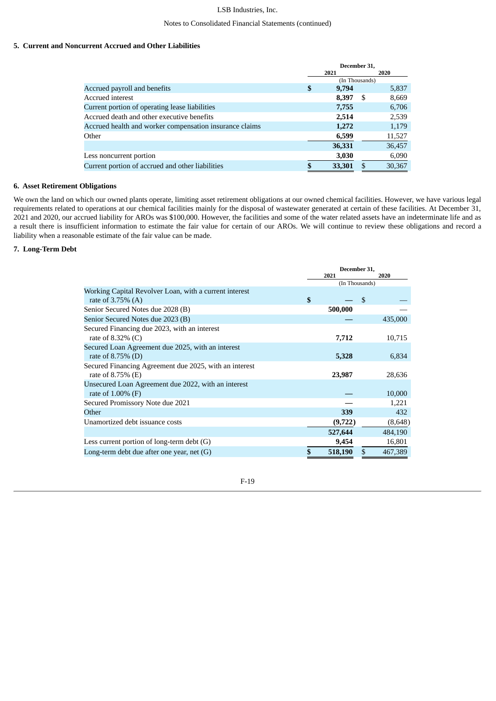## Notes to Consolidated Financial Statements (continued)

#### **5. Current and Noncurrent Accrued and Other Liabilities**

|                                                         |      | December 31.   |     |        |  |
|---------------------------------------------------------|------|----------------|-----|--------|--|
|                                                         | 2021 |                |     | 2020   |  |
|                                                         |      | (In Thousands) |     |        |  |
| Accrued payroll and benefits                            | \$   | 9,794          |     | 5,837  |  |
| Accrued interest                                        |      | 8,397          | S   | 8,669  |  |
| Current portion of operating lease liabilities          |      | 7,755          |     | 6,706  |  |
| Accrued death and other executive benefits              |      | 2,514          |     | 2,539  |  |
| Accrued health and worker compensation insurance claims |      | 1,272          |     | 1,179  |  |
| Other                                                   |      | 6,599          |     | 11,527 |  |
|                                                         |      | 36,331         |     | 36,457 |  |
| Less noncurrent portion                                 |      | 3,030          |     | 6,090  |  |
| Current portion of accrued and other liabilities        | \$   | 33,301         | \$. | 30,367 |  |

## **6. Asset Retirement Obligations**

We own the land on which our owned plants operate, limiting asset retirement obligations at our owned chemical facilities. However, we have various legal requirements related to operations at our chemical facilities mainly for the disposal of wastewater generated at certain of these facilities. At December 31, 2021 and 2020, our accrued liability for AROs was \$100,000. However, the facilities and some of the water related assets have an indeterminate life and as a result there is insufficient information to estimate the fair value for certain of our AROs. We will continue to review these obligations and record a liability when a reasonable estimate of the fair value can be made.

## **7. Long-Term Debt**

|                                                        | December 31, |                |    |         |  |
|--------------------------------------------------------|--------------|----------------|----|---------|--|
|                                                        |              | 2021           |    | 2020    |  |
|                                                        |              | (In Thousands) |    |         |  |
| Working Capital Revolver Loan, with a current interest |              |                |    |         |  |
| rate of $3.75\%$ (A)                                   | \$           |                | S  |         |  |
| Senior Secured Notes due 2028 (B)                      |              | 500,000        |    |         |  |
| Senior Secured Notes due 2023 (B)                      |              |                |    | 435,000 |  |
| Secured Financing due 2023, with an interest           |              |                |    |         |  |
| rate of $8.32\%$ (C)                                   |              | 7,712          |    | 10,715  |  |
| Secured Loan Agreement due 2025, with an interest      |              |                |    |         |  |
| rate of $8.75\%$ (D)                                   |              | 5,328          |    | 6,834   |  |
| Secured Financing Agreement due 2025, with an interest |              |                |    |         |  |
| rate of 8.75% (E)                                      |              | 23,987         |    | 28,636  |  |
| Unsecured Loan Agreement due 2022, with an interest    |              |                |    |         |  |
| rate of $1.00\%$ (F)                                   |              |                |    | 10,000  |  |
| Secured Promissory Note due 2021                       |              |                |    | 1,221   |  |
| Other                                                  |              | 339            |    | 432     |  |
| Unamortized debt issuance costs                        |              | (9, 722)       |    | (8,648) |  |
|                                                        |              | 527,644        |    | 484,190 |  |
| Less current portion of long-term debt $(G)$           |              | 9,454          |    | 16,801  |  |
| Long-term debt due after one year, net $(G)$           | \$           | 518,190        | \$ | 467,389 |  |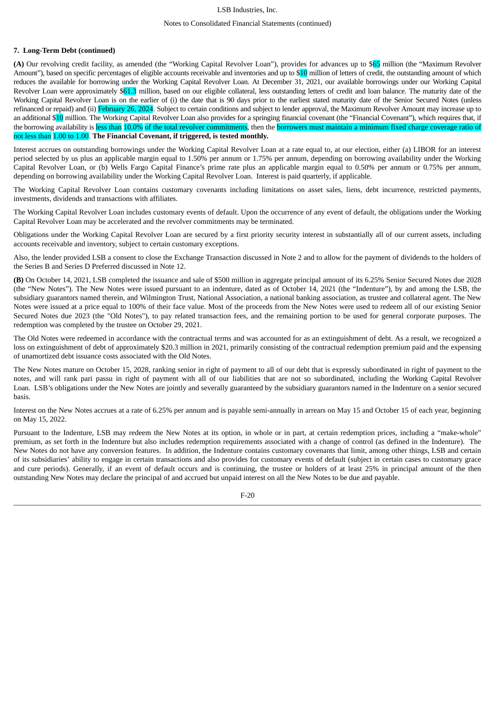#### Notes to Consolidated Financial Statements (continued)

#### **7. Long-Term Debt (continued)**

**(A)** Our revolving credit facility, as amended (the "Working Capital Revolver Loan"), provides for advances up to \$65 million (the "Maximum Revolver Amount"), based on specific percentages of eligible accounts receivable and inventories and up to \$10 million of letters of credit, the outstanding amount of which reduces the available for borrowing under the Working Capital Revolver Loan. At December 31, 2021, our available borrowings under our Working Capital Revolver Loan were approximately \$61.3 million, based on our eligible collateral, less outstanding letters of credit and loan balance. The maturity date of the Working Capital Revolver Loan is on the earlier of (i) the date that is 90 days prior to the earliest stated maturity date of the Senior Secured Notes (unless refinanced or repaid) and (ii) February 26, 2024. Subject to certain conditions and subject to lender approval, the Maximum Revolver Amount may increase up to an additional \$10 million. The Working Capital Revolver Loan also provides for a springing financial covenant (the "Financial Covenant"), which requires that, if the borrowing availability is less than 10.0% of the total revolver commitments, then the **borrowers must maintain a minimum fixed charge coverage ratio of** not less than 1.00 to 1.00. **The Financial Covenant, if triggered, is tested monthly.**

Interest accrues on outstanding borrowings under the Working Capital Revolver Loan at a rate equal to, at our election, either (a) LIBOR for an interest period selected by us plus an applicable margin equal to 1.50% per annum or 1.75% per annum, depending on borrowing availability under the Working Capital Revolver Loan, or (b) Wells Fargo Capital Finance's prime rate plus an applicable margin equal to 0.50% per annum or 0.75% per annum, depending on borrowing availability under the Working Capital Revolver Loan. Interest is paid quarterly, if applicable.

The Working Capital Revolver Loan contains customary covenants including limitations on asset sales, liens, debt incurrence, restricted payments, investments, dividends and transactions with affiliates.

The Working Capital Revolver Loan includes customary events of default. Upon the occurrence of any event of default, the obligations under the Working Capital Revolver Loan may be accelerated and the revolver commitments may be terminated.

Obligations under the Working Capital Revolver Loan are secured by a first priority security interest in substantially all of our current assets, including accounts receivable and inventory, subject to certain customary exceptions.

Also, the lender provided LSB a consent to close the Exchange Transaction discussed in Note 2 and to allow for the payment of dividends to the holders of the Series B and Series D Preferred discussed in Note 12.

**(B)** On October 14, 2021, LSB completed the issuance and sale of \$500 million in aggregate principal amount of its 6.25% Senior Secured Notes due 2028 (the "New Notes"). The New Notes were issued pursuant to an indenture, dated as of October 14, 2021 (the "Indenture"), by and among the LSB, the subsidiary guarantors named therein, and Wilmington Trust, National Association, a national banking association, as trustee and collateral agent. The New Notes were issued at a price equal to 100% of their face value. Most of the proceeds from the New Notes were used to redeem all of our existing Senior Secured Notes due 2023 (the "Old Notes"), to pay related transaction fees, and the remaining portion to be used for general corporate purposes. The redemption was completed by the trustee on October 29, 2021.

The Old Notes were redeemed in accordance with the contractual terms and was accounted for as an extinguishment of debt. As a result, we recognized a loss on extinguishment of debt of approximately \$20.3 million in 2021, primarily consisting of the contractual redemption premium paid and the expensing of unamortized debt issuance costs associated with the Old Notes.

The New Notes mature on October 15, 2028, ranking senior in right of payment to all of our debt that is expressly subordinated in right of payment to the notes, and will rank pari passu in right of payment with all of our liabilities that are not so subordinated, including the Working Capital Revolver Loan. LSB's obligations under the New Notes are jointly and severally guaranteed by the subsidiary guarantors named in the Indenture on a senior secured basis.

Interest on the New Notes accrues at a rate of 6.25% per annum and is payable semi-annually in arrears on May 15 and October 15 of each year, beginning on May 15, 2022.

Pursuant to the Indenture, LSB may redeem the New Notes at its option, in whole or in part, at certain redemption prices, including a "make-whole" premium, as set forth in the Indenture but also includes redemption requirements associated with a change of control (as defined in the Indenture). The New Notes do not have any conversion features. In addition, the Indenture contains customary covenants that limit, among other things, LSB and certain of its subsidiaries' ability to engage in certain transactions and also provides for customary events of default (subject in certain cases to customary grace and cure periods). Generally, if an event of default occurs and is continuing, the trustee or holders of at least 25% in principal amount of the then outstanding New Notes may declare the principal of and accrued but unpaid interest on all the New Notes to be due and payable.

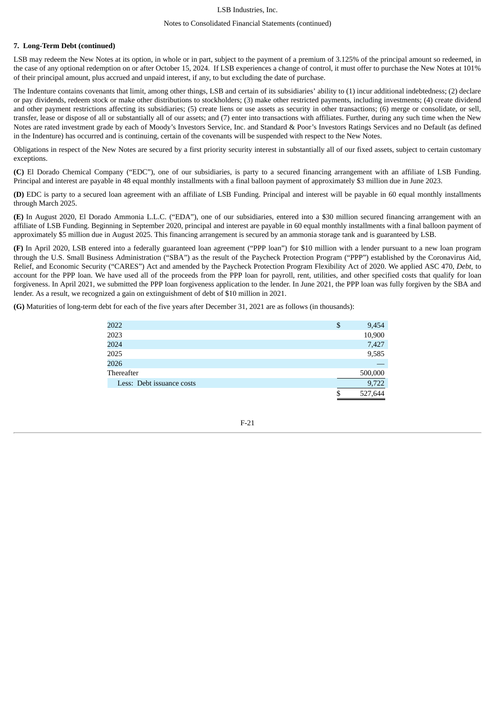### Notes to Consolidated Financial Statements (continued)

#### **7. Long-Term Debt (continued)**

LSB may redeem the New Notes at its option, in whole or in part, subject to the payment of a premium of 3.125% of the principal amount so redeemed, in the case of any optional redemption on or after October 15, 2024. If LSB experiences a change of control, it must offer to purchase the New Notes at 101% of their principal amount, plus accrued and unpaid interest, if any, to but excluding the date of purchase.

The Indenture contains covenants that limit, among other things, LSB and certain of its subsidiaries' ability to (1) incur additional indebtedness; (2) declare or pay dividends, redeem stock or make other distributions to stockholders; (3) make other restricted payments, including investments; (4) create dividend and other payment restrictions affecting its subsidiaries; (5) create liens or use assets as security in other transactions; (6) merge or consolidate, or sell, transfer, lease or dispose of all or substantially all of our assets; and (7) enter into transactions with affiliates. Further, during any such time when the New Notes are rated investment grade by each of Moody's Investors Service, Inc. and Standard & Poor's Investors Ratings Services and no Default (as defined in the Indenture) has occurred and is continuing, certain of the covenants will be suspended with respect to the New Notes.

Obligations in respect of the New Notes are secured by a first priority security interest in substantially all of our fixed assets, subject to certain customary exceptions.

**(C)** El Dorado Chemical Company ("EDC"), one of our subsidiaries, is party to a secured financing arrangement with an affiliate of LSB Funding. Principal and interest are payable in 48 equal monthly installments with a final balloon payment of approximately \$3 million due in June 2023.

**(D)** EDC is party to a secured loan agreement with an affiliate of LSB Funding. Principal and interest will be payable in 60 equal monthly installments through March 2025.

**(E)** In August 2020, El Dorado Ammonia L.L.C. ("EDA"), one of our subsidiaries, entered into a \$30 million secured financing arrangement with an affiliate of LSB Funding. Beginning in September 2020, principal and interest are payable in 60 equal monthly installments with a final balloon payment of approximately \$5 million due in August 2025. This financing arrangement is secured by an ammonia storage tank and is guaranteed by LSB.

**(F)** In April 2020, LSB entered into a federally guaranteed loan agreement ("PPP loan") for \$10 million with a lender pursuant to a new loan program through the U.S. Small Business Administration ("SBA") as the result of the Paycheck Protection Program ("PPP") established by the Coronavirus Aid, Relief, and Economic Security ("CARES") Act and amended by the Paycheck Protection Program Flexibility Act of 2020. We applied ASC 470, *Debt,* to account for the PPP loan. We have used all of the proceeds from the PPP loan for payroll, rent, utilities, and other specified costs that qualify for loan forgiveness. In April 2021, we submitted the PPP loan forgiveness application to the lender. In June 2021, the PPP loan was fully forgiven by the SBA and lender. As a result, we recognized a gain on extinguishment of debt of \$10 million in 2021.

**(G)** Maturities of long-term debt for each of the five years after December 31, 2021 are as follows (in thousands):

| 2022                      | \$<br>9,454 |
|---------------------------|-------------|
| 2023                      | 10,900      |
| 2024                      | 7,427       |
| 2025                      | 9,585       |
| 2026                      |             |
| Thereafter                | 500,000     |
| Less: Debt issuance costs | 9,722       |
|                           | 527,644     |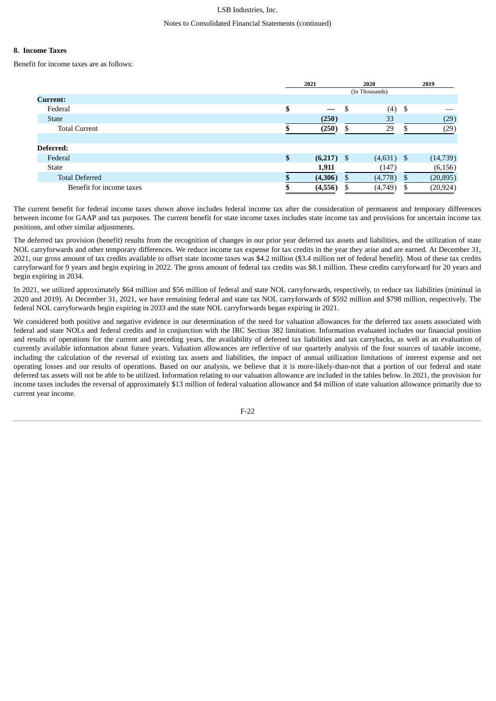### Notes to Consolidated Financial Statements (continued)

#### **8. Income Taxes**

Benefit for income taxes are as follows:

|                          | 2021               |    | 2020           |     | 2019      |
|--------------------------|--------------------|----|----------------|-----|-----------|
|                          |                    |    | (In Thousands) |     |           |
| <b>Current:</b>          |                    |    |                |     |           |
| Federal                  | \$                 | S  | (4)            | -\$ |           |
| <b>State</b>             | (250)              |    | 33             |     | (29)      |
| <b>Total Current</b>     | (250)              | ۰υ | 29             |     | (29)      |
|                          |                    |    |                |     |           |
| Deferred:                |                    |    |                |     |           |
| Federal                  | \$<br>$(6,217)$ \$ |    | $(4,631)$ \$   |     | (14, 739) |
| <b>State</b>             | 1,911              |    | (147)          |     | (6, 156)  |
| <b>Total Deferred</b>    | (4,306)            | S  | (4,778)        | \$  | (20, 895) |
| Benefit for income taxes | (4,556)            |    | (4,749)        | S   | (20, 924) |
|                          |                    |    |                |     |           |

The current benefit for federal income taxes shown above includes federal income tax after the consideration of permanent and temporary differences between income for GAAP and tax purposes. The current benefit for state income taxes includes state income tax and provisions for uncertain income tax positions, and other similar adjustments.

The deferred tax provision (benefit) results from the recognition of changes in our prior year deferred tax assets and liabilities, and the utilization of state NOL carryforwards and other temporary differences. We reduce income tax expense for tax credits in the year they arise and are earned. At December 31, 2021, our gross amount of tax credits available to offset state income taxes was \$4.2 million (\$3.4 million net of federal benefit). Most of these tax credits carryforward for 9 years and begin expiring in 2022. The gross amount of federal tax credits was \$8.1 million. These credits carryforward for 20 years and begin expiring in 2034.

In 2021, we utilized approximately \$64 million and \$56 million of federal and state NOL carryforwards, respectively, to reduce tax liabilities (minimal in 2020 and 2019). At December 31, 2021, we have remaining federal and state tax NOL carryforwards of \$592 million and \$798 million, respectively. The federal NOL carryforwards begin expiring in 2033 and the state NOL carryforwards began expiring in 2021.

We considered both positive and negative evidence in our determination of the need for valuation allowances for the deferred tax assets associated with federal and state NOLs and federal credits and in conjunction with the IRC Section 382 limitation. Information evaluated includes our financial position and results of operations for the current and preceding years, the availability of deferred tax liabilities and tax carrybacks, as well as an evaluation of currently available information about future years. Valuation allowances are reflective of our quarterly analysis of the four sources of taxable income, including the calculation of the reversal of existing tax assets and liabilities, the impact of annual utilization limitations of interest expense and net operating losses and our results of operations. Based on our analysis, we believe that it is more-likely-than-not that a portion of our federal and state deferred tax assets will not be able to be utilized. Information relating to our valuation allowance are included in the tables below. In 2021, the provision for income taxes includes the reversal of approximately \$13 million of federal valuation allowance and \$4 million of state valuation allowance primarily due to current year income.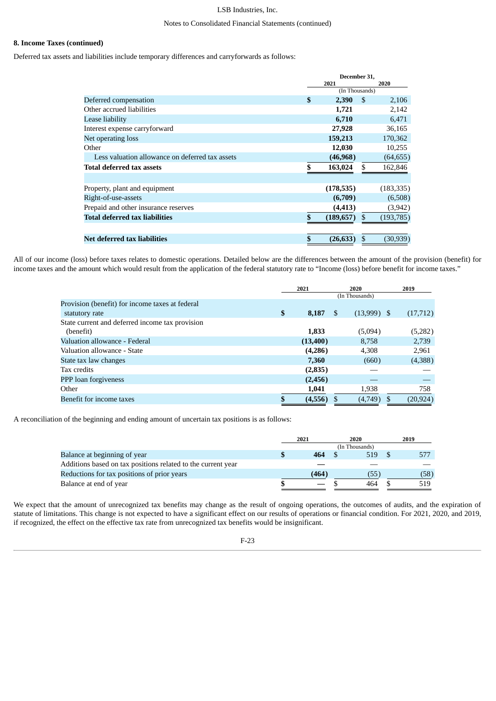### Notes to Consolidated Financial Statements (continued)

### **8. Income Taxes (continued)**

Deferred tax assets and liabilities include temporary differences and carryforwards as follows:

|                                                 | December 31, |                |     |            |  |  |
|-------------------------------------------------|--------------|----------------|-----|------------|--|--|
|                                                 | 2021<br>2020 |                |     |            |  |  |
|                                                 |              | (In Thousands) |     |            |  |  |
| Deferred compensation                           | \$           | 2,390          | -\$ | 2,106      |  |  |
| Other accrued liabilities                       |              | 1,721          |     | 2,142      |  |  |
| Lease liability                                 |              | 6,710          |     | 6,471      |  |  |
| Interest expense carryforward                   |              | 27,928         |     | 36,165     |  |  |
| Net operating loss                              |              | 159,213        |     | 170,362    |  |  |
| Other                                           |              | 12,030         |     | 10,255     |  |  |
| Less valuation allowance on deferred tax assets |              | (46, 968)      |     | (64, 655)  |  |  |
| <b>Total deferred tax assets</b>                | \$           | 163,024        | \$  | 162,846    |  |  |
|                                                 |              |                |     |            |  |  |
| Property, plant and equipment                   |              | (178, 535)     |     | (183, 335) |  |  |
| Right-of-use-assets                             |              | (6,709)        |     | (6,508)    |  |  |
| Prepaid and other insurance reserves            |              | (4, 413)       |     | (3, 942)   |  |  |
| <b>Total deferred tax liabilities</b>           | \$           | (189, 657)     | \$  | (193, 785) |  |  |
|                                                 |              |                |     |            |  |  |
| Net deferred tax liabilities                    | \$           | (26,633)       | \$  | (30,939)   |  |  |

All of our income (loss) before taxes relates to domestic operations. Detailed below are the differences between the amount of the provision (benefit) for income taxes and the amount which would result from the application of the federal statutory rate to "Income (loss) before benefit for income taxes."

|                                                 | 2021        |   | 2020           | 2019      |
|-------------------------------------------------|-------------|---|----------------|-----------|
|                                                 |             |   | (In Thousands) |           |
| Provision (benefit) for income taxes at federal |             |   |                |           |
| statutory rate                                  | \$<br>8,187 | S | $(13,999)$ \$  | (17, 712) |
| State current and deferred income tax provision |             |   |                |           |
| (benefit)                                       | 1.833       |   | (5,094)        | (5,282)   |
| Valuation allowance - Federal                   | (13,400)    |   | 8,758          | 2,739     |
| Valuation allowance - State                     | (4,286)     |   | 4,308          | 2,961     |
| State tax law changes                           | 7,360       |   | (660)          | (4,388)   |
| Tax credits                                     | (2,835)     |   |                |           |
| PPP loan forgiveness                            | (2,456)     |   |                |           |
| Other                                           | 1,041       |   | 1,938          | 758       |
| Benefit for income taxes                        | (4,556)     |   | (4,749)        | (20, 924) |
|                                                 |             |   |                |           |

A reconciliation of the beginning and ending amount of uncertain tax positions is as follows:

|                                                              | 2021  |                | 2020 | 2019 |
|--------------------------------------------------------------|-------|----------------|------|------|
|                                                              |       | (In Thousands) |      |      |
| Balance at beginning of year                                 | 464   |                | 519  | 577  |
| Additions based on tax positions related to the current year |       |                |      |      |
| Reductions for tax positions of prior years                  | (464) |                | (55) | (58) |
| Balance at end of year                                       |       |                | 464  | 519  |

We expect that the amount of unrecognized tax benefits may change as the result of ongoing operations, the outcomes of audits, and the expiration of statute of limitations. This change is not expected to have a significant effect on our results of operations or financial condition. For 2021, 2020, and 2019, if recognized, the effect on the effective tax rate from unrecognized tax benefits would be insignificant.

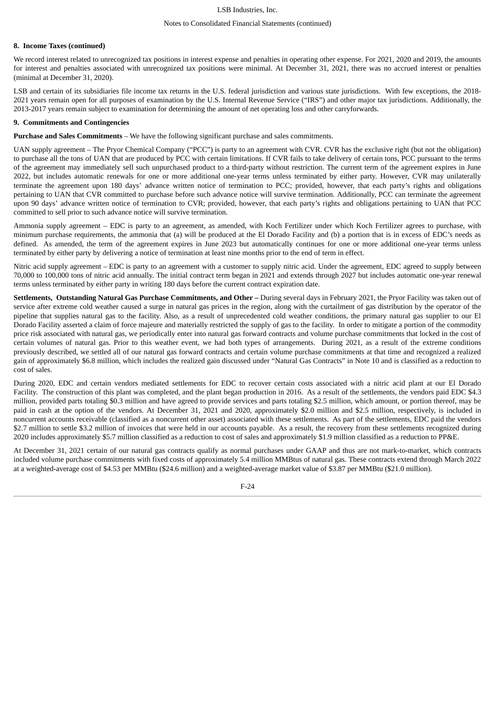### Notes to Consolidated Financial Statements (continued)

#### **8. Income Taxes (continued)**

We record interest related to unrecognized tax positions in interest expense and penalties in operating other expense. For 2021, 2020 and 2019, the amounts for interest and penalties associated with unrecognized tax positions were minimal. At December 31, 2021, there was no accrued interest or penalties (minimal at December 31, 2020).

LSB and certain of its subsidiaries file income tax returns in the U.S. federal jurisdiction and various state jurisdictions. With few exceptions, the 2018- 2021 years remain open for all purposes of examination by the U.S. Internal Revenue Service ("IRS") and other major tax jurisdictions. Additionally, the 2013-2017 years remain subject to examination for determining the amount of net operating loss and other carryforwards.

### **9. Commitments and Contingencies**

**Purchase and Sales Commitments** – We have the following significant purchase and sales commitments.

UAN supply agreement – The Pryor Chemical Company ("PCC") is party to an agreement with CVR. CVR has the exclusive right (but not the obligation) to purchase all the tons of UAN that are produced by PCC with certain limitations. If CVR fails to take delivery of certain tons, PCC pursuant to the terms of the agreement may immediately sell such unpurchased product to a third-party without restriction. The current term of the agreement expires in June 2022, but includes automatic renewals for one or more additional one-year terms unless terminated by either party. However, CVR may unilaterally terminate the agreement upon 180 days' advance written notice of termination to PCC; provided, however, that each party's rights and obligations pertaining to UAN that CVR committed to purchase before such advance notice will survive termination. Additionally, PCC can terminate the agreement upon 90 days' advance written notice of termination to CVR; provided, however, that each party's rights and obligations pertaining to UAN that PCC committed to sell prior to such advance notice will survive termination.

Ammonia supply agreement – EDC is party to an agreement, as amended, with Koch Fertilizer under which Koch Fertilizer agrees to purchase, with minimum purchase requirements, the ammonia that (a) will be produced at the El Dorado Facility and (b) a portion that is in excess of EDC's needs as defined. As amended, the term of the agreement expires in June 2023 but automatically continues for one or more additional one-year terms unless terminated by either party by delivering a notice of termination at least nine months prior to the end of term in effect.

Nitric acid supply agreement – EDC is party to an agreement with a customer to supply nitric acid. Under the agreement, EDC agreed to supply between 70,000 to 100,000 tons of nitric acid annually. The initial contract term began in 2021 and extends through 2027 but includes automatic one-year renewal terms unless terminated by either party in writing 180 days before the current contract expiration date.

**Settlements, Outstanding Natural Gas Purchase Commitments, and Other –** During several days in February 2021, the Pryor Facility was taken out of service after extreme cold weather caused a surge in natural gas prices in the region, along with the curtailment of gas distribution by the operator of the pipeline that supplies natural gas to the facility. Also, as a result of unprecedented cold weather conditions, the primary natural gas supplier to our El Dorado Facility asserted a claim of force majeure and materially restricted the supply of gas to the facility. In order to mitigate a portion of the commodity price risk associated with natural gas, we periodically enter into natural gas forward contracts and volume purchase commitments that locked in the cost of certain volumes of natural gas. Prior to this weather event, we had both types of arrangements. During 2021, as a result of the extreme conditions previously described, we settled all of our natural gas forward contracts and certain volume purchase commitments at that time and recognized a realized gain of approximately \$6.8 million, which includes the realized gain discussed under "Natural Gas Contracts" in Note 10 and is classified as a reduction to cost of sales.

During 2020, EDC and certain vendors mediated settlements for EDC to recover certain costs associated with a nitric acid plant at our El Dorado Facility. The construction of this plant was completed, and the plant began production in 2016. As a result of the settlements, the vendors paid EDC \$4.3 million, provided parts totaling \$0.3 million and have agreed to provide services and parts totaling \$2.5 million, which amount, or portion thereof, may be paid in cash at the option of the vendors. At December 31, 2021 and 2020, approximately \$2.0 million and \$2.5 million, respectively, is included in noncurrent accounts receivable (classified as a noncurrent other asset) associated with these settlements. As part of the settlements, EDC paid the vendors \$2.7 million to settle \$3.2 million of invoices that were held in our accounts payable. As a result, the recovery from these settlements recognized during 2020 includes approximately \$5.7 million classified as a reduction to cost of sales and approximately \$1.9 million classified as a reduction to PP&E.

At December 31, 2021 certain of our natural gas contracts qualify as normal purchases under GAAP and thus are not mark-to-market, which contracts included volume purchase commitments with fixed costs of approximately 5.4 million MMBtus of natural gas. These contracts extend through March 2022 at a weighted-average cost of \$4.53 per MMBtu (\$24.6 million) and a weighted-average market value of \$3.87 per MMBtu (\$21.0 million).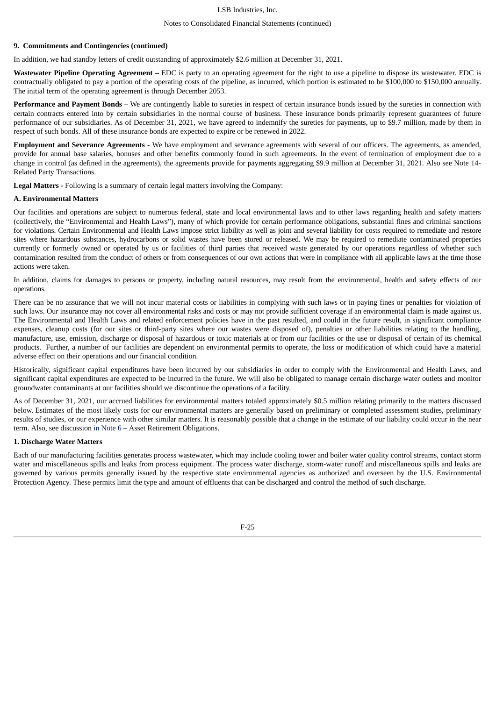### Notes to Consolidated Financial Statements (continued)

#### **9. Commitments and Contingencies (continued)**

In addition, we had standby letters of credit outstanding of approximately \$2.6 million at December 31, 2021.

**Wastewater Pipeline Operating Agreement –** EDC is party to an operating agreement for the right to use a pipeline to dispose its wastewater. EDC is contractually obligated to pay a portion of the operating costs of the pipeline, as incurred, which portion is estimated to be \$100,000 to \$150,000 annually. The initial term of the operating agreement is through December 2053.

**Performance and Payment Bonds –** We are contingently liable to sureties in respect of certain insurance bonds issued by the sureties in connection with certain contracts entered into by certain subsidiaries in the normal course of business. These insurance bonds primarily represent guarantees of future performance of our subsidiaries. As of December 31, 2021, we have agreed to indemnify the sureties for payments, up to \$9.7 million, made by them in respect of such bonds. All of these insurance bonds are expected to expire or be renewed in 2022.

**Employment and Severance Agreements -** We have employment and severance agreements with several of our officers. The agreements, as amended, provide for annual base salaries, bonuses and other benefits commonly found in such agreements. In the event of termination of employment due to a change in control (as defined in the agreements), the agreements provide for payments aggregating \$9.9 million at December 31, 2021. Also see Note 14- Related Party Transactions.

**Legal Matters -** Following is a summary of certain legal matters involving the Company:

#### **A. Environmental Matters**

Our facilities and operations are subject to numerous federal, state and local environmental laws and to other laws regarding health and safety matters (collectively, the "Environmental and Health Laws"), many of which provide for certain performance obligations, substantial fines and criminal sanctions for violations. Certain Environmental and Health Laws impose strict liability as well as joint and several liability for costs required to remediate and restore sites where hazardous substances, hydrocarbons or solid wastes have been stored or released. We may be required to remediate contaminated properties currently or formerly owned or operated by us or facilities of third parties that received waste generated by our operations regardless of whether such contamination resulted from the conduct of others or from consequences of our own actions that were in compliance with all applicable laws at the time those actions were taken.

In addition, claims for damages to persons or property, including natural resources, may result from the environmental, health and safety effects of our operations.

There can be no assurance that we will not incur material costs or liabilities in complying with such laws or in paying fines or penalties for violation of such laws. Our insurance may not cover all environmental risks and costs or may not provide sufficient coverage if an environmental claim is made against us. The Environmental and Health Laws and related enforcement policies have in the past resulted, and could in the future result, in significant compliance expenses, cleanup costs (for our sites or third-party sites where our wastes were disposed of), penalties or other liabilities relating to the handling, manufacture, use, emission, discharge or disposal of hazardous or toxic materials at or from our facilities or the use or disposal of certain of its chemical products. Further, a number of our facilities are dependent on environmental permits to operate, the loss or modification of which could have a material adverse effect on their operations and our financial condition.

Historically, significant capital expenditures have been incurred by our subsidiaries in order to comply with the Environmental and Health Laws, and significant capital expenditures are expected to be incurred in the future. We will also be obligated to manage certain discharge water outlets and monitor groundwater contaminants at our facilities should we discontinue the operations of a facility.

As of December 31, 2021, our accrued liabilities for environmental matters totaled approximately \$0.5 million relating primarily to the matters discussed below. Estimates of the most likely costs for our environmental matters are generally based on preliminary or completed assessment studies, preliminary results of studies, or our experience with other similar matters. It is reasonably possible that a change in the estimate of our liability could occur in the near term. Also, see discussion in Note 6 **–** Asset Retirement Obligations.

### **1. Discharge Water Matters**

Each of our manufacturing facilities generates process wastewater, which may include cooling tower and boiler water quality control streams, contact storm water and miscellaneous spills and leaks from process equipment. The process water discharge, storm-water runoff and miscellaneous spills and leaks are governed by various permits generally issued by the respective state environmental agencies as authorized and overseen by the U.S. Environmental Protection Agency. These permits limit the type and amount of effluents that can be discharged and control the method of such discharge.

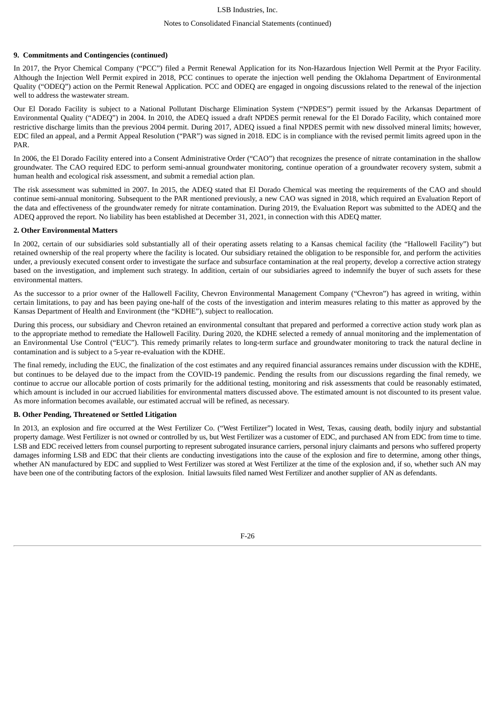#### Notes to Consolidated Financial Statements (continued)

#### **9. Commitments and Contingencies (continued)**

In 2017, the Pryor Chemical Company ("PCC") filed a Permit Renewal Application for its Non-Hazardous Injection Well Permit at the Pryor Facility. Although the Injection Well Permit expired in 2018, PCC continues to operate the injection well pending the Oklahoma Department of Environmental Quality ("ODEQ") action on the Permit Renewal Application. PCC and ODEQ are engaged in ongoing discussions related to the renewal of the injection well to address the wastewater stream.

Our El Dorado Facility is subject to a National Pollutant Discharge Elimination System ("NPDES") permit issued by the Arkansas Department of Environmental Quality ("ADEQ") in 2004. In 2010, the ADEQ issued a draft NPDES permit renewal for the El Dorado Facility, which contained more restrictive discharge limits than the previous 2004 permit. During 2017, ADEQ issued a final NPDES permit with new dissolved mineral limits; however, EDC filed an appeal, and a Permit Appeal Resolution ("PAR") was signed in 2018. EDC is in compliance with the revised permit limits agreed upon in the PAR.

In 2006, the El Dorado Facility entered into a Consent Administrative Order ("CAO") that recognizes the presence of nitrate contamination in the shallow groundwater. The CAO required EDC to perform semi-annual groundwater monitoring, continue operation of a groundwater recovery system, submit a human health and ecological risk assessment, and submit a remedial action plan.

The risk assessment was submitted in 2007. In 2015, the ADEQ stated that El Dorado Chemical was meeting the requirements of the CAO and should continue semi-annual monitoring. Subsequent to the PAR mentioned previously, a new CAO was signed in 2018, which required an Evaluation Report of the data and effectiveness of the groundwater remedy for nitrate contamination. During 2019, the Evaluation Report was submitted to the ADEQ and the ADEQ approved the report. No liability has been established at December 31, 2021, in connection with this ADEQ matter.

#### **2. Other Environmental Matters**

In 2002, certain of our subsidiaries sold substantially all of their operating assets relating to a Kansas chemical facility (the "Hallowell Facility") but retained ownership of the real property where the facility is located. Our subsidiary retained the obligation to be responsible for, and perform the activities under, a previously executed consent order to investigate the surface and subsurface contamination at the real property, develop a corrective action strategy based on the investigation, and implement such strategy. In addition, certain of our subsidiaries agreed to indemnify the buyer of such assets for these environmental matters.

As the successor to a prior owner of the Hallowell Facility, Chevron Environmental Management Company ("Chevron") has agreed in writing, within certain limitations, to pay and has been paying one-half of the costs of the investigation and interim measures relating to this matter as approved by the Kansas Department of Health and Environment (the "KDHE"), subject to reallocation.

During this process, our subsidiary and Chevron retained an environmental consultant that prepared and performed a corrective action study work plan as to the appropriate method to remediate the Hallowell Facility. During 2020, the KDHE selected a remedy of annual monitoring and the implementation of an Environmental Use Control ("EUC"). This remedy primarily relates to long-term surface and groundwater monitoring to track the natural decline in contamination and is subject to a 5-year re-evaluation with the KDHE.

The final remedy, including the EUC, the finalization of the cost estimates and any required financial assurances remains under discussion with the KDHE, but continues to be delayed due to the impact from the COVID-19 pandemic. Pending the results from our discussions regarding the final remedy, we continue to accrue our allocable portion of costs primarily for the additional testing, monitoring and risk assessments that could be reasonably estimated, which amount is included in our accrued liabilities for environmental matters discussed above. The estimated amount is not discounted to its present value. As more information becomes available, our estimated accrual will be refined, as necessary.

#### **B. Other Pending, Threatened or Settled Litigation**

In 2013, an explosion and fire occurred at the West Fertilizer Co. ("West Fertilizer") located in West, Texas, causing death, bodily injury and substantial property damage. West Fertilizer is not owned or controlled by us, but West Fertilizer was a customer of EDC, and purchased AN from EDC from time to time. LSB and EDC received letters from counsel purporting to represent subrogated insurance carriers, personal injury claimants and persons who suffered property damages informing LSB and EDC that their clients are conducting investigations into the cause of the explosion and fire to determine, among other things, whether AN manufactured by EDC and supplied to West Fertilizer was stored at West Fertilizer at the time of the explosion and, if so, whether such AN may have been one of the contributing factors of the explosion. Initial lawsuits filed named West Fertilizer and another supplier of AN as defendants.

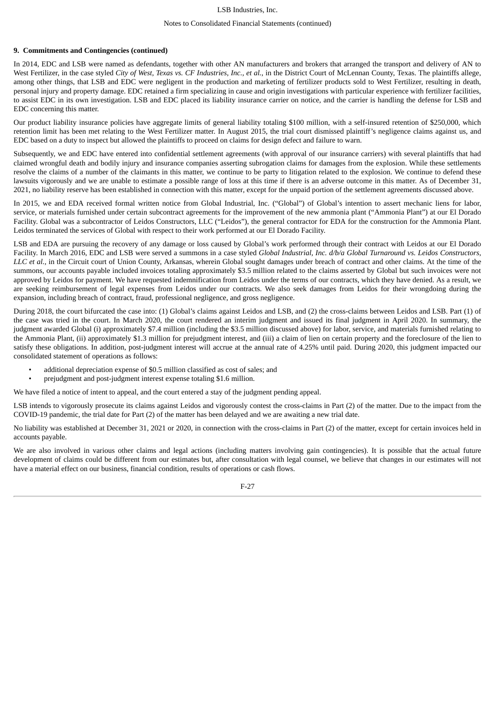### Notes to Consolidated Financial Statements (continued)

#### **9. Commitments and Contingencies (continued)**

In 2014, EDC and LSB were named as defendants, together with other AN manufacturers and brokers that arranged the transport and delivery of AN to West Fertilizer, in the case styled City of West, Texas vs. CF Industries, Inc., et al., in the District Court of McLennan County, Texas. The plaintiffs allege, among other things, that LSB and EDC were negligent in the production and marketing of fertilizer products sold to West Fertilizer, resulting in death, personal injury and property damage. EDC retained a firm specializing in cause and origin investigations with particular experience with fertilizer facilities, to assist EDC in its own investigation. LSB and EDC placed its liability insurance carrier on notice, and the carrier is handling the defense for LSB and EDC concerning this matter.

Our product liability insurance policies have aggregate limits of general liability totaling \$100 million, with a self-insured retention of \$250,000, which retention limit has been met relating to the West Fertilizer matter. In August 2015, the trial court dismissed plaintiff's negligence claims against us, and EDC based on a duty to inspect but allowed the plaintiffs to proceed on claims for design defect and failure to warn.

Subsequently, we and EDC have entered into confidential settlement agreements (with approval of our insurance carriers) with several plaintiffs that had claimed wrongful death and bodily injury and insurance companies asserting subrogation claims for damages from the explosion. While these settlements resolve the claims of a number of the claimants in this matter, we continue to be party to litigation related to the explosion. We continue to defend these lawsuits vigorously and we are unable to estimate a possible range of loss at this time if there is an adverse outcome in this matter. As of December 31, 2021, no liability reserve has been established in connection with this matter, except for the unpaid portion of the settlement agreements discussed above.

In 2015, we and EDA received formal written notice from Global Industrial, Inc. ("Global") of Global's intention to assert mechanic liens for labor, service, or materials furnished under certain subcontract agreements for the improvement of the new ammonia plant ("Ammonia Plant") at our El Dorado Facility. Global was a subcontractor of Leidos Constructors, LLC ("Leidos"), the general contractor for EDA for the construction for the Ammonia Plant. Leidos terminated the services of Global with respect to their work performed at our El Dorado Facility.

LSB and EDA are pursuing the recovery of any damage or loss caused by Global's work performed through their contract with Leidos at our El Dorado Facility. In March 2016, EDC and LSB were served a summons in a case styled *Global Industrial, Inc. d/b/a Global Turnaround vs. Leidos Constructors, LLC et al.,* in the Circuit court of Union County, Arkansas, wherein Global sought damages under breach of contract and other claims. At the time of the summons, our accounts payable included invoices totaling approximately \$3.5 million related to the claims asserted by Global but such invoices were not approved by Leidos for payment. We have requested indemnification from Leidos under the terms of our contracts, which they have denied. As a result, we are seeking reimbursement of legal expenses from Leidos under our contracts. We also seek damages from Leidos for their wrongdoing during the expansion, including breach of contract, fraud, professional negligence, and gross negligence.

During 2018, the court bifurcated the case into: (1) Global's claims against Leidos and LSB, and (2) the cross-claims between Leidos and LSB. Part (1) of the case was tried in the court. In March 2020, the court rendered an interim judgment and issued its final judgment in April 2020. In summary, the judgment awarded Global (i) approximately \$7.4 million (including the \$3.5 million discussed above) for labor, service, and materials furnished relating to the Ammonia Plant, (ii) approximately \$1.3 million for prejudgment interest, and (iii) a claim of lien on certain property and the foreclosure of the lien to satisfy these obligations. In addition, post-judgment interest will accrue at the annual rate of 4.25% until paid. During 2020, this judgment impacted our consolidated statement of operations as follows:

- additional depreciation expense of \$0.5 million classified as cost of sales; and
- prejudgment and post-judgment interest expense totaling \$1.6 million.

We have filed a notice of intent to appeal, and the court entered a stay of the judgment pending appeal.

LSB intends to vigorously prosecute its claims against Leidos and vigorously contest the cross-claims in Part (2) of the matter. Due to the impact from the COVID-19 pandemic, the trial date for Part (2) of the matter has been delayed and we are awaiting a new trial date.

No liability was established at December 31, 2021 or 2020, in connection with the cross-claims in Part (2) of the matter, except for certain invoices held in accounts payable.

We are also involved in various other claims and legal actions (including matters involving gain contingencies). It is possible that the actual future development of claims could be different from our estimates but, after consultation with legal counsel, we believe that changes in our estimates will not have a material effect on our business, financial condition, results of operations or cash flows.

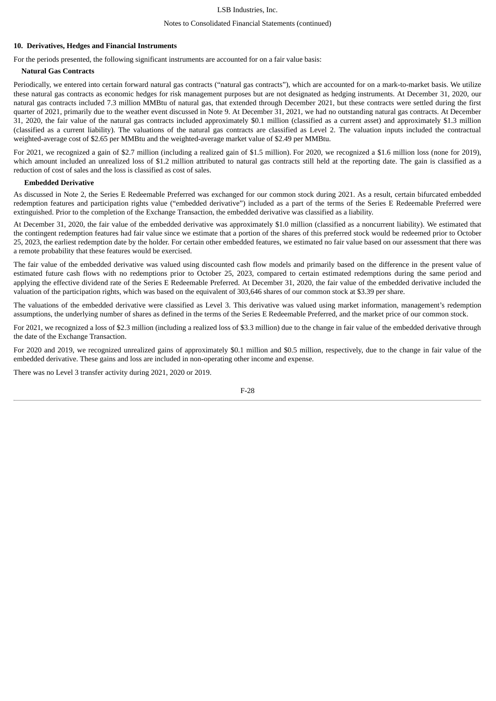### Notes to Consolidated Financial Statements (continued)

#### **10. Derivatives, Hedges and Financial Instruments**

For the periods presented, the following significant instruments are accounted for on a fair value basis:

#### **Natural Gas Contracts**

Periodically, we entered into certain forward natural gas contracts ("natural gas contracts"), which are accounted for on a mark-to-market basis. We utilize these natural gas contracts as economic hedges for risk management purposes but are not designated as hedging instruments. At December 31, 2020, our natural gas contracts included 7.3 million MMBtu of natural gas, that extended through December 2021, but these contracts were settled during the first quarter of 2021, primarily due to the weather event discussed in Note 9. At December 31, 2021, we had no outstanding natural gas contracts. At December 31, 2020, the fair value of the natural gas contracts included approximately \$0.1 million (classified as a current asset) and approximately \$1.3 million (classified as a current liability). The valuations of the natural gas contracts are classified as Level 2. The valuation inputs included the contractual weighted-average cost of \$2.65 per MMBtu and the weighted-average market value of \$2.49 per MMBtu.

For 2021, we recognized a gain of \$2.7 million (including a realized gain of \$1.5 million). For 2020, we recognized a \$1.6 million loss (none for 2019), which amount included an unrealized loss of \$1.2 million attributed to natural gas contracts still held at the reporting date. The gain is classified as a reduction of cost of sales and the loss is classified as cost of sales.

#### **Embedded Derivative**

As discussed in Note 2, the Series E Redeemable Preferred was exchanged for our common stock during 2021. As a result, certain bifurcated embedded redemption features and participation rights value ("embedded derivative") included as a part of the terms of the Series E Redeemable Preferred were extinguished. Prior to the completion of the Exchange Transaction, the embedded derivative was classified as a liability.

At December 31, 2020, the fair value of the embedded derivative was approximately \$1.0 million (classified as a noncurrent liability). We estimated that the contingent redemption features had fair value since we estimate that a portion of the shares of this preferred stock would be redeemed prior to October 25, 2023, the earliest redemption date by the holder. For certain other embedded features, we estimated no fair value based on our assessment that there was a remote probability that these features would be exercised.

The fair value of the embedded derivative was valued using discounted cash flow models and primarily based on the difference in the present value of estimated future cash flows with no redemptions prior to October 25, 2023, compared to certain estimated redemptions during the same period and applying the effective dividend rate of the Series E Redeemable Preferred. At December 31, 2020, the fair value of the embedded derivative included the valuation of the participation rights, which was based on the equivalent of 303,646 shares of our common stock at \$3.39 per share.

The valuations of the embedded derivative were classified as Level 3. This derivative was valued using market information, management's redemption assumptions, the underlying number of shares as defined in the terms of the Series E Redeemable Preferred, and the market price of our common stock.

For 2021, we recognized a loss of \$2.3 million (including a realized loss of \$3.3 million) due to the change in fair value of the embedded derivative through the date of the Exchange Transaction.

For 2020 and 2019, we recognized unrealized gains of approximately \$0.1 million and \$0.5 million, respectively, due to the change in fair value of the embedded derivative. These gains and loss are included in non-operating other income and expense.

There was no Level 3 transfer activity during 2021, 2020 or 2019.

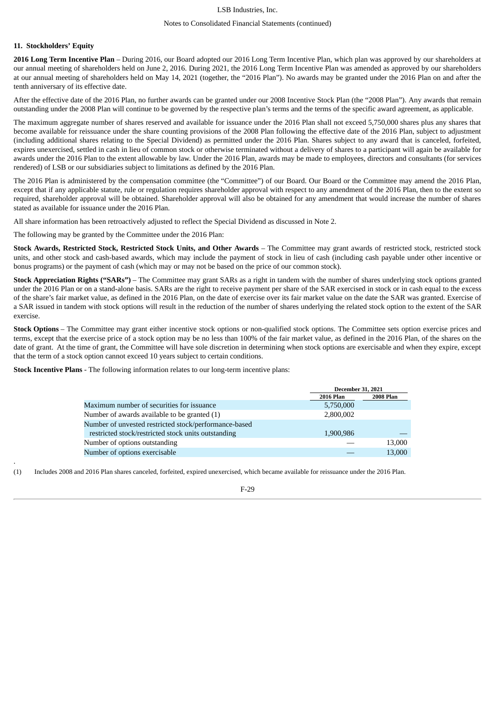### Notes to Consolidated Financial Statements (continued)

#### **11. Stockholders' Equity**

.

**2016 Long Term Incentive Plan** – During 2016, our Board adopted our 2016 Long Term Incentive Plan, which plan was approved by our shareholders at our annual meeting of shareholders held on June 2, 2016. During 2021, the 2016 Long Term Incentive Plan was amended as approved by our shareholders at our annual meeting of shareholders held on May 14, 2021 (together, the "2016 Plan"). No awards may be granted under the 2016 Plan on and after the tenth anniversary of its effective date.

After the effective date of the 2016 Plan, no further awards can be granted under our 2008 Incentive Stock Plan (the "2008 Plan"). Any awards that remain outstanding under the 2008 Plan will continue to be governed by the respective plan's terms and the terms of the specific award agreement, as applicable.

The maximum aggregate number of shares reserved and available for issuance under the 2016 Plan shall not exceed 5,750,000 shares plus any shares that become available for reissuance under the share counting provisions of the 2008 Plan following the effective date of the 2016 Plan, subject to adjustment (including additional shares relating to the Special Dividend) as permitted under the 2016 Plan. Shares subject to any award that is canceled, forfeited, expires unexercised, settled in cash in lieu of common stock or otherwise terminated without a delivery of shares to a participant will again be available for awards under the 2016 Plan to the extent allowable by law. Under the 2016 Plan, awards may be made to employees, directors and consultants (for services rendered) of LSB or our subsidiaries subject to limitations as defined by the 2016 Plan.

The 2016 Plan is administered by the compensation committee (the "Committee") of our Board. Our Board or the Committee may amend the 2016 Plan, except that if any applicable statute, rule or regulation requires shareholder approval with respect to any amendment of the 2016 Plan, then to the extent so required, shareholder approval will be obtained. Shareholder approval will also be obtained for any amendment that would increase the number of shares stated as available for issuance under the 2016 Plan.

All share information has been retroactively adjusted to reflect the Special Dividend as discussed in Note 2.

The following may be granted by the Committee under the 2016 Plan:

**Stock Awards, Restricted Stock, Restricted Stock Units, and Other Awards** – The Committee may grant awards of restricted stock, restricted stock units, and other stock and cash-based awards, which may include the payment of stock in lieu of cash (including cash payable under other incentive or bonus programs) or the payment of cash (which may or may not be based on the price of our common stock).

**Stock Appreciation Rights ("SARs")** – The Committee may grant SARs as a right in tandem with the number of shares underlying stock options granted under the 2016 Plan or on a stand-alone basis. SARs are the right to receive payment per share of the SAR exercised in stock or in cash equal to the excess of the share's fair market value, as defined in the 2016 Plan, on the date of exercise over its fair market value on the date the SAR was granted. Exercise of a SAR issued in tandem with stock options will result in the reduction of the number of shares underlying the related stock option to the extent of the SAR exercise.

**Stock Options** – The Committee may grant either incentive stock options or non-qualified stock options. The Committee sets option exercise prices and terms, except that the exercise price of a stock option may be no less than 100% of the fair market value, as defined in the 2016 Plan, of the shares on the date of grant. At the time of grant, the Committee will have sole discretion in determining when stock options are exercisable and when they expire, except that the term of a stock option cannot exceed 10 years subject to certain conditions.

**Stock Incentive Plans** - The following information relates to our long-term incentive plans:

|                                                       | <b>December 31, 2021</b> |                  |
|-------------------------------------------------------|--------------------------|------------------|
|                                                       | <b>2016 Plan</b>         | <b>2008 Plan</b> |
| Maximum number of securities for issuance             | 5,750,000                |                  |
| Number of awards available to be granted (1)          | 2,800,002                |                  |
| Number of unvested restricted stock/performance-based |                          |                  |
| restricted stock/restricted stock units outstanding   | 1,900,986                |                  |
| Number of options outstanding                         |                          | 13,000           |
| Number of options exercisable                         |                          | 13,000           |
|                                                       |                          |                  |

(1) Includes 2008 and 2016 Plan shares canceled, forfeited, expired unexercised, which became available for reissuance under the 2016 Plan.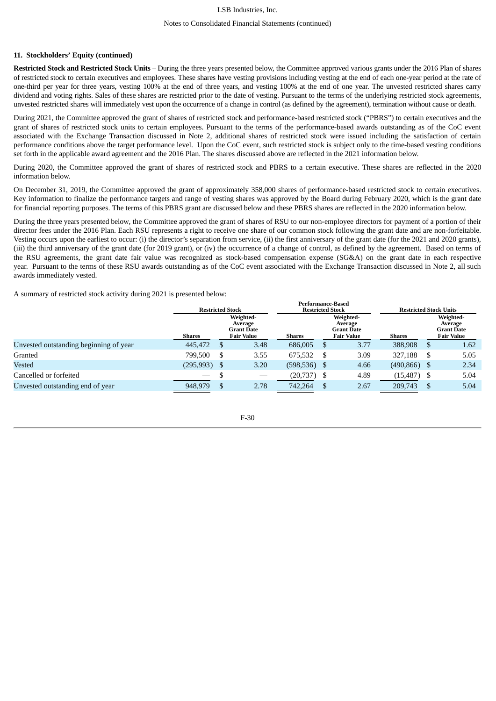#### Notes to Consolidated Financial Statements (continued)

#### **11. Stockholders' Equity (continued)**

**Restricted Stock and Restricted Stock Units** – During the three years presented below, the Committee approved various grants under the 2016 Plan of shares of restricted stock to certain executives and employees. These shares have vesting provisions including vesting at the end of each one-year period at the rate of one-third per year for three years, vesting 100% at the end of three years, and vesting 100% at the end of one year. The unvested restricted shares carry dividend and voting rights. Sales of these shares are restricted prior to the date of vesting. Pursuant to the terms of the underlying restricted stock agreements, unvested restricted shares will immediately vest upon the occurrence of a change in control (as defined by the agreement), termination without cause or death.

During 2021, the Committee approved the grant of shares of restricted stock and performance-based restricted stock ("PBRS") to certain executives and the grant of shares of restricted stock units to certain employees. Pursuant to the terms of the performance-based awards outstanding as of the CoC event associated with the Exchange Transaction discussed in Note 2, additional shares of restricted stock were issued including the satisfaction of certain performance conditions above the target performance level. Upon the CoC event, such restricted stock is subject only to the time-based vesting conditions set forth in the applicable award agreement and the 2016 Plan. The shares discussed above are reflected in the 2021 information below.

During 2020, the Committee approved the grant of shares of restricted stock and PBRS to a certain executive. These shares are reflected in the 2020 information below.

On December 31, 2019, the Committee approved the grant of approximately 358,000 shares of performance-based restricted stock to certain executives. Key information to finalize the performance targets and range of vesting shares was approved by the Board during February 2020, which is the grant date for financial reporting purposes. The terms of this PBRS grant are discussed below and these PBRS shares are reflected in the 2020 information below.

During the three years presented below, the Committee approved the grant of shares of RSU to our non-employee directors for payment of a portion of their director fees under the 2016 Plan. Each RSU represents a right to receive one share of our common stock following the grant date and are non-forfeitable. Vesting occurs upon the earliest to occur: (i) the director's separation from service, (ii) the first anniversary of the grant date (for the 2021 and 2020 grants), (iii) the third anniversary of the grant date (for 2019 grant), or (iv) the occurrence of a change of control, as defined by the agreement. Based on terms of the RSU agreements, the grant date fair value was recognized as stock-based compensation expense (SG&A) on the grant date in each respective year. Pursuant to the terms of these RSU awards outstanding as of the CoC event associated with the Exchange Transaction discussed in Note 2, all such awards immediately vested.

A summary of restricted stock activity during 2021 is presented below:

|                                        | <b>Restricted Stock</b>       |    | <b>Performance-Based</b><br><b>Restricted Stock</b>     |                 |                                                                |      | <b>Restricted Stock Units</b> |      |                                                                |
|----------------------------------------|-------------------------------|----|---------------------------------------------------------|-----------------|----------------------------------------------------------------|------|-------------------------------|------|----------------------------------------------------------------|
|                                        | <b>Shares</b>                 |    | Weighted-<br>Average<br>Grant Date<br><b>Fair Value</b> | <b>Shares</b>   | Weighted-<br>Average<br><b>Grant Date</b><br><b>Fair Value</b> |      | <b>Shares</b>                 |      | Weighted-<br>Average<br><b>Grant Date</b><br><b>Fair Value</b> |
| Unvested outstanding beginning of year | 445,472                       | S  | 3.48                                                    | 686,005         |                                                                | 3.77 | 388,908                       |      | 1.62                                                           |
| Granted                                | 799.500                       | S  | 3.55                                                    | 675,532         | - \$                                                           | 3.09 | 327,188                       |      | 5.05                                                           |
| Vested                                 | (295, 993)                    | -S | 3.20                                                    | $(598, 536)$ \$ |                                                                | 4.66 | (490, 866)                    |      | 2.34                                                           |
| Cancelled or forfeited                 | $\overbrace{\phantom{12332}}$ |    |                                                         | (20, 737)       | - \$                                                           | 4.89 | (15, 487)                     | - \$ | 5.04                                                           |
| Unvested outstanding end of year       | 948,979                       | S  | 2.78                                                    | 742.264         |                                                                | 2.67 | 209,743                       |      | 5.04                                                           |

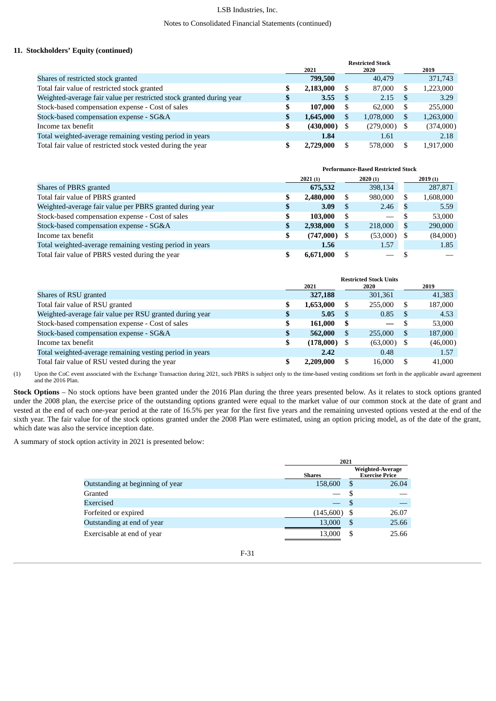### Notes to Consolidated Financial Statements (continued)

#### **11. Stockholders' Equity (continued)**

|                                                                      | <b>Restricted Stock</b> |           |   |           |     |           |
|----------------------------------------------------------------------|-------------------------|-----------|---|-----------|-----|-----------|
|                                                                      |                         | 2021      |   | 2020      |     | 2019      |
| Shares of restricted stock granted                                   |                         | 799,500   |   | 40,479    |     | 371,743   |
| Total fair value of restricted stock granted                         | S                       | 2,183,000 | S | 87,000    | \$  | 1,223,000 |
| Weighted-average fair value per restricted stock granted during year | \$                      | 3.55      | S | 2.15      | -S  | 3.29      |
| Stock-based compensation expense - Cost of sales                     | \$                      | 107,000   | S | 62,000    | \$  | 255,000   |
| Stock-based compensation expense - SG&A                              | \$                      | 1,645,000 | S | 1,078,000 | S   | 1,263,000 |
| Income tax benefit                                                   | \$                      | (430,000) | S | (279,000) |     | (374,000) |
| Total weighted-average remaining vesting period in years             |                         | 1.84      |   | 1.61      |     | 2.18      |
| Total fair value of restricted stock vested during the year          |                         | 2,729,000 |   | 578,000   | \$. | 1,917,000 |

|                                                          |    | <b>Performance-Based Restricted Stock</b> |   |          |         |           |  |  |
|----------------------------------------------------------|----|-------------------------------------------|---|----------|---------|-----------|--|--|
|                                                          |    | 2020(1)<br>2021(1)                        |   |          | 2019(1) |           |  |  |
| Shares of PBRS granted                                   |    | 675,532                                   |   | 398,134  |         | 287,871   |  |  |
| Total fair value of PBRS granted                         | S  | 2,480,000                                 | C | 980,000  |         | 1,608,000 |  |  |
| Weighted-average fair value per PBRS granted during year | S  | 3.09                                      | S | 2.46     | S       | 5.59      |  |  |
| Stock-based compensation expense - Cost of sales         | S  | 103,000                                   |   |          |         | 53,000    |  |  |
| Stock-based compensation expense - SG&A                  | S  | 2,938,000                                 |   | 218,000  | \$      | 290,000   |  |  |
| Income tax benefit                                       | \$ | (747,000)                                 |   | (53,000) |         | (84,000)  |  |  |
| Total weighted-average remaining vesting period in years |    | 1.56                                      |   | 1.57     |         | 1.85      |  |  |
| Total fair value of PBRS vested during the year          |    | 6.671.000                                 |   |          |         |           |  |  |

|                                                          | <b>Restricted Stock Units</b><br>2021<br>2020 |                |      |                          |     | 2019     |
|----------------------------------------------------------|-----------------------------------------------|----------------|------|--------------------------|-----|----------|
| Shares of RSU granted                                    |                                               | 327,188        |      | 301,361                  |     | 41,383   |
| Total fair value of RSU granted                          | \$                                            | 1,653,000      |      | 255,000                  | S   | 187,000  |
| Weighted-average fair value per RSU granted during year  | \$                                            | 5.05           | - \$ | 0.85                     | -S  | 4.53     |
| Stock-based compensation expense - Cost of sales         | \$                                            | 161,000        | - \$ | $\overline{\phantom{0}}$ |     | 53,000   |
| Stock-based compensation expense - SG&A                  | \$                                            | 562,000        | -S   | 255,000                  | \$. | 187,000  |
| Income tax benefit                                       | \$                                            | $(178,000)$ \$ |      | $(63,000)$ \$            |     | (46,000) |
| Total weighted-average remaining vesting period in years |                                               | 2.42           |      | 0.48                     |     | 1.57     |
| Total fair value of RSU vested during the year           | S                                             | 2,209,000      |      | 16.000                   |     | 41,000   |

(1) Upon the CoC event associated with the Exchange Transaction during 2021, such PBRS is subject only to the time-based vesting conditions set forth in the applicable award agreement and the 2016 Plan.

**Stock Options** – No stock options have been granted under the 2016 Plan during the three years presented below. As it relates to stock options granted under the 2008 plan, the exercise price of the outstanding options granted were equal to the market value of our common stock at the date of grant and vested at the end of each one-year period at the rate of 16.5% per year for the first five years and the remaining unvested options vested at the end of the sixth year. The fair value for of the stock options granted under the 2008 Plan were estimated, using an option pricing model, as of the date of the grant, which date was also the service inception date.

A summary of stock option activity in 2021 is presented below:

|                                  | 2021          |    |                                           |  |  |  |
|----------------------------------|---------------|----|-------------------------------------------|--|--|--|
|                                  | <b>Shares</b> |    | Weighted-Average<br><b>Exercise Price</b> |  |  |  |
| Outstanding at beginning of year | 158,600       | \$ | 26.04                                     |  |  |  |
| Granted                          |               | S  |                                           |  |  |  |
| Exercised                        |               | S  |                                           |  |  |  |
| Forfeited or expired             | (145,600)     |    | 26.07                                     |  |  |  |
| Outstanding at end of year       | 13,000        | S  | 25.66                                     |  |  |  |
| Exercisable at end of year       | 13,000        |    | 25.66                                     |  |  |  |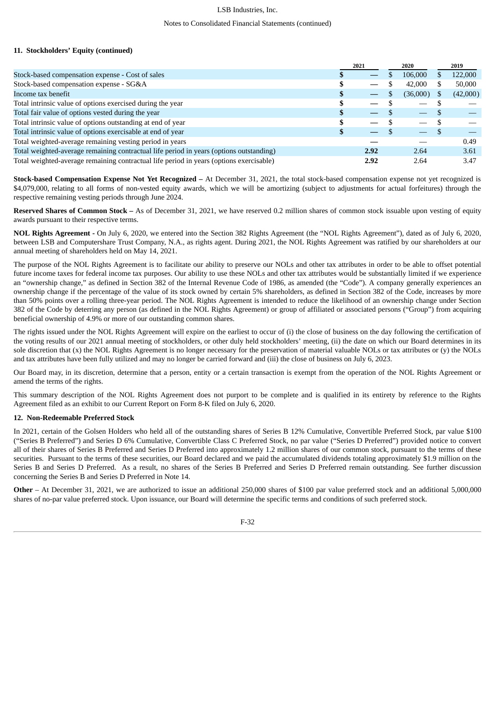### Notes to Consolidated Financial Statements (continued)

#### **11. Stockholders' Equity (continued)**

|                                                                                         |   | 2021 | 2020                     |     | 2019     |
|-----------------------------------------------------------------------------------------|---|------|--------------------------|-----|----------|
| Stock-based compensation expense - Cost of sales                                        | ъ |      | 106,000                  |     | 122,000  |
| Stock-based compensation expense - SG&A                                                 |   |      | 42,000                   | Ж   | 50,000   |
| Income tax benefit                                                                      | S |      | (36,000)                 | \$. | (42,000) |
| Total intrinsic value of options exercised during the year                              |   |      |                          |     |          |
| Total fair value of options vested during the year                                      | S |      |                          |     |          |
| Total intrinsic value of options outstanding at end of year                             |   |      | $\overline{\phantom{0}}$ |     |          |
| Total intrinsic value of options exercisable at end of year                             |   | —    | $\overline{\phantom{0}}$ |     |          |
| Total weighted-average remaining vesting period in years                                |   |      |                          |     | 0.49     |
| Total weighted-average remaining contractual life period in years (options outstanding) |   | 2.92 | 2.64                     |     | 3.61     |
| Total weighted-average remaining contractual life period in years (options exercisable) |   | 2.92 | 2.64                     |     | 3.47     |

**Stock-based Compensation Expense Not Yet Recognized –** At December 31, 2021, the total stock-based compensation expense not yet recognized is \$4,079,000, relating to all forms of non-vested equity awards, which we will be amortizing (subject to adjustments for actual forfeitures) through the respective remaining vesting periods through June 2024.

**Reserved Shares of Common Stock –** As of December 31, 2021, we have reserved 0.2 million shares of common stock issuable upon vesting of equity awards pursuant to their respective terms.

**NOL Rights Agreement -** On July 6, 2020, we entered into the Section 382 Rights Agreement (the "NOL Rights Agreement"), dated as of July 6, 2020, between LSB and Computershare Trust Company, N.A., as rights agent. During 2021, the NOL Rights Agreement was ratified by our shareholders at our annual meeting of shareholders held on May 14, 2021.

The purpose of the NOL Rights Agreement is to facilitate our ability to preserve our NOLs and other tax attributes in order to be able to offset potential future income taxes for federal income tax purposes. Our ability to use these NOLs and other tax attributes would be substantially limited if we experience an "ownership change," as defined in Section 382 of the Internal Revenue Code of 1986, as amended (the "Code"). A company generally experiences an ownership change if the percentage of the value of its stock owned by certain 5% shareholders, as defined in Section 382 of the Code, increases by more than 50% points over a rolling three-year period. The NOL Rights Agreement is intended to reduce the likelihood of an ownership change under Section 382 of the Code by deterring any person (as defined in the NOL Rights Agreement) or group of affiliated or associated persons ("Group") from acquiring beneficial ownership of 4.9% or more of our outstanding common shares.

The rights issued under the NOL Rights Agreement will expire on the earliest to occur of (i) the close of business on the day following the certification of the voting results of our 2021 annual meeting of stockholders, or other duly held stockholders' meeting, (ii) the date on which our Board determines in its sole discretion that (x) the NOL Rights Agreement is no longer necessary for the preservation of material valuable NOLs or tax attributes or (y) the NOLs and tax attributes have been fully utilized and may no longer be carried forward and (iii) the close of business on July 6, 2023.

Our Board may, in its discretion, determine that a person, entity or a certain transaction is exempt from the operation of the NOL Rights Agreement or amend the terms of the rights.

This summary description of the NOL Rights Agreement does not purport to be complete and is qualified in its entirety by reference to the Rights Agreement filed as an exhibit to our Current Report on Form 8-K filed on July 6, 2020.

#### **12. Non-Redeemable Preferred Stock**

In 2021, certain of the Golsen Holders who held all of the outstanding shares of Series B 12% Cumulative, Convertible Preferred Stock, par value \$100 ("Series B Preferred") and Series D 6% Cumulative, Convertible Class C Preferred Stock, no par value ("Series D Preferred") provided notice to convert all of their shares of Series B Preferred and Series D Preferred into approximately 1.2 million shares of our common stock, pursuant to the terms of these securities. Pursuant to the terms of these securities, our Board declared and we paid the accumulated dividends totaling approximately \$1.9 million on the Series B and Series D Preferred. As a result, no shares of the Series B Preferred and Series D Preferred remain outstanding. See further discussion concerning the Series B and Series D Preferred in Note 14.

**Other** – At December 31, 2021, we are authorized to issue an additional 250,000 shares of \$100 par value preferred stock and an additional 5,000,000 shares of no-par value preferred stock. Upon issuance, our Board will determine the specific terms and conditions of such preferred stock.

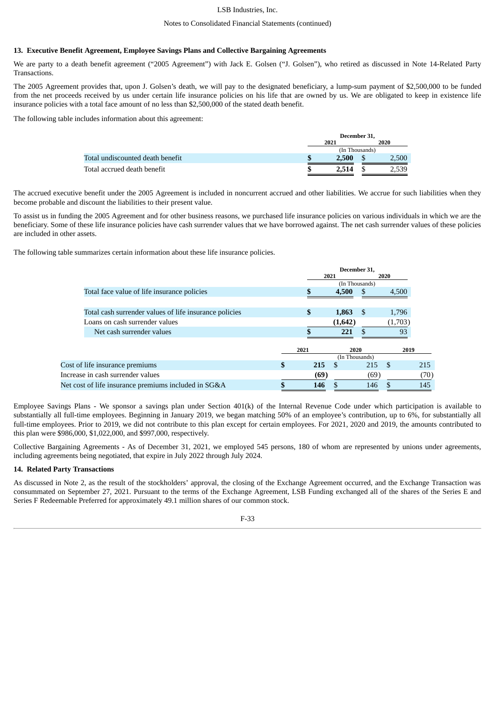### Notes to Consolidated Financial Statements (continued)

#### **13. Executive Benefit Agreement, Employee Savings Plans and Collective Bargaining Agreements**

We are party to a death benefit agreement ("2005 Agreement") with Jack E. Golsen ("J. Golsen"), who retired as discussed in Note 14-Related Party Transactions.

The 2005 Agreement provides that, upon J. Golsen's death, we will pay to the designated beneficiary, a lump-sum payment of \$2,500,000 to be funded from the net proceeds received by us under certain life insurance policies on his life that are owned by us. We are obligated to keep in existence life insurance policies with a total face amount of no less than \$2,500,000 of the stated death benefit.

The following table includes information about this agreement:

|                                  | December 31,   |  |       |  |  |  |
|----------------------------------|----------------|--|-------|--|--|--|
|                                  | 2021           |  | 2020  |  |  |  |
|                                  | (In Thousands) |  |       |  |  |  |
| Total undiscounted death benefit | 2.500          |  | 2,500 |  |  |  |
| Total accrued death benefit      | 2.514          |  | 2,539 |  |  |  |

The accrued executive benefit under the 2005 Agreement is included in noncurrent accrued and other liabilities. We accrue for such liabilities when they become probable and discount the liabilities to their present value.

To assist us in funding the 2005 Agreement and for other business reasons, we purchased life insurance policies on various individuals in which we are the beneficiary. Some of these life insurance policies have cash surrender values that we have borrowed against. The net cash surrender values of these policies are included in other assets.

The following table summarizes certain information about these life insurance policies.

|                                                        | December 31.   |            |                |      |         |      |  |
|--------------------------------------------------------|----------------|------------|----------------|------|---------|------|--|
|                                                        |                | 2020       |                |      |         |      |  |
|                                                        | (In Thousands) |            |                |      |         |      |  |
| Total face value of life insurance policies            |                |            | 4,500          | S    | 4,500   |      |  |
|                                                        |                |            |                |      |         |      |  |
| Total cash surrender values of life insurance policies |                | \$.        | 1.863          | -S   | 1,796   |      |  |
| Loans on cash surrender values                         |                |            | (1,642)        |      | (1,703) |      |  |
| Net cash surrender values                              |                |            | 221            |      | 93      |      |  |
|                                                        |                |            |                |      |         |      |  |
|                                                        |                | 2021       | 2020           |      | 2019    |      |  |
|                                                        |                |            | (In Thousands) |      |         |      |  |
| Cost of life insurance premiums                        | \$             | <b>215</b> | \$.            | 215  | -S      | 215  |  |
| Increase in cash surrender values                      |                | (69)       |                | (69) |         | (70) |  |
| Net cost of life insurance premiums included in SG&A   |                | 146        |                | 146  |         | 145  |  |

Employee Savings Plans - We sponsor a savings plan under Section 401(k) of the Internal Revenue Code under which participation is available to substantially all full-time employees. Beginning in January 2019, we began matching 50% of an employee's contribution, up to 6%, for substantially all full-time employees. Prior to 2019, we did not contribute to this plan except for certain employees. For 2021, 2020 and 2019, the amounts contributed to this plan were \$986,000, \$1,022,000, and \$997,000, respectively.

Collective Bargaining Agreements - As of December 31, 2021, we employed 545 persons, 180 of whom are represented by unions under agreements, including agreements being negotiated, that expire in July 2022 through July 2024.

#### **14. Related Party Transactions**

As discussed in Note 2, as the result of the stockholders' approval, the closing of the Exchange Agreement occurred, and the Exchange Transaction was consummated on September 27, 2021. Pursuant to the terms of the Exchange Agreement, LSB Funding exchanged all of the shares of the Series E and Series F Redeemable Preferred for approximately 49.1 million shares of our common stock.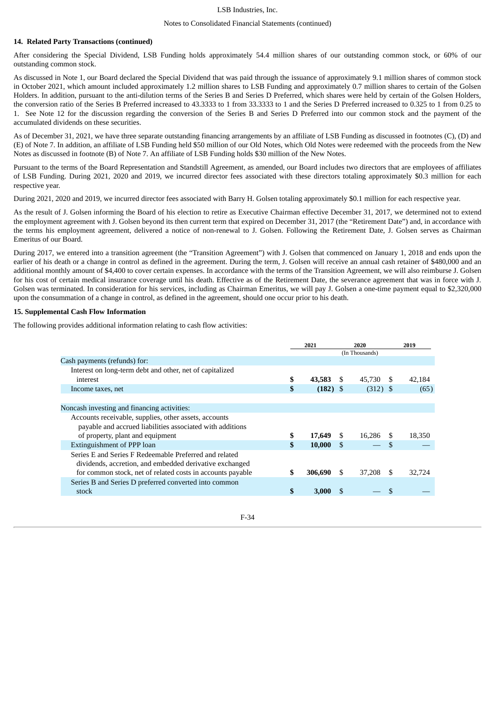### Notes to Consolidated Financial Statements (continued)

#### **14. Related Party Transactions (continued)**

After considering the Special Dividend, LSB Funding holds approximately 54.4 million shares of our outstanding common stock, or 60% of our outstanding common stock.

As discussed in Note 1, our Board declared the Special Dividend that was paid through the issuance of approximately 9.1 million shares of common stock in October 2021, which amount included approximately 1.2 million shares to LSB Funding and approximately 0.7 million shares to certain of the Golsen Holders. In addition, pursuant to the anti-dilution terms of the Series B and Series D Preferred, which shares were held by certain of the Golsen Holders, the conversion ratio of the Series B Preferred increased to 43.3333 to 1 from 33.3333 to 1 and the Series D Preferred increased to 0.325 to 1 from 0.25 to 1. See Note 12 for the discussion regarding the conversion of the Series B and Series D Preferred into our common stock and the payment of the accumulated dividends on these securities.

As of December 31, 2021, we have three separate outstanding financing arrangements by an affiliate of LSB Funding as discussed in footnotes (C), (D) and (E) of Note 7. In addition, an affiliate of LSB Funding held \$50 million of our Old Notes, which Old Notes were redeemed with the proceeds from the New Notes as discussed in footnote (B) of Note 7. An affiliate of LSB Funding holds \$30 million of the New Notes.

Pursuant to the terms of the Board Representation and Standstill Agreement, as amended, our Board includes two directors that are employees of affiliates of LSB Funding. During 2021, 2020 and 2019, we incurred director fees associated with these directors totaling approximately \$0.3 million for each respective year.

During 2021, 2020 and 2019, we incurred director fees associated with Barry H. Golsen totaling approximately \$0.1 million for each respective year.

As the result of J. Golsen informing the Board of his election to retire as Executive Chairman effective December 31, 2017, we determined not to extend the employment agreement with J. Golsen beyond its then current term that expired on December 31, 2017 (the "Retirement Date") and, in accordance with the terms his employment agreement, delivered a notice of non-renewal to J. Golsen. Following the Retirement Date, J. Golsen serves as Chairman Emeritus of our Board.

During 2017, we entered into a transition agreement (the "Transition Agreement") with J. Golsen that commenced on January 1, 2018 and ends upon the earlier of his death or a change in control as defined in the agreement. During the term, J. Golsen will receive an annual cash retainer of \$480,000 and an additional monthly amount of \$4,400 to cover certain expenses. In accordance with the terms of the Transition Agreement, we will also reimburse J. Golsen for his cost of certain medical insurance coverage until his death. Effective as of the Retirement Date, the severance agreement that was in force with J. Golsen was terminated. In consideration for his services, including as Chairman Emeritus, we will pay J. Golsen a one-time payment equal to \$2,320,000 upon the consummation of a change in control, as defined in the agreement, should one occur prior to his death.

#### **15. Supplemental Cash Flow Information**

The following provides additional information relating to cash flow activities:

|                                                                                                                    | 2021             |     | 2020           |    | 2019   |
|--------------------------------------------------------------------------------------------------------------------|------------------|-----|----------------|----|--------|
| Cash payments (refunds) for:                                                                                       |                  |     | (In Thousands) |    |        |
| Interest on long-term debt and other, net of capitalized<br>interest                                               | \$<br>43,583     | -S  | 45,730 \$      |    | 42,184 |
| Income taxes, net                                                                                                  | \$<br>$(182)$ \$ |     | $(312)$ \$     |    | (65)   |
|                                                                                                                    |                  |     |                |    |        |
| Noncash investing and financing activities:                                                                        |                  |     |                |    |        |
| Accounts receivable, supplies, other assets, accounts<br>payable and accrued liabilities associated with additions |                  |     |                |    |        |
| of property, plant and equipment                                                                                   | \$<br>17,649     | S   | 16,286         | -S | 18.350 |
| Extinguishment of PPP loan                                                                                         | \$<br>10,000     | \$. |                | \$ |        |
| Series E and Series F Redeemable Preferred and related<br>dividends, accretion, and embedded derivative exchanged  |                  |     |                |    |        |
| for common stock, net of related costs in accounts payable                                                         | \$<br>306,690    | \$. | 37.208         | -S | 32,724 |
| Series B and Series D preferred converted into common                                                              |                  |     |                |    |        |
| stock                                                                                                              | \$<br>3.000      |     |                |    |        |
|                                                                                                                    |                  |     |                |    |        |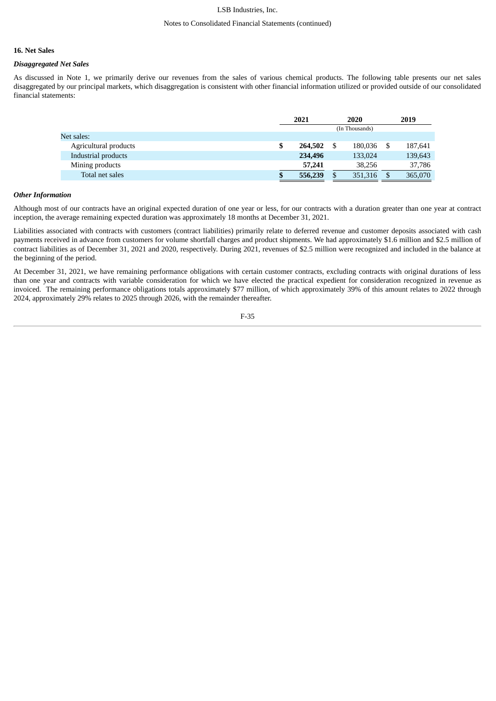#### Notes to Consolidated Financial Statements (continued)

#### **16. Net Sales**

#### *Disaggregated Net Sales*

As discussed in Note 1, we primarily derive our revenues from the sales of various chemical products. The following table presents our net sales disaggregated by our principal markets, which disaggregation is consistent with other financial information utilized or provided outside of our consolidated financial statements:

|                       | 2021          | 2020    |    | 2019    |  |
|-----------------------|---------------|---------|----|---------|--|
|                       |               |         |    |         |  |
| Net sales:            |               |         |    |         |  |
| Agricultural products | \$<br>264,502 | 180,036 | -S | 187,641 |  |
| Industrial products   | 234,496       | 133,024 |    | 139,643 |  |
| Mining products       | 57,241        | 38,256  |    | 37,786  |  |
| Total net sales       | 556,239       | 351,316 | \$ | 365,070 |  |
|                       |               |         |    |         |  |

#### *Other Information*

Although most of our contracts have an original expected duration of one year or less, for our contracts with a duration greater than one year at contract inception, the average remaining expected duration was approximately 18 months at December 31, 2021.

Liabilities associated with contracts with customers (contract liabilities) primarily relate to deferred revenue and customer deposits associated with cash payments received in advance from customers for volume shortfall charges and product shipments. We had approximately \$1.6 million and \$2.5 million of contract liabilities as of December 31, 2021 and 2020, respectively. During 2021, revenues of \$2.5 million were recognized and included in the balance at the beginning of the period.

At December 31, 2021, we have remaining performance obligations with certain customer contracts, excluding contracts with original durations of less than one year and contracts with variable consideration for which we have elected the practical expedient for consideration recognized in revenue as invoiced. The remaining performance obligations totals approximately \$77 million, of which approximately 39% of this amount relates to 2022 through 2024, approximately 29% relates to 2025 through 2026, with the remainder thereafter.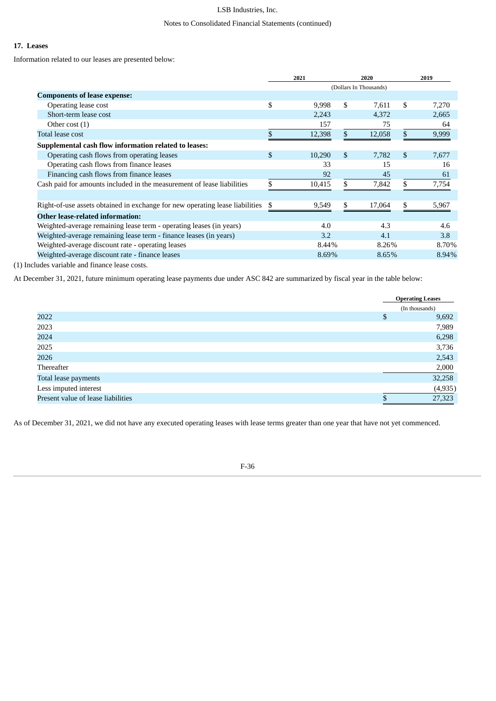### Notes to Consolidated Financial Statements (continued)

### **17. Leases**

Information related to our leases are presented below:

|                                                                              | 2021 |                        |               | 2020   | 2019        |
|------------------------------------------------------------------------------|------|------------------------|---------------|--------|-------------|
|                                                                              |      | (Dollars In Thousands) |               |        |             |
| <b>Components of lease expense:</b>                                          |      |                        |               |        |             |
| Operating lease cost                                                         | \$   | 9,998                  | \$            | 7,611  | \$<br>7,270 |
| Short-term lease cost                                                        |      | 2,243                  |               | 4,372  | 2,665       |
| Other cost (1)                                                               |      | 157                    |               | 75     | 64          |
| <b>Total lease cost</b>                                                      |      | 12,398                 | $\mathcal{S}$ | 12,058 | \$<br>9,999 |
| Supplemental cash flow information related to leases:                        |      |                        |               |        |             |
| Operating cash flows from operating leases                                   | \$   | 10,290                 | $\mathbb{S}$  | 7,782  | \$<br>7,677 |
| Operating cash flows from finance leases                                     |      | 33                     |               | 15     | 16          |
| Financing cash flows from finance leases                                     |      | 92                     |               | 45     | 61          |
| Cash paid for amounts included in the measurement of lease liabilities       |      | 10,415                 | \$.           | 7,842  | 7,754       |
|                                                                              |      |                        |               |        |             |
| Right-of-use assets obtained in exchange for new operating lease liabilities | S.   | 9,549                  | \$            | 17,064 | \$<br>5,967 |
| Other lease-related information:                                             |      |                        |               |        |             |
| Weighted-average remaining lease term - operating leases (in years)          |      | 4.0                    |               | 4.3    | 4.6         |
| Weighted-average remaining lease term - finance leases (in years)            |      | 3.2                    |               | 4.1    | 3.8         |
| Weighted-average discount rate - operating leases                            |      | 8.44%                  |               | 8.26%  | 8.70%       |
| Weighted-average discount rate - finance leases                              |      | 8.69%                  |               | 8.65%  | 8.94%       |

(1) Includes variable and finance lease costs.

At December 31, 2021, future minimum operating lease payments due under ASC 842 are summarized by fiscal year in the table below:

|                                    | <b>Operating Leases</b> |                |  |
|------------------------------------|-------------------------|----------------|--|
|                                    |                         | (In thousands) |  |
| 2022                               | \$                      | 9,692          |  |
| 2023                               |                         | 7,989          |  |
| 2024                               |                         | 6,298          |  |
| 2025                               |                         | 3,736          |  |
| 2026                               |                         | 2,543          |  |
| Thereafter                         |                         | 2,000          |  |
| Total lease payments               |                         | 32,258         |  |
| Less imputed interest              |                         | (4,935)        |  |
| Present value of lease liabilities |                         | 27,323         |  |

As of December 31, 2021, we did not have any executed operating leases with lease terms greater than one year that have not yet commenced.

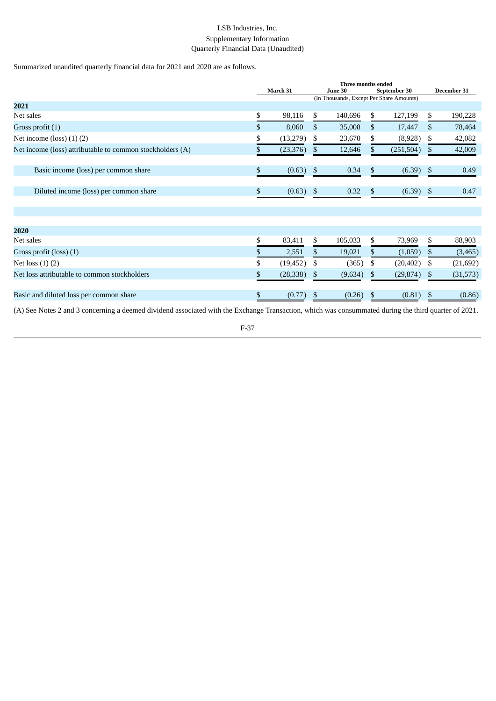## LSB Industries, Inc. Supplementary Information Quarterly Financial Data (Unaudited)

Summarized unaudited quarterly financial data for 2021 and 2020 are as follows.

|                                                           | Three months ended |           |    |                                          |    |              |     |             |
|-----------------------------------------------------------|--------------------|-----------|----|------------------------------------------|----|--------------|-----|-------------|
|                                                           |                    | March 31  |    | June 30                                  |    | September 30 |     | December 31 |
| 2021                                                      |                    |           |    | (In Thousands, Except Per Share Amounts) |    |              |     |             |
| Net sales                                                 | \$                 | 98,116    | \$ | 140,696                                  | \$ | 127,199      | \$  | 190,228     |
| Gross profit $(1)$                                        |                    | 8,060     | \$ | 35,008                                   | \$ | 17,447       |     | 78,464      |
| Net income $(loss)$ $(1)$ $(2)$                           |                    | (13, 279) |    | 23,670                                   |    | (8,928)      |     | 42,082      |
| Net income (loss) attributable to common stockholders (A) |                    | (23, 376) |    | 12,646                                   |    | (251, 504)   |     | 42,009      |
| Basic income (loss) per common share                      | \$                 | (0.63)    | \$ | 0.34                                     | \$ | $(6.39)$ \$  |     | 0.49        |
| Diluted income (loss) per common share                    | \$                 | (0.63)    | \$ | 0.32                                     | \$ | (6.39)       | S.  | 0.47        |
|                                                           |                    |           |    |                                          |    |              |     |             |
| 2020                                                      |                    |           |    |                                          |    |              |     |             |
| Net sales                                                 |                    | 83,411    | \$ | 105,033                                  | \$ | 73,969       |     | 88,903      |
| Gross profit (loss) (1)                                   |                    | 2,551     |    | 19,021                                   |    | (1,059)      | \$  | (3, 465)    |
| Net loss $(1)$ $(2)$                                      |                    | (19, 452) |    | (365)                                    |    | (20, 402)    |     | (21, 692)   |
| Net loss attributable to common stockholders              |                    | (28, 338) | \$ | (9,634)                                  | \$ | (29, 874)    | \$. | (31,573)    |
| Basic and diluted loss per common share                   | \$                 | (0.77)    | \$ | (0.26)                                   | \$ | (0.81)       | \$  | (0.86)      |

(A) See Notes 2 and 3 concerning a deemed dividend associated with the Exchange Transaction, which was consummated during the third quarter of 2021.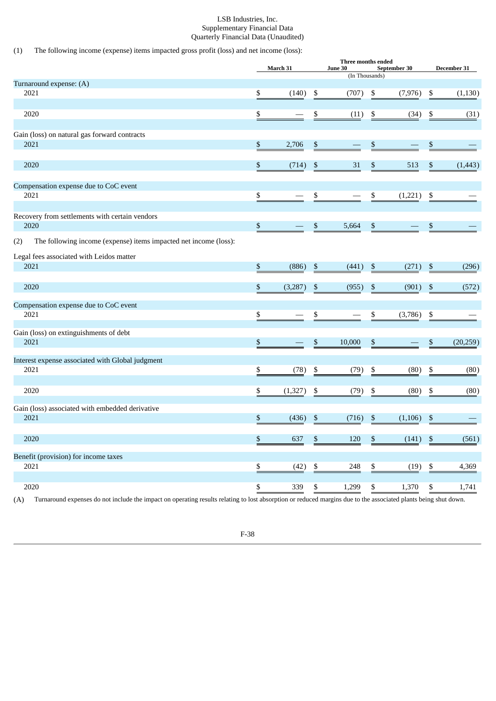### LSB Industries, Inc. Supplementary Financial Data Quarterly Financial Data (Unaudited)

(1) The following income (expense) items impacted gross profit (loss) and net income (loss):

|                                                                         |               | Three months ended |    |                           |                           |              |      |             |
|-------------------------------------------------------------------------|---------------|--------------------|----|---------------------------|---------------------------|--------------|------|-------------|
|                                                                         |               | March 31           |    | June 30<br>(In Thousands) |                           | September 30 |      | December 31 |
| Turnaround expense: (A)                                                 |               |                    |    |                           |                           |              |      |             |
| 2021                                                                    | \$            | (140)              | \$ | (707)                     | \$                        | (7, 976)     | \$   | (1, 130)    |
| 2020                                                                    | \$            |                    | \$ | (11)                      | \$                        | (34)         | \$   | (31)        |
| Gain (loss) on natural gas forward contracts                            |               |                    |    |                           |                           |              |      |             |
| 2021                                                                    | \$            | 2,706              | \$ |                           | \$                        |              | \$   |             |
| 2020                                                                    | \$            | (714)              | \$ | 31                        | \$                        | 513          | \$   | (1, 443)    |
| Compensation expense due to CoC event                                   |               |                    |    |                           |                           |              |      |             |
| 2021                                                                    | \$            |                    | \$ |                           | \$                        | (1,221)      | \$   |             |
| Recovery from settlements with certain vendors                          |               |                    |    |                           |                           |              |      |             |
| 2020                                                                    | \$            |                    | \$ | 5,664                     | \$                        |              | \$   |             |
| The following income (expense) items impacted net income (loss):<br>(2) |               |                    |    |                           |                           |              |      |             |
| Legal fees associated with Leidos matter                                |               |                    |    |                           |                           |              |      |             |
| 2021                                                                    | \$            | (886)              | \$ | (441)                     | \$                        | (271)        | \$   | (296)       |
| 2020                                                                    | \$            | (3,287)            | \$ | (955)                     | \$                        | (901)        | \$   | (572)       |
| Compensation expense due to CoC event                                   |               |                    |    |                           |                           |              |      |             |
| 2021                                                                    | \$            |                    | \$ |                           | \$                        | (3,786)      | \$   |             |
| Gain (loss) on extinguishments of debt                                  |               |                    |    |                           |                           |              |      |             |
| 2021                                                                    | \$            |                    | \$ | 10,000                    | \$                        |              | \$   | (20, 259)   |
| Interest expense associated with Global judgment                        |               |                    |    |                           |                           |              |      |             |
| 2021                                                                    | \$            | (78)               | \$ | (79)                      | \$                        | (80)         | \$   | (80)        |
| 2020                                                                    | \$            | (1, 327)           | \$ | (79)                      | \$                        | (80)         | \$   | (80)        |
| Gain (loss) associated with embedded derivative                         |               |                    |    |                           |                           |              |      |             |
| 2021                                                                    | \$            | (436)              | \$ | (716)                     | $\boldsymbol{\mathsf{s}}$ | (1,106)      | \$   |             |
| 2020                                                                    | \$            | 637                | \$ | 120                       | \$                        | (141)        | $\$$ | (561)       |
| Benefit (provision) for income taxes                                    |               |                    |    |                           |                           |              |      |             |
| 2021                                                                    | \$            | (42)               | \$ | 248                       | \$                        | (19)         | \$   | 4,369       |
| 2020                                                                    | $\frac{1}{2}$ | $\frac{339}{2}$    | \$ | 1,299                     | $\frac{1}{2}$             | 1,370        | \$   | 1,741       |
|                                                                         |               |                    |    |                           |                           |              |      |             |

(A) Turnaround expenses do not include the impact on operating results relating to lost absorption or reduced margins due to the associated plants being shut down.

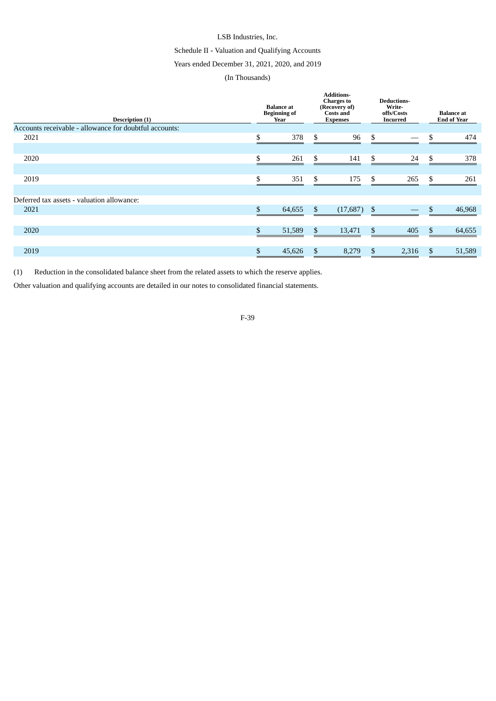### Schedule II - Valuation and Qualifying Accounts

## Years ended December 31, 2021, 2020, and 2019

## (In Thousands)

| Description (1)<br>Accounts receivable - allowance for doubtful accounts: |     | <b>Balance</b> at<br><b>Beginning of</b><br>Year |                |          |                |       |     | <b>Additions-</b><br><b>Charges to</b><br>(Recovery of)<br>Costs and<br><b>Expenses</b> |  | <b>Deductions-</b><br>Write-<br>offs/Costs<br><b>Incurred</b> |  | <b>Balance</b> at<br><b>End of Year</b> |
|---------------------------------------------------------------------------|-----|--------------------------------------------------|----------------|----------|----------------|-------|-----|-----------------------------------------------------------------------------------------|--|---------------------------------------------------------------|--|-----------------------------------------|
| 2021                                                                      | \$. | 378                                              | \$             | 96       | \$             |       | \$  | 474                                                                                     |  |                                                               |  |                                         |
| 2020                                                                      | \$  | 261                                              | \$             | 141      | \$             | 24    | \$  | 378                                                                                     |  |                                                               |  |                                         |
| 2019                                                                      | \$  | 351                                              | \$             | 175      | \$             | 265   | S.  | 261                                                                                     |  |                                                               |  |                                         |
| Deferred tax assets - valuation allowance:                                |     |                                                  |                |          |                |       |     |                                                                                         |  |                                                               |  |                                         |
| 2021                                                                      | \$  | 64,655                                           | $\mathfrak{S}$ | (17,687) | $\mathfrak{S}$ |       | \$. | 46,968                                                                                  |  |                                                               |  |                                         |
| 2020                                                                      | \$  | 51,589                                           | \$             | 13,471   | \$             | 405   | \$  | 64,655                                                                                  |  |                                                               |  |                                         |
| 2019                                                                      | \$  | 45,626                                           | \$             | 8,279    | \$             | 2,316 | \$. | 51,589                                                                                  |  |                                                               |  |                                         |

(1) Reduction in the consolidated balance sheet from the related assets to which the reserve applies.

Other valuation and qualifying accounts are detailed in our notes to consolidated financial statements.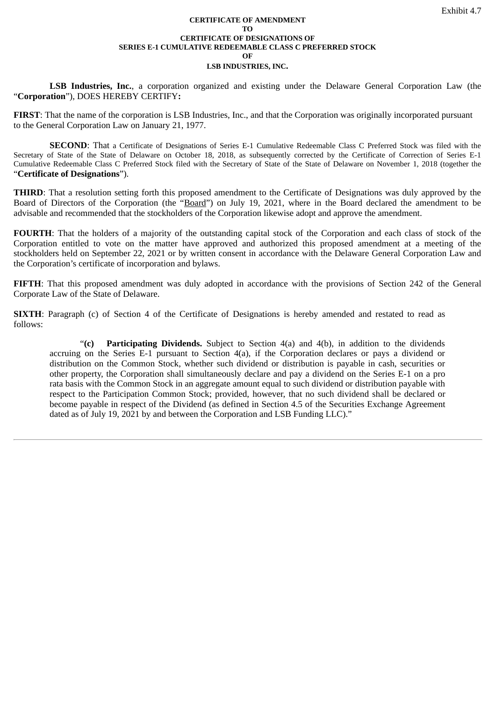### **CERTIFICATE OF AMENDMENT TO CERTIFICATE OF DESIGNATIONS OF SERIES E-1 CUMULATIVE REDEEMABLE CLASS C PREFERRED STOCK OF LSB INDUSTRIES, INC.**

**LSB Industries, Inc.**, a corporation organized and existing under the Delaware General Corporation Law (the "**Corporation**"), DOES HEREBY CERTIFY**:**

**FIRST**: That the name of the corporation is LSB Industries, Inc., and that the Corporation was originally incorporated pursuant to the General Corporation Law on January 21, 1977.

**SECOND**: That a Certificate of Designations of Series E-1 Cumulative Redeemable Class C Preferred Stock was filed with the Secretary of State of the State of Delaware on October 18, 2018, as subsequently corrected by the Certificate of Correction of Series E-1 Cumulative Redeemable Class C Preferred Stock filed with the Secretary of State of the State of Delaware on November 1, 2018 (together the "**Certificate of Designations**").

**THIRD**: That a resolution setting forth this proposed amendment to the Certificate of Designations was duly approved by the Board of Directors of the Corporation (the "Board") on July 19, 2021, where in the Board declared the amendment to be advisable and recommended that the stockholders of the Corporation likewise adopt and approve the amendment.

**FOURTH**: That the holders of a majority of the outstanding capital stock of the Corporation and each class of stock of the Corporation entitled to vote on the matter have approved and authorized this proposed amendment at a meeting of the stockholders held on September 22, 2021 or by written consent in accordance with the Delaware General Corporation Law and the Corporation's certificate of incorporation and bylaws.

**FIFTH**: That this proposed amendment was duly adopted in accordance with the provisions of Section 242 of the General Corporate Law of the State of Delaware.

**SIXTH:** Paragraph (c) of Section 4 of the Certificate of Designations is hereby amended and restated to read as follows:

"**(c) Participating Dividends.** Subject to Section 4(a) and 4(b), in addition to the dividends accruing on the Series E-1 pursuant to Section 4(a), if the Corporation declares or pays a dividend or distribution on the Common Stock, whether such dividend or distribution is payable in cash, securities or other property, the Corporation shall simultaneously declare and pay a dividend on the Series E-1 on a pro rata basis with the Common Stock in an aggregate amount equal to such dividend or distribution payable with respect to the Participation Common Stock; provided, however, that no such dividend shall be declared or become payable in respect of the Dividend (as defined in Section 4.5 of the Securities Exchange Agreement dated as of July 19, 2021 by and between the Corporation and LSB Funding LLC)."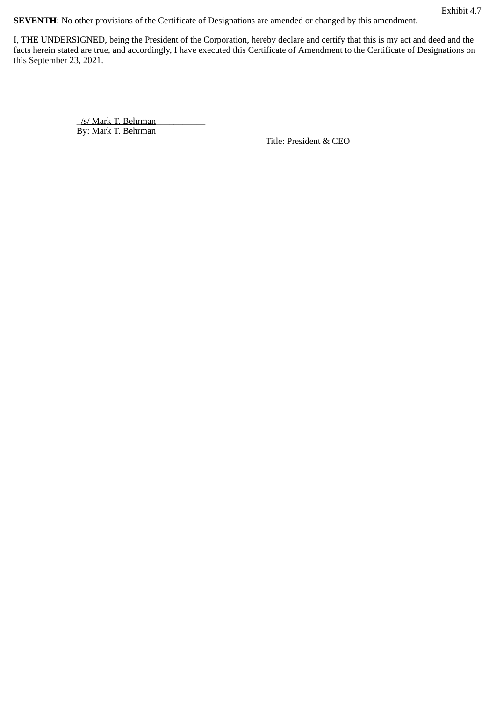Exhibit 4.7

**SEVENTH:** No other provisions of the Certificate of Designations are amended or changed by this amendment.

I, THE UNDERSIGNED, being the President of the Corporation, hereby declare and certify that this is my act and deed and the facts herein stated are true, and accordingly, I have executed this Certificate of Amendment to the Certificate of Designations on this September 23, 2021.

> \_/s/ Mark T. Behrman\_\_\_\_\_\_\_\_\_\_\_ By: Mark T. Behrman

Title: President & CEO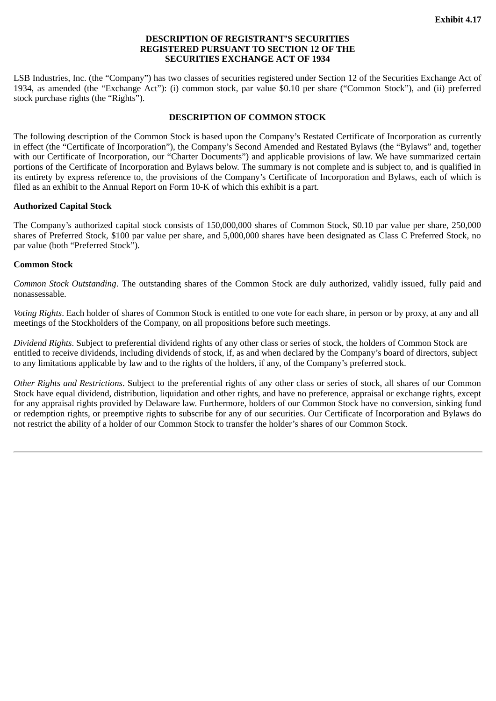## **DESCRIPTION OF REGISTRANT'S SECURITIES REGISTERED PURSUANT TO SECTION 12 OF THE SECURITIES EXCHANGE ACT OF 1934**

LSB Industries, Inc. (the "Company") has two classes of securities registered under Section 12 of the Securities Exchange Act of 1934, as amended (the "Exchange Act"): (i) common stock, par value \$0.10 per share ("Common Stock"), and (ii) preferred stock purchase rights (the "Rights").

## **DESCRIPTION OF COMMON STOCK**

The following description of the Common Stock is based upon the Company's Restated Certificate of Incorporation as currently in effect (the "Certificate of Incorporation"), the Company's Second Amended and Restated Bylaws (the "Bylaws" and, together with our Certificate of Incorporation, our "Charter Documents") and applicable provisions of law. We have summarized certain portions of the Certificate of Incorporation and Bylaws below. The summary is not complete and is subject to, and is qualified in its entirety by express reference to, the provisions of the Company's Certificate of Incorporation and Bylaws, each of which is filed as an exhibit to the Annual Report on Form 10-K of which this exhibit is a part.

## **Authorized Capital Stock**

The Company's authorized capital stock consists of 150,000,000 shares of Common Stock, \$0.10 par value per share, 250,000 shares of Preferred Stock, \$100 par value per share, and 5,000,000 shares have been designated as Class C Preferred Stock, no par value (both "Preferred Stock").

## **Common Stock**

*Common Stock Outstanding*. The outstanding shares of the Common Stock are duly authorized, validly issued, fully paid and nonassessable.

*Voting Rights*. Each holder of shares of Common Stock is entitled to one vote for each share, in person or by proxy, at any and all meetings of the Stockholders of the Company, on all propositions before such meetings.

*Dividend Rights*. Subject to preferential dividend rights of any other class or series of stock, the holders of Common Stock are entitled to receive dividends, including dividends of stock, if, as and when declared by the Company's board of directors, subject to any limitations applicable by law and to the rights of the holders, if any, of the Company's preferred stock.

*Other Rights and Restrictions*. Subject to the preferential rights of any other class or series of stock, all shares of our Common Stock have equal dividend, distribution, liquidation and other rights, and have no preference, appraisal or exchange rights, except for any appraisal rights provided by Delaware law. Furthermore, holders of our Common Stock have no conversion, sinking fund or redemption rights, or preemptive rights to subscribe for any of our securities. Our Certificate of Incorporation and Bylaws do not restrict the ability of a holder of our Common Stock to transfer the holder's shares of our Common Stock.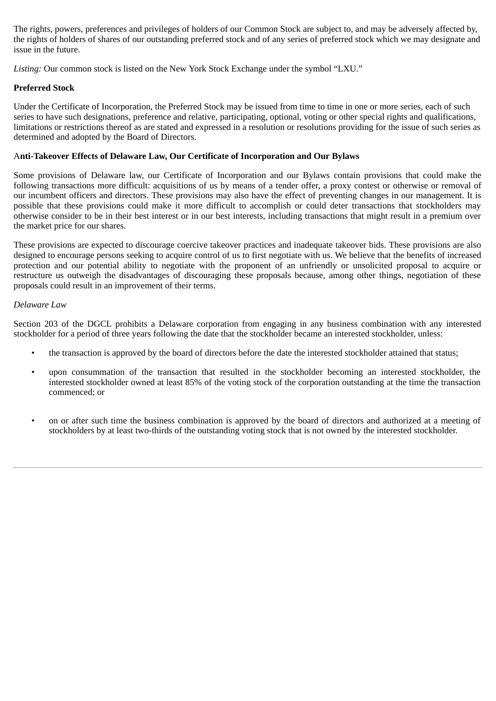The rights, powers, preferences and privileges of holders of our Common Stock are subject to, and may be adversely affected by, the rights of holders of shares of our outstanding preferred stock and of any series of preferred stock which we may designate and issue in the future.

*Listing:* Our common stock is listed on the New York Stock Exchange under the symbol "LXU."

# **Preferred Stock**

Under the Certificate of Incorporation, the Preferred Stock may be issued from time to time in one or more series, each of such series to have such designations, preference and relative, participating, optional, voting or other special rights and qualifications, limitations or restrictions thereof as are stated and expressed in a resolution or resolutions providing for the issue of such series as determined and adopted by the Board of Directors.

# A**nti-Takeover Effects of Delaware Law, Our Certificate of Incorporation and Our Bylaws**

Some provisions of Delaware law, our Certificate of Incorporation and our Bylaws contain provisions that could make the following transactions more difficult: acquisitions of us by means of a tender offer, a proxy contest or otherwise or removal of our incumbent officers and directors. These provisions may also have the effect of preventing changes in our management. It is possible that these provisions could make it more difficult to accomplish or could deter transactions that stockholders may otherwise consider to be in their best interest or in our best interests, including transactions that might result in a premium over the market price for our shares.

These provisions are expected to discourage coercive takeover practices and inadequate takeover bids. These provisions are also designed to encourage persons seeking to acquire control of us to first negotiate with us. We believe that the benefits of increased protection and our potential ability to negotiate with the proponent of an unfriendly or unsolicited proposal to acquire or restructure us outweigh the disadvantages of discouraging these proposals because, among other things, negotiation of these proposals could result in an improvement of their terms.

## *Delaware Law*

Section 203 of the DGCL prohibits a Delaware corporation from engaging in any business combination with any interested stockholder for a period of three years following the date that the stockholder became an interested stockholder, unless:

- the transaction is approved by the board of directors before the date the interested stockholder attained that status;
- upon consummation of the transaction that resulted in the stockholder becoming an interested stockholder, the interested stockholder owned at least 85% of the voting stock of the corporation outstanding at the time the transaction commenced; or
- on or after such time the business combination is approved by the board of directors and authorized at a meeting of stockholders by at least two-thirds of the outstanding voting stock that is not owned by the interested stockholder.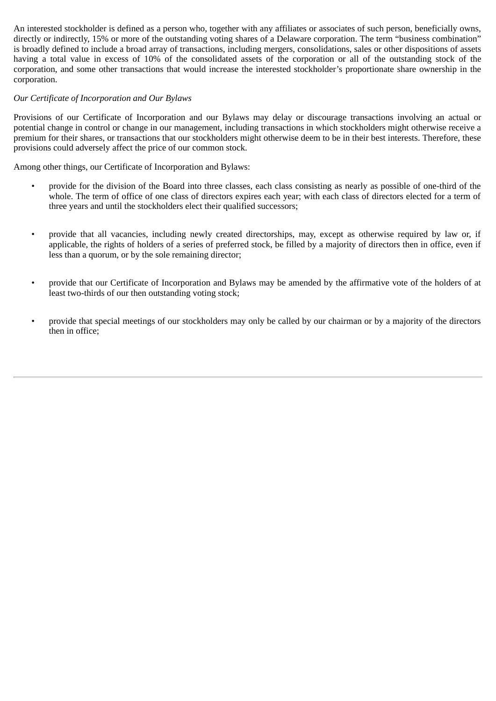An interested stockholder is defined as a person who, together with any affiliates or associates of such person, beneficially owns, directly or indirectly, 15% or more of the outstanding voting shares of a Delaware corporation. The term "business combination" is broadly defined to include a broad array of transactions, including mergers, consolidations, sales or other dispositions of assets having a total value in excess of 10% of the consolidated assets of the corporation or all of the outstanding stock of the corporation, and some other transactions that would increase the interested stockholder's proportionate share ownership in the corporation.

## *Our Certificate of Incorporation and Our Bylaws*

Provisions of our Certificate of Incorporation and our Bylaws may delay or discourage transactions involving an actual or potential change in control or change in our management, including transactions in which stockholders might otherwise receive a premium for their shares, or transactions that our stockholders might otherwise deem to be in their best interests. Therefore, these provisions could adversely affect the price of our common stock.

Among other things, our Certificate of Incorporation and Bylaws:

- provide for the division of the Board into three classes, each class consisting as nearly as possible of one-third of the whole. The term of office of one class of directors expires each year; with each class of directors elected for a term of three years and until the stockholders elect their qualified successors;
- provide that all vacancies, including newly created directorships, may, except as otherwise required by law or, if applicable, the rights of holders of a series of preferred stock, be filled by a majority of directors then in office, even if less than a quorum, or by the sole remaining director;
- provide that our Certificate of Incorporation and Bylaws may be amended by the affirmative vote of the holders of at least two-thirds of our then outstanding voting stock;
- provide that special meetings of our stockholders may only be called by our chairman or by a majority of the directors then in office;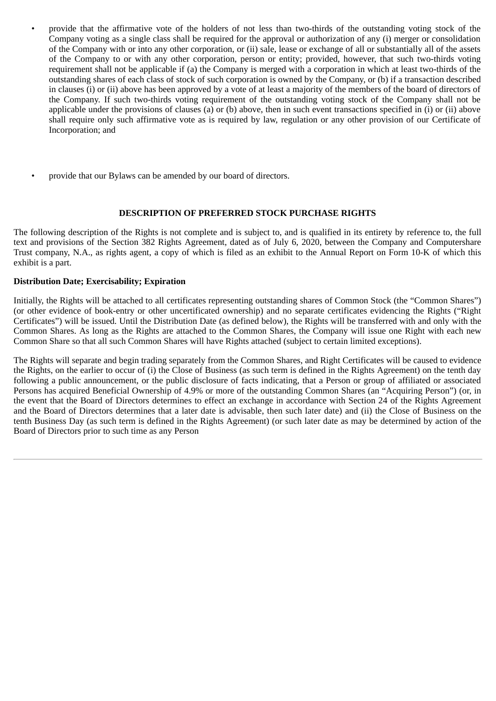- provide that the affirmative vote of the holders of not less than two-thirds of the outstanding voting stock of the Company voting as a single class shall be required for the approval or authorization of any (i) merger or consolidation of the Company with or into any other corporation, or (ii) sale, lease or exchange of all or substantially all of the assets of the Company to or with any other corporation, person or entity; provided, however, that such two-thirds voting requirement shall not be applicable if (a) the Company is merged with a corporation in which at least two-thirds of the outstanding shares of each class of stock of such corporation is owned by the Company, or (b) if a transaction described in clauses (i) or (ii) above has been approved by a vote of at least a majority of the members of the board of directors of the Company. If such two-thirds voting requirement of the outstanding voting stock of the Company shall not be applicable under the provisions of clauses (a) or (b) above, then in such event transactions specified in (i) or (ii) above shall require only such affirmative vote as is required by law, regulation or any other provision of our Certificate of Incorporation; and
- provide that our Bylaws can be amended by our board of directors.

## **DESCRIPTION OF PREFERRED STOCK PURCHASE RIGHTS**

The following description of the Rights is not complete and is subject to, and is qualified in its entirety by reference to, the full text and provisions of the Section 382 Rights Agreement, dated as of July 6, 2020, between the Company and Computershare Trust company, N.A., as rights agent, a copy of which is filed as an exhibit to the Annual Report on Form 10-K of which this exhibit is a part.

## **Distribution Date; Exercisability; Expiration**

Initially, the Rights will be attached to all certificates representing outstanding shares of Common Stock (the "Common Shares") (or other evidence of book-entry or other uncertificated ownership) and no separate certificates evidencing the Rights ("Right Certificates") will be issued. Until the Distribution Date (as defined below), the Rights will be transferred with and only with the Common Shares. As long as the Rights are attached to the Common Shares, the Company will issue one Right with each new Common Share so that all such Common Shares will have Rights attached (subject to certain limited exceptions).

The Rights will separate and begin trading separately from the Common Shares, and Right Certificates will be caused to evidence the Rights, on the earlier to occur of (i) the Close of Business (as such term is defined in the Rights Agreement) on the tenth day following a public announcement, or the public disclosure of facts indicating, that a Person or group of affiliated or associated Persons has acquired Beneficial Ownership of 4.9% or more of the outstanding Common Shares (an "Acquiring Person") (or, in the event that the Board of Directors determines to effect an exchange in accordance with Section 24 of the Rights Agreement and the Board of Directors determines that a later date is advisable, then such later date) and (ii) the Close of Business on the tenth Business Day (as such term is defined in the Rights Agreement) (or such later date as may be determined by action of the Board of Directors prior to such time as any Person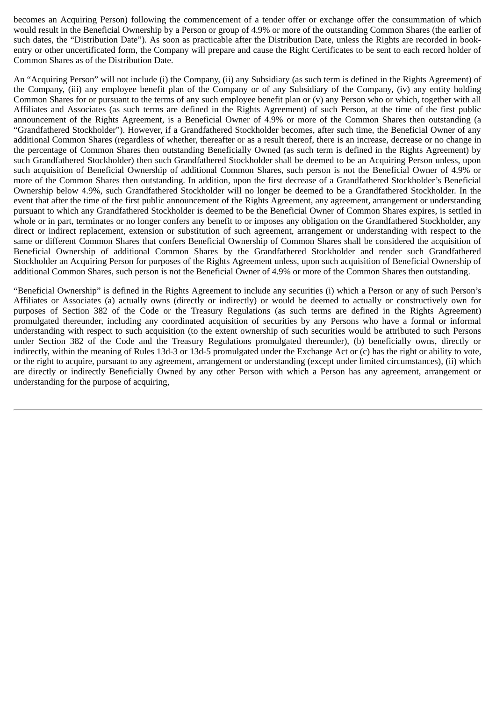becomes an Acquiring Person) following the commencement of a tender offer or exchange offer the consummation of which would result in the Beneficial Ownership by a Person or group of 4.9% or more of the outstanding Common Shares (the earlier of such dates, the "Distribution Date"). As soon as practicable after the Distribution Date, unless the Rights are recorded in bookentry or other uncertificated form, the Company will prepare and cause the Right Certificates to be sent to each record holder of Common Shares as of the Distribution Date.

An "Acquiring Person" will not include (i) the Company, (ii) any Subsidiary (as such term is defined in the Rights Agreement) of the Company, (iii) any employee benefit plan of the Company or of any Subsidiary of the Company, (iv) any entity holding Common Shares for or pursuant to the terms of any such employee benefit plan or (v) any Person who or which, together with all Affiliates and Associates (as such terms are defined in the Rights Agreement) of such Person, at the time of the first public announcement of the Rights Agreement, is a Beneficial Owner of 4.9% or more of the Common Shares then outstanding (a "Grandfathered Stockholder"). However, if a Grandfathered Stockholder becomes, after such time, the Beneficial Owner of any additional Common Shares (regardless of whether, thereafter or as a result thereof, there is an increase, decrease or no change in the percentage of Common Shares then outstanding Beneficially Owned (as such term is defined in the Rights Agreement) by such Grandfathered Stockholder) then such Grandfathered Stockholder shall be deemed to be an Acquiring Person unless, upon such acquisition of Beneficial Ownership of additional Common Shares, such person is not the Beneficial Owner of 4.9% or more of the Common Shares then outstanding. In addition, upon the first decrease of a Grandfathered Stockholder's Beneficial Ownership below 4.9%, such Grandfathered Stockholder will no longer be deemed to be a Grandfathered Stockholder. In the event that after the time of the first public announcement of the Rights Agreement, any agreement, arrangement or understanding pursuant to which any Grandfathered Stockholder is deemed to be the Beneficial Owner of Common Shares expires, is settled in whole or in part, terminates or no longer confers any benefit to or imposes any obligation on the Grandfathered Stockholder, any direct or indirect replacement, extension or substitution of such agreement, arrangement or understanding with respect to the same or different Common Shares that confers Beneficial Ownership of Common Shares shall be considered the acquisition of Beneficial Ownership of additional Common Shares by the Grandfathered Stockholder and render such Grandfathered Stockholder an Acquiring Person for purposes of the Rights Agreement unless, upon such acquisition of Beneficial Ownership of additional Common Shares, such person is not the Beneficial Owner of 4.9% or more of the Common Shares then outstanding.

"Beneficial Ownership" is defined in the Rights Agreement to include any securities (i) which a Person or any of such Person's Affiliates or Associates (a) actually owns (directly or indirectly) or would be deemed to actually or constructively own for purposes of Section 382 of the Code or the Treasury Regulations (as such terms are defined in the Rights Agreement) promulgated thereunder, including any coordinated acquisition of securities by any Persons who have a formal or informal understanding with respect to such acquisition (to the extent ownership of such securities would be attributed to such Persons under Section 382 of the Code and the Treasury Regulations promulgated thereunder), (b) beneficially owns, directly or indirectly, within the meaning of Rules 13d-3 or 13d-5 promulgated under the Exchange Act or (c) has the right or ability to vote, or the right to acquire, pursuant to any agreement, arrangement or understanding (except under limited circumstances), (ii) which are directly or indirectly Beneficially Owned by any other Person with which a Person has any agreement, arrangement or understanding for the purpose of acquiring,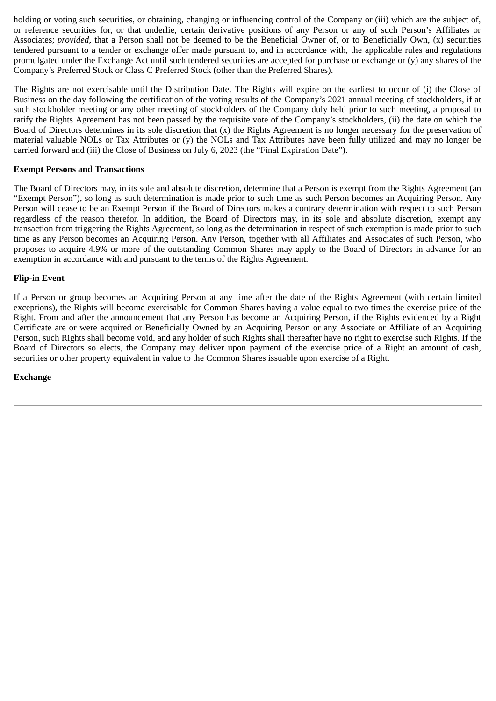holding or voting such securities, or obtaining, changing or influencing control of the Company or (iii) which are the subject of, or reference securities for, or that underlie, certain derivative positions of any Person or any of such Person's Affiliates or Associates; *provided*, that a Person shall not be deemed to be the Beneficial Owner of, or to Beneficially Own, (x) securities tendered pursuant to a tender or exchange offer made pursuant to, and in accordance with, the applicable rules and regulations promulgated under the Exchange Act until such tendered securities are accepted for purchase or exchange or (y) any shares of the Company's Preferred Stock or Class C Preferred Stock (other than the Preferred Shares).

The Rights are not exercisable until the Distribution Date. The Rights will expire on the earliest to occur of (i) the Close of Business on the day following the certification of the voting results of the Company's 2021 annual meeting of stockholders, if at such stockholder meeting or any other meeting of stockholders of the Company duly held prior to such meeting, a proposal to ratify the Rights Agreement has not been passed by the requisite vote of the Company's stockholders, (ii) the date on which the Board of Directors determines in its sole discretion that (x) the Rights Agreement is no longer necessary for the preservation of material valuable NOLs or Tax Attributes or (y) the NOLs and Tax Attributes have been fully utilized and may no longer be carried forward and (iii) the Close of Business on July 6, 2023 (the "Final Expiration Date").

## **Exempt Persons and Transactions**

The Board of Directors may, in its sole and absolute discretion, determine that a Person is exempt from the Rights Agreement (an "Exempt Person"), so long as such determination is made prior to such time as such Person becomes an Acquiring Person. Any Person will cease to be an Exempt Person if the Board of Directors makes a contrary determination with respect to such Person regardless of the reason therefor. In addition, the Board of Directors may, in its sole and absolute discretion, exempt any transaction from triggering the Rights Agreement, so long as the determination in respect of such exemption is made prior to such time as any Person becomes an Acquiring Person. Any Person, together with all Affiliates and Associates of such Person, who proposes to acquire 4.9% or more of the outstanding Common Shares may apply to the Board of Directors in advance for an exemption in accordance with and pursuant to the terms of the Rights Agreement.

## **Flip-in Event**

If a Person or group becomes an Acquiring Person at any time after the date of the Rights Agreement (with certain limited exceptions), the Rights will become exercisable for Common Shares having a value equal to two times the exercise price of the Right. From and after the announcement that any Person has become an Acquiring Person, if the Rights evidenced by a Right Certificate are or were acquired or Beneficially Owned by an Acquiring Person or any Associate or Affiliate of an Acquiring Person, such Rights shall become void, and any holder of such Rights shall thereafter have no right to exercise such Rights. If the Board of Directors so elects, the Company may deliver upon payment of the exercise price of a Right an amount of cash, securities or other property equivalent in value to the Common Shares issuable upon exercise of a Right.

## **Exchange**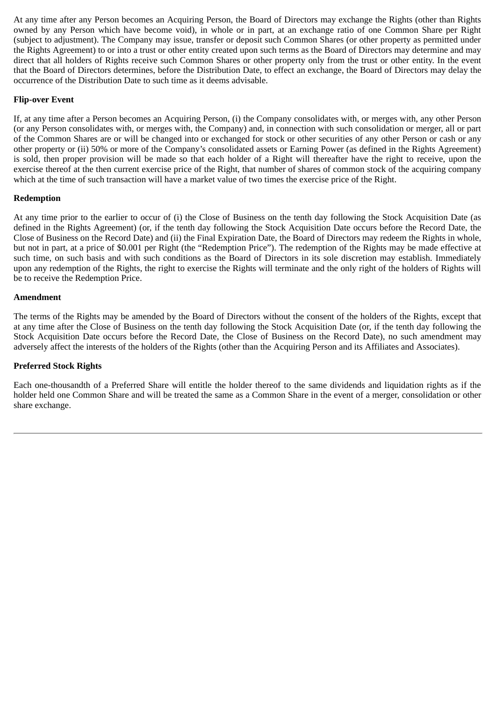At any time after any Person becomes an Acquiring Person, the Board of Directors may exchange the Rights (other than Rights owned by any Person which have become void), in whole or in part, at an exchange ratio of one Common Share per Right (subject to adjustment). The Company may issue, transfer or deposit such Common Shares (or other property as permitted under the Rights Agreement) to or into a trust or other entity created upon such terms as the Board of Directors may determine and may direct that all holders of Rights receive such Common Shares or other property only from the trust or other entity. In the event that the Board of Directors determines, before the Distribution Date, to effect an exchange, the Board of Directors may delay the occurrence of the Distribution Date to such time as it deems advisable.

## **Flip-over Event**

If, at any time after a Person becomes an Acquiring Person, (i) the Company consolidates with, or merges with, any other Person (or any Person consolidates with, or merges with, the Company) and, in connection with such consolidation or merger, all or part of the Common Shares are or will be changed into or exchanged for stock or other securities of any other Person or cash or any other property or (ii) 50% or more of the Company's consolidated assets or Earning Power (as defined in the Rights Agreement) is sold, then proper provision will be made so that each holder of a Right will thereafter have the right to receive, upon the exercise thereof at the then current exercise price of the Right, that number of shares of common stock of the acquiring company which at the time of such transaction will have a market value of two times the exercise price of the Right.

## **Redemption**

At any time prior to the earlier to occur of (i) the Close of Business on the tenth day following the Stock Acquisition Date (as defined in the Rights Agreement) (or, if the tenth day following the Stock Acquisition Date occurs before the Record Date, the Close of Business on the Record Date) and (ii) the Final Expiration Date, the Board of Directors may redeem the Rights in whole, but not in part, at a price of \$0.001 per Right (the "Redemption Price"). The redemption of the Rights may be made effective at such time, on such basis and with such conditions as the Board of Directors in its sole discretion may establish. Immediately upon any redemption of the Rights, the right to exercise the Rights will terminate and the only right of the holders of Rights will be to receive the Redemption Price.

## **Amendment**

The terms of the Rights may be amended by the Board of Directors without the consent of the holders of the Rights, except that at any time after the Close of Business on the tenth day following the Stock Acquisition Date (or, if the tenth day following the Stock Acquisition Date occurs before the Record Date, the Close of Business on the Record Date), no such amendment may adversely affect the interests of the holders of the Rights (other than the Acquiring Person and its Affiliates and Associates).

## **Preferred Stock Rights**

Each one-thousandth of a Preferred Share will entitle the holder thereof to the same dividends and liquidation rights as if the holder held one Common Share and will be treated the same as a Common Share in the event of a merger, consolidation or other share exchange.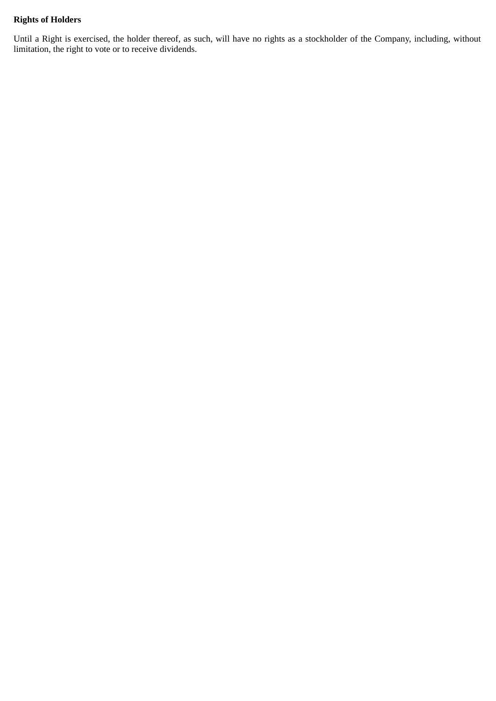# **Rights of Holders**

Until a Right is exercised, the holder thereof, as such, will have no rights as a stockholder of the Company, including, without limitation, the right to vote or to receive dividends.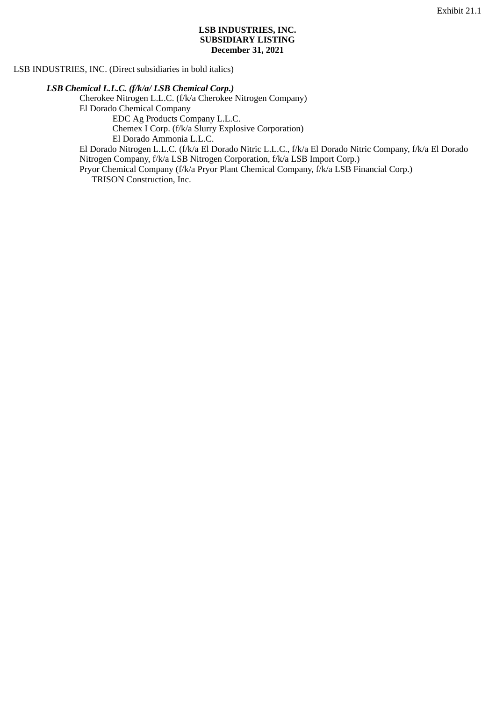## **LSB INDUSTRIES, INC. SUBSIDIARY LISTING December 31, 2021**

LSB INDUSTRIES, INC. (Direct subsidiaries in bold italics)

# *LSB Chemical L.L.C. (f/k/a/ LSB Chemical Corp.)*

Cherokee Nitrogen L.L.C. (f/k/a Cherokee Nitrogen Company)

El Dorado Chemical Company

EDC Ag Products Company L.L.C.

Chemex I Corp. (f/k/a Slurry Explosive Corporation)

El Dorado Ammonia L.L.C.

El Dorado Nitrogen L.L.C. (f/k/a El Dorado Nitric L.L.C., f/k/a El Dorado Nitric Company, f/k/a El Dorado Nitrogen Company, f/k/a LSB Nitrogen Corporation, f/k/a LSB Import Corp.)

Pryor Chemical Company (f/k/a Pryor Plant Chemical Company, f/k/a LSB Financial Corp.) TRISON Construction, Inc.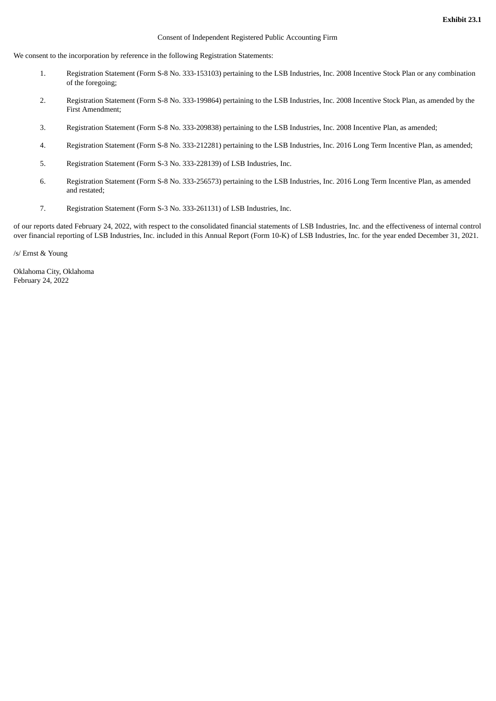#### Consent of Independent Registered Public Accounting Firm

We consent to the incorporation by reference in the following Registration Statements:

- 1. Registration Statement (Form S-8 No. 333-153103) pertaining to the LSB Industries, Inc. 2008 Incentive Stock Plan or any combination of the foregoing;
- 2. Registration Statement (Form S-8 No. 333-199864) pertaining to the LSB Industries, Inc. 2008 Incentive Stock Plan, as amended by the First Amendment;
- 3. Registration Statement (Form S-8 No. 333-209838) pertaining to the LSB Industries, Inc. 2008 Incentive Plan, as amended;
- 4. Registration Statement (Form S-8 No. 333-212281) pertaining to the LSB Industries, Inc. 2016 Long Term Incentive Plan, as amended;
- 5. Registration Statement (Form S-3 No. 333-228139) of LSB Industries, Inc.
- 6. Registration Statement (Form S-8 No. 333-256573) pertaining to the LSB Industries, Inc. 2016 Long Term Incentive Plan, as amended and restated;
- 7. Registration Statement (Form S-3 No. 333-261131) of LSB Industries, Inc.

of our reports dated February 24, 2022, with respect to the consolidated financial statements of LSB Industries, Inc. and the effectiveness of internal control over financial reporting of LSB Industries, Inc. included in this Annual Report (Form 10-K) of LSB Industries, Inc. for the year ended December 31, 2021.

/s/ Ernst & Young

Oklahoma City, Oklahoma February 24, 2022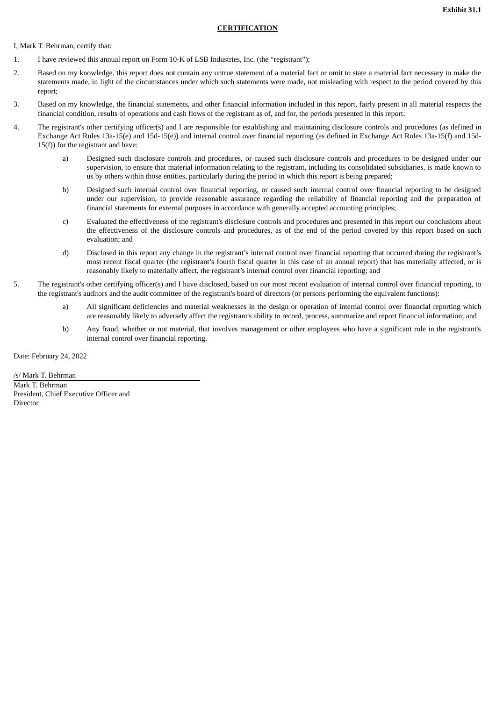### **CERTIFICATION**

I, Mark T. Behrman, certify that:

- 1. I have reviewed this annual report on Form 10-K of LSB Industries, Inc. (the "registrant");
- 2. Based on my knowledge, this report does not contain any untrue statement of a material fact or omit to state a material fact necessary to make the statements made, in light of the circumstances under which such statements were made, not misleading with respect to the period covered by this report;
- 3. Based on my knowledge, the financial statements, and other financial information included in this report, fairly present in all material respects the financial condition, results of operations and cash flows of the registrant as of, and for, the periods presented in this report;
- 4. The registrant's other certifying officer(s) and I are responsible for establishing and maintaining disclosure controls and procedures (as defined in Exchange Act Rules 13a-15(e) and 15d-15(e)) and internal control over financial reporting (as defined in Exchange Act Rules 13a-15(f) and 15d-15(f)) for the registrant and have:
	- a) Designed such disclosure controls and procedures, or caused such disclosure controls and procedures to be designed under our supervision, to ensure that material information relating to the registrant, including its consolidated subsidiaries, is made known to us by others within those entities, particularly during the period in which this report is being prepared;
	- b) Designed such internal control over financial reporting, or caused such internal control over financial reporting to be designed under our supervision, to provide reasonable assurance regarding the reliability of financial reporting and the preparation of financial statements for external purposes in accordance with generally accepted accounting principles;
	- c) Evaluated the effectiveness of the registrant's disclosure controls and procedures and presented in this report our conclusions about the effectiveness of the disclosure controls and procedures, as of the end of the period covered by this report based on such evaluation; and
	- d) Disclosed in this report any change in the registrant's internal control over financial reporting that occurred during the registrant's most recent fiscal quarter (the registrant's fourth fiscal quarter in this case of an annual report) that has materially affected, or is reasonably likely to materially affect, the registrant's internal control over financial reporting; and
- 5. The registrant's other certifying officer(s) and I have disclosed, based on our most recent evaluation of internal control over financial reporting, to the registrant's auditors and the audit committee of the registrant's board of directors (or persons performing the equivalent functions):
	- a) All significant deficiencies and material weaknesses in the design or operation of internal control over financial reporting which are reasonably likely to adversely affect the registrant's ability to record, process, summarize and report financial information; and
	- b) Any fraud, whether or not material, that involves management or other employees who have a significant role in the registrant's internal control over financial reporting.

Date: February 24, 2022

/s/ Mark T. Behrman Mark T. Behrman President, Chief Executive Officer and Director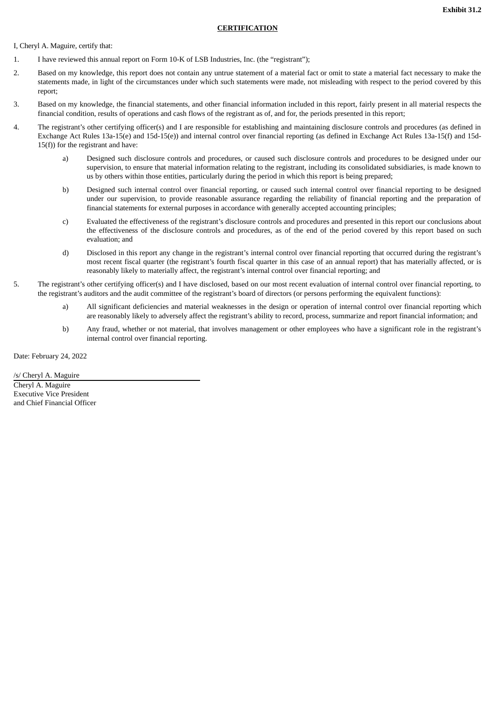### **CERTIFICATION**

I, Cheryl A. Maguire, certify that:

- 1. I have reviewed this annual report on Form 10-K of LSB Industries, Inc. (the "registrant");
- 2. Based on my knowledge, this report does not contain any untrue statement of a material fact or omit to state a material fact necessary to make the statements made, in light of the circumstances under which such statements were made, not misleading with respect to the period covered by this report;
- 3. Based on my knowledge, the financial statements, and other financial information included in this report, fairly present in all material respects the financial condition, results of operations and cash flows of the registrant as of, and for, the periods presented in this report;
- 4. The registrant's other certifying officer(s) and I are responsible for establishing and maintaining disclosure controls and procedures (as defined in Exchange Act Rules 13a-15(e) and 15d-15(e)) and internal control over financial reporting (as defined in Exchange Act Rules 13a-15(f) and 15d-15(f)) for the registrant and have:
	- a) Designed such disclosure controls and procedures, or caused such disclosure controls and procedures to be designed under our supervision, to ensure that material information relating to the registrant, including its consolidated subsidiaries, is made known to us by others within those entities, particularly during the period in which this report is being prepared;
	- b) Designed such internal control over financial reporting, or caused such internal control over financial reporting to be designed under our supervision, to provide reasonable assurance regarding the reliability of financial reporting and the preparation of financial statements for external purposes in accordance with generally accepted accounting principles;
	- c) Evaluated the effectiveness of the registrant's disclosure controls and procedures and presented in this report our conclusions about the effectiveness of the disclosure controls and procedures, as of the end of the period covered by this report based on such evaluation; and
	- d) Disclosed in this report any change in the registrant's internal control over financial reporting that occurred during the registrant's most recent fiscal quarter (the registrant's fourth fiscal quarter in this case of an annual report) that has materially affected, or is reasonably likely to materially affect, the registrant's internal control over financial reporting; and
- 5. The registrant's other certifying officer(s) and I have disclosed, based on our most recent evaluation of internal control over financial reporting, to the registrant's auditors and the audit committee of the registrant's board of directors (or persons performing the equivalent functions):
	- a) All significant deficiencies and material weaknesses in the design or operation of internal control over financial reporting which are reasonably likely to adversely affect the registrant's ability to record, process, summarize and report financial information; and
	- b) Any fraud, whether or not material, that involves management or other employees who have a significant role in the registrant's internal control over financial reporting.

Date: February 24, 2022

/s/ Cheryl A. Maguire Cheryl A. Maguire Executive Vice President and Chief Financial Officer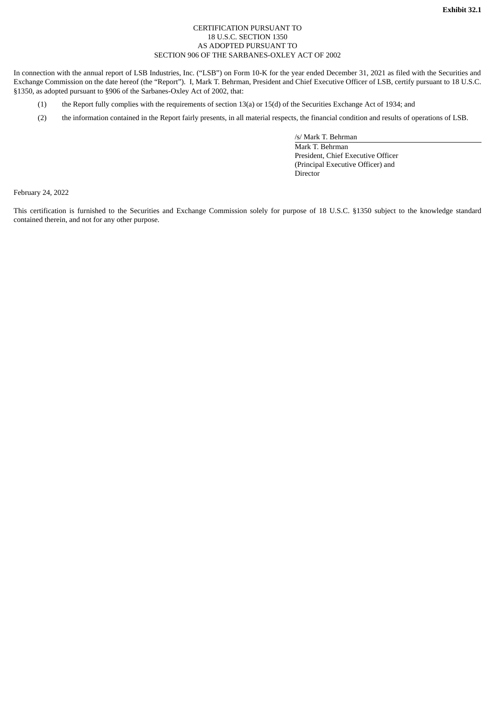### CERTIFICATION PURSUANT TO 18 U.S.C. SECTION 1350 AS ADOPTED PURSUANT TO SECTION 906 OF THE SARBANES-OXLEY ACT OF 2002

In connection with the annual report of LSB Industries, Inc. ("LSB") on Form 10-K for the year ended December 31, 2021 as filed with the Securities and Exchange Commission on the date hereof (the "Report"). I, Mark T. Behrman, President and Chief Executive Officer of LSB, certify pursuant to 18 U.S.C. §1350, as adopted pursuant to §906 of the Sarbanes-Oxley Act of 2002, that:

- (1) the Report fully complies with the requirements of section 13(a) or 15(d) of the Securities Exchange Act of 1934; and
- (2) the information contained in the Report fairly presents, in all material respects, the financial condition and results of operations of LSB.

/s/ Mark T. Behrman Mark T. Behrman President, Chief Executive Officer (Principal Executive Officer) and Director

February 24, 2022

This certification is furnished to the Securities and Exchange Commission solely for purpose of 18 U.S.C. §1350 subject to the knowledge standard contained therein, and not for any other purpose.